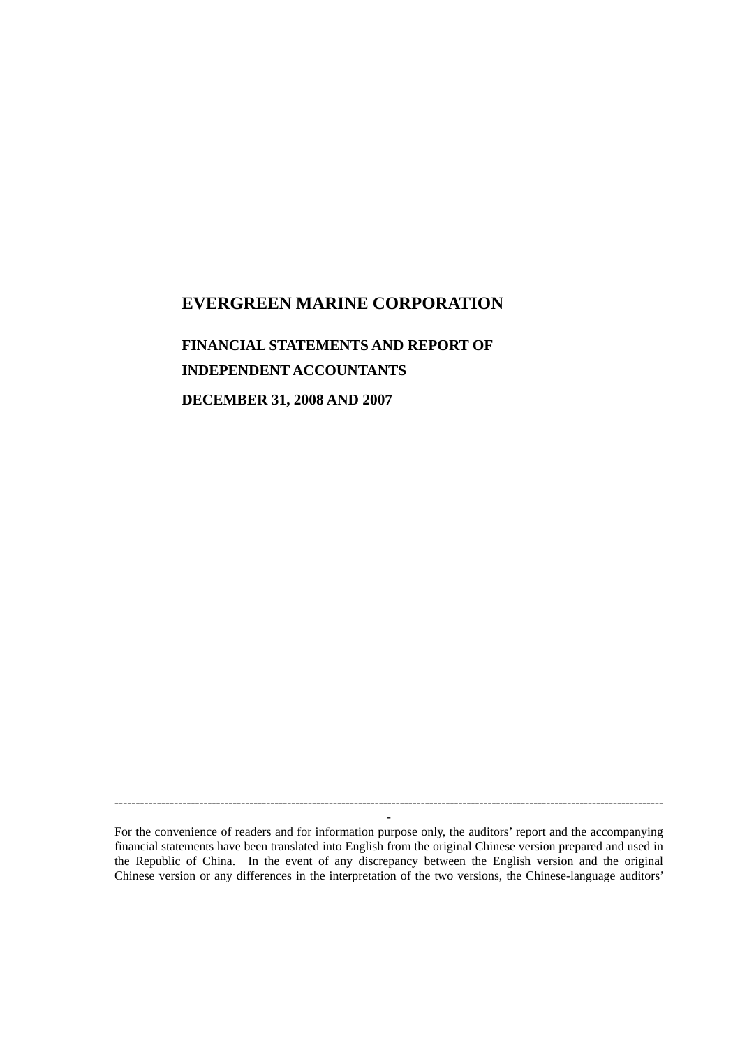## **EVERGREEN MARINE CORPORATION**

# **FINANCIAL STATEMENTS AND REPORT OF INDEPENDENT ACCOUNTANTS**

**DECEMBER 31, 2008 AND 2007**

For the convenience of readers and for information purpose only, the auditors' report and the accompanying financial statements have been translated into English from the original Chinese version prepared and used in the Republic of China. In the event of any discrepancy between the English version and the original Chinese version or any differences in the interpretation of the two versions, the Chinese-language auditors'

-

-----------------------------------------------------------------------------------------------------------------------------------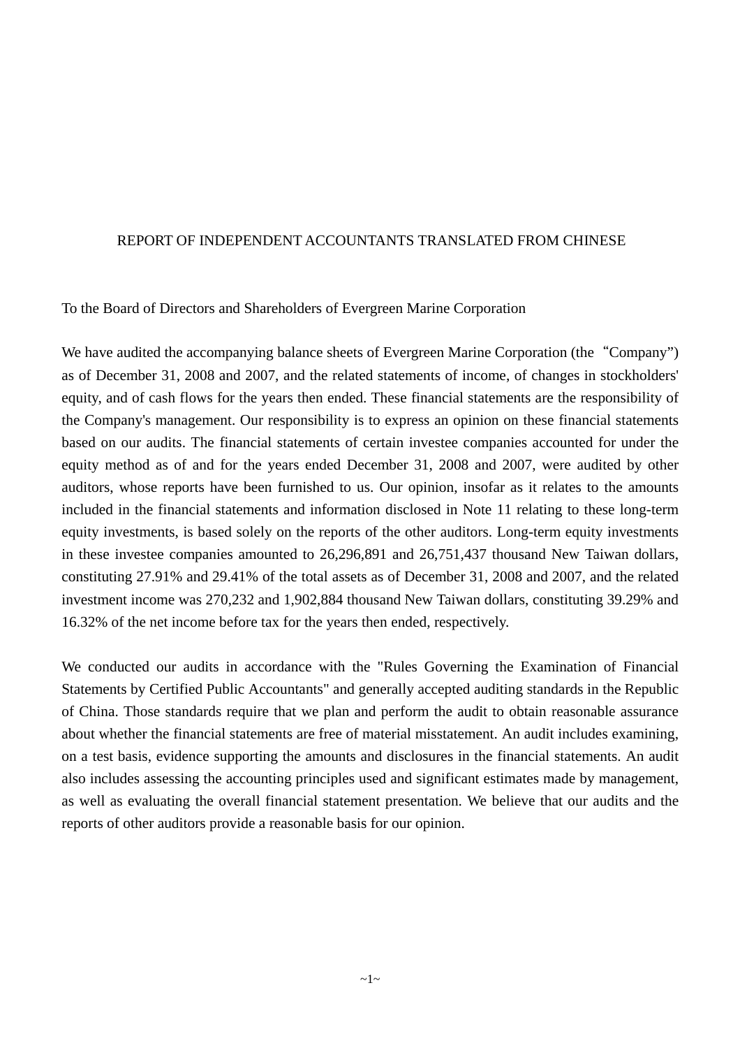#### REPORT OF INDEPENDENT ACCOUNTANTS TRANSLATED FROM CHINESE

To the Board of Directors and Shareholders of Evergreen Marine Corporation

We have audited the accompanying balance sheets of Evergreen Marine Corporation (the "Company") as of December 31, 2008 and 2007, and the related statements of income, of changes in stockholders' equity, and of cash flows for the years then ended. These financial statements are the responsibility of the Company's management. Our responsibility is to express an opinion on these financial statements based on our audits. The financial statements of certain investee companies accounted for under the equity method as of and for the years ended December 31, 2008 and 2007, were audited by other auditors, whose reports have been furnished to us. Our opinion, insofar as it relates to the amounts included in the financial statements and information disclosed in Note 11 relating to these long-term equity investments, is based solely on the reports of the other auditors. Long-term equity investments in these investee companies amounted to 26,296,891 and 26,751,437 thousand New Taiwan dollars, constituting 27.91% and 29.41% of the total assets as of December 31, 2008 and 2007, and the related investment income was 270,232 and 1,902,884 thousand New Taiwan dollars, constituting 39.29% and 16.32% of the net income before tax for the years then ended, respectively.

We conducted our audits in accordance with the "Rules Governing the Examination of Financial Statements by Certified Public Accountants" and generally accepted auditing standards in the Republic of China. Those standards require that we plan and perform the audit to obtain reasonable assurance about whether the financial statements are free of material misstatement. An audit includes examining, on a test basis, evidence supporting the amounts and disclosures in the financial statements. An audit also includes assessing the accounting principles used and significant estimates made by management, as well as evaluating the overall financial statement presentation. We believe that our audits and the reports of other auditors provide a reasonable basis for our opinion.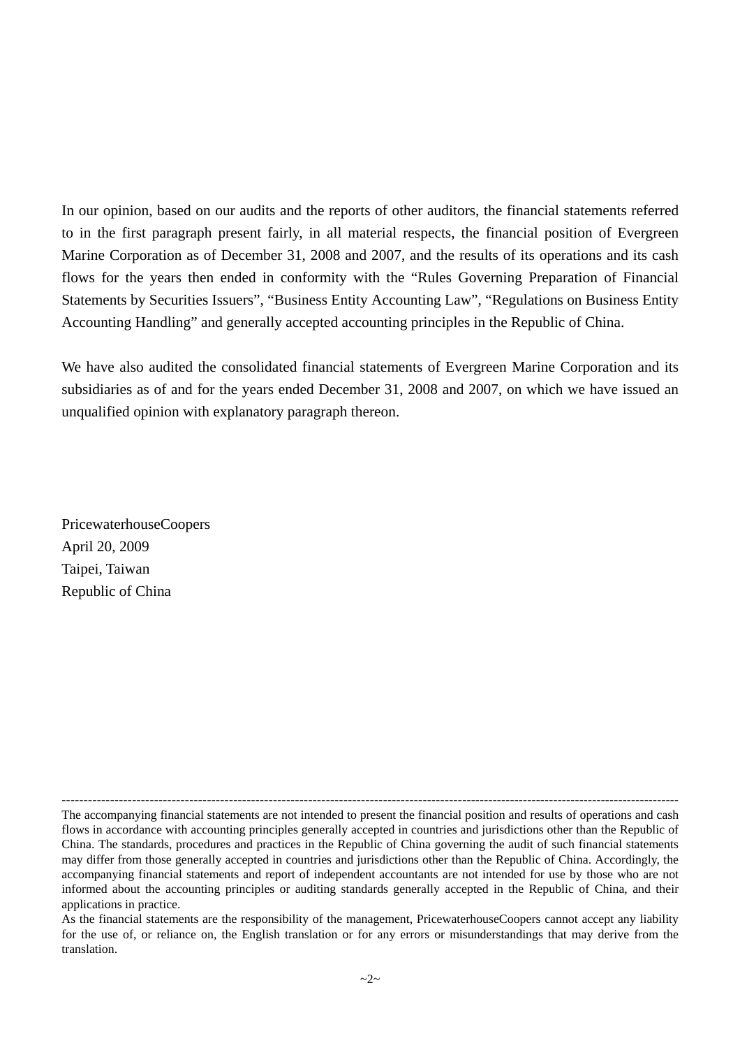In our opinion, based on our audits and the reports of other auditors, the financial statements referred to in the first paragraph present fairly, in all material respects, the financial position of Evergreen Marine Corporation as of December 31, 2008 and 2007, and the results of its operations and its cash flows for the years then ended in conformity with the "Rules Governing Preparation of Financial Statements by Securities Issuers", "Business Entity Accounting Law", "Regulations on Business Entity Accounting Handling" and generally accepted accounting principles in the Republic of China.

We have also audited the consolidated financial statements of Evergreen Marine Corporation and its subsidiaries as of and for the years ended December 31, 2008 and 2007, on which we have issued an unqualified opinion with explanatory paragraph thereon.

PricewaterhouseCoopers April 20, 2009 Taipei, Taiwan Republic of China

<sup>---------------------------------------------------------------------------------------------------------------------------------------------</sup> The accompanying financial statements are not intended to present the financial position and results of operations and cash flows in accordance with accounting principles generally accepted in countries and jurisdictions other than the Republic of China. The standards, procedures and practices in the Republic of China governing the audit of such financial statements may differ from those generally accepted in countries and jurisdictions other than the Republic of China. Accordingly, the accompanying financial statements and report of independent accountants are not intended for use by those who are not informed about the accounting principles or auditing standards generally accepted in the Republic of China, and their applications in practice.

As the financial statements are the responsibility of the management, PricewaterhouseCoopers cannot accept any liability for the use of, or reliance on, the English translation or for any errors or misunderstandings that may derive from the translation.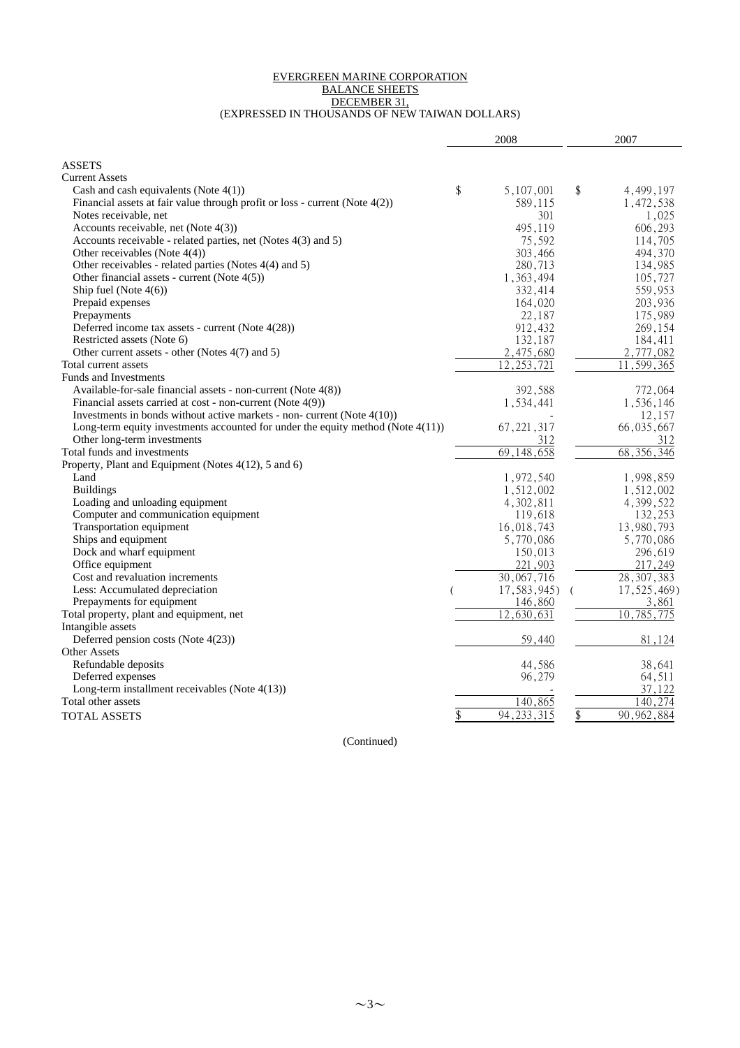#### EVERGREEN MARINE CORPORATION BALANCE SHEETS DECEMBER 31, (EXPRESSED IN THOUSANDS OF NEW TAIWAN DOLLARS)

| <b>ASSETS</b><br><b>Current Assets</b><br>\$<br>5,107,001<br>\$<br>4,499,197<br>Cash and cash equivalents (Note $4(1)$ )<br>Financial assets at fair value through profit or loss - current (Note $4(2)$ )<br>589,115<br>1,472,538<br>Notes receivable, net<br>301<br>1,025<br>Accounts receivable, net (Note 4(3))<br>495,119<br>606,293<br>Accounts receivable - related parties, net (Notes 4(3) and 5)<br>75,592<br>114,705<br>Other receivables (Note $4(4)$ )<br>303,466<br>494,370 |
|-------------------------------------------------------------------------------------------------------------------------------------------------------------------------------------------------------------------------------------------------------------------------------------------------------------------------------------------------------------------------------------------------------------------------------------------------------------------------------------------|
|                                                                                                                                                                                                                                                                                                                                                                                                                                                                                           |
|                                                                                                                                                                                                                                                                                                                                                                                                                                                                                           |
|                                                                                                                                                                                                                                                                                                                                                                                                                                                                                           |
|                                                                                                                                                                                                                                                                                                                                                                                                                                                                                           |
|                                                                                                                                                                                                                                                                                                                                                                                                                                                                                           |
|                                                                                                                                                                                                                                                                                                                                                                                                                                                                                           |
|                                                                                                                                                                                                                                                                                                                                                                                                                                                                                           |
|                                                                                                                                                                                                                                                                                                                                                                                                                                                                                           |
| Other receivables - related parties (Notes 4(4) and 5)<br>280,713<br>134,985                                                                                                                                                                                                                                                                                                                                                                                                              |
| Other financial assets - current (Note $4(5)$ )<br>1,363,494<br>105,727                                                                                                                                                                                                                                                                                                                                                                                                                   |
| Ship fuel (Note $4(6)$ )<br>332,414<br>559,953                                                                                                                                                                                                                                                                                                                                                                                                                                            |
| Prepaid expenses<br>164,020<br>203,936                                                                                                                                                                                                                                                                                                                                                                                                                                                    |
| Prepayments<br>22,187<br>175,989                                                                                                                                                                                                                                                                                                                                                                                                                                                          |
| Deferred income tax assets - current (Note 4(28))<br>912,432<br>269,154                                                                                                                                                                                                                                                                                                                                                                                                                   |
| Restricted assets (Note 6)<br>132,187<br>184,411                                                                                                                                                                                                                                                                                                                                                                                                                                          |
| Other current assets - other (Notes 4(7) and 5)<br>2,475,680<br>2,777,082                                                                                                                                                                                                                                                                                                                                                                                                                 |
| 12.<br>253,721<br>599,365<br>Total current assets<br>11                                                                                                                                                                                                                                                                                                                                                                                                                                   |
| <b>Funds and Investments</b>                                                                                                                                                                                                                                                                                                                                                                                                                                                              |
| Available-for-sale financial assets - non-current (Note 4(8))<br>392,588                                                                                                                                                                                                                                                                                                                                                                                                                  |
| 772,064<br>Financial assets carried at cost - non-current (Note 4(9))                                                                                                                                                                                                                                                                                                                                                                                                                     |
| 1,534,441<br>1,536,146                                                                                                                                                                                                                                                                                                                                                                                                                                                                    |
| Investments in bonds without active markets - non- current (Note $4(10)$ )<br>12,157                                                                                                                                                                                                                                                                                                                                                                                                      |
| Long-term equity investments accounted for under the equity method (Note $4(11)$ )<br>67, 221, 317<br>66,035,667                                                                                                                                                                                                                                                                                                                                                                          |
| Other long-term investments<br>312<br>312                                                                                                                                                                                                                                                                                                                                                                                                                                                 |
| Total funds and investments<br>69,148,658<br>68, 356, 346                                                                                                                                                                                                                                                                                                                                                                                                                                 |
| Property, Plant and Equipment (Notes 4(12), 5 and 6)                                                                                                                                                                                                                                                                                                                                                                                                                                      |
| Land<br>1,972,540<br>1,998,859                                                                                                                                                                                                                                                                                                                                                                                                                                                            |
| <b>Buildings</b><br>1,512,002<br>1,512,002                                                                                                                                                                                                                                                                                                                                                                                                                                                |
| Loading and unloading equipment<br>4,302,811<br>4,399,522                                                                                                                                                                                                                                                                                                                                                                                                                                 |
| Computer and communication equipment<br>119,618<br>132,253                                                                                                                                                                                                                                                                                                                                                                                                                                |
| Transportation equipment<br>16,018,743<br>13,980,793                                                                                                                                                                                                                                                                                                                                                                                                                                      |
| Ships and equipment<br>5,770,086<br>5,770,086                                                                                                                                                                                                                                                                                                                                                                                                                                             |
| Dock and wharf equipment<br>150,013<br>296,619                                                                                                                                                                                                                                                                                                                                                                                                                                            |
| Office equipment<br>221,903<br>217,249                                                                                                                                                                                                                                                                                                                                                                                                                                                    |
| Cost and revaluation increments<br>30,067,716<br>28, 307, 383                                                                                                                                                                                                                                                                                                                                                                                                                             |
| Less: Accumulated depreciation<br>17,583,945)<br>17,525,469)                                                                                                                                                                                                                                                                                                                                                                                                                              |
| Prepayments for equipment<br>146,860<br>3,861                                                                                                                                                                                                                                                                                                                                                                                                                                             |
| Total property, plant and equipment, net<br>$\overline{12,}630,631$<br>10.<br>785,775                                                                                                                                                                                                                                                                                                                                                                                                     |
| Intangible assets                                                                                                                                                                                                                                                                                                                                                                                                                                                                         |
| Deferred pension costs (Note 4(23))<br>59,440<br>81,124                                                                                                                                                                                                                                                                                                                                                                                                                                   |
| <b>Other Assets</b>                                                                                                                                                                                                                                                                                                                                                                                                                                                                       |
| Refundable deposits<br>44,586<br>38,641                                                                                                                                                                                                                                                                                                                                                                                                                                                   |
| 96,279<br>64,511<br>Deferred expenses                                                                                                                                                                                                                                                                                                                                                                                                                                                     |
| 37,122<br>Long-term installment receivables (Note $4(13)$ )                                                                                                                                                                                                                                                                                                                                                                                                                               |
| Total other assets<br>140.865<br>140.<br>.274                                                                                                                                                                                                                                                                                                                                                                                                                                             |
| \$<br>94, 233, 315<br>90, 962, 884<br><b>TOTAL ASSETS</b>                                                                                                                                                                                                                                                                                                                                                                                                                                 |

(Continued)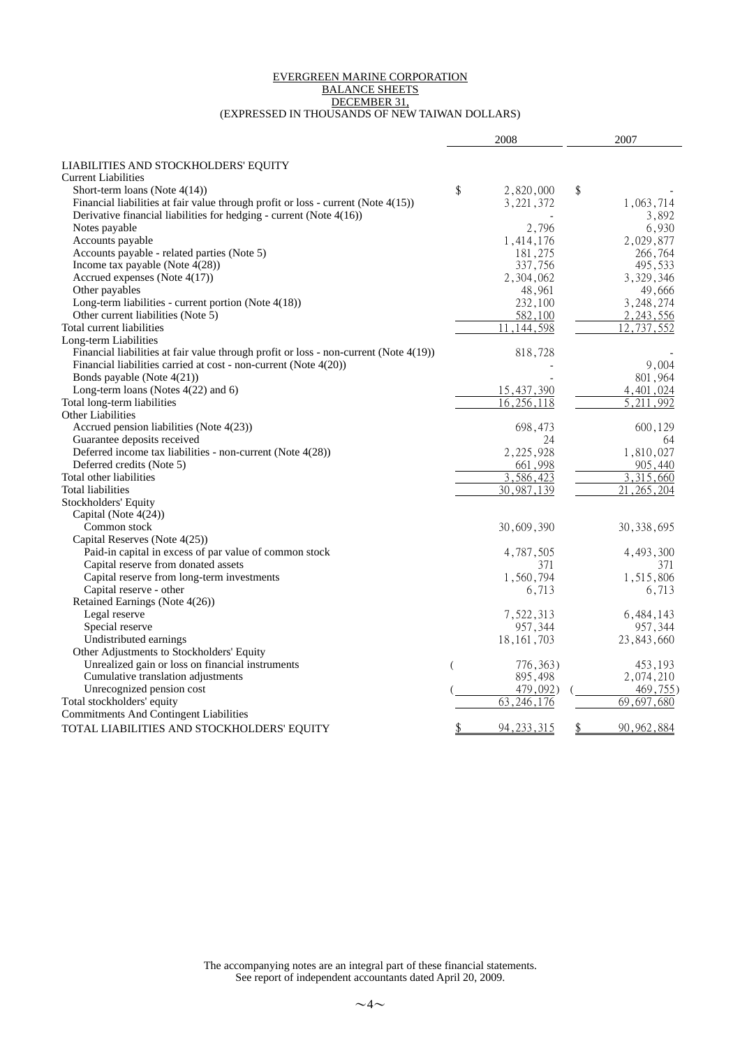#### EVERGREEN MARINE CORPORATION BALANCE SHEETS DECEMBER 31, (EXPRESSED IN THOUSANDS OF NEW TAIWAN DOLLARS)

|                                                                                       | 2008 |                           | 2007                       |
|---------------------------------------------------------------------------------------|------|---------------------------|----------------------------|
|                                                                                       |      |                           |                            |
| LIABILITIES AND STOCKHOLDERS' EQUITY                                                  |      |                           |                            |
| <b>Current Liabilities</b><br>Short-term loans (Note $4(14)$ )                        | \$   | 2,820,000                 |                            |
| Financial liabilities at fair value through profit or loss - current (Note 4(15))     |      | 3, 221, 372               | \$<br>1,063,714            |
| Derivative financial liabilities for hedging - current (Note 4(16))                   |      |                           | 3,892                      |
| Notes payable                                                                         |      | 2,796                     | 6,930                      |
| Accounts payable                                                                      |      | 1,414,176                 | 2,029,877                  |
| Accounts payable - related parties (Note 5)                                           |      | 181,275                   | 266,764                    |
| Income tax payable (Note $4(28)$ )                                                    |      | 337,756                   | 495,533                    |
| Accrued expenses (Note 4(17))                                                         |      | 2,304,062                 | 3,329,346                  |
| Other payables                                                                        |      | 48,961                    | 49,666                     |
| Long-term liabilities - current portion (Note 4(18))                                  |      | 232,100                   | 3,248,274                  |
| Other current liabilities (Note 5)                                                    |      | 582,100                   | 2, 243, 556                |
| Total current liabilities                                                             |      | ,144,598<br>11            | 12,737,552                 |
| Long-term Liabilities                                                                 |      |                           |                            |
| Financial liabilities at fair value through profit or loss - non-current (Note 4(19)) |      | 818,728                   |                            |
| Financial liabilities carried at cost - non-current (Note 4(20))                      |      |                           | 9,004                      |
| Bonds payable (Note 4(21))                                                            |      |                           | 801,964                    |
| Long-term loans (Notes 4(22) and 6)                                                   |      | 15,437,390                | 4,401,024                  |
| Total long-term liabilities                                                           |      | 16,256,118                | $\overline{5,211}$<br>.992 |
| <b>Other Liabilities</b>                                                              |      |                           |                            |
| Accrued pension liabilities (Note 4(23))                                              |      | 698,473                   | 600,129                    |
| Guarantee deposits received                                                           |      | 24                        | 64                         |
| Deferred income tax liabilities - non-current (Note 4(28))                            |      | 2,225,928                 | 1,810,027                  |
| Deferred credits (Note 5)                                                             |      | 661,998                   | 905,440                    |
| Total other liabilities                                                               |      | $\overline{3}$ , 586, 423 | $\overline{3}$ , 315, 660  |
| Total liabilities                                                                     |      | 30,987,139                | 21, 265, 204               |
| Stockholders' Equity                                                                  |      |                           |                            |
| Capital (Note $4(24)$ )                                                               |      |                           |                            |
| Common stock                                                                          |      | 30,609,390                | 30, 338, 695               |
| Capital Reserves (Note 4(25))                                                         |      |                           |                            |
| Paid-in capital in excess of par value of common stock                                |      | 4,787,505                 | 4,493,300                  |
| Capital reserve from donated assets                                                   |      | 371                       | 371                        |
| Capital reserve from long-term investments                                            |      | 1,560,794                 | 1,515,806                  |
| Capital reserve - other<br>Retained Earnings (Note 4(26))                             |      | 6,713                     | 6,713                      |
| Legal reserve                                                                         |      | 7,522,313                 | 6,484,143                  |
| Special reserve                                                                       |      | 957,344                   | 957,344                    |
| Undistributed earnings                                                                |      | 18, 161, 703              | 23,843,660                 |
| Other Adjustments to Stockholders' Equity                                             |      |                           |                            |
| Unrealized gain or loss on financial instruments                                      | (    | 776, 363)                 | 453,193                    |
| Cumulative translation adjustments                                                    |      | 895,498                   | 2,074,210                  |
| Unrecognized pension cost                                                             |      | 479,092)                  | 469,755)                   |
| Total stockholders' equity                                                            |      | 63, 246, 176              | 69,697,680                 |
| <b>Commitments And Contingent Liabilities</b>                                         |      |                           |                            |
| TOTAL LIABILITIES AND STOCKHOLDERS' EQUITY                                            |      | 94, 233, 315              | \$<br>90, 962, 884         |
|                                                                                       |      |                           |                            |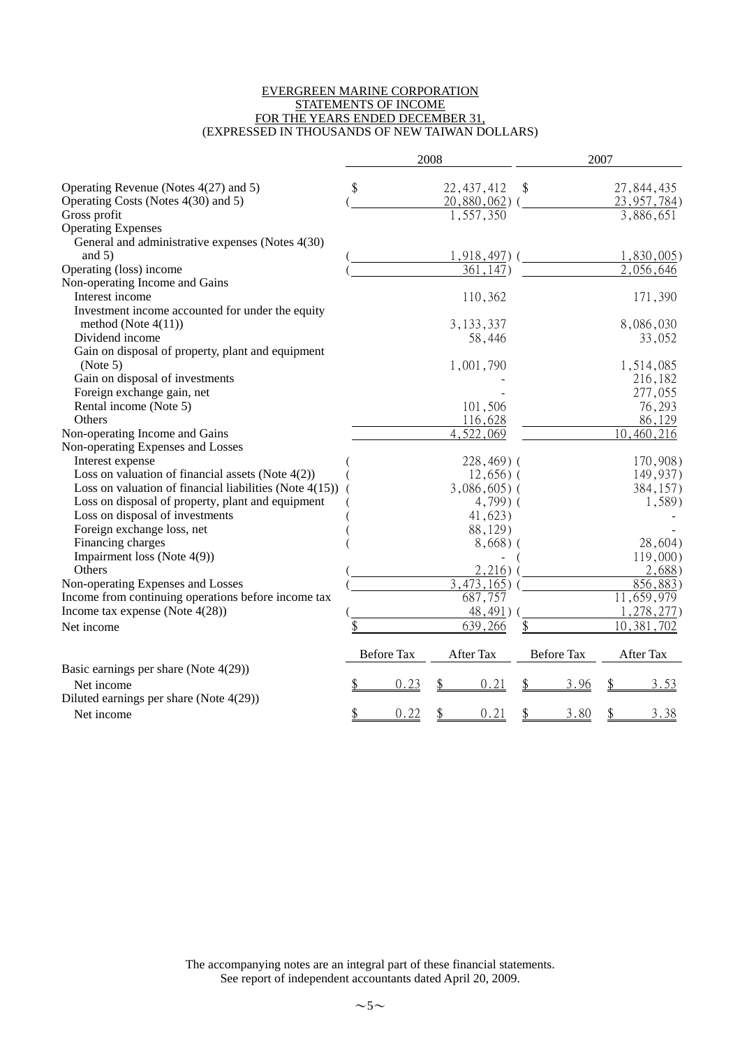#### EVERGREEN MARINE CORPORATION STATEMENTS OF INCOME FOR THE YEARS ENDED DECEMBER 31, (EXPRESSED IN THOUSANDS OF NEW TAIWAN DOLLARS)

|                                                            |                   | 2008 |                           |                   | 2007 |                         |
|------------------------------------------------------------|-------------------|------|---------------------------|-------------------|------|-------------------------|
| Operating Revenue (Notes 4(27) and 5)                      | \$                |      | 22, 437, 412              | \$                |      | 27,844,435              |
| Operating Costs (Notes 4(30) and 5)                        |                   |      | 20,880,062                |                   |      | 23, 957, 784)           |
| Gross profit                                               |                   |      | 1,557,350                 |                   |      | 3,886,651               |
| <b>Operating Expenses</b>                                  |                   |      |                           |                   |      |                         |
| General and administrative expenses (Notes 4(30)           |                   |      |                           |                   |      |                         |
| and $5)$                                                   |                   |      | $1,918,497$ ) (           |                   |      | 1,830,005               |
| Operating (loss) income                                    |                   |      | 361,147)                  |                   |      | 2,056,646               |
| Non-operating Income and Gains                             |                   |      |                           |                   |      |                         |
| Interest income                                            |                   |      | 110,362                   |                   |      | 171,390                 |
| Investment income accounted for under the equity           |                   |      |                           |                   |      |                         |
| method (Note $4(11)$ )                                     |                   |      | 3, 133, 337               |                   |      | 8,086,030               |
| Dividend income                                            |                   |      | 58,446                    |                   |      | 33,052                  |
| Gain on disposal of property, plant and equipment          |                   |      |                           |                   |      |                         |
| (Note 5)                                                   |                   |      | 1,001,790                 |                   |      | 1,514,085               |
| Gain on disposal of investments                            |                   |      |                           |                   |      | 216,182                 |
| Foreign exchange gain, net                                 |                   |      |                           |                   |      | 277,055                 |
| Rental income (Note 5)                                     |                   |      | 101,506                   |                   |      | 76,293                  |
| Others                                                     |                   |      | 116,628                   |                   |      | 86,129                  |
| Non-operating Income and Gains                             |                   |      | $\overline{4}$ , 522, 069 |                   |      | 10,460,216              |
| Non-operating Expenses and Losses                          |                   |      |                           |                   |      |                         |
| Interest expense                                           |                   |      | $228,469$ ) (             |                   |      | 170,908)                |
| Loss on valuation of financial assets (Note $4(2)$ )       |                   |      | $12,656$ ) (              |                   |      | 149,937)                |
| Loss on valuation of financial liabilities (Note $4(15)$ ) |                   |      | $3,086,605$ (             |                   |      | 384,157)                |
| Loss on disposal of property, plant and equipment          |                   |      | $4,799$ ) (               |                   |      | 1,589)                  |
| Loss on disposal of investments                            |                   |      | 41,623)                   |                   |      |                         |
| Foreign exchange loss, net                                 |                   |      | 88,129)                   |                   |      |                         |
| Financing charges                                          |                   |      | 8,668)                    |                   |      | 28,604)                 |
| Impairment loss (Note 4(9))                                |                   |      |                           |                   |      | 119,000                 |
| Others                                                     |                   |      | 2,216)                    |                   |      | 2,688)                  |
| Non-operating Expenses and Losses                          |                   |      | $\overline{3,473,165}$    |                   |      | 856,883                 |
| Income from continuing operations before income tax        |                   |      | 687,757                   |                   |      | $\overline{11,659,979}$ |
| Income tax expense (Note $4(28)$ )                         |                   |      | 48,491)                   |                   |      | 1,278,277)              |
| Net income                                                 |                   |      | 639,266                   |                   |      | 10, 381, 702            |
|                                                            | <b>Before Tax</b> |      | After Tax                 | <b>Before Tax</b> |      | After Tax               |
| Basic earnings per share (Note 4(29))                      |                   |      |                           |                   |      |                         |
| Net income                                                 | 0.23              | \$   | 0.21                      | \$<br>3.96        | \$   | 3.53                    |
| Diluted earnings per share (Note 4(29))                    |                   |      |                           |                   |      |                         |
| Net income                                                 | \$<br>0.22        | \$   | 0.21                      | \$<br>3.80        | \$   | 3.38                    |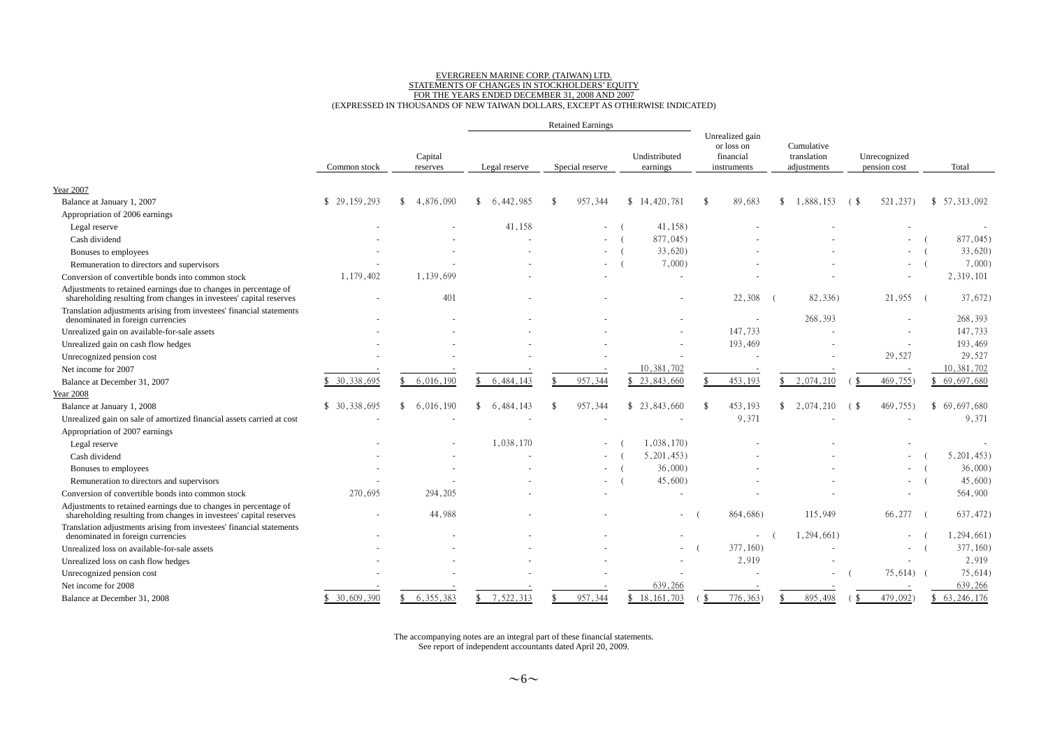# EVERGREEN MARINE CORP. (TAIWAN) LTD.<br>STATEMENTS OF CHANGES IN STOCKHOLDERS' EQUITY<br>FOR THE YEARS ENDED DECEMBER 31, 2008 AND 2007<br>(EXPRESSED IN THOUSANDS OF NEW TAIWAN DOLLARS, EXCEPT AS OTHERWISE INDICATED)

|                                                                                                                                        |               |                                 |                            | <b>Retained Earnings</b>      |                           |                                                                  |                                          |                                                                  |              |
|----------------------------------------------------------------------------------------------------------------------------------------|---------------|---------------------------------|----------------------------|-------------------------------|---------------------------|------------------------------------------------------------------|------------------------------------------|------------------------------------------------------------------|--------------|
|                                                                                                                                        | Common stock  | Capital<br>reserves             | Legal reserve              | Special reserve               | Undistributed<br>earnings | Unrealized gain<br>or loss on<br>financial<br>instruments        | Cumulative<br>translation<br>adjustments | Unrecognized<br>pension cost                                     | Total        |
|                                                                                                                                        |               |                                 |                            |                               |                           |                                                                  |                                          |                                                                  |              |
| <b>Year 2007</b>                                                                                                                       |               |                                 |                            |                               |                           |                                                                  |                                          |                                                                  |              |
| Balance at January 1, 2007                                                                                                             | \$29.159.293  | $\mathcal{S}$<br>4.876.090      | $\mathbf{\$}$<br>6.442.985 | 957.344<br>$\mathbf{\hat{S}}$ | \$14,420,781              | 89.683<br>-\$                                                    | 1.888.153<br>\$                          | 521,237)<br>6. \$                                                | \$57.313.092 |
| Appropriation of 2006 earnings                                                                                                         |               |                                 |                            |                               |                           |                                                                  |                                          |                                                                  |              |
| Legal reserve                                                                                                                          |               |                                 | 41,158                     | $\sim$                        | 41,158)                   |                                                                  |                                          |                                                                  |              |
| Cash dividend                                                                                                                          |               |                                 |                            | $\overline{\phantom{a}}$      | 877,045)                  |                                                                  |                                          |                                                                  | 877,045)     |
| Bonuses to employees                                                                                                                   |               |                                 |                            |                               | 33,620                    |                                                                  |                                          |                                                                  | 33,620)      |
| Remuneration to directors and supervisors                                                                                              |               |                                 |                            |                               | $7,000$ )                 |                                                                  |                                          |                                                                  | 7,000        |
| Conversion of convertible bonds into common stock                                                                                      | 1,179,402     | 1,139,699                       |                            |                               |                           |                                                                  |                                          |                                                                  | 2,319,101    |
| Adjustments to retained earnings due to changes in percentage of<br>shareholding resulting from changes in investees' capital reserves |               | 401                             |                            |                               |                           | 22,308                                                           | 82,336)                                  | 21,955                                                           | 37,672)      |
| Translation adjustments arising from investees' financial statements<br>denominated in foreign currencies                              |               |                                 |                            |                               |                           |                                                                  | 268,393                                  |                                                                  | 268,393      |
| Unrealized gain on available-for-sale assets                                                                                           |               |                                 |                            |                               |                           | 147,733                                                          |                                          |                                                                  | 147,733      |
| Unrealized gain on cash flow hedges                                                                                                    |               |                                 |                            |                               |                           | 193,469                                                          |                                          |                                                                  | 193,469      |
| Unrecognized pension cost                                                                                                              |               |                                 |                            |                               |                           |                                                                  |                                          | 29,527                                                           | 29,527       |
| Net income for 2007                                                                                                                    |               |                                 |                            |                               | 10,381,702                |                                                                  |                                          |                                                                  | 10,381,702   |
| Balance at December 31, 2007                                                                                                           | \$ 30,338,695 | 6,016,190<br>£.                 | 6,484,143<br>\$            | 957,344<br>\$                 | \$23,843,660              | 453,193                                                          | 2,074,210<br>\$                          | 469,755)<br>- \$                                                 | \$69,697,680 |
| <b>Year 2008</b>                                                                                                                       |               |                                 |                            |                               |                           |                                                                  |                                          |                                                                  |              |
| Balance at January 1, 2008                                                                                                             | \$30,338,695  | 6,016,190<br>$\mathbf{\hat{x}}$ | \$<br>6,484,143            | 957,344<br>-\$                | \$23,843,660              | 453,193<br>-\$                                                   | 2,074,210<br>\$                          | 469,755)<br>$\left( \begin{array}{c} 1 \\ 2 \end{array} \right)$ | \$69,697,680 |
| Unrealized gain on sale of amortized financial assets carried at cost                                                                  |               |                                 |                            |                               |                           | 9,371                                                            |                                          |                                                                  | 9,371        |
| Appropriation of 2007 earnings                                                                                                         |               |                                 |                            |                               |                           |                                                                  |                                          |                                                                  |              |
| Legal reserve                                                                                                                          |               |                                 | 1,038,170                  | $\sim 100$                    | 1.038.170                 |                                                                  |                                          |                                                                  |              |
| Cash dividend                                                                                                                          |               |                                 |                            | $\sim$                        | 5,201,453                 |                                                                  |                                          |                                                                  | 5,201,453    |
| Bonuses to employees                                                                                                                   |               |                                 |                            | $\sim$                        | 36,000                    |                                                                  |                                          | $\sim$                                                           | 36,000       |
| Remuneration to directors and supervisors                                                                                              |               |                                 |                            | $\overline{\phantom{a}}$      | 45,600)                   |                                                                  |                                          | $\sim$                                                           | 45,600       |
| Conversion of convertible bonds into common stock                                                                                      | 270,695       | 294,205                         |                            |                               |                           |                                                                  |                                          |                                                                  | 564,900      |
| Adjustments to retained earnings due to changes in percentage of<br>shareholding resulting from changes in investees' capital reserves |               | 44,988                          |                            |                               | $\sim$                    | 864,686)                                                         | 115,949                                  | 66,277                                                           | 637,472)     |
| Translation adjustments arising from investees' financial statements<br>denominated in foreign currencies                              |               |                                 |                            |                               |                           |                                                                  | 1,294,661)                               |                                                                  | 1,294,661)   |
| Unrealized loss on available-for-sale assets                                                                                           |               |                                 |                            |                               |                           | 377,160)                                                         |                                          |                                                                  | 377,160)     |
| Unrealized loss on cash flow hedges                                                                                                    |               |                                 |                            |                               |                           | 2,919                                                            |                                          |                                                                  | 2,919        |
| Unrecognized pension cost                                                                                                              |               |                                 |                            |                               |                           |                                                                  |                                          | $75,614$ (                                                       | 75,614)      |
| Net income for 2008                                                                                                                    |               |                                 |                            |                               | 639,266                   |                                                                  |                                          |                                                                  | 639,266      |
| Balance at December 31, 2008                                                                                                           | \$30.609.390  | 6.355.383<br>$\mathbf{\hat{X}}$ | 7.522.313<br>\$            | 957,344                       | \$18,161,703              | 776,363)<br>$\left( \begin{array}{c} 1 \\ 2 \end{array} \right)$ | 895.498                                  | 479,092)<br>′ \$                                                 | \$63,246,176 |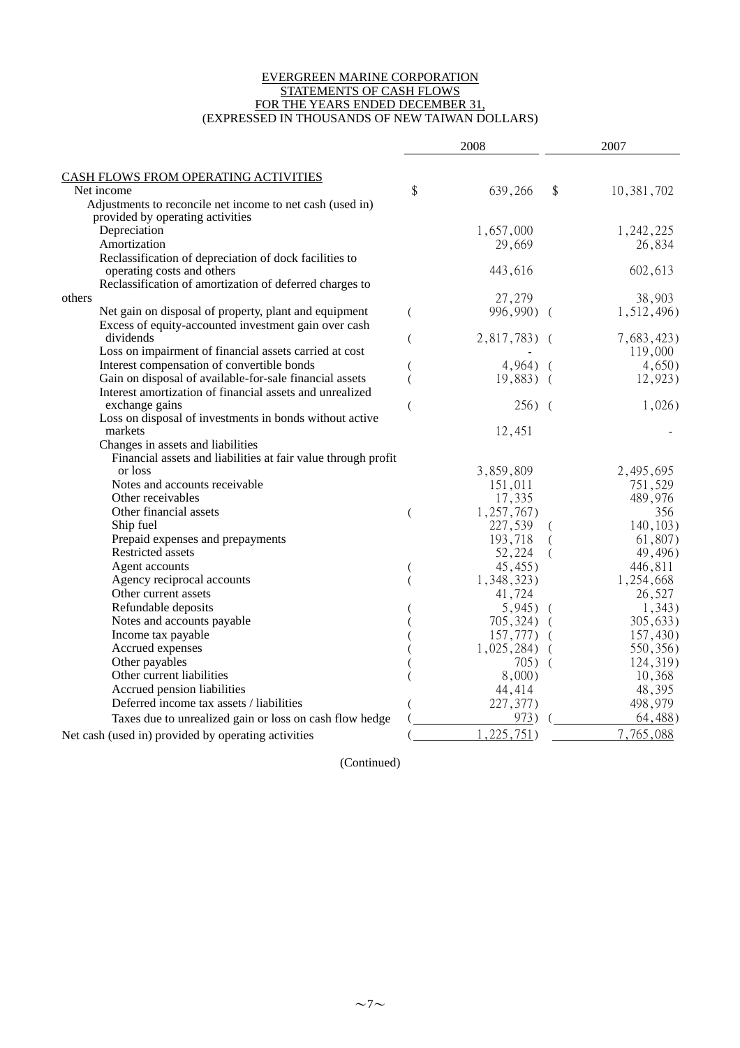#### EVERGREEN MARINE CORPORATION STATEMENTS OF CASH FLOWS FOR THE YEARS ENDED DECEMBER 31, (EXPRESSED IN THOUSANDS OF NEW TAIWAN DOLLARS)

|                                                               | 2008 |               |          | 2007       |
|---------------------------------------------------------------|------|---------------|----------|------------|
| <b>CASH FLOWS FROM OPERATING ACTIVITIES</b>                   |      |               |          |            |
| Net income                                                    | \$   | 639,266       | \$       | 10,381,702 |
| Adjustments to reconcile net income to net cash (used in)     |      |               |          |            |
| provided by operating activities                              |      |               |          |            |
| Depreciation                                                  |      | 1,657,000     |          | 1,242,225  |
| Amortization                                                  |      | 29,669        |          | 26,834     |
| Reclassification of depreciation of dock facilities to        |      |               |          |            |
| operating costs and others                                    |      | 443,616       |          | 602,613    |
| Reclassification of amortization of deferred charges to       |      |               |          |            |
| others                                                        |      | 27,279        |          | 38,903     |
| Net gain on disposal of property, plant and equipment         | (    | 996,990) (    |          | 1,512,496) |
| Excess of equity-accounted investment gain over cash          |      |               |          |            |
| dividends                                                     |      | $2,817,783$ ( |          | 7,683,423) |
| Loss on impairment of financial assets carried at cost        |      |               |          | 119,000    |
| Interest compensation of convertible bonds                    |      | $4,964$ )     | $\left($ | 4,650)     |
| Gain on disposal of available-for-sale financial assets       |      | $19,883$ (    |          | 12,923)    |
| Interest amortization of financial assets and unrealized      |      |               |          |            |
| exchange gains                                                |      | $256)$ (      |          | $1,026$ )  |
| Loss on disposal of investments in bonds without active       |      |               |          |            |
| markets                                                       |      | 12,451        |          |            |
| Changes in assets and liabilities                             |      |               |          |            |
| Financial assets and liabilities at fair value through profit |      |               |          |            |
| or loss                                                       |      | 3,859,809     |          | 2,495,695  |
| Notes and accounts receivable                                 |      | 151,011       |          | 751,529    |
| Other receivables                                             |      | 17,335        |          | 489,976    |
| Other financial assets                                        |      | 1,257,767     |          | 356        |
| Ship fuel                                                     |      | 227,539       |          | 140, 103   |
| Prepaid expenses and prepayments                              |      | 193,718       |          | 61,807)    |
| Restricted assets                                             |      | 52,224        | (        | 49,496)    |
| Agent accounts                                                |      | 45,455)       |          | 446,811    |
| Agency reciprocal accounts                                    |      | 1,348,323)    |          | 1,254,668  |
| Other current assets                                          |      | 41,724        |          | 26,527     |
| Refundable deposits                                           |      | $5,945$ (     |          | 1,343)     |
| Notes and accounts payable                                    |      | 705,324)      | $\left($ | 305,633)   |
| Income tax payable                                            |      | 157,777)      |          | 157,430)   |
| Accrued expenses                                              |      | $1,025,284$ ) |          | 550, 356)  |
| Other payables                                                |      | 705)          |          | 124,319)   |
| Other current liabilities                                     |      | $8,000$ )     |          | 10,368     |
| Accrued pension liabilities                                   |      | 44,414        |          | 48,395     |
| Deferred income tax assets / liabilities                      |      | 227,377)      |          | 498,979    |
| Taxes due to unrealized gain or loss on cash flow hedge       |      | 973)          |          | 64,488)    |
| Net cash (used in) provided by operating activities           |      | ,225,751)     |          | 7,765,088  |

(Continued)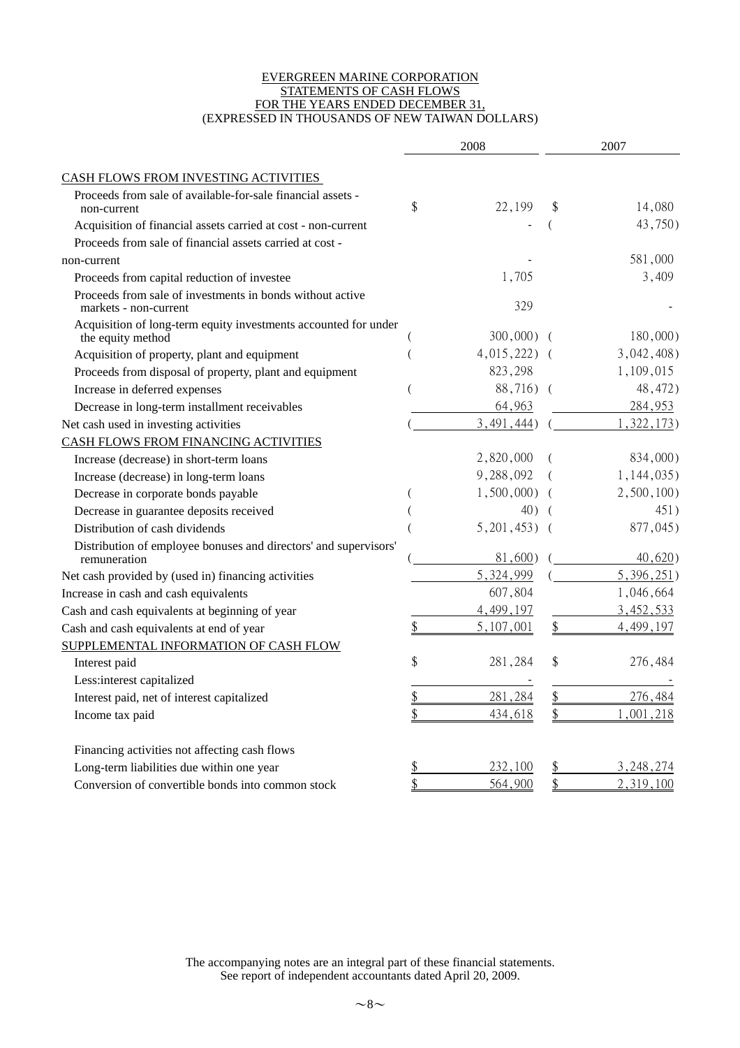#### EVERGREEN MARINE CORPORATION STATEMENTS OF CASH FLOWS FOR THE YEARS ENDED DECEMBER 31, (EXPRESSED IN THOUSANDS OF NEW TAIWAN DOLLARS)

|                                                                                      | 2008              |               | 2007      |                  |
|--------------------------------------------------------------------------------------|-------------------|---------------|-----------|------------------|
| CASH FLOWS FROM INVESTING ACTIVITIES                                                 |                   |               |           |                  |
| Proceeds from sale of available-for-sale financial assets -<br>non-current           | \$                | 22,199        | \$        | 14,080           |
| Acquisition of financial assets carried at cost - non-current                        |                   |               |           | 43,750)          |
| Proceeds from sale of financial assets carried at cost -                             |                   |               |           |                  |
| non-current                                                                          |                   |               |           | 581,000          |
| Proceeds from capital reduction of investee                                          |                   | 1,705         |           | 3,409            |
| Proceeds from sale of investments in bonds without active<br>markets - non-current   |                   | 329           |           |                  |
| Acquisition of long-term equity investments accounted for under<br>the equity method |                   | $300,000)$ (  |           | $180,000$ )      |
| Acquisition of property, plant and equipment                                         |                   | $4,015,222$ ( |           | $3,042,408$ )    |
| Proceeds from disposal of property, plant and equipment                              |                   | 823,298       |           | 1,109,015        |
| Increase in deferred expenses                                                        |                   | 88,716) (     |           | 48,472)          |
| Decrease in long-term installment receivables                                        |                   | 64,963        |           | 284,953          |
| Net cash used in investing activities                                                |                   | 3,491,444     |           | 322,173)         |
| CASH FLOWS FROM FINANCING ACTIVITIES                                                 |                   |               |           |                  |
| Increase (decrease) in short-term loans                                              |                   | 2,820,000     |           | 834,000)         |
| Increase (decrease) in long-term loans                                               |                   | 9,288,092     |           | $1,144,035$ )    |
| Decrease in corporate bonds payable                                                  |                   | 1,500,000     |           | 2,500,100        |
| Decrease in guarantee deposits received                                              |                   | 40)           |           | 451)             |
| Distribution of cash dividends                                                       |                   | 5,201,453)    |           | 877,045)         |
| Distribution of employee bonuses and directors' and supervisors'<br>remuneration     |                   | 81,600)       |           | 40,620)          |
| Net cash provided by (used in) financing activities                                  |                   | 5,324,999     |           | 5,396,251)       |
| Increase in cash and cash equivalents                                                |                   | 607,804       |           | 1,046,664        |
| Cash and cash equivalents at beginning of year                                       |                   | 4,499,197     |           | 3,452,533        |
| Cash and cash equivalents at end of year                                             |                   | 5,107,001     | \$        | 4,499,197        |
| SUPPLEMENTAL INFORMATION OF CASH FLOW                                                |                   |               |           |                  |
| Interest paid                                                                        | \$                | 281,284       | \$        | 276,484          |
| Less:interest capitalized                                                            |                   |               |           |                  |
| Interest paid, net of interest capitalized                                           | ¢<br>$\mathsf{D}$ | 281,284       | \$        | 276,484          |
| Income tax paid                                                                      | \$                | 434,618       | \$        | ,001,218         |
| Financing activities not affecting cash flows                                        |                   |               |           |                  |
| Long-term liabilities due within one year                                            | <u>\$</u>         | 232,100       | <u>\$</u> | <u>3,248,274</u> |
| Conversion of convertible bonds into common stock                                    | \$                | 564,900       | \$        | 2,319,100        |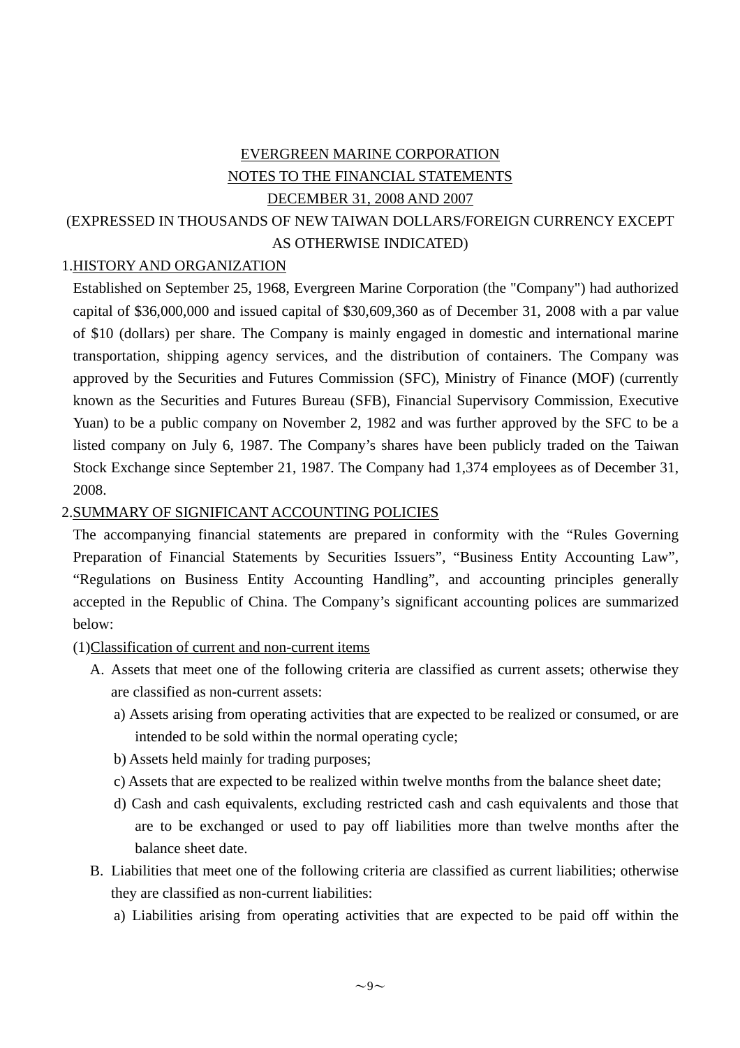## EVERGREEN MARINE CORPORATION NOTES TO THE FINANCIAL STATEMENTS DECEMBER 31, 2008 AND 2007 (EXPRESSED IN THOUSANDS OF NEW TAIWAN DOLLARS/FOREIGN CURRENCY EXCEPT AS OTHERWISE INDICATED)

## 1.HISTORY AND ORGANIZATION

Established on September 25, 1968, Evergreen Marine Corporation (the "Company") had authorized capital of \$36,000,000 and issued capital of \$30,609,360 as of December 31, 2008 with a par value of \$10 (dollars) per share. The Company is mainly engaged in domestic and international marine transportation, shipping agency services, and the distribution of containers. The Company was approved by the Securities and Futures Commission (SFC), Ministry of Finance (MOF) (currently known as the Securities and Futures Bureau (SFB), Financial Supervisory Commission, Executive Yuan) to be a public company on November 2, 1982 and was further approved by the SFC to be a listed company on July 6, 1987. The Company's shares have been publicly traded on the Taiwan Stock Exchange since September 21, 1987. The Company had 1,374 employees as of December 31, 2008.

#### 2.SUMMARY OF SIGNIFICANT ACCOUNTING POLICIES

The accompanying financial statements are prepared in conformity with the "Rules Governing Preparation of Financial Statements by Securities Issuers", "Business Entity Accounting Law", "Regulations on Business Entity Accounting Handling", and accounting principles generally accepted in the Republic of China. The Company's significant accounting polices are summarized below:

(1)Classification of current and non-current items

- A. Assets that meet one of the following criteria are classified as current assets; otherwise they are classified as non-current assets:
	- a) Assets arising from operating activities that are expected to be realized or consumed, or are intended to be sold within the normal operating cycle;
	- b) Assets held mainly for trading purposes;
	- c) Assets that are expected to be realized within twelve months from the balance sheet date;
	- d) Cash and cash equivalents, excluding restricted cash and cash equivalents and those that are to be exchanged or used to pay off liabilities more than twelve months after the balance sheet date.
- B. Liabilities that meet one of the following criteria are classified as current liabilities; otherwise they are classified as non-current liabilities:
	- a) Liabilities arising from operating activities that are expected to be paid off within the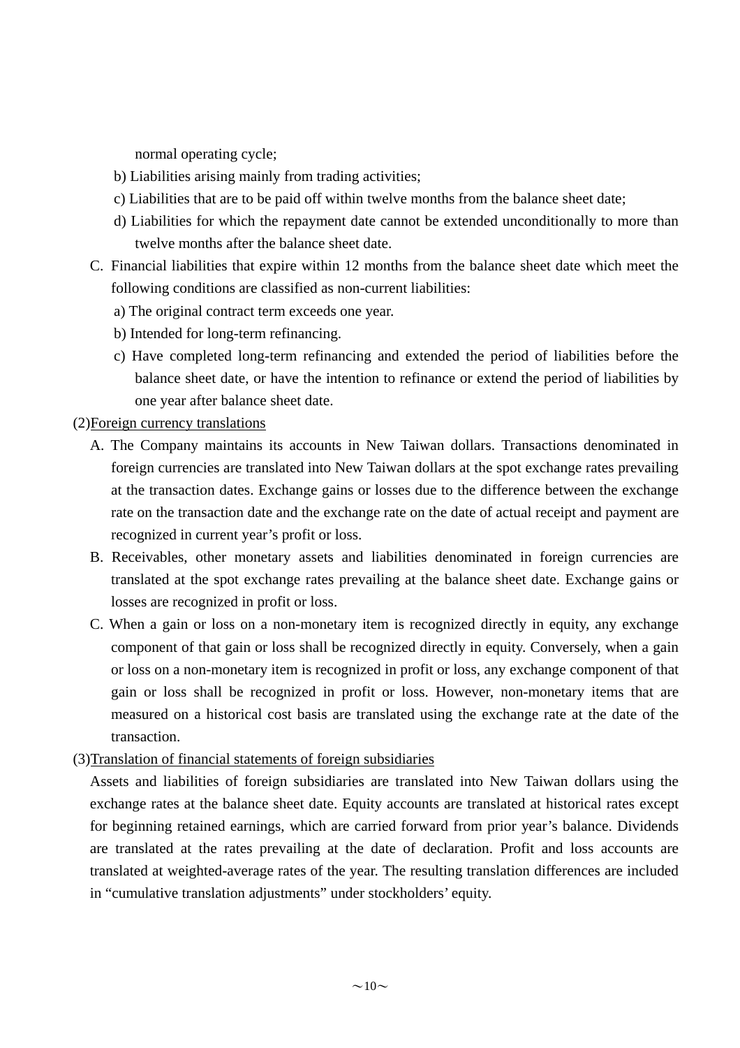normal operating cycle;

- b) Liabilities arising mainly from trading activities;
- c) Liabilities that are to be paid off within twelve months from the balance sheet date;
- d) Liabilities for which the repayment date cannot be extended unconditionally to more than twelve months after the balance sheet date.
- C. Financial liabilities that expire within 12 months from the balance sheet date which meet the following conditions are classified as non-current liabilities:
	- a) The original contract term exceeds one year.
	- b) Intended for long-term refinancing.
	- c) Have completed long-term refinancing and extended the period of liabilities before the balance sheet date, or have the intention to refinance or extend the period of liabilities by one year after balance sheet date.

#### (2)Foreign currency translations

- A. The Company maintains its accounts in New Taiwan dollars. Transactions denominated in foreign currencies are translated into New Taiwan dollars at the spot exchange rates prevailing at the transaction dates. Exchange gains or losses due to the difference between the exchange rate on the transaction date and the exchange rate on the date of actual receipt and payment are recognized in current year's profit or loss.
- B. Receivables, other monetary assets and liabilities denominated in foreign currencies are translated at the spot exchange rates prevailing at the balance sheet date. Exchange gains or losses are recognized in profit or loss.
- C. When a gain or loss on a non-monetary item is recognized directly in equity, any exchange component of that gain or loss shall be recognized directly in equity. Conversely, when a gain or loss on a non-monetary item is recognized in profit or loss, any exchange component of that gain or loss shall be recognized in profit or loss. However, non-monetary items that are measured on a historical cost basis are translated using the exchange rate at the date of the transaction.

#### (3)Translation of financial statements of foreign subsidiaries

Assets and liabilities of foreign subsidiaries are translated into New Taiwan dollars using the exchange rates at the balance sheet date. Equity accounts are translated at historical rates except for beginning retained earnings, which are carried forward from prior year's balance. Dividends are translated at the rates prevailing at the date of declaration. Profit and loss accounts are translated at weighted-average rates of the year. The resulting translation differences are included in "cumulative translation adjustments" under stockholders' equity.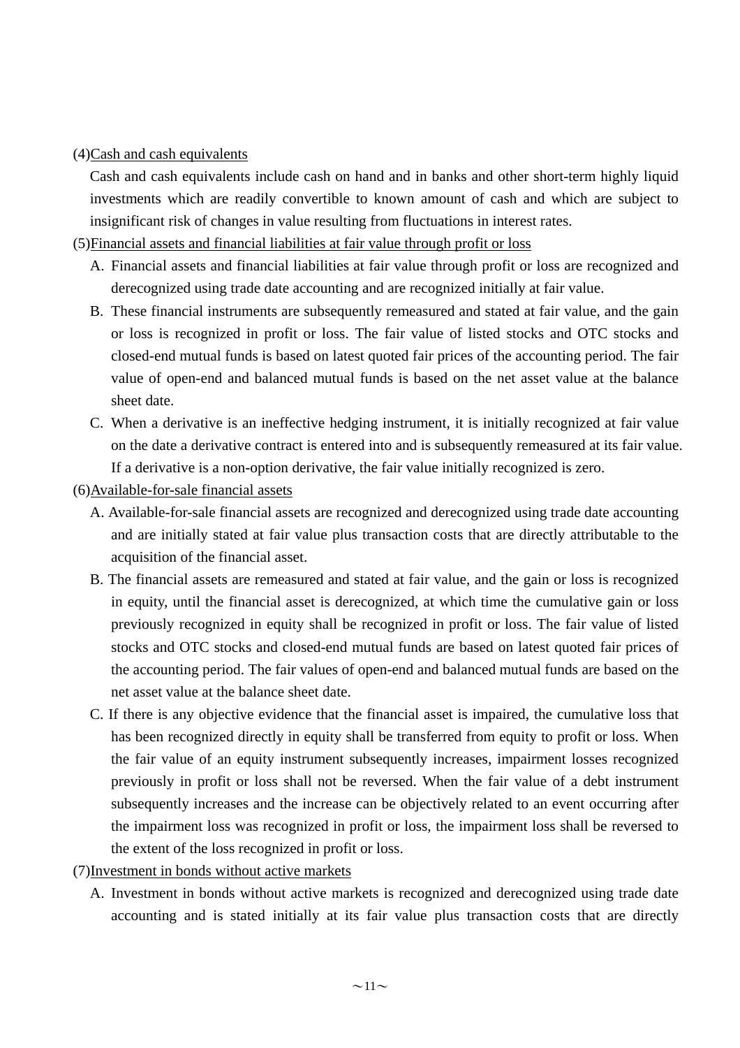#### (4)Cash and cash equivalents

Cash and cash equivalents include cash on hand and in banks and other short-term highly liquid investments which are readily convertible to known amount of cash and which are subject to insignificant risk of changes in value resulting from fluctuations in interest rates.

#### (5)Financial assets and financial liabilities at fair value through profit or loss

- A. Financial assets and financial liabilities at fair value through profit or loss are recognized and derecognized using trade date accounting and are recognized initially at fair value.
- B. These financial instruments are subsequently remeasured and stated at fair value, and the gain or loss is recognized in profit or loss. The fair value of listed stocks and OTC stocks and closed-end mutual funds is based on latest quoted fair prices of the accounting period. The fair value of open-end and balanced mutual funds is based on the net asset value at the balance sheet date.
- C. When a derivative is an ineffective hedging instrument, it is initially recognized at fair value on the date a derivative contract is entered into and is subsequently remeasured at its fair value. If a derivative is a non-option derivative, the fair value initially recognized is zero.

#### (6)Available-for-sale financial assets

- A. Available-for-sale financial assets are recognized and derecognized using trade date accounting and are initially stated at fair value plus transaction costs that are directly attributable to the acquisition of the financial asset.
- B. The financial assets are remeasured and stated at fair value, and the gain or loss is recognized in equity, until the financial asset is derecognized, at which time the cumulative gain or loss previously recognized in equity shall be recognized in profit or loss. The fair value of listed stocks and OTC stocks and closed-end mutual funds are based on latest quoted fair prices of the accounting period. The fair values of open-end and balanced mutual funds are based on the net asset value at the balance sheet date.
- C. If there is any objective evidence that the financial asset is impaired, the cumulative loss that has been recognized directly in equity shall be transferred from equity to profit or loss. When the fair value of an equity instrument subsequently increases, impairment losses recognized previously in profit or loss shall not be reversed. When the fair value of a debt instrument subsequently increases and the increase can be objectively related to an event occurring after the impairment loss was recognized in profit or loss, the impairment loss shall be reversed to the extent of the loss recognized in profit or loss.
- (7)Investment in bonds without active markets
	- A. Investment in bonds without active markets is recognized and derecognized using trade date accounting and is stated initially at its fair value plus transaction costs that are directly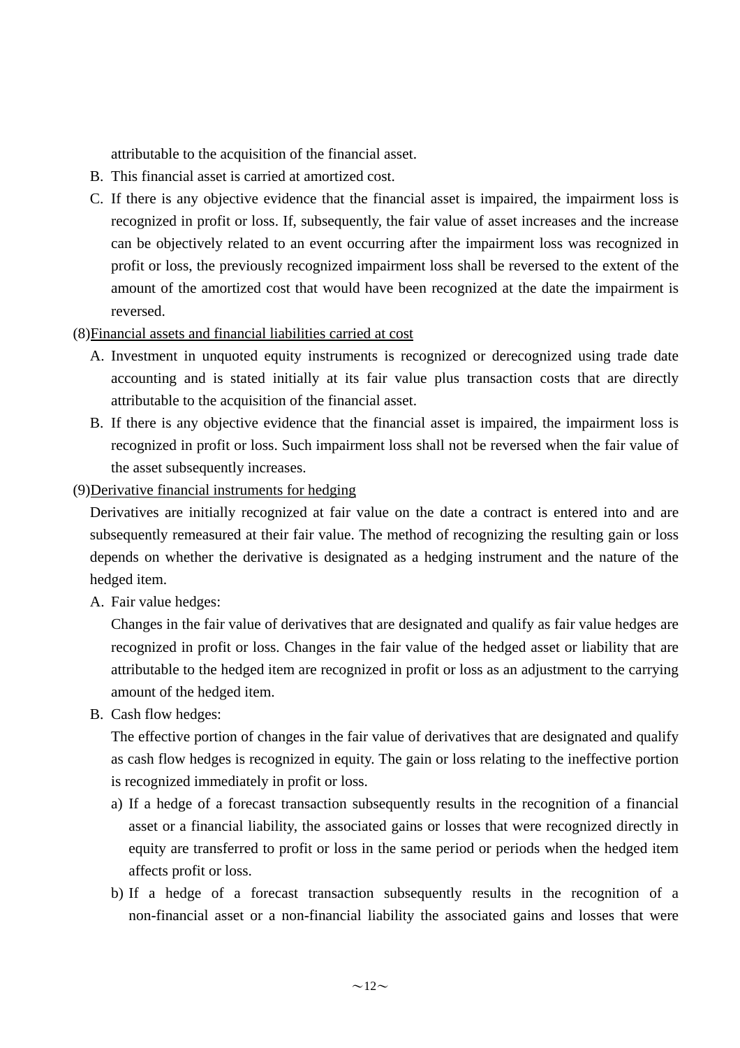attributable to the acquisition of the financial asset.

- B. This financial asset is carried at amortized cost.
- C. If there is any objective evidence that the financial asset is impaired, the impairment loss is recognized in profit or loss. If, subsequently, the fair value of asset increases and the increase can be objectively related to an event occurring after the impairment loss was recognized in profit or loss, the previously recognized impairment loss shall be reversed to the extent of the amount of the amortized cost that would have been recognized at the date the impairment is reversed.
- (8)Financial assets and financial liabilities carried at cost
	- A. Investment in unquoted equity instruments is recognized or derecognized using trade date accounting and is stated initially at its fair value plus transaction costs that are directly attributable to the acquisition of the financial asset.
	- B. If there is any objective evidence that the financial asset is impaired, the impairment loss is recognized in profit or loss. Such impairment loss shall not be reversed when the fair value of the asset subsequently increases.
- (9)Derivative financial instruments for hedging

Derivatives are initially recognized at fair value on the date a contract is entered into and are subsequently remeasured at their fair value. The method of recognizing the resulting gain or loss depends on whether the derivative is designated as a hedging instrument and the nature of the hedged item.

A. Fair value hedges:

Changes in the fair value of derivatives that are designated and qualify as fair value hedges are recognized in profit or loss. Changes in the fair value of the hedged asset or liability that are attributable to the hedged item are recognized in profit or loss as an adjustment to the carrying amount of the hedged item.

B. Cash flow hedges:

The effective portion of changes in the fair value of derivatives that are designated and qualify as cash flow hedges is recognized in equity. The gain or loss relating to the ineffective portion is recognized immediately in profit or loss.

- a) If a hedge of a forecast transaction subsequently results in the recognition of a financial asset or a financial liability, the associated gains or losses that were recognized directly in equity are transferred to profit or loss in the same period or periods when the hedged item affects profit or loss.
- b) If a hedge of a forecast transaction subsequently results in the recognition of a non-financial asset or a non-financial liability the associated gains and losses that were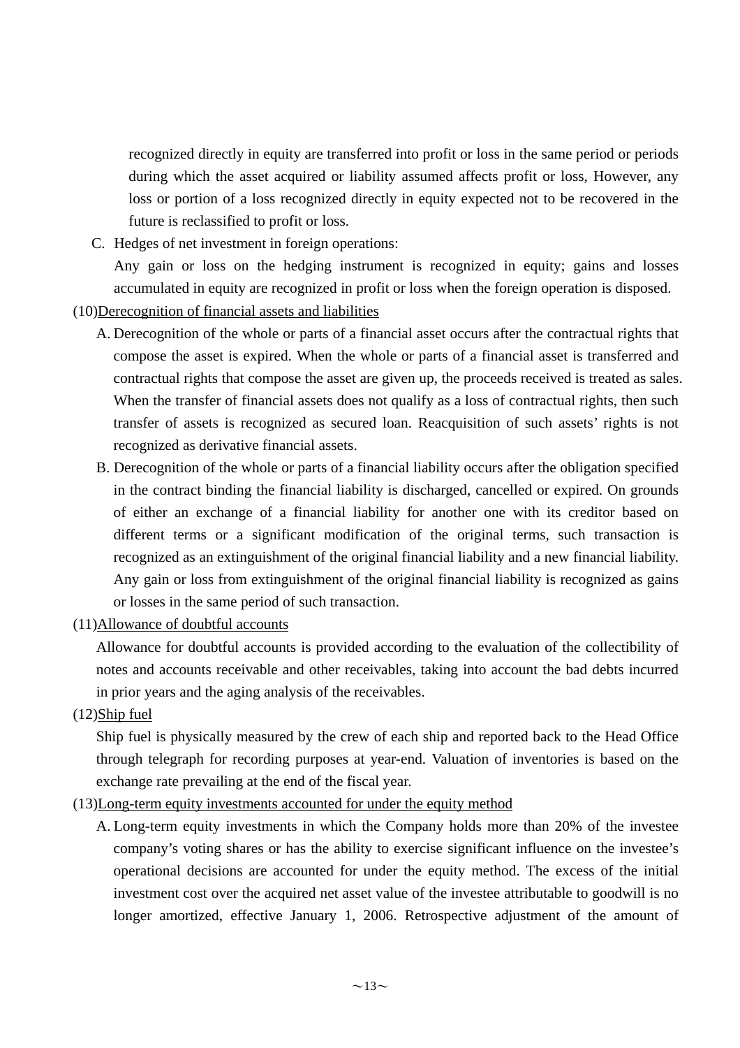recognized directly in equity are transferred into profit or loss in the same period or periods during which the asset acquired or liability assumed affects profit or loss, However, any loss or portion of a loss recognized directly in equity expected not to be recovered in the future is reclassified to profit or loss.

C. Hedges of net investment in foreign operations:

Any gain or loss on the hedging instrument is recognized in equity; gains and losses accumulated in equity are recognized in profit or loss when the foreign operation is disposed.

- (10)Derecognition of financial assets and liabilities
	- A. Derecognition of the whole or parts of a financial asset occurs after the contractual rights that compose the asset is expired. When the whole or parts of a financial asset is transferred and contractual rights that compose the asset are given up, the proceeds received is treated as sales. When the transfer of financial assets does not qualify as a loss of contractual rights, then such transfer of assets is recognized as secured loan. Reacquisition of such assets' rights is not recognized as derivative financial assets.
	- B. Derecognition of the whole or parts of a financial liability occurs after the obligation specified in the contract binding the financial liability is discharged, cancelled or expired. On grounds of either an exchange of a financial liability for another one with its creditor based on different terms or a significant modification of the original terms, such transaction is recognized as an extinguishment of the original financial liability and a new financial liability. Any gain or loss from extinguishment of the original financial liability is recognized as gains or losses in the same period of such transaction.
- (11)Allowance of doubtful accounts

Allowance for doubtful accounts is provided according to the evaluation of the collectibility of notes and accounts receivable and other receivables, taking into account the bad debts incurred in prior years and the aging analysis of the receivables.

(12)Ship fuel

Ship fuel is physically measured by the crew of each ship and reported back to the Head Office through telegraph for recording purposes at year-end. Valuation of inventories is based on the exchange rate prevailing at the end of the fiscal year.

- (13)Long-term equity investments accounted for under the equity method
	- A. Long-term equity investments in which the Company holds more than 20% of the investee company's voting shares or has the ability to exercise significant influence on the investee's operational decisions are accounted for under the equity method. The excess of the initial investment cost over the acquired net asset value of the investee attributable to goodwill is no longer amortized, effective January 1, 2006. Retrospective adjustment of the amount of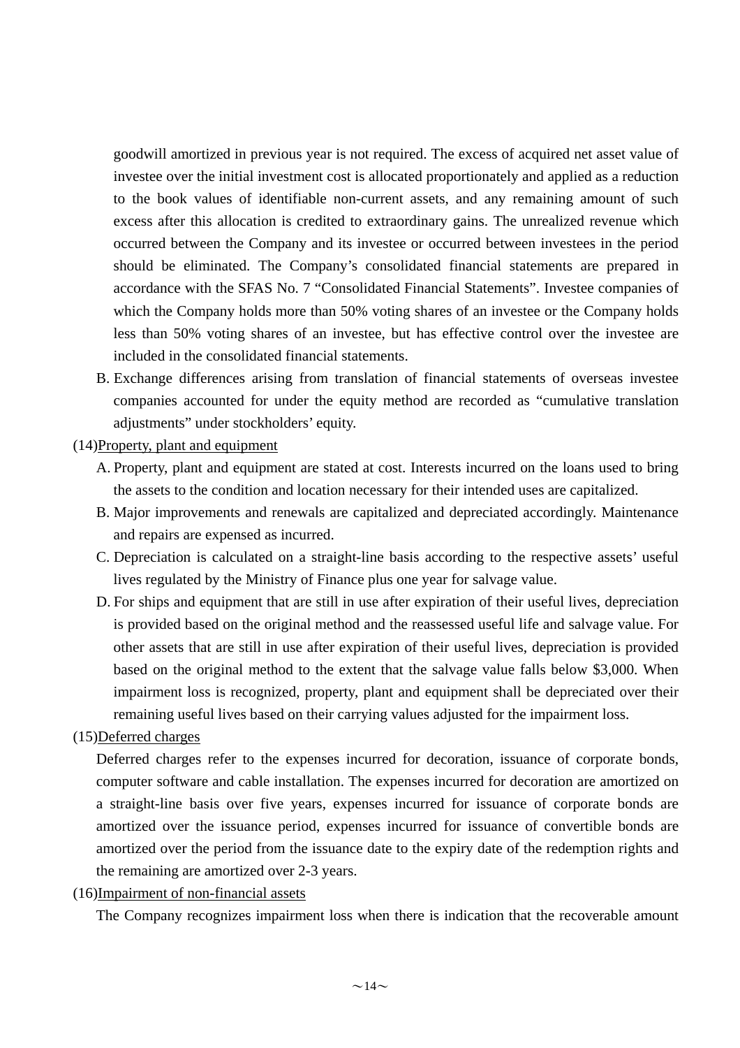goodwill amortized in previous year is not required. The excess of acquired net asset value of investee over the initial investment cost is allocated proportionately and applied as a reduction to the book values of identifiable non-current assets, and any remaining amount of such excess after this allocation is credited to extraordinary gains. The unrealized revenue which occurred between the Company and its investee or occurred between investees in the period should be eliminated. The Company's consolidated financial statements are prepared in accordance with the SFAS No. 7 "Consolidated Financial Statements". Investee companies of which the Company holds more than 50% voting shares of an investee or the Company holds less than 50% voting shares of an investee, but has effective control over the investee are included in the consolidated financial statements.

B. Exchange differences arising from translation of financial statements of overseas investee companies accounted for under the equity method are recorded as "cumulative translation adjustments" under stockholders' equity.

(14)Property, plant and equipment

- A. Property, plant and equipment are stated at cost. Interests incurred on the loans used to bring the assets to the condition and location necessary for their intended uses are capitalized.
- B. Major improvements and renewals are capitalized and depreciated accordingly. Maintenance and repairs are expensed as incurred.
- C. Depreciation is calculated on a straight-line basis according to the respective assets' useful lives regulated by the Ministry of Finance plus one year for salvage value.
- D. For ships and equipment that are still in use after expiration of their useful lives, depreciation is provided based on the original method and the reassessed useful life and salvage value. For other assets that are still in use after expiration of their useful lives, depreciation is provided based on the original method to the extent that the salvage value falls below \$3,000. When impairment loss is recognized, property, plant and equipment shall be depreciated over their remaining useful lives based on their carrying values adjusted for the impairment loss.

## (15)Deferred charges

Deferred charges refer to the expenses incurred for decoration, issuance of corporate bonds, computer software and cable installation. The expenses incurred for decoration are amortized on a straight-line basis over five years, expenses incurred for issuance of corporate bonds are amortized over the issuance period, expenses incurred for issuance of convertible bonds are amortized over the period from the issuance date to the expiry date of the redemption rights and the remaining are amortized over 2-3 years.

(16)Impairment of non-financial assets

The Company recognizes impairment loss when there is indication that the recoverable amount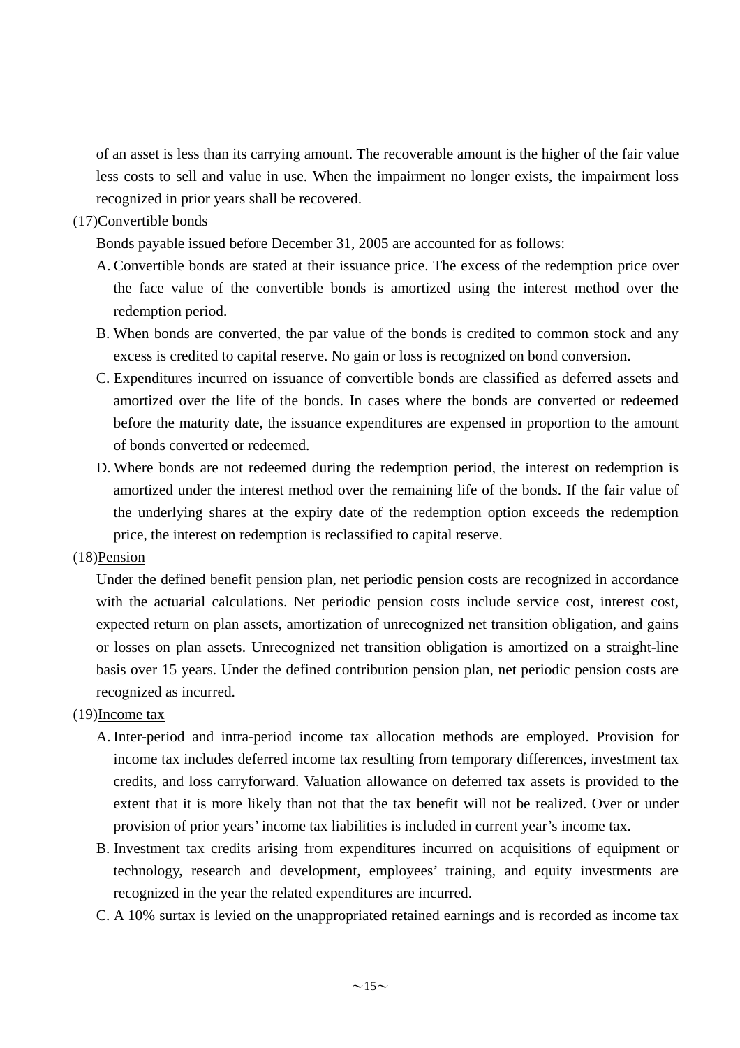of an asset is less than its carrying amount. The recoverable amount is the higher of the fair value less costs to sell and value in use. When the impairment no longer exists, the impairment loss recognized in prior years shall be recovered.

#### (17)Convertible bonds

Bonds payable issued before December 31, 2005 are accounted for as follows:

- A. Convertible bonds are stated at their issuance price. The excess of the redemption price over the face value of the convertible bonds is amortized using the interest method over the redemption period.
- B. When bonds are converted, the par value of the bonds is credited to common stock and any excess is credited to capital reserve. No gain or loss is recognized on bond conversion.
- C. Expenditures incurred on issuance of convertible bonds are classified as deferred assets and amortized over the life of the bonds. In cases where the bonds are converted or redeemed before the maturity date, the issuance expenditures are expensed in proportion to the amount of bonds converted or redeemed.
- D. Where bonds are not redeemed during the redemption period, the interest on redemption is amortized under the interest method over the remaining life of the bonds. If the fair value of the underlying shares at the expiry date of the redemption option exceeds the redemption price, the interest on redemption is reclassified to capital reserve.

#### (18)Pension

Under the defined benefit pension plan, net periodic pension costs are recognized in accordance with the actuarial calculations. Net periodic pension costs include service cost, interest cost, expected return on plan assets, amortization of unrecognized net transition obligation, and gains or losses on plan assets. Unrecognized net transition obligation is amortized on a straight-line basis over 15 years. Under the defined contribution pension plan, net periodic pension costs are recognized as incurred.

## (19)Income tax

- A. Inter-period and intra-period income tax allocation methods are employed. Provision for income tax includes deferred income tax resulting from temporary differences, investment tax credits, and loss carryforward. Valuation allowance on deferred tax assets is provided to the extent that it is more likely than not that the tax benefit will not be realized. Over or under provision of prior years' income tax liabilities is included in current year's income tax.
- B. Investment tax credits arising from expenditures incurred on acquisitions of equipment or technology, research and development, employees' training, and equity investments are recognized in the year the related expenditures are incurred.
- C. A 10% surtax is levied on the unappropriated retained earnings and is recorded as income tax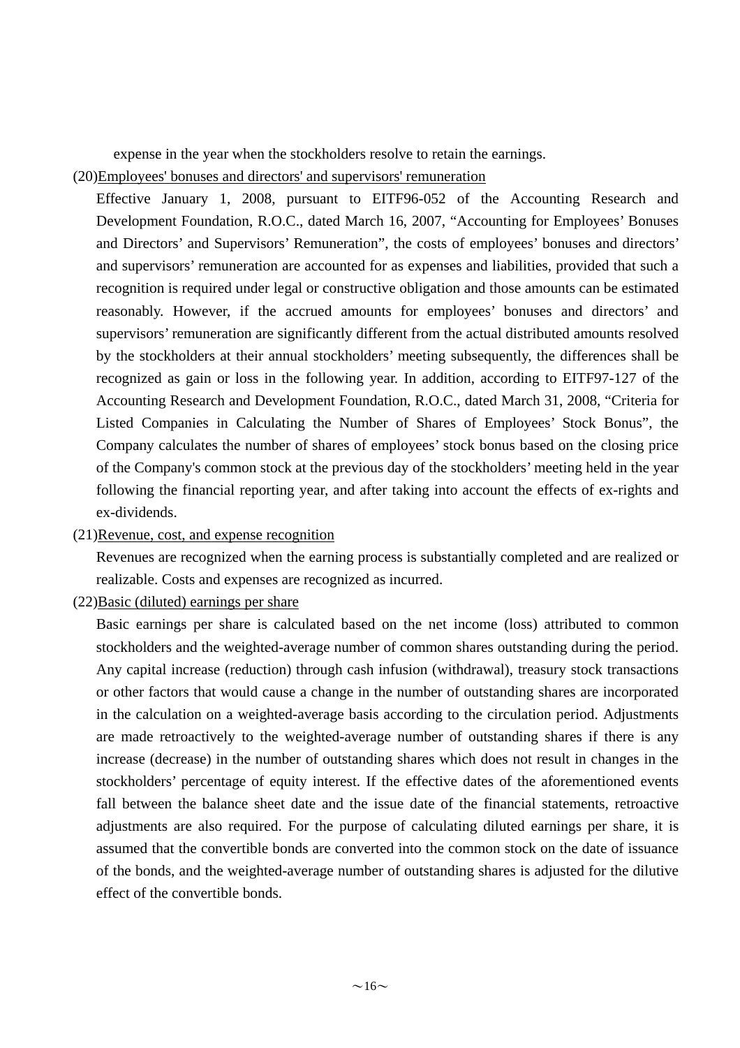expense in the year when the stockholders resolve to retain the earnings.

(20)Employees' bonuses and directors' and supervisors' remuneration

Effective January 1, 2008, pursuant to EITF96-052 of the Accounting Research and Development Foundation, R.O.C., dated March 16, 2007, "Accounting for Employees' Bonuses and Directors' and Supervisors' Remuneration", the costs of employees' bonuses and directors' and supervisors' remuneration are accounted for as expenses and liabilities, provided that such a recognition is required under legal or constructive obligation and those amounts can be estimated reasonably. However, if the accrued amounts for employees' bonuses and directors' and supervisors' remuneration are significantly different from the actual distributed amounts resolved by the stockholders at their annual stockholders' meeting subsequently, the differences shall be recognized as gain or loss in the following year. In addition, according to EITF97-127 of the Accounting Research and Development Foundation, R.O.C., dated March 31, 2008, "Criteria for Listed Companies in Calculating the Number of Shares of Employees' Stock Bonus", the Company calculates the number of shares of employees' stock bonus based on the closing price of the Company's common stock at the previous day of the stockholders' meeting held in the year following the financial reporting year, and after taking into account the effects of ex-rights and ex-dividends.

(21)Revenue, cost, and expense recognition

Revenues are recognized when the earning process is substantially completed and are realized or realizable. Costs and expenses are recognized as incurred.

 $(22)$ Basic (diluted) earnings per share

Basic earnings per share is calculated based on the net income (loss) attributed to common stockholders and the weighted-average number of common shares outstanding during the period. Any capital increase (reduction) through cash infusion (withdrawal), treasury stock transactions or other factors that would cause a change in the number of outstanding shares are incorporated in the calculation on a weighted-average basis according to the circulation period. Adjustments are made retroactively to the weighted-average number of outstanding shares if there is any increase (decrease) in the number of outstanding shares which does not result in changes in the stockholders' percentage of equity interest. If the effective dates of the aforementioned events fall between the balance sheet date and the issue date of the financial statements, retroactive adjustments are also required. For the purpose of calculating diluted earnings per share, it is assumed that the convertible bonds are converted into the common stock on the date of issuance of the bonds, and the weighted-average number of outstanding shares is adjusted for the dilutive effect of the convertible bonds.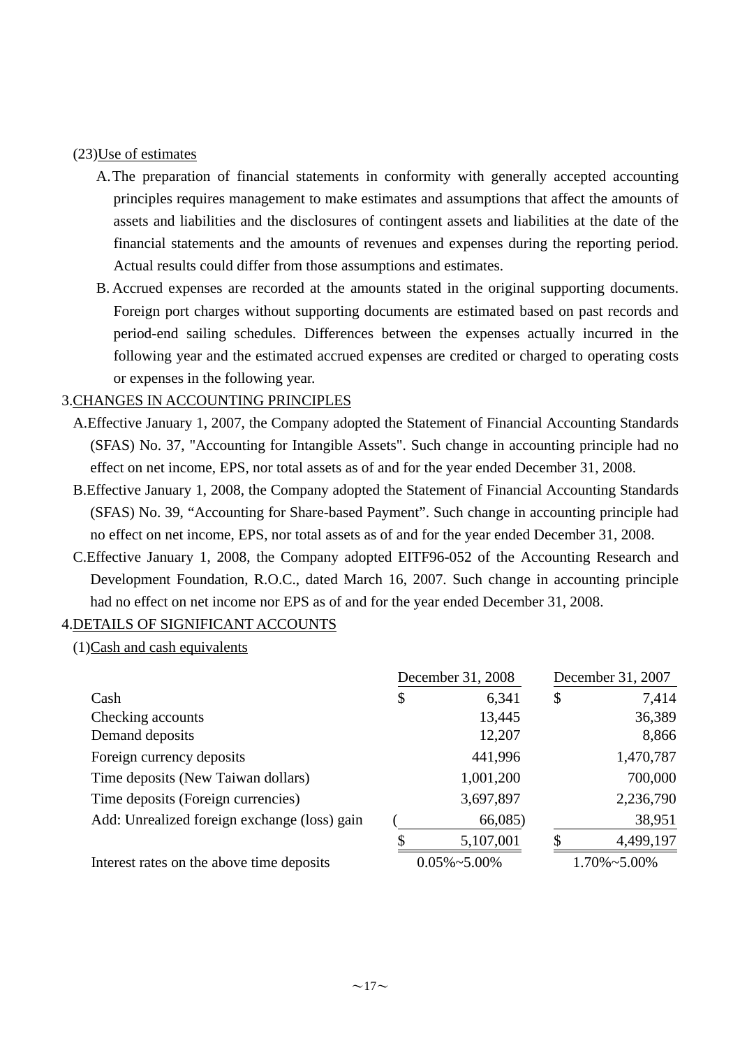#### (23)Use of estimates

- A.The preparation of financial statements in conformity with generally accepted accounting principles requires management to make estimates and assumptions that affect the amounts of assets and liabilities and the disclosures of contingent assets and liabilities at the date of the financial statements and the amounts of revenues and expenses during the reporting period. Actual results could differ from those assumptions and estimates.
- B. Accrued expenses are recorded at the amounts stated in the original supporting documents. Foreign port charges without supporting documents are estimated based on past records and period-end sailing schedules. Differences between the expenses actually incurred in the following year and the estimated accrued expenses are credited or charged to operating costs or expenses in the following year.

## 3.CHANGES IN ACCOUNTING PRINCIPLES

- A.Effective January 1, 2007, the Company adopted the Statement of Financial Accounting Standards (SFAS) No. 37, "Accounting for Intangible Assets". Such change in accounting principle had no effect on net income, EPS, nor total assets as of and for the year ended December 31, 2008.
- B.Effective January 1, 2008, the Company adopted the Statement of Financial Accounting Standards (SFAS) No. 39, "Accounting for Share-based Payment". Such change in accounting principle had no effect on net income, EPS, nor total assets as of and for the year ended December 31, 2008.
- C.Effective January 1, 2008, the Company adopted EITF96-052 of the Accounting Research and Development Foundation, R.O.C., dated March 16, 2007. Such change in accounting principle had no effect on net income nor EPS as of and for the year ended December 31, 2008.

## 4.DETAILS OF SIGNIFICANT ACCOUNTS

 $(1)$ Cash and cash equivalents

|                                              |                      | December 31, 2008 | December 31, 2007    |           |  |
|----------------------------------------------|----------------------|-------------------|----------------------|-----------|--|
| Cash                                         | \$                   | 6,341             | \$                   | 7,414     |  |
| Checking accounts                            |                      | 13,445            |                      | 36,389    |  |
| Demand deposits                              |                      | 12,207            |                      | 8,866     |  |
| Foreign currency deposits                    |                      | 441,996           |                      | 1,470,787 |  |
| Time deposits (New Taiwan dollars)           |                      | 1,001,200         |                      | 700,000   |  |
| Time deposits (Foreign currencies)           |                      | 3,697,897         |                      | 2,236,790 |  |
| Add: Unrealized foreign exchange (loss) gain |                      | 66,085)           |                      | 38,951    |  |
|                                              |                      | 5,107,001         | Я                    | 4,499,197 |  |
| Interest rates on the above time deposits    | $0.05\% \sim 5.00\%$ |                   | $1.70\% \sim 5.00\%$ |           |  |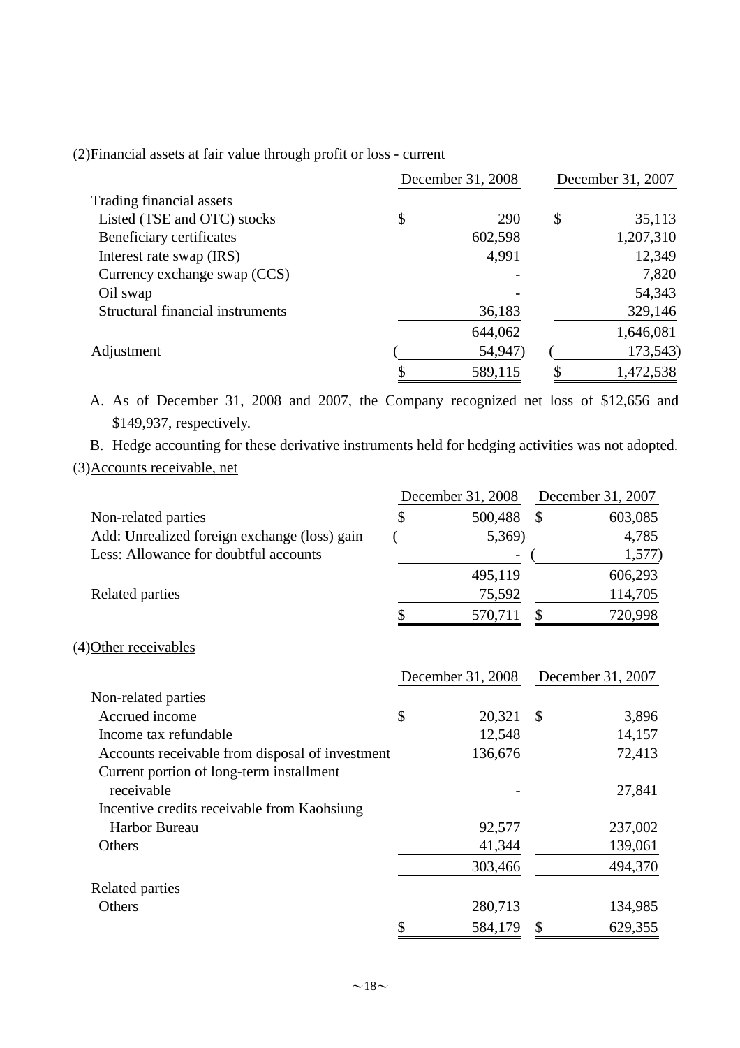## (2)Financial assets at fair value through profit or loss - current

|                                  | December 31, 2008 | December 31, 2007 |           |
|----------------------------------|-------------------|-------------------|-----------|
| Trading financial assets         |                   |                   |           |
| Listed (TSE and OTC) stocks      | \$<br>290         | \$                | 35,113    |
| Beneficiary certificates         | 602,598           |                   | 1,207,310 |
| Interest rate swap (IRS)         | 4,991             |                   | 12,349    |
| Currency exchange swap (CCS)     |                   |                   | 7,820     |
| Oil swap                         |                   |                   | 54,343    |
| Structural financial instruments | 36,183            |                   | 329,146   |
|                                  | 644,062           |                   | 1,646,081 |
| Adjustment                       | 54,947)           |                   | 173,543)  |
|                                  | 589,115           |                   | 1,472,538 |

A. As of December 31, 2008 and 2007, the Company recognized net loss of \$12,656 and \$149,937, respectively.

B. Hedge accounting for these derivative instruments held for hedging activities was not adopted. (3)Accounts receivable, net

|                                              |   | December 31, 2008 | December 31, 2007 |         |  |
|----------------------------------------------|---|-------------------|-------------------|---------|--|
| Non-related parties                          | S | 500,488           |                   | 603,085 |  |
| Add: Unrealized foreign exchange (loss) gain |   | 5,369)            |                   | 4,785   |  |
| Less: Allowance for doubtful accounts        |   |                   |                   | 1,577   |  |
|                                              |   | 495,119           |                   | 606,293 |  |
| Related parties                              |   | 75,592            |                   | 114,705 |  |
|                                              |   | 570,711           |                   | 720,998 |  |

#### (4)Other receivables

|                                                 | December 31, 2008 |                           | December 31, 2007 |
|-------------------------------------------------|-------------------|---------------------------|-------------------|
| Non-related parties                             |                   |                           |                   |
| Accrued income                                  | \$<br>20,321      | $\boldsymbol{\mathsf{S}}$ | 3,896             |
| Income tax refundable                           | 12,548            |                           | 14,157            |
| Accounts receivable from disposal of investment | 136,676           |                           | 72,413            |
| Current portion of long-term installment        |                   |                           |                   |
| receivable                                      |                   |                           | 27,841            |
| Incentive credits receivable from Kaohsiung     |                   |                           |                   |
| Harbor Bureau                                   | 92,577            |                           | 237,002           |
| Others                                          | 41,344            |                           | 139,061           |
|                                                 | 303,466           |                           | 494,370           |
| Related parties                                 |                   |                           |                   |
| Others                                          | 280,713           |                           | 134,985           |
|                                                 | 584,179           |                           | 629,355           |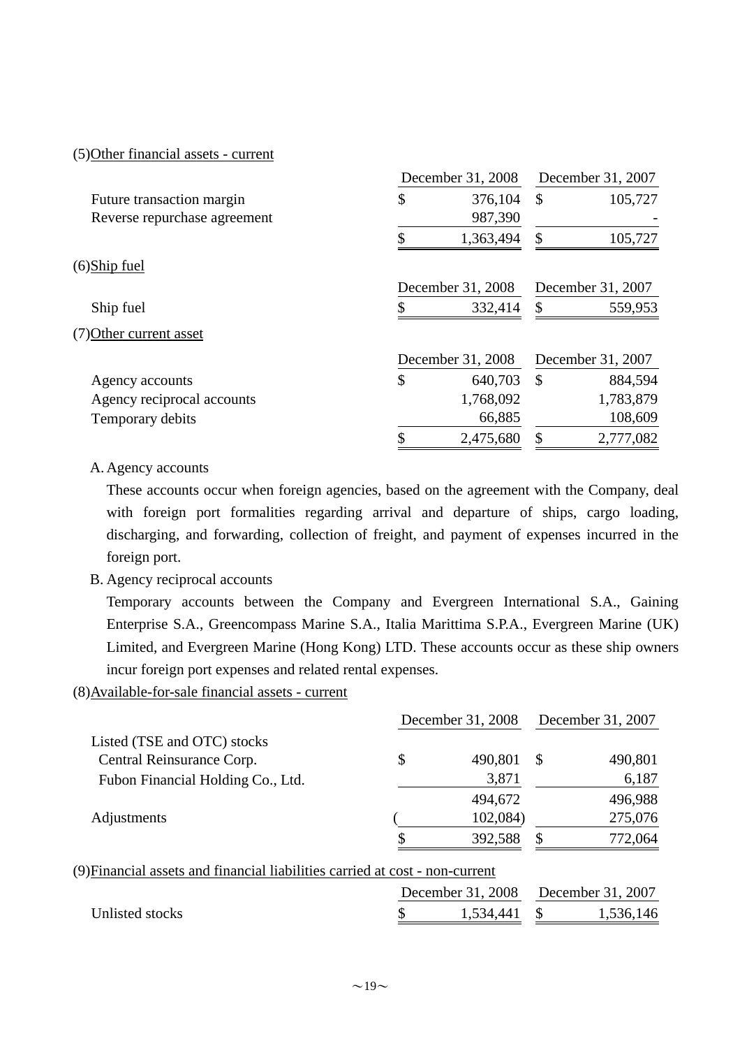#### (5)Other financial assets - current

|                              | December 31, 2008 | December 31, 2007        |  |  |
|------------------------------|-------------------|--------------------------|--|--|
| Future transaction margin    | \$<br>376,104     | 105,727<br>$\mathcal{S}$ |  |  |
| Reverse repurchase agreement | 987,390           |                          |  |  |
|                              | 1,363,494         | 105,727<br>\$            |  |  |
| (6)Ship fuel                 |                   |                          |  |  |
|                              | December 31, 2008 | December 31, 2007        |  |  |
| Ship fuel                    | 332,414           | S<br>559,953             |  |  |
| (7) Other current asset      |                   |                          |  |  |
|                              | December 31, 2008 | December 31, 2007        |  |  |
| Agency accounts              | \$<br>640,703     | \$<br>884,594            |  |  |
| Agency reciprocal accounts   | 1,768,092         | 1,783,879                |  |  |
| Temporary debits             | 66,885            | 108,609                  |  |  |
|                              | 2,475,680         | 2,777,082<br>\$          |  |  |

#### A.Agency accounts

These accounts occur when foreign agencies, based on the agreement with the Company, deal with foreign port formalities regarding arrival and departure of ships, cargo loading, discharging, and forwarding, collection of freight, and payment of expenses incurred in the foreign port.

#### B. Agency reciprocal accounts

Temporary accounts between the Company and Evergreen International S.A., Gaining Enterprise S.A., Greencompass Marine S.A., Italia Marittima S.P.A., Evergreen Marine (UK) Limited, and Evergreen Marine (Hong Kong) LTD. These accounts occur as these ship owners incur foreign port expenses and related rental expenses.

## (8)Available-for-sale financial assets - current

|                                                                              | December 31, 2008 | December 31, 2007 |         |
|------------------------------------------------------------------------------|-------------------|-------------------|---------|
| Listed (TSE and OTC) stocks                                                  |                   |                   |         |
| Central Reinsurance Corp.                                                    | \$<br>490,801     | S                 | 490,801 |
| Fubon Financial Holding Co., Ltd.                                            | 3,871             |                   | 6,187   |
|                                                                              | 494,672           |                   | 496,988 |
| Adjustments                                                                  | 102,084)          |                   | 275,076 |
|                                                                              | 392,588           | S                 | 772,064 |
| (9) Financial assets and financial liabilities carried at cost - non-current |                   |                   |         |

|                 |  |              |  | December 31, 2008 December 31, 2007 |  |  |
|-----------------|--|--------------|--|-------------------------------------|--|--|
| Unlisted stocks |  | 1,534,441 \$ |  | 1,536,146                           |  |  |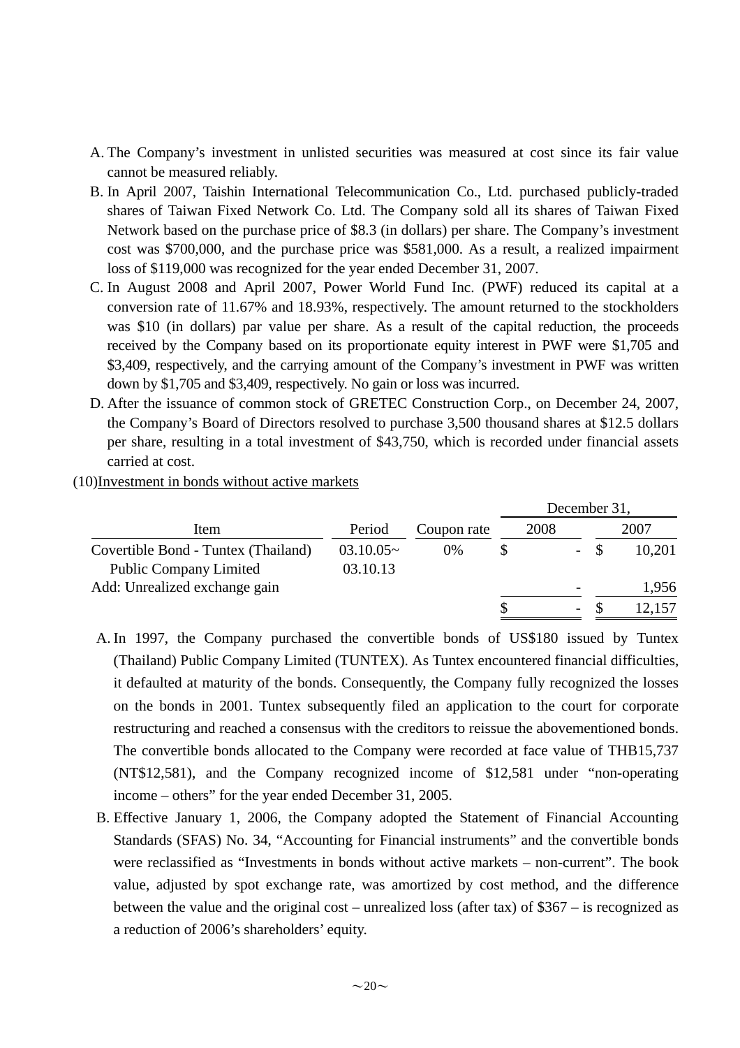- A. The Company's investment in unlisted securities was measured at cost since its fair value cannot be measured reliably.
- B. In April 2007, Taishin International Telecommunication Co., Ltd. purchased publicly-traded shares of Taiwan Fixed Network Co. Ltd. The Company sold all its shares of Taiwan Fixed Network based on the purchase price of \$8.3 (in dollars) per share. The Company's investment cost was \$700,000, and the purchase price was \$581,000. As a result, a realized impairment loss of \$119,000 was recognized for the year ended December 31, 2007.
- C. In August 2008 and April 2007, Power World Fund Inc. (PWF) reduced its capital at a conversion rate of 11.67% and 18.93%, respectively. The amount returned to the stockholders was \$10 (in dollars) par value per share. As a result of the capital reduction, the proceeds received by the Company based on its proportionate equity interest in PWF were \$1,705 and \$3,409, respectively, and the carrying amount of the Company's investment in PWF was written down by \$1,705 and \$3,409, respectively. No gain or loss was incurred.
- D. After the issuance of common stock of GRETEC Construction Corp., on December 24, 2007, the Company's Board of Directors resolved to purchase 3,500 thousand shares at \$12.5 dollars per share, resulting in a total investment of \$43,750, which is recorded under financial assets carried at cost.
- (10)Investment in bonds without active markets

|                                     |             |             |  | December 31, |                |      |        |  |
|-------------------------------------|-------------|-------------|--|--------------|----------------|------|--------|--|
| Item                                | Period      | Coupon rate |  | 2008         |                | 2007 |        |  |
| Covertible Bond - Tuntex (Thailand) | $03.10.05-$ | $0\%$       |  |              | $\sim$ $^{-1}$ |      | 10,201 |  |
| <b>Public Company Limited</b>       | 03.10.13    |             |  |              |                |      |        |  |
| Add: Unrealized exchange gain       |             |             |  |              |                |      | 1,956  |  |
|                                     |             |             |  |              | -              |      |        |  |

- A. In 1997, the Company purchased the convertible bonds of US\$180 issued by Tuntex (Thailand) Public Company Limited (TUNTEX). As Tuntex encountered financial difficulties, it defaulted at maturity of the bonds. Consequently, the Company fully recognized the losses on the bonds in 2001. Tuntex subsequently filed an application to the court for corporate restructuring and reached a consensus with the creditors to reissue the abovementioned bonds. The convertible bonds allocated to the Company were recorded at face value of THB15,737 (NT\$12,581), and the Company recognized income of \$12,581 under "non-operating income – others" for the year ended December 31, 2005.
- B. Effective January 1, 2006, the Company adopted the Statement of Financial Accounting Standards (SFAS) No. 34, "Accounting for Financial instruments" and the convertible bonds were reclassified as "Investments in bonds without active markets – non-current". The book value, adjusted by spot exchange rate, was amortized by cost method, and the difference between the value and the original cost – unrealized loss (after tax) of \$367 – is recognized as a reduction of 2006's shareholders' equity.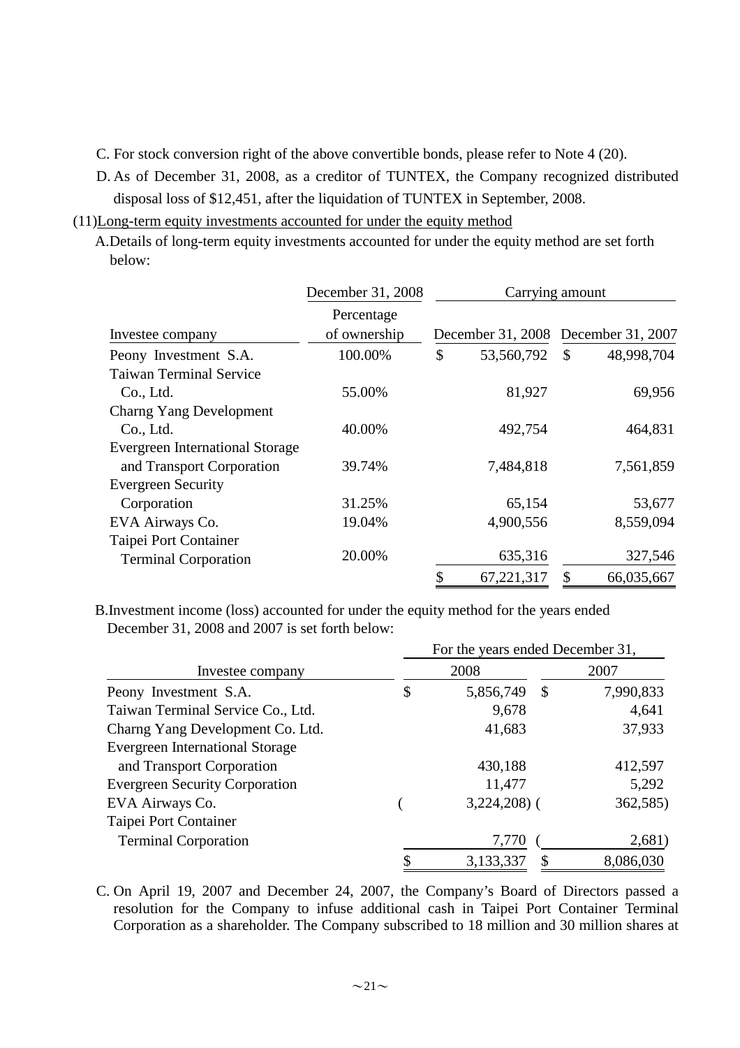C. For stock conversion right of the above convertible bonds, please refer to Note 4 (20).

- D. As of December 31, 2008, as a creditor of TUNTEX, the Company recognized distributed disposal loss of \$12,451, after the liquidation of TUNTEX in September, 2008.
- (11)Long-term equity investments accounted for under the equity method
	- A.Details of long-term equity investments accounted for under the equity method are set forth below:

|                                        | December 31, 2008 |    | Carrying amount |                                     |
|----------------------------------------|-------------------|----|-----------------|-------------------------------------|
|                                        | Percentage        |    |                 |                                     |
| Investee company                       | of ownership      |    |                 | December 31, 2008 December 31, 2007 |
| Peony Investment S.A.                  | 100.00%           | \$ | 53,560,792      | 48,998,704<br>$\mathcal{S}$         |
| <b>Taiwan Terminal Service</b>         |                   |    |                 |                                     |
| Co., Ltd.                              | 55.00%            |    | 81,927          | 69,956                              |
| <b>Charng Yang Development</b>         |                   |    |                 |                                     |
| Co., Ltd.                              | 40.00%            |    | 492,754         | 464,831                             |
| <b>Evergreen International Storage</b> |                   |    |                 |                                     |
| and Transport Corporation              | 39.74%            |    | 7,484,818       | 7,561,859                           |
| <b>Evergreen Security</b>              |                   |    |                 |                                     |
| Corporation                            | 31.25%            |    | 65,154          | 53,677                              |
| EVA Airways Co.                        | 19.04%            |    | 4,900,556       | 8,559,094                           |
| Taipei Port Container                  |                   |    |                 |                                     |
| <b>Terminal Corporation</b>            | 20.00%            |    | 635,316         | 327,546                             |
|                                        |                   | \$ | 67,221,317      | \$<br>66,035,667                    |

December 31, 2008 and 2007 is set forth below: B.Investment income (loss) accounted for under the equity method for the years ended

|                                        | For the years ended December 31, |                 |           |  |  |  |
|----------------------------------------|----------------------------------|-----------------|-----------|--|--|--|
| Investee company                       |                                  | 2008            | 2007      |  |  |  |
| Peony Investment S.A.                  | \$                               | 5,856,749<br>\$ | 7,990,833 |  |  |  |
| Taiwan Terminal Service Co., Ltd.      |                                  | 9,678           | 4,641     |  |  |  |
| Charng Yang Development Co. Ltd.       |                                  | 41,683          | 37,933    |  |  |  |
| <b>Evergreen International Storage</b> |                                  |                 |           |  |  |  |
| and Transport Corporation              |                                  | 430,188         | 412,597   |  |  |  |
| <b>Evergreen Security Corporation</b>  |                                  | 11,477          | 5,292     |  |  |  |
| EVA Airways Co.                        |                                  | $3,224,208$ (   | 362,585)  |  |  |  |
| Taipei Port Container                  |                                  |                 |           |  |  |  |
| <b>Terminal Corporation</b>            |                                  | 7,770           | 2,681)    |  |  |  |
|                                        | \$                               | 3,133,337<br>S  | 8,086,030 |  |  |  |

C. On April 19, 2007 and December 24, 2007, the Company's Board of Directors passed a resolution for the Company to infuse additional cash in Taipei Port Container Terminal Corporation as a shareholder. The Company subscribed to 18 million and 30 million shares at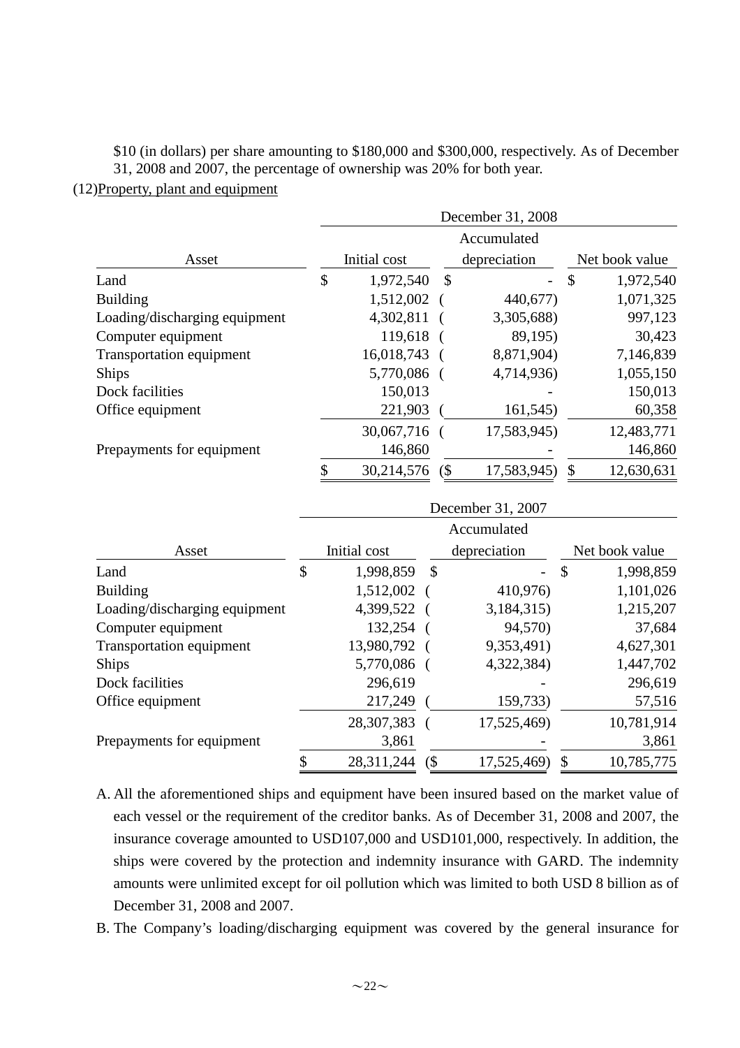## \$10 (in dollars) per share amounting to \$180,000 and \$300,000, respectively. As of December 31, 2008 and 2007, the percentage of ownership was 20% for both year.

#### (12)Property, plant and equipment

|                               | December 31, 2008 |              |               |              |               |                |
|-------------------------------|-------------------|--------------|---------------|--------------|---------------|----------------|
|                               |                   |              |               | Accumulated  |               |                |
| Asset                         |                   | Initial cost |               | depreciation |               | Net book value |
| Land                          | \$                | 1,972,540    | $\mathcal{S}$ |              | $\mathcal{S}$ | 1,972,540      |
| <b>Building</b>               |                   | 1,512,002 (  |               | 440,677)     |               | 1,071,325      |
| Loading/discharging equipment |                   | 4,302,811    |               | 3,305,688)   |               | 997,123        |
| Computer equipment            |                   | 119,618      |               | 89,195)      |               | 30,423         |
| Transportation equipment      |                   | 16,018,743   |               | 8,871,904)   |               | 7,146,839      |
| <b>Ships</b>                  |                   | 5,770,086 (  |               | 4,714,936)   |               | 1,055,150      |
| Dock facilities               |                   | 150,013      |               |              |               | 150,013        |
| Office equipment              |                   | 221,903      |               | 161,545)     |               | 60,358         |
|                               |                   | 30,067,716 ( |               | 17,583,945)  |               | 12,483,771     |
| Prepayments for equipment     |                   | 146,860      |               |              |               | 146,860        |
|                               | \$                | 30,214,576   | (\$           | 17,583,945)  |               | 12,630,631     |

|                               | December 31, 2007 |              |     |              |                            |                |  |
|-------------------------------|-------------------|--------------|-----|--------------|----------------------------|----------------|--|
|                               |                   |              |     | Accumulated  |                            |                |  |
| Asset                         |                   | Initial cost |     | depreciation |                            | Net book value |  |
| Land                          | \$                | 1,998,859    | \$  |              | $\boldsymbol{\mathsf{\$}}$ | 1,998,859      |  |
| <b>Building</b>               |                   | 1,512,002    |     | 410,976)     |                            | 1,101,026      |  |
| Loading/discharging equipment |                   | 4,399,522 (  |     | 3,184,315)   |                            | 1,215,207      |  |
| Computer equipment            |                   | 132,254      |     | 94,570)      |                            | 37,684         |  |
| Transportation equipment      |                   | 13,980,792 ( |     | 9,353,491)   |                            | 4,627,301      |  |
| <b>Ships</b>                  |                   | 5,770,086 (  |     | 4,322,384)   |                            | 1,447,702      |  |
| Dock facilities               |                   | 296,619      |     |              |                            | 296,619        |  |
| Office equipment              |                   | 217,249      |     | 159,733)     |                            | 57,516         |  |
|                               |                   | 28,307,383   |     | 17,525,469)  |                            | 10,781,914     |  |
| Prepayments for equipment     |                   | 3,861        |     |              |                            | 3,861          |  |
|                               | \$                | 28,311,244   | (\$ | 17,525,469)  | \$                         | 10,785,775     |  |

- A. All the aforementioned ships and equipment have been insured based on the market value of each vessel or the requirement of the creditor banks. As of December 31, 2008 and 2007, the insurance coverage amounted to USD107,000 and USD101,000, respectively. In addition, the ships were covered by the protection and indemnity insurance with GARD. The indemnity amounts were unlimited except for oil pollution which was limited to both USD 8 billion as of December 31, 2008 and 2007.
- B. The Company's loading/discharging equipment was covered by the general insurance for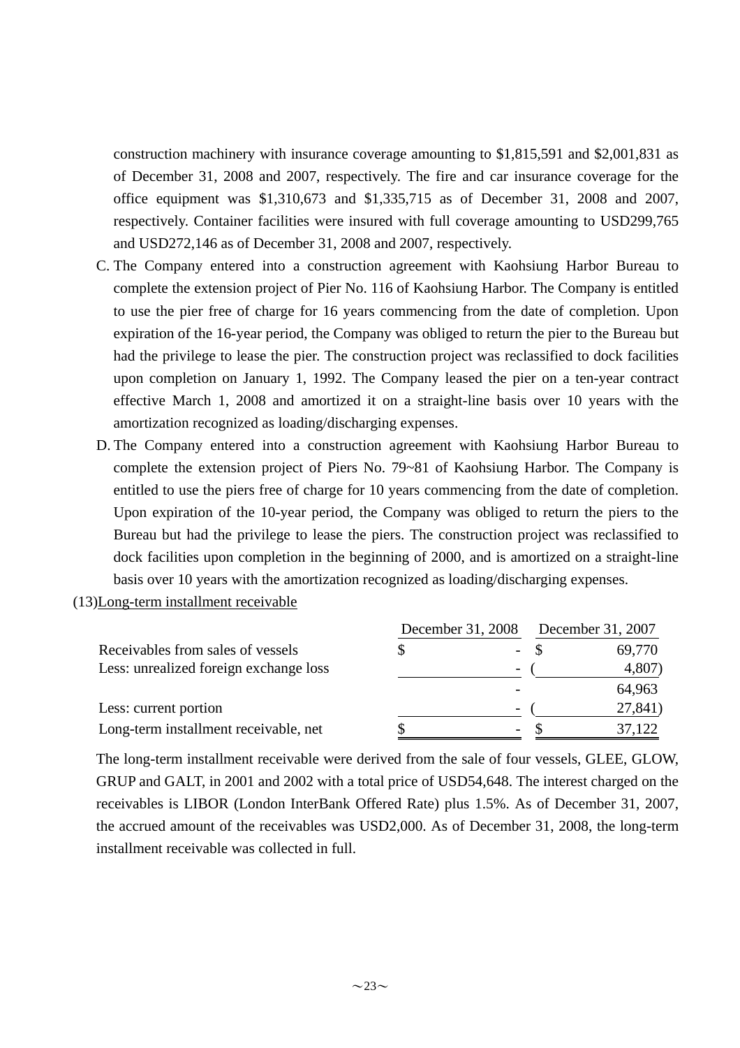construction machinery with insurance coverage amounting to \$1,815,591 and \$2,001,831 as of December 31, 2008 and 2007, respectively. The fire and car insurance coverage for the office equipment was \$1,310,673 and \$1,335,715 as of December 31, 2008 and 2007, respectively. Container facilities were insured with full coverage amounting to USD299,765 and USD272,146 as of December 31, 2008 and 2007, respectively.

- C. The Company entered into a construction agreement with Kaohsiung Harbor Bureau to complete the extension project of Pier No. 116 of Kaohsiung Harbor. The Company is entitled to use the pier free of charge for 16 years commencing from the date of completion. Upon expiration of the 16-year period, the Company was obliged to return the pier to the Bureau but had the privilege to lease the pier. The construction project was reclassified to dock facilities upon completion on January 1, 1992. The Company leased the pier on a ten-year contract effective March 1, 2008 and amortized it on a straight-line basis over 10 years with the amortization recognized as loading/discharging expenses.
- D. The Company entered into a construction agreement with Kaohsiung Harbor Bureau to complete the extension project of Piers No. 79~81 of Kaohsiung Harbor. The Company is entitled to use the piers free of charge for 10 years commencing from the date of completion. Upon expiration of the 10-year period, the Company was obliged to return the piers to the Bureau but had the privilege to lease the piers. The construction project was reclassified to dock facilities upon completion in the beginning of 2000, and is amortized on a straight-line basis over 10 years with the amortization recognized as loading/discharging expenses.
- (13)Long-term installment receivable

|                                        |   | December 31, 2008        | December 31, 2007 |         |  |
|----------------------------------------|---|--------------------------|-------------------|---------|--|
| Receivables from sales of vessels      | S |                          |                   | 69,770  |  |
| Less: unrealized foreign exchange loss |   | $\overline{\phantom{0}}$ |                   | 4,807)  |  |
|                                        |   |                          |                   | 64,963  |  |
| Less: current portion                  |   | $\overline{\phantom{a}}$ |                   | 27,841) |  |
| Long-term installment receivable, net  |   | $\overline{\phantom{0}}$ |                   | 37,122  |  |

The long-term installment receivable were derived from the sale of four vessels, GLEE, GLOW, GRUP and GALT, in 2001 and 2002 with a total price of USD54,648. The interest charged on the receivables is LIBOR (London InterBank Offered Rate) plus 1.5%. As of December 31, 2007, the accrued amount of the receivables was USD2,000. As of December 31, 2008, the long-term installment receivable was collected in full.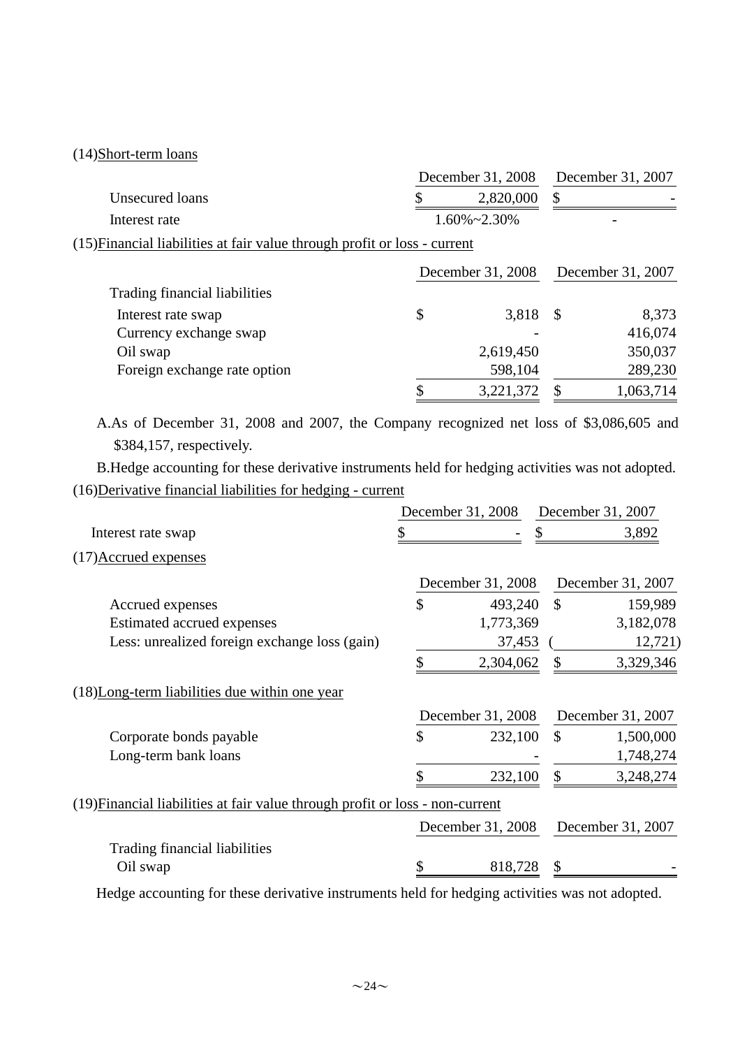## (14)Short-term loans

|                                                                           | December 31, 2008 |                      |               | December 31, 2007 |
|---------------------------------------------------------------------------|-------------------|----------------------|---------------|-------------------|
| Unsecured loans                                                           |                   | 2,820,000            | \$            |                   |
| Interest rate                                                             |                   | $1.60\% \sim 2.30\%$ |               |                   |
| (15) Financial liabilities at fair value through profit or loss - current |                   |                      |               |                   |
|                                                                           |                   | December 31, 2008    |               | December 31, 2007 |
| Trading financial liabilities                                             |                   |                      |               |                   |
| Interest rate swap                                                        | \$                | 3,818                | $\mathcal{S}$ | 8,373             |
| Currency exchange swap                                                    |                   |                      |               | 416,074           |
| Oil swap                                                                  |                   | 2,619,450            |               | 350,037           |
| Foreign exchange rate option                                              |                   | 598,104              |               | 289,230           |
|                                                                           | ¢                 | 3,221,372            | S.            | 1,063,714         |

A.As of December 31, 2008 and 2007, the Company recognized net loss of \$3,086,605 and \$384,157, respectively.

B.Hedge accounting for these derivative instruments held for hedging activities was not adopted. (16)Derivative financial liabilities for hedging - current

|                                                                               | December 31, 2008 |               | December 31, 2007 |
|-------------------------------------------------------------------------------|-------------------|---------------|-------------------|
| Interest rate swap                                                            |                   |               | 3,892             |
| (17) Accrued expenses                                                         |                   |               |                   |
|                                                                               | December 31, 2008 |               | December 31, 2007 |
| Accrued expenses                                                              | \$<br>493,240     | $\mathcal{S}$ | 159,989           |
| Estimated accrued expenses                                                    | 1,773,369         |               | 3,182,078         |
| Less: unrealized foreign exchange loss (gain)                                 | 37,453            |               | 12,721)           |
|                                                                               | 2,304,062         | \$            | 3,329,346         |
| (18) Long-term liabilities due within one year                                |                   |               |                   |
|                                                                               | December 31, 2008 |               | December 31, 2007 |
| Corporate bonds payable                                                       | \$<br>232,100     | $\mathcal{S}$ | 1,500,000         |
| Long-term bank loans                                                          |                   |               | 1,748,274         |
|                                                                               | 232,100           | \$            | 3,248,274         |
| (19) Financial liabilities at fair value through profit or loss - non-current |                   |               |                   |
|                                                                               | December 31, 2008 |               | December 31, 2007 |
| Trading financial liabilities                                                 |                   |               |                   |
| Oil swap                                                                      | 818,728           | \$            |                   |

Hedge accounting for these derivative instruments held for hedging activities was not adopted.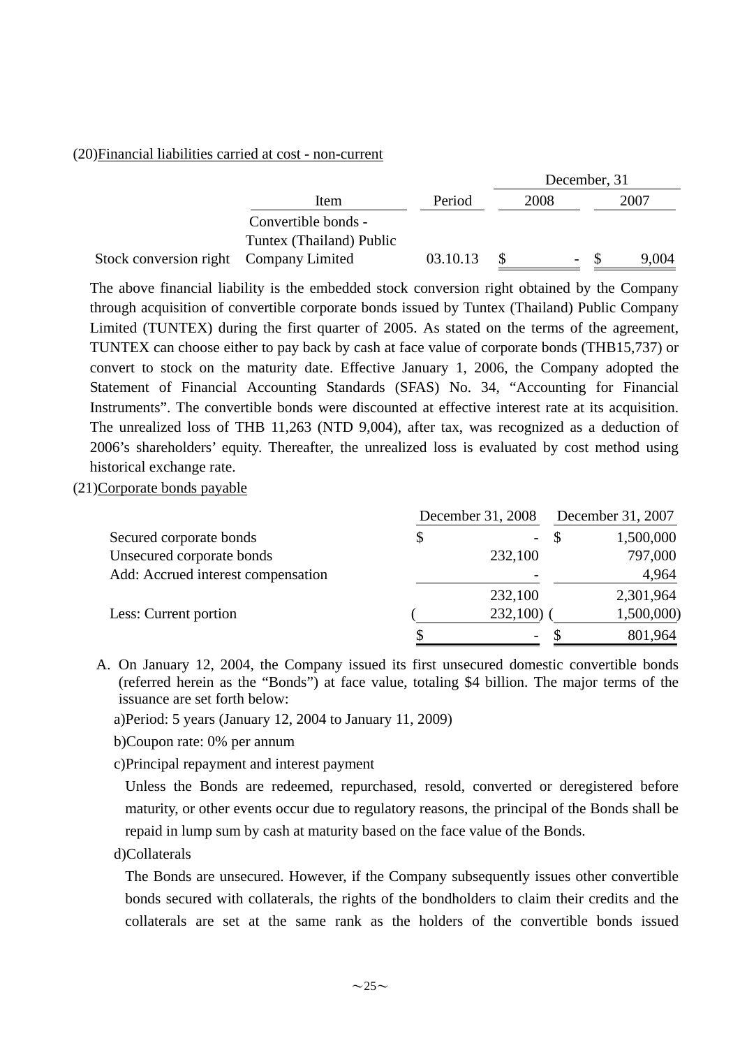#### (20)Financial liabilities carried at cost - non-current

|                                        |                          |          | December, 31 |  |        |  |       |
|----------------------------------------|--------------------------|----------|--------------|--|--------|--|-------|
|                                        | Item                     | Period   |              |  | 2008   |  | 2007  |
|                                        | Convertible bonds -      |          |              |  |        |  |       |
|                                        | Tuntex (Thailand) Public |          |              |  |        |  |       |
| Stock conversion right Company Limited |                          | 03.10.13 |              |  | $\sim$ |  | 9,004 |

The above financial liability is the embedded stock conversion right obtained by the Company through acquisition of convertible corporate bonds issued by Tuntex (Thailand) Public Company Limited (TUNTEX) during the first quarter of 2005. As stated on the terms of the agreement, TUNTEX can choose either to pay back by cash at face value of corporate bonds (THB15,737) or convert to stock on the maturity date. Effective January 1, 2006, the Company adopted the Statement of Financial Accounting Standards (SFAS) No. 34, "Accounting for Financial Instruments". The convertible bonds were discounted at effective interest rate at its acquisition. The unrealized loss of THB 11,263 (NTD 9,004), after tax, was recognized as a deduction of 2006's shareholders' equity. Thereafter, the unrealized loss is evaluated by cost method using historical exchange rate.

(21)Corporate bonds payable

|                                    | December 31, 2008 | December 31, 2007 |            |  |
|------------------------------------|-------------------|-------------------|------------|--|
| Secured corporate bonds            | \$                |                   | 1,500,000  |  |
| Unsecured corporate bonds          | 232,100           |                   | 797,000    |  |
| Add: Accrued interest compensation |                   |                   | 4,964      |  |
|                                    | 232,100           |                   | 2,301,964  |  |
| Less: Current portion              | 232,100)          |                   | 1,500,000) |  |
|                                    |                   |                   | 801,964    |  |

- A. On January 12, 2004, the Company issued its first unsecured domestic convertible bonds (referred herein as the "Bonds") at face value, totaling \$4 billion. The major terms of the issuance are set forth below:
	- a)Period: 5 years (January 12, 2004 to January 11, 2009)
	- b)Coupon rate: 0% per annum
	- c)Principal repayment and interest payment

Unless the Bonds are redeemed, repurchased, resold, converted or deregistered before maturity, or other events occur due to regulatory reasons, the principal of the Bonds shall be repaid in lump sum by cash at maturity based on the face value of the Bonds.

d)Collaterals

The Bonds are unsecured. However, if the Company subsequently issues other convertible bonds secured with collaterals, the rights of the bondholders to claim their credits and the collaterals are set at the same rank as the holders of the convertible bonds issued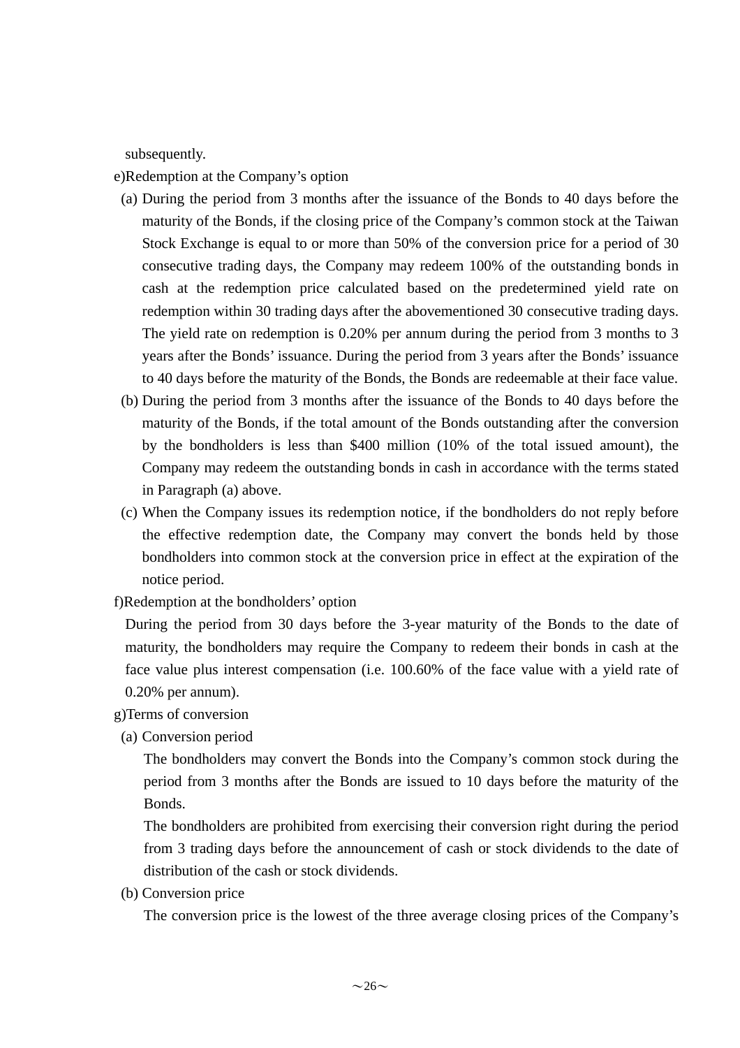subsequently.

e)Redemption at the Company's option

- (a) During the period from 3 months after the issuance of the Bonds to 40 days before the maturity of the Bonds, if the closing price of the Company's common stock at the Taiwan Stock Exchange is equal to or more than 50% of the conversion price for a period of 30 consecutive trading days, the Company may redeem 100% of the outstanding bonds in cash at the redemption price calculated based on the predetermined yield rate on redemption within 30 trading days after the abovementioned 30 consecutive trading days. The yield rate on redemption is 0.20% per annum during the period from 3 months to 3 years after the Bonds' issuance. During the period from 3 years after the Bonds' issuance to 40 days before the maturity of the Bonds, the Bonds are redeemable at their face value.
- (b) During the period from 3 months after the issuance of the Bonds to 40 days before the maturity of the Bonds, if the total amount of the Bonds outstanding after the conversion by the bondholders is less than \$400 million (10% of the total issued amount), the Company may redeem the outstanding bonds in cash in accordance with the terms stated in Paragraph (a) above.
- (c) When the Company issues its redemption notice, if the bondholders do not reply before the effective redemption date, the Company may convert the bonds held by those bondholders into common stock at the conversion price in effect at the expiration of the notice period.
- f)Redemption at the bondholders' option

During the period from 30 days before the 3-year maturity of the Bonds to the date of maturity, the bondholders may require the Company to redeem their bonds in cash at the face value plus interest compensation (i.e. 100.60% of the face value with a yield rate of 0.20% per annum).

g)Terms of conversion

(a) Conversion period

The bondholders may convert the Bonds into the Company's common stock during the period from 3 months after the Bonds are issued to 10 days before the maturity of the Bonds.

The bondholders are prohibited from exercising their conversion right during the period from 3 trading days before the announcement of cash or stock dividends to the date of distribution of the cash or stock dividends.

(b) Conversion price

The conversion price is the lowest of the three average closing prices of the Company's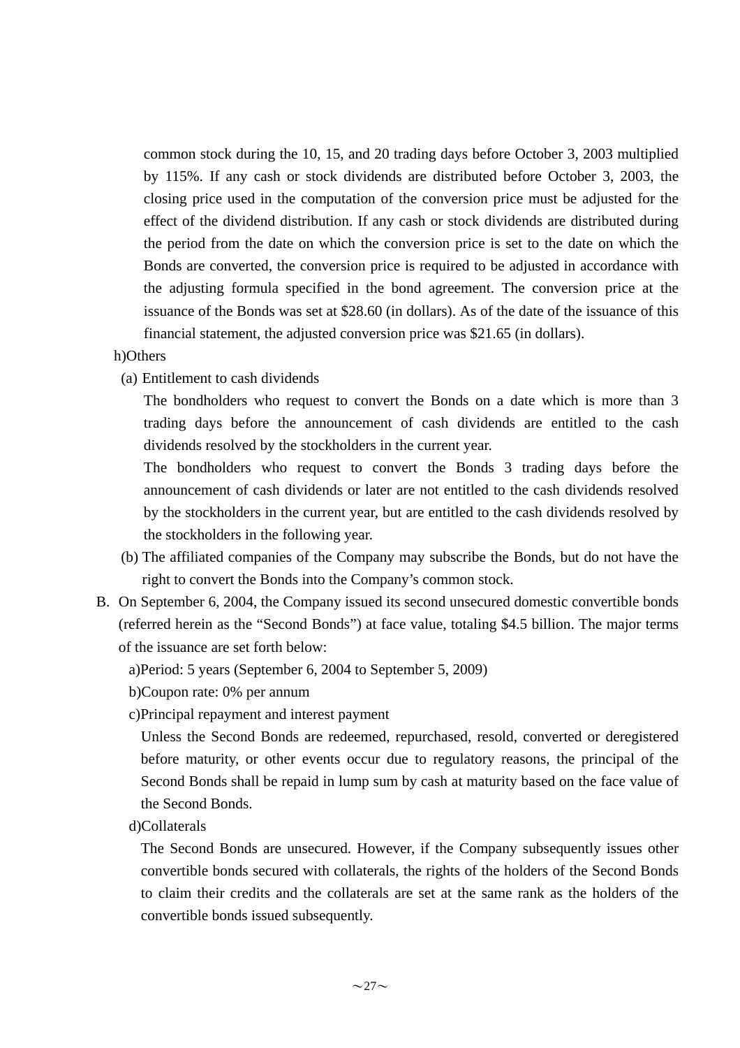common stock during the 10, 15, and 20 trading days before October 3, 2003 multiplied by 115%. If any cash or stock dividends are distributed before October 3, 2003, the closing price used in the computation of the conversion price must be adjusted for the effect of the dividend distribution. If any cash or stock dividends are distributed during the period from the date on which the conversion price is set to the date on which the Bonds are converted, the conversion price is required to be adjusted in accordance with the adjusting formula specified in the bond agreement. The conversion price at the issuance of the Bonds was set at \$28.60 (in dollars). As of the date of the issuance of this financial statement, the adjusted conversion price was \$21.65 (in dollars).

- h)Others
	- (a) Entitlement to cash dividends

The bondholders who request to convert the Bonds on a date which is more than 3 trading days before the announcement of cash dividends are entitled to the cash dividends resolved by the stockholders in the current year.

The bondholders who request to convert the Bonds 3 trading days before the announcement of cash dividends or later are not entitled to the cash dividends resolved by the stockholders in the current year, but are entitled to the cash dividends resolved by the stockholders in the following year.

- (b) The affiliated companies of the Company may subscribe the Bonds, but do not have the right to convert the Bonds into the Company's common stock.
- B. On September 6, 2004, the Company issued its second unsecured domestic convertible bonds (referred herein as the "Second Bonds") at face value, totaling \$4.5 billion. The major terms of the issuance are set forth below:
	- a)Period: 5 years (September 6, 2004 to September 5, 2009)
	- b)Coupon rate: 0% per annum
	- c)Principal repayment and interest payment

Unless the Second Bonds are redeemed, repurchased, resold, converted or deregistered before maturity, or other events occur due to regulatory reasons, the principal of the Second Bonds shall be repaid in lump sum by cash at maturity based on the face value of the Second Bonds.

d)Collaterals

The Second Bonds are unsecured. However, if the Company subsequently issues other convertible bonds secured with collaterals, the rights of the holders of the Second Bonds to claim their credits and the collaterals are set at the same rank as the holders of the convertible bonds issued subsequently.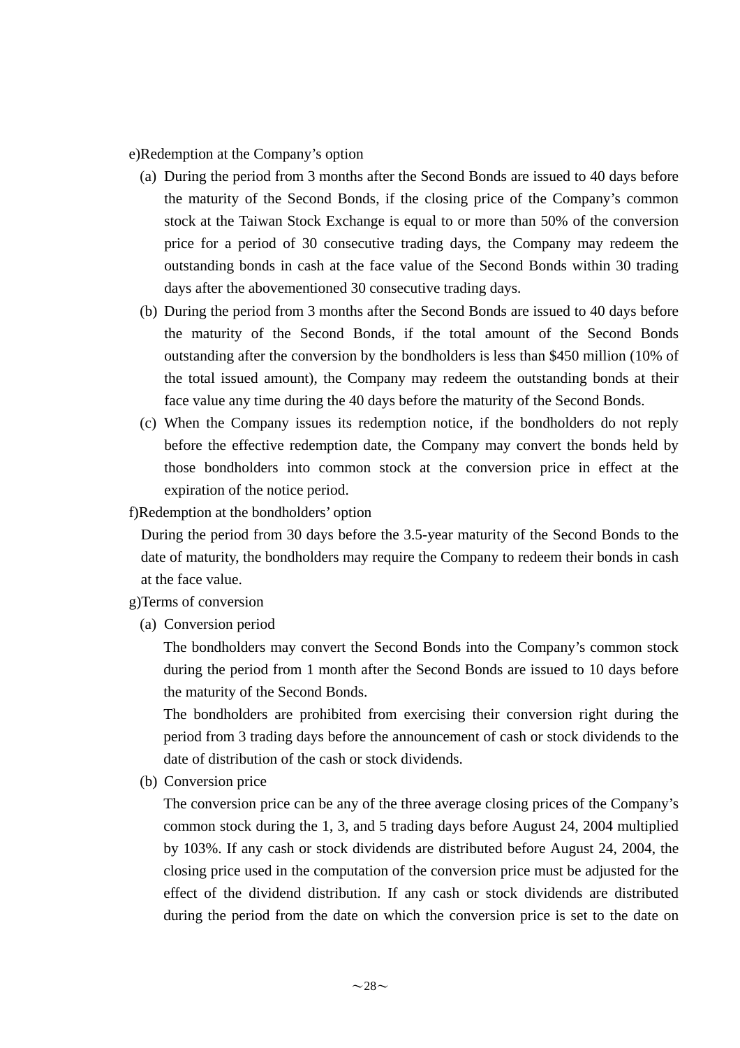e)Redemption at the Company's option

- (a) During the period from 3 months after the Second Bonds are issued to 40 days before the maturity of the Second Bonds, if the closing price of the Company's common stock at the Taiwan Stock Exchange is equal to or more than 50% of the conversion price for a period of 30 consecutive trading days, the Company may redeem the outstanding bonds in cash at the face value of the Second Bonds within 30 trading days after the abovementioned 30 consecutive trading days.
- (b) During the period from 3 months after the Second Bonds are issued to 40 days before the maturity of the Second Bonds, if the total amount of the Second Bonds outstanding after the conversion by the bondholders is less than \$450 million (10% of the total issued amount), the Company may redeem the outstanding bonds at their face value any time during the 40 days before the maturity of the Second Bonds.
- (c) When the Company issues its redemption notice, if the bondholders do not reply before the effective redemption date, the Company may convert the bonds held by those bondholders into common stock at the conversion price in effect at the expiration of the notice period.

f)Redemption at the bondholders' option

During the period from 30 days before the 3.5-year maturity of the Second Bonds to the date of maturity, the bondholders may require the Company to redeem their bonds in cash at the face value.

#### g)Terms of conversion

(a) Conversion period

The bondholders may convert the Second Bonds into the Company's common stock during the period from 1 month after the Second Bonds are issued to 10 days before the maturity of the Second Bonds.

The bondholders are prohibited from exercising their conversion right during the period from 3 trading days before the announcement of cash or stock dividends to the date of distribution of the cash or stock dividends.

(b) Conversion price

The conversion price can be any of the three average closing prices of the Company's common stock during the 1, 3, and 5 trading days before August 24, 2004 multiplied by 103%. If any cash or stock dividends are distributed before August 24, 2004, the closing price used in the computation of the conversion price must be adjusted for the effect of the dividend distribution. If any cash or stock dividends are distributed during the period from the date on which the conversion price is set to the date on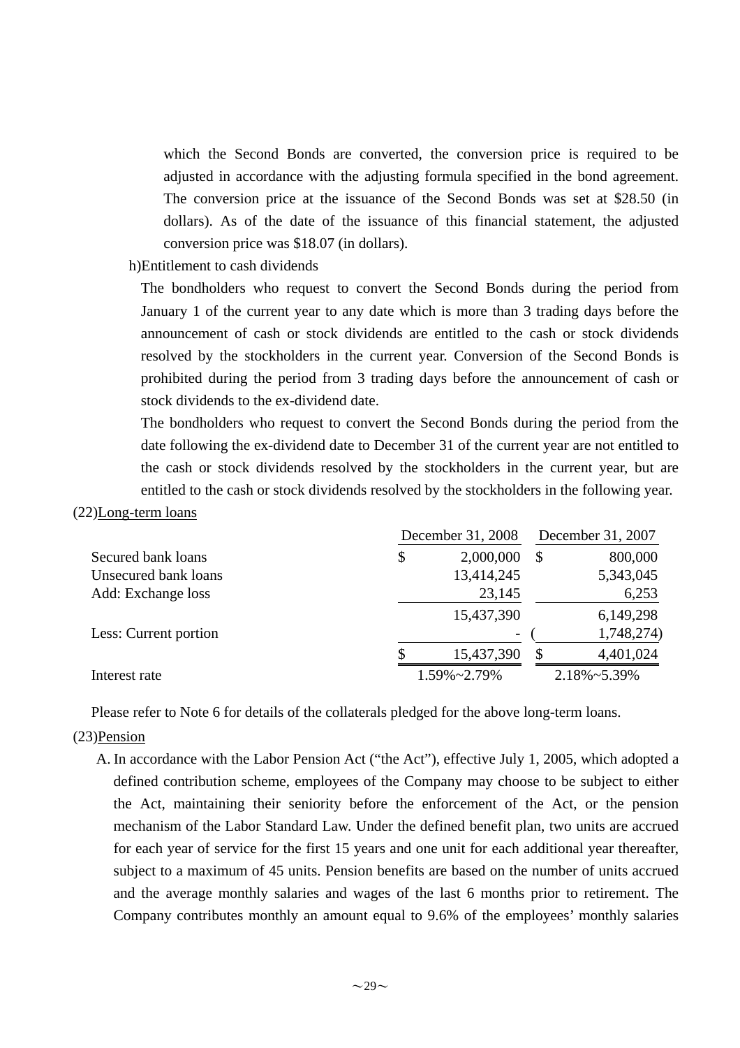which the Second Bonds are converted, the conversion price is required to be adjusted in accordance with the adjusting formula specified in the bond agreement. The conversion price at the issuance of the Second Bonds was set at \$28.50 (in dollars). As of the date of the issuance of this financial statement, the adjusted conversion price was \$18.07 (in dollars).

h)Entitlement to cash dividends

The bondholders who request to convert the Second Bonds during the period from January 1 of the current year to any date which is more than 3 trading days before the announcement of cash or stock dividends are entitled to the cash or stock dividends resolved by the stockholders in the current year. Conversion of the Second Bonds is prohibited during the period from 3 trading days before the announcement of cash or stock dividends to the ex-dividend date.

The bondholders who request to convert the Second Bonds during the period from the date following the ex-dividend date to December 31 of the current year are not entitled to the cash or stock dividends resolved by the stockholders in the current year, but are entitled to the cash or stock dividends resolved by the stockholders in the following year.

#### (22)Long-term loans

|                       | December 31, 2008 | December 31, 2007 |             |  |
|-----------------------|-------------------|-------------------|-------------|--|
| Secured bank loans    | \$<br>2,000,000   | $\mathcal{S}$     | 800,000     |  |
| Unsecured bank loans  | 13,414,245        |                   | 5,343,045   |  |
| Add: Exchange loss    | 23,145            |                   | 6,253       |  |
|                       | 15,437,390        |                   | 6,149,298   |  |
| Less: Current portion |                   |                   | 1,748,274)  |  |
|                       | 15,437,390        | S                 | 4,401,024   |  |
| Interest rate         | 1.59%~2.79%       |                   | 2.18%~5.39% |  |

Please refer to Note 6 for details of the collaterals pledged for the above long-term loans.

#### (23)Pension

A. In accordance with the Labor Pension Act ("the Act"), effective July 1, 2005, which adopted a defined contribution scheme, employees of the Company may choose to be subject to either the Act, maintaining their seniority before the enforcement of the Act, or the pension mechanism of the Labor Standard Law. Under the defined benefit plan, two units are accrued for each year of service for the first 15 years and one unit for each additional year thereafter, subject to a maximum of 45 units. Pension benefits are based on the number of units accrued and the average monthly salaries and wages of the last 6 months prior to retirement. The Company contributes monthly an amount equal to 9.6% of the employees' monthly salaries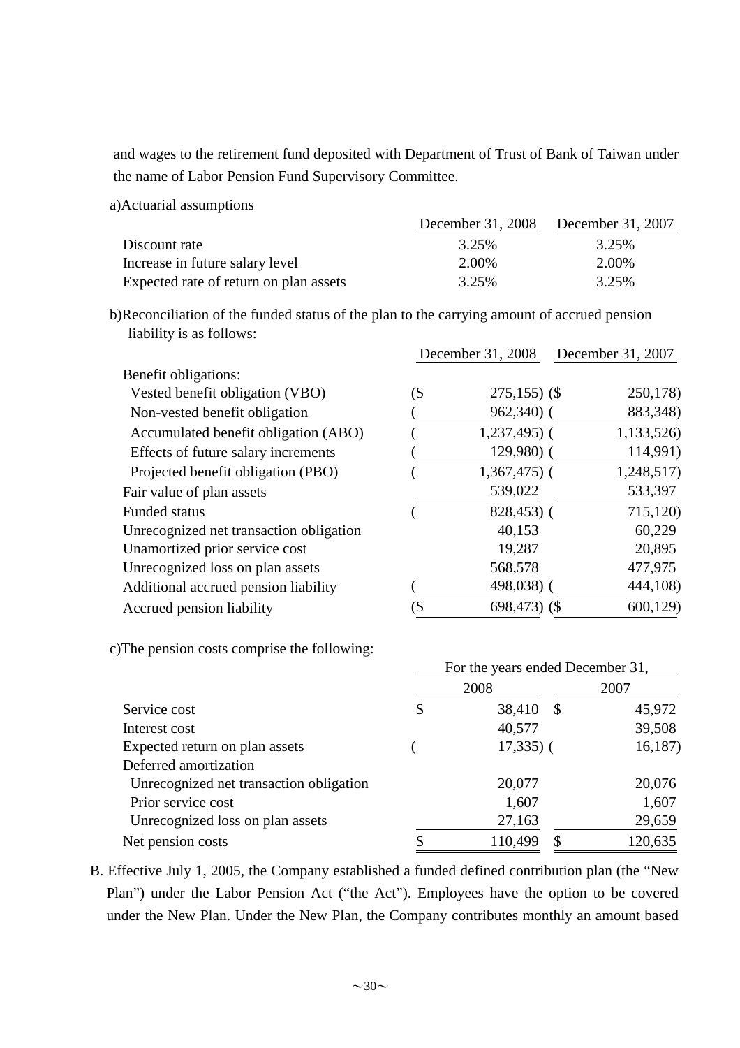and wages to the retirement fund deposited with Department of Trust of Bank of Taiwan under the name of Labor Pension Fund Supervisory Committee.

a)Actuarial assumptions

|                                        | December 31, 2008 December 31, 2007 |       |
|----------------------------------------|-------------------------------------|-------|
| Discount rate                          | 3.25%                               | 3.25% |
| Increase in future salary level        | 2.00%                               | 2.00% |
| Expected rate of return on plan assets | 3.25%                               | 3.25% |

b)Reconciliation of the funded status of the plan to the carrying amount of accrued pension liability is as follows:

|                                         |     | December 31, 2008 | December 31, 2007 |  |  |  |
|-----------------------------------------|-----|-------------------|-------------------|--|--|--|
| Benefit obligations:                    |     |                   |                   |  |  |  |
| Vested benefit obligation (VBO)         | (\$ | $275,155$ ) (\$   | 250,178)          |  |  |  |
| Non-vested benefit obligation           |     | $962,340$ (       | 883,348)          |  |  |  |
| Accumulated benefit obligation (ABO)    |     | $1,237,495$ (     | 1,133,526)        |  |  |  |
| Effects of future salary increments     |     | $129,980$ (       | 114,991)          |  |  |  |
| Projected benefit obligation (PBO)      |     | $1,367,475$ (     | 1,248,517)        |  |  |  |
| Fair value of plan assets               |     | 539,022           | 533,397           |  |  |  |
| <b>Funded status</b>                    |     | $828,453$ (       | 715,120)          |  |  |  |
| Unrecognized net transaction obligation |     | 40,153            | 60,229            |  |  |  |
| Unamortized prior service cost          |     | 19,287            | 20,895            |  |  |  |
| Unrecognized loss on plan assets        |     | 568,578           | 477,975           |  |  |  |
| Additional accrued pension liability    |     | 498,038)          | 444,108)          |  |  |  |
| Accrued pension liability               | \$  | 698,473 $($ \$    | 600,129           |  |  |  |

c)The pension costs comprise the following:

|                                         | For the years ended December 31, |                         |         |  |  |  |  |
|-----------------------------------------|----------------------------------|-------------------------|---------|--|--|--|--|
|                                         |                                  | 2008                    | 2007    |  |  |  |  |
| Service cost                            | \$                               | 38,410<br>$\mathcal{S}$ | 45,972  |  |  |  |  |
| Interest cost                           |                                  | 40,577                  | 39,508  |  |  |  |  |
| Expected return on plan assets          |                                  | $17,335$ ) (            | 16,187  |  |  |  |  |
| Deferred amortization                   |                                  |                         |         |  |  |  |  |
| Unrecognized net transaction obligation |                                  | 20,077                  | 20,076  |  |  |  |  |
| Prior service cost                      |                                  | 1,607                   | 1,607   |  |  |  |  |
| Unrecognized loss on plan assets        |                                  | 27,163                  | 29,659  |  |  |  |  |
| Net pension costs                       | \$                               | 110,499<br>\$           | 120,635 |  |  |  |  |

B. Effective July 1, 2005, the Company established a funded defined contribution plan (the "New Plan") under the Labor Pension Act ("the Act"). Employees have the option to be covered under the New Plan. Under the New Plan, the Company contributes monthly an amount based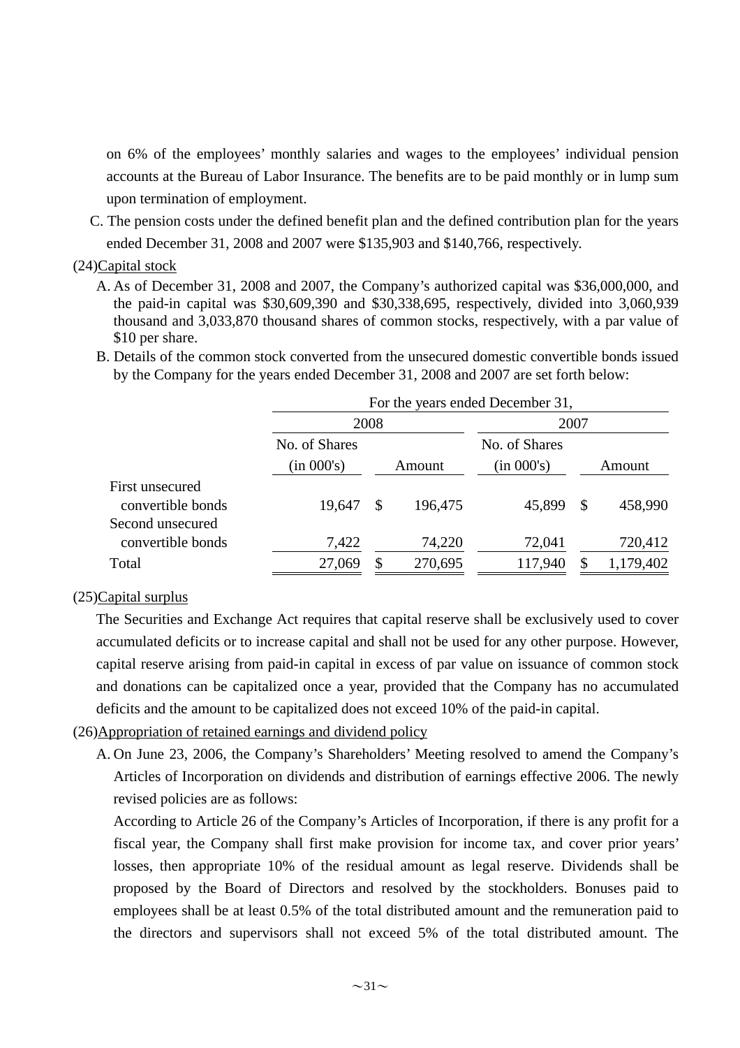on 6% of the employees' monthly salaries and wages to the employees' individual pension accounts at the Bureau of Labor Insurance. The benefits are to be paid monthly or in lump sum upon termination of employment.

C. The pension costs under the defined benefit plan and the defined contribution plan for the years ended December 31, 2008 and 2007 were \$135,903 and \$140,766, respectively.

#### (24)Capital stock

- A. As of December 31, 2008 and 2007, the Company's authorized capital was \$36,000,000, and the paid-in capital was \$30,609,390 and \$30,338,695, respectively, divided into 3,060,939 thousand and 3,033,870 thousand shares of common stocks, respectively, with a par value of \$10 per share.
- B. Details of the common stock converted from the unsecured domestic convertible bonds issued by the Company for the years ended December 31, 2008 and 2007 are set forth below:

|                   | For the years ended December 31, |              |         |               |   |           |  |  |  |
|-------------------|----------------------------------|--------------|---------|---------------|---|-----------|--|--|--|
|                   |                                  | 2008         |         |               |   |           |  |  |  |
|                   | No. of Shares                    |              |         | No. of Shares |   |           |  |  |  |
|                   | (in 000's)                       |              | Amount  | (in 000's)    |   | Amount    |  |  |  |
| First unsecured   |                                  |              |         |               |   |           |  |  |  |
| convertible bonds | 19,647                           | $\mathbb{S}$ | 196,475 | 45,899        | S | 458,990   |  |  |  |
| Second unsecured  |                                  |              |         |               |   |           |  |  |  |
| convertible bonds | 7,422                            |              | 74,220  | 72,041        |   | 720,412   |  |  |  |
| Total             | 27,069                           | \$           | 270,695 | 117,940       |   | 1,179,402 |  |  |  |

## (25)Capital surplus

The Securities and Exchange Act requires that capital reserve shall be exclusively used to cover accumulated deficits or to increase capital and shall not be used for any other purpose. However, capital reserve arising from paid-in capital in excess of par value on issuance of common stock and donations can be capitalized once a year, provided that the Company has no accumulated deficits and the amount to be capitalized does not exceed 10% of the paid-in capital.

## (26)Appropriation of retained earnings and dividend policy

A. On June 23, 2006, the Company's Shareholders' Meeting resolved to amend the Company's Articles of Incorporation on dividends and distribution of earnings effective 2006. The newly revised policies are as follows:

According to Article 26 of the Company's Articles of Incorporation, if there is any profit for a fiscal year, the Company shall first make provision for income tax, and cover prior years' losses, then appropriate 10% of the residual amount as legal reserve. Dividends shall be proposed by the Board of Directors and resolved by the stockholders. Bonuses paid to employees shall be at least 0.5% of the total distributed amount and the remuneration paid to the directors and supervisors shall not exceed 5% of the total distributed amount. The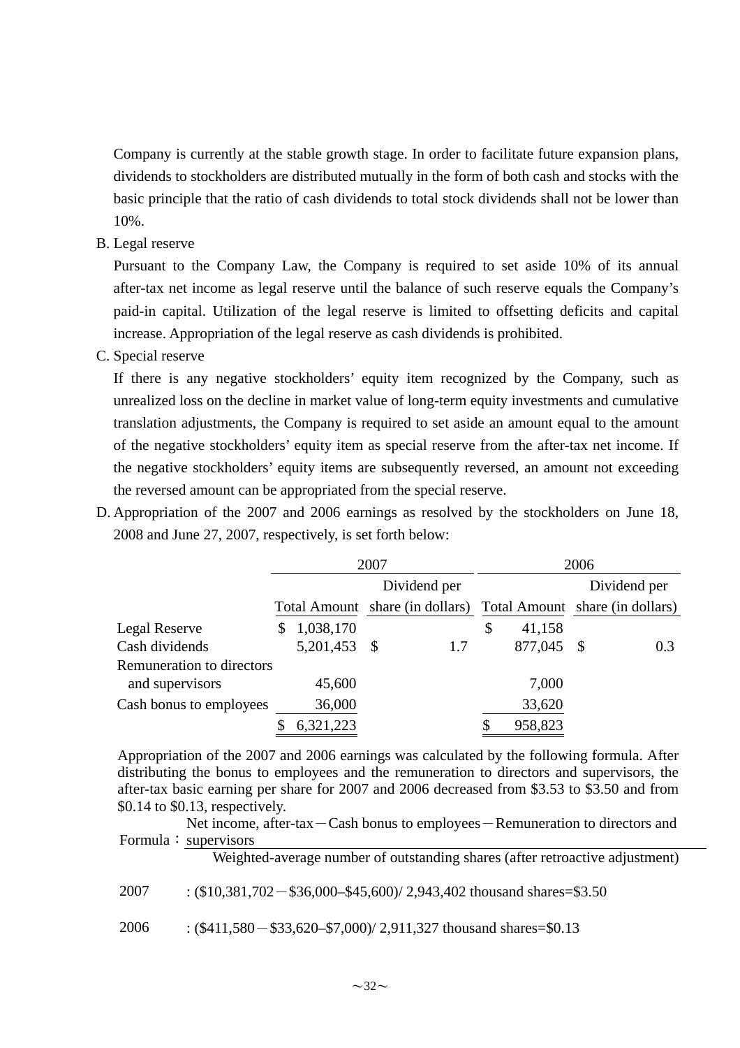Company is currently at the stable growth stage. In order to facilitate future expansion plans, dividends to stockholders are distributed mutually in the form of both cash and stocks with the basic principle that the ratio of cash dividends to total stock dividends shall not be lower than 10%.

B. Legal reserve

Pursuant to the Company Law, the Company is required to set aside 10% of its annual after-tax net income as legal reserve until the balance of such reserve equals the Company's paid-in capital. Utilization of the legal reserve is limited to offsetting deficits and capital increase. Appropriation of the legal reserve as cash dividends is prohibited.

C. Special reserve

If there is any negative stockholders' equity item recognized by the Company, such as unrealized loss on the decline in market value of long-term equity investments and cumulative translation adjustments, the Company is required to set aside an amount equal to the amount of the negative stockholders' equity item as special reserve from the after-tax net income. If the negative stockholders' equity items are subsequently reversed, an amount not exceeding the reversed amount can be appropriated from the special reserve.

D. Appropriation of the 2007 and 2006 earnings as resolved by the stockholders on June 18, 2008 and June 27, 2007, respectively, is set forth below:

|                           | 2007 |              |  |              |                                 | 2006    |               |              |  |                                 |
|---------------------------|------|--------------|--|--------------|---------------------------------|---------|---------------|--------------|--|---------------------------------|
|                           |      |              |  | Dividend per |                                 |         |               | Dividend per |  |                                 |
|                           |      |              |  |              | Total Amount share (in dollars) |         |               |              |  | Total Amount share (in dollars) |
| Legal Reserve             | \$   | 1,038,170    |  |              | \$                              | 41,158  |               |              |  |                                 |
| Cash dividends            |      | 5,201,453 \$ |  | 1.7          |                                 | 877,045 | $\mathcal{S}$ | 0.3          |  |                                 |
| Remuneration to directors |      |              |  |              |                                 |         |               |              |  |                                 |
| and supervisors           |      | 45,600       |  |              |                                 | 7,000   |               |              |  |                                 |
| Cash bonus to employees   |      | 36,000       |  |              |                                 | 33,620  |               |              |  |                                 |
|                           |      | 6,321,223    |  |              |                                 | 958,823 |               |              |  |                                 |

Appropriation of the 2007 and 2006 earnings was calculated by the following formula. After distributing the bonus to employees and the remuneration to directors and supervisors, the after-tax basic earning per share for 2007 and 2006 decreased from \$3.53 to \$3.50 and from \$0.14 to \$0.13, respectively.

Net income, after-tax-Cash bonus to employees-Remuneration to directors and Formula: supervisors

Weighted-average number of outstanding shares (after retroactive adjustment)

2007 : (\$10,381,702 - \$36,000 - \$45,600)/ 2,943,402 thousand shares = \$3.50

2006 : (\$411,580-\$33,620–\$7,000)/ 2,911,327 thousand shares=\$0.13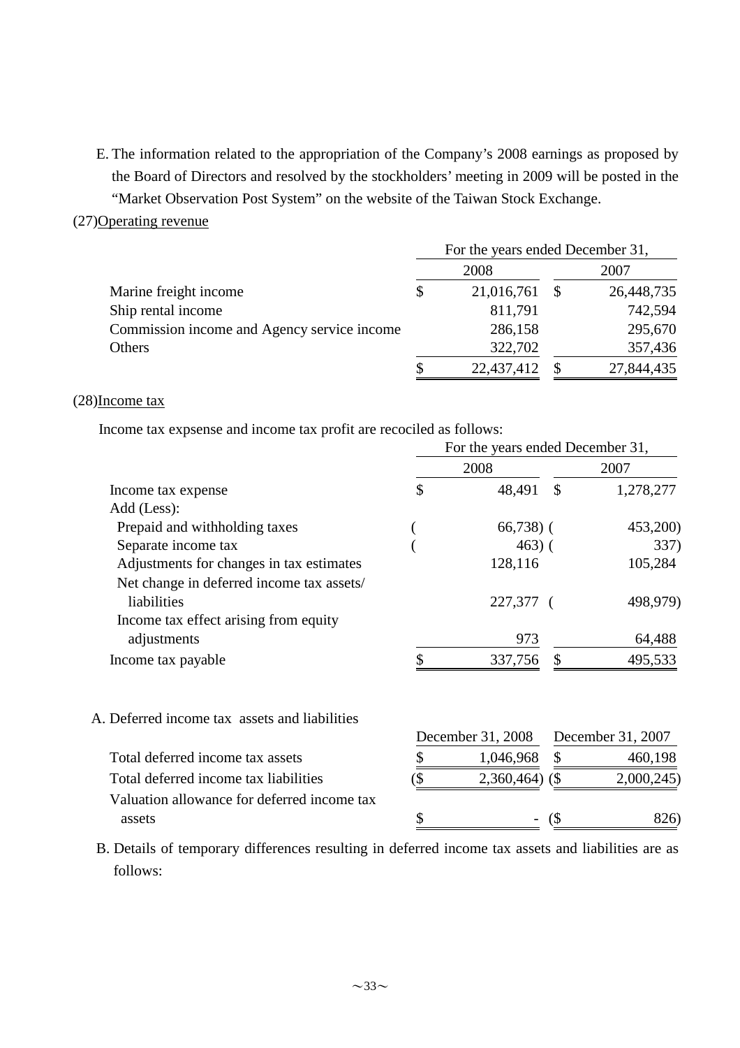E. The information related to the appropriation of the Company's 2008 earnings as proposed by the Board of Directors and resolved by the stockholders' meeting in 2009 will be posted in the "Market Observation Post System" on the website of the Taiwan Stock Exchange.

#### (27)Operating revenue

|                                             | For the years ended December 31, |            |  |            |  |  |  |
|---------------------------------------------|----------------------------------|------------|--|------------|--|--|--|
|                                             | 2008                             |            |  | 2007       |  |  |  |
| Marine freight income                       | S                                | 21,016,761 |  | 26,448,735 |  |  |  |
| Ship rental income                          |                                  | 811,791    |  | 742,594    |  |  |  |
| Commission income and Agency service income |                                  | 286,158    |  | 295,670    |  |  |  |
| Others                                      |                                  | 322,702    |  | 357,436    |  |  |  |
|                                             |                                  | 22,437,412 |  | 27,844,435 |  |  |  |

#### (28)Income tax

Income tax expsense and income tax profit are recociled as follows:

|                                               | For the years ended December 31, |                   |                              |                   |  |  |  |
|-----------------------------------------------|----------------------------------|-------------------|------------------------------|-------------------|--|--|--|
|                                               |                                  | 2008              | 2007                         |                   |  |  |  |
| Income tax expense                            | \$                               | 48,491            | $\mathbb{S}$                 | 1,278,277         |  |  |  |
| Add (Less):                                   |                                  |                   |                              |                   |  |  |  |
| Prepaid and withholding taxes                 |                                  | $66,738$ ) (      |                              | 453,200)          |  |  |  |
| Separate income tax                           |                                  | $463)$ (          |                              | 337)              |  |  |  |
| Adjustments for changes in tax estimates      |                                  | 128,116           |                              | 105,284           |  |  |  |
| Net change in deferred income tax assets/     |                                  |                   |                              |                   |  |  |  |
| liabilities                                   |                                  | 227,377 (         |                              | 498,979)          |  |  |  |
| Income tax effect arising from equity         |                                  |                   |                              |                   |  |  |  |
| adjustments                                   |                                  | 973               |                              | 64,488            |  |  |  |
| Income tax payable                            |                                  | 337,756           | \$                           | 495,533           |  |  |  |
| A. Deferred income tax assets and liabilities |                                  |                   |                              |                   |  |  |  |
|                                               |                                  | December 31, 2008 |                              | December 31, 2007 |  |  |  |
| Total deferred income tax assets              |                                  | 1,046,968         |                              | 460,198           |  |  |  |
| Total deferred income tax liabilities         | \$                               | 2,360,464)        | $\left( \text{\$} \right)$   | 2,000,245         |  |  |  |
| Valuation allowance for deferred income tax   |                                  |                   |                              |                   |  |  |  |
| assets                                        | \$                               |                   | $\left( \mathcal{S} \right)$ | 826)              |  |  |  |

B. Details of temporary differences resulting in deferred income tax assets and liabilities are as follows: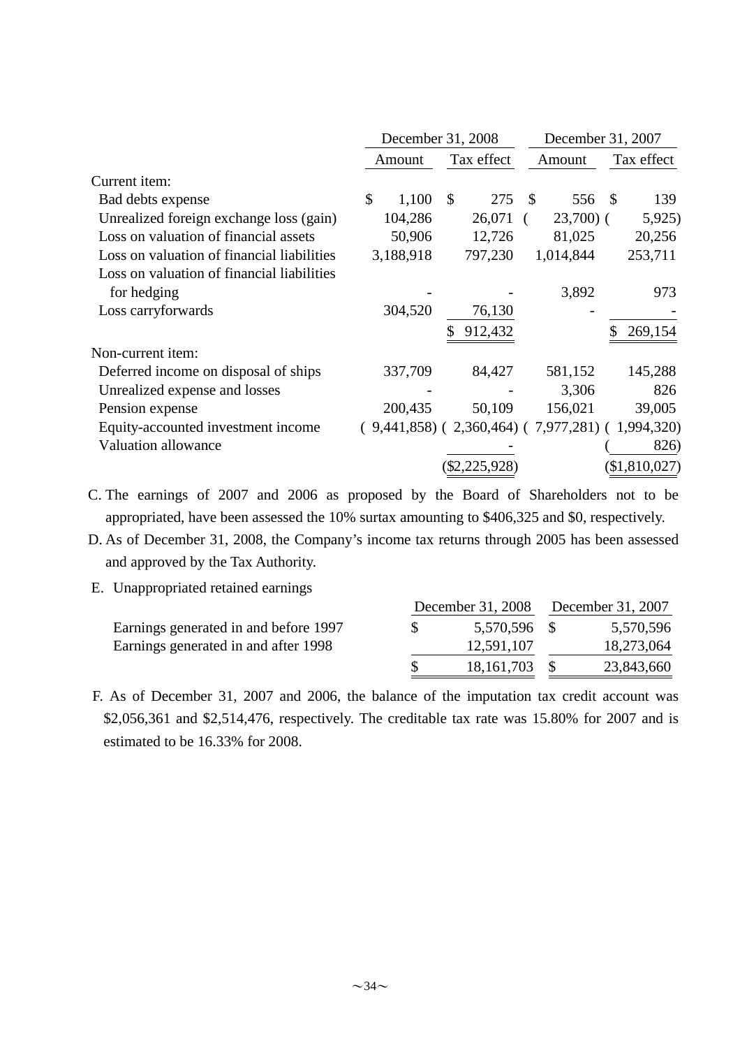|                                            | December 31, 2008 |           |                           |                                                         |    | December 31, 2007 |     |                 |  |
|--------------------------------------------|-------------------|-----------|---------------------------|---------------------------------------------------------|----|-------------------|-----|-----------------|--|
|                                            |                   | Amount    |                           | Tax effect                                              |    | Amount            |     | Tax effect      |  |
| Current item:                              |                   |           |                           |                                                         |    |                   |     |                 |  |
| Bad debts expense                          | \$                | 1,100     | $\boldsymbol{\mathsf{S}}$ | 275                                                     | \$ | 556               | -\$ | 139             |  |
| Unrealized foreign exchange loss (gain)    |                   | 104,286   |                           | 26,071                                                  |    | $23,700$ (        |     | 5,925           |  |
| Loss on valuation of financial assets      |                   | 50,906    |                           | 12,726                                                  |    | 81,025            |     | 20,256          |  |
| Loss on valuation of financial liabilities |                   | 3,188,918 |                           | 797,230                                                 |    | 1,014,844         |     | 253,711         |  |
| Loss on valuation of financial liabilities |                   |           |                           |                                                         |    |                   |     |                 |  |
| for hedging                                |                   |           |                           |                                                         |    | 3,892             |     | 973             |  |
| Loss carryforwards                         |                   | 304,520   |                           | 76,130                                                  |    |                   |     |                 |  |
|                                            |                   |           |                           | 912,432                                                 |    |                   |     | 269,154         |  |
| Non-current item:                          |                   |           |                           |                                                         |    |                   |     |                 |  |
| Deferred income on disposal of ships       |                   | 337,709   |                           | 84,427                                                  |    | 581,152           |     | 145,288         |  |
| Unrealized expense and losses              |                   |           |                           |                                                         |    | 3,306             |     | 826             |  |
| Pension expense                            |                   | 200,435   |                           | 50,109                                                  |    | 156,021           |     | 39,005          |  |
| Equity-accounted investment income         |                   |           |                           | $(9,441,858)$ $(2,360,464)$ $(7,977,281)$ $(1,994,320)$ |    |                   |     |                 |  |
| <b>Valuation allowance</b>                 |                   |           |                           |                                                         |    |                   |     | 826)            |  |
|                                            |                   |           |                           | (\$2,225,928)                                           |    |                   |     | $(\$1,810,027)$ |  |

- C. The earnings of 2007 and 2006 as proposed by the Board of Shareholders not to be appropriated, have been assessed the 10% surtax amounting to \$406,325 and \$0, respectively.
- D. As of December 31, 2008, the Company's income tax returns through 2005 has been assessed and approved by the Tax Authority.
- E. Unappropriated retained earnings

|                                       |    |              | December 31, 2008 December 31, 2007 |            |  |
|---------------------------------------|----|--------------|-------------------------------------|------------|--|
| Earnings generated in and before 1997 | S. | 5,570,596 \$ |                                     | 5,570,596  |  |
| Earnings generated in and after 1998  |    | 12,591,107   |                                     | 18,273,064 |  |
|                                       |    | 18, 161, 703 |                                     | 23,843,660 |  |

F. As of December 31, 2007 and 2006, the balance of the imputation tax credit account was \$2,056,361 and \$2,514,476, respectively. The creditable tax rate was 15.80% for 2007 and is estimated to be 16.33% for 2008.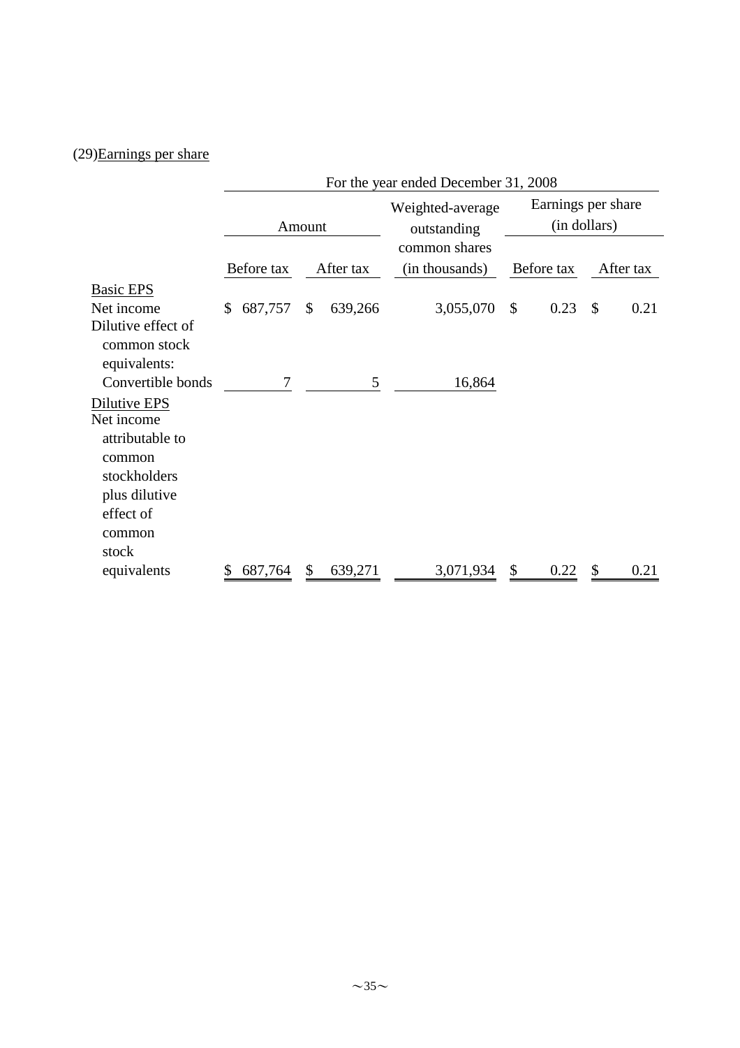# (29)Earnings per share

|                                                                                                                          | For the year ended December 31, 2008 |        |           |                                 |    |            |               |                    |  |  |
|--------------------------------------------------------------------------------------------------------------------------|--------------------------------------|--------|-----------|---------------------------------|----|------------|---------------|--------------------|--|--|
|                                                                                                                          |                                      | Amount |           | Weighted-average<br>outstanding |    |            | (in dollars)  | Earnings per share |  |  |
|                                                                                                                          | Before tax                           |        | After tax | common shares<br>(in thousands) |    | Before tax |               | After tax          |  |  |
| <b>Basic EPS</b>                                                                                                         |                                      |        |           |                                 |    |            |               |                    |  |  |
| Net income                                                                                                               | \$<br>687,757                        | \$     | 639,266   | 3,055,070                       | \$ | 0.23       | $\mathcal{S}$ | 0.21               |  |  |
| Dilutive effect of<br>common stock<br>equivalents:                                                                       |                                      |        |           |                                 |    |            |               |                    |  |  |
| Convertible bonds                                                                                                        | 7                                    |        | 5         | 16,864                          |    |            |               |                    |  |  |
| Dilutive EPS<br>Net income<br>attributable to<br>common<br>stockholders<br>plus dilutive<br>effect of<br>common<br>stock |                                      |        |           |                                 |    |            |               |                    |  |  |
| equivalents                                                                                                              | 687,764                              | \$     | 639,271   | 3,071,934                       | \$ | 0.22       | \$            | 0.21               |  |  |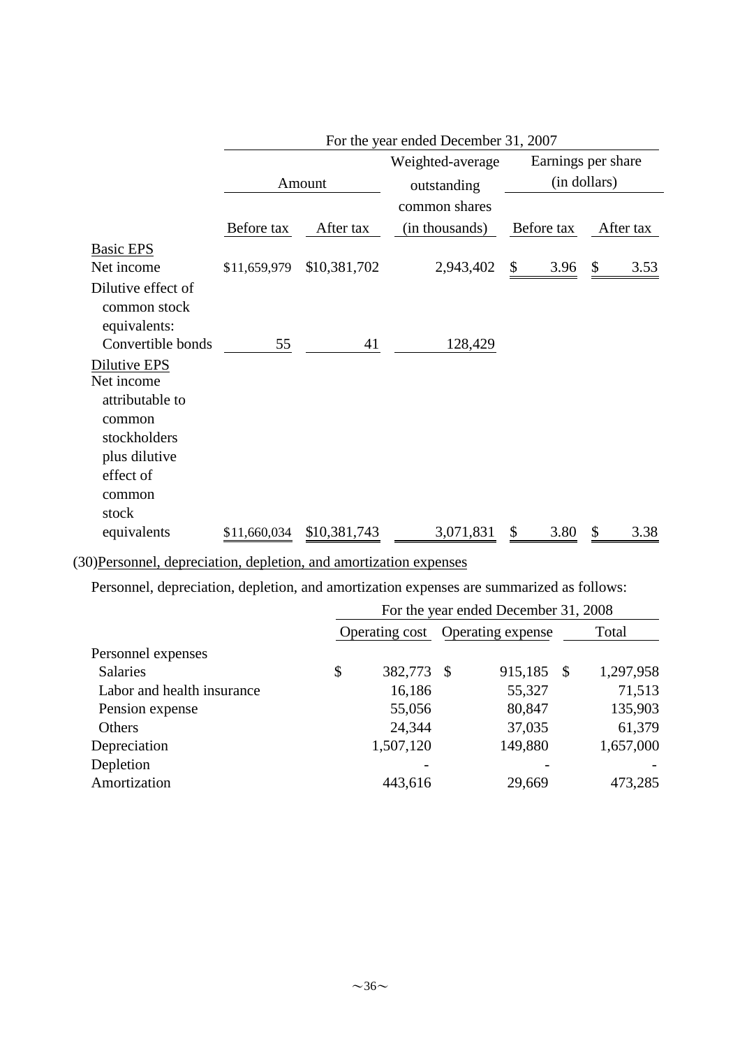|                        | For the year ended December 31, 2007 |              |                  |                                    |            |  |
|------------------------|--------------------------------------|--------------|------------------|------------------------------------|------------|--|
|                        |                                      |              | Weighted-average | Earnings per share<br>(in dollars) |            |  |
|                        |                                      | Amount       | outstanding      |                                    |            |  |
|                        |                                      |              | common shares    |                                    |            |  |
|                        | Before tax                           | After tax    | (in thousands)   | Before tax                         | After tax  |  |
| <b>Basic EPS</b>       |                                      |              |                  |                                    |            |  |
| Net income             | \$11,659,979                         | \$10,381,702 | 2,943,402        | \$<br>3.96                         | \$<br>3.53 |  |
| Dilutive effect of     |                                      |              |                  |                                    |            |  |
| common stock           |                                      |              |                  |                                    |            |  |
| equivalents:           |                                      |              |                  |                                    |            |  |
| Convertible bonds      | 55                                   | 41           | 128,429          |                                    |            |  |
| Dilutive EPS           |                                      |              |                  |                                    |            |  |
| Net income             |                                      |              |                  |                                    |            |  |
| attributable to        |                                      |              |                  |                                    |            |  |
| common<br>stockholders |                                      |              |                  |                                    |            |  |
| plus dilutive          |                                      |              |                  |                                    |            |  |
| effect of              |                                      |              |                  |                                    |            |  |
| common                 |                                      |              |                  |                                    |            |  |
| stock                  |                                      |              |                  |                                    |            |  |
| equivalents            | \$11,660,034                         | \$10,381,743 | 3,071,831        | \$<br>3.80                         | \$<br>3.38 |  |

(30)Personnel, depreciation, depletion, and amortization expenses

Personnel, depreciation, depletion, and amortization expenses are summarized as follows:

| For the year ended December 31, 2008 |           |    |         |                                  |           |  |
|--------------------------------------|-----------|----|---------|----------------------------------|-----------|--|
|                                      |           |    |         | Total                            |           |  |
|                                      |           |    |         |                                  |           |  |
| \$                                   | 382,773   | -S | 915,185 |                                  | 1,297,958 |  |
|                                      | 16,186    |    | 55,327  |                                  | 71,513    |  |
|                                      | 55,056    |    | 80,847  |                                  | 135,903   |  |
|                                      | 24,344    |    | 37,035  |                                  | 61,379    |  |
|                                      | 1,507,120 |    | 149,880 |                                  | 1,657,000 |  |
|                                      |           |    |         |                                  |           |  |
|                                      | 443,616   |    | 29,669  |                                  | 473,285   |  |
|                                      |           |    |         | Operating cost Operating expense | - \$      |  |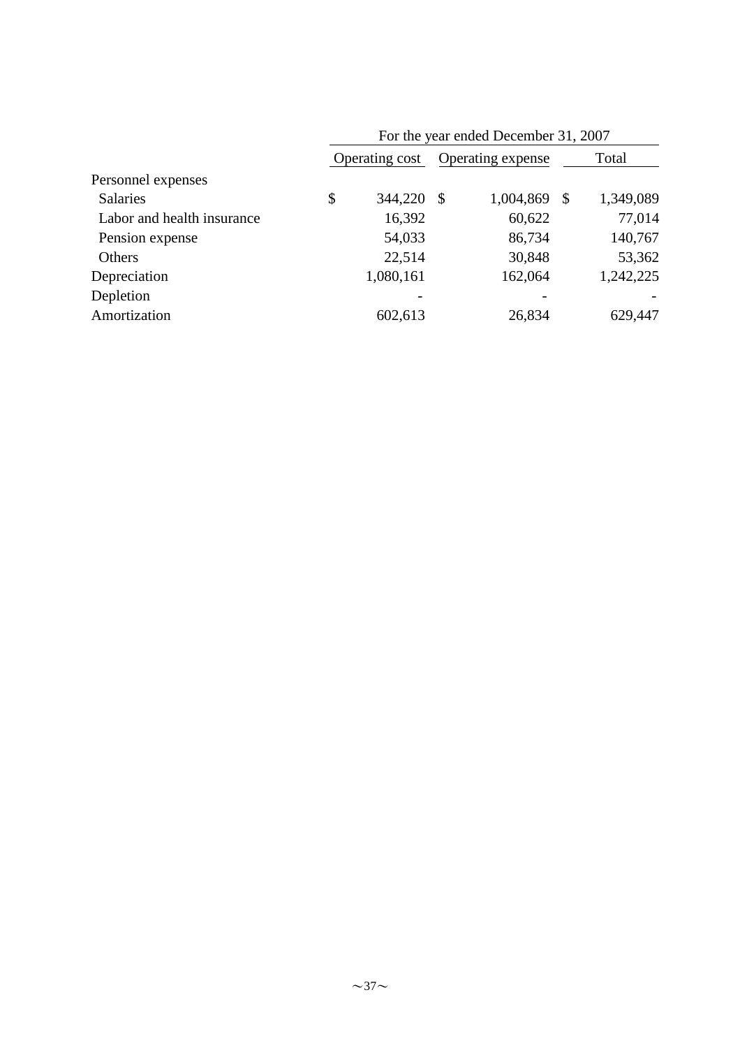|                            |                |           |                   | For the year ended December 31, 2007 |                 |  |
|----------------------------|----------------|-----------|-------------------|--------------------------------------|-----------------|--|
|                            | Operating cost |           | Operating expense |                                      | Total           |  |
| Personnel expenses         |                |           |                   |                                      |                 |  |
| <b>Salaries</b>            | \$             | 344,220   | -\$               | 1,004,869                            | \$<br>1,349,089 |  |
| Labor and health insurance |                | 16,392    |                   | 60,622                               | 77,014          |  |
| Pension expense            |                | 54,033    |                   | 86,734                               | 140,767         |  |
| Others                     |                | 22,514    |                   | 30,848                               | 53,362          |  |
| Depreciation               |                | 1,080,161 |                   | 162,064                              | 1,242,225       |  |
| Depletion                  |                |           |                   |                                      |                 |  |
| Amortization               |                | 602,613   |                   | 26,834                               | 629,447         |  |
|                            |                |           |                   |                                      |                 |  |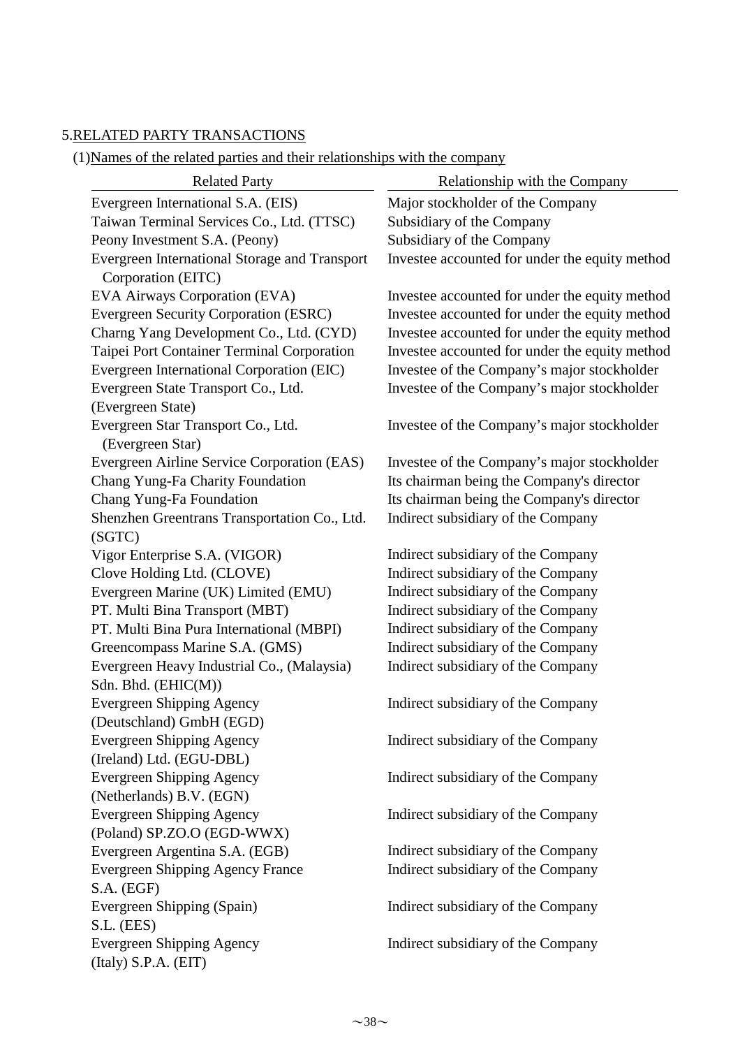### 5.RELATED PARTY TRANSACTIONS

(1)Names of the related parties and their relationships with the company

| <b>Related Party</b>                                     | Relationship with the Company                  |
|----------------------------------------------------------|------------------------------------------------|
| Evergreen International S.A. (EIS)                       | Major stockholder of the Company               |
| Taiwan Terminal Services Co., Ltd. (TTSC)                | Subsidiary of the Company                      |
| Peony Investment S.A. (Peony)                            | Subsidiary of the Company                      |
| Evergreen International Storage and Transport            | Investee accounted for under the equity method |
| Corporation (EITC)                                       |                                                |
| EVA Airways Corporation (EVA)                            | Investee accounted for under the equity method |
| <b>Evergreen Security Corporation (ESRC)</b>             | Investee accounted for under the equity method |
| Charng Yang Development Co., Ltd. (CYD)                  | Investee accounted for under the equity method |
| Taipei Port Container Terminal Corporation               | Investee accounted for under the equity method |
| Evergreen International Corporation (EIC)                | Investee of the Company's major stockholder    |
| Evergreen State Transport Co., Ltd.                      | Investee of the Company's major stockholder    |
| (Evergreen State)                                        |                                                |
| Evergreen Star Transport Co., Ltd.<br>(Evergreen Star)   | Investee of the Company's major stockholder    |
| Evergreen Airline Service Corporation (EAS)              | Investee of the Company's major stockholder    |
| Chang Yung-Fa Charity Foundation                         | Its chairman being the Company's director      |
| Chang Yung-Fa Foundation                                 | Its chairman being the Company's director      |
| Shenzhen Greentrans Transportation Co., Ltd.             | Indirect subsidiary of the Company             |
| (SGTC)                                                   |                                                |
| Vigor Enterprise S.A. (VIGOR)                            | Indirect subsidiary of the Company             |
| Clove Holding Ltd. (CLOVE)                               | Indirect subsidiary of the Company             |
| Evergreen Marine (UK) Limited (EMU)                      | Indirect subsidiary of the Company             |
| PT. Multi Bina Transport (MBT)                           | Indirect subsidiary of the Company             |
| PT. Multi Bina Pura International (MBPI)                 | Indirect subsidiary of the Company             |
| Greencompass Marine S.A. (GMS)                           | Indirect subsidiary of the Company             |
| Evergreen Heavy Industrial Co., (Malaysia)               | Indirect subsidiary of the Company             |
| Sdn. Bhd. (EHIC(M))                                      |                                                |
| <b>Evergreen Shipping Agency</b>                         | Indirect subsidiary of the Company             |
| (Deutschland) GmbH (EGD)                                 |                                                |
| <b>Evergreen Shipping Agency</b>                         | Indirect subsidiary of the Company             |
| (Ireland) Ltd. (EGU-DBL)                                 |                                                |
| <b>Evergreen Shipping Agency</b>                         | Indirect subsidiary of the Company             |
| (Netherlands) B.V. (EGN)                                 |                                                |
| <b>Evergreen Shipping Agency</b>                         | Indirect subsidiary of the Company             |
| (Poland) SP.ZO.O (EGD-WWX)                               |                                                |
| Evergreen Argentina S.A. (EGB)                           | Indirect subsidiary of the Company             |
| <b>Evergreen Shipping Agency France</b>                  | Indirect subsidiary of the Company             |
| S.A. (EGF)                                               |                                                |
| Evergreen Shipping (Spain)                               | Indirect subsidiary of the Company             |
| S.L. (EES)                                               |                                                |
| <b>Evergreen Shipping Agency</b><br>(Italy) S.P.A. (EIT) | Indirect subsidiary of the Company             |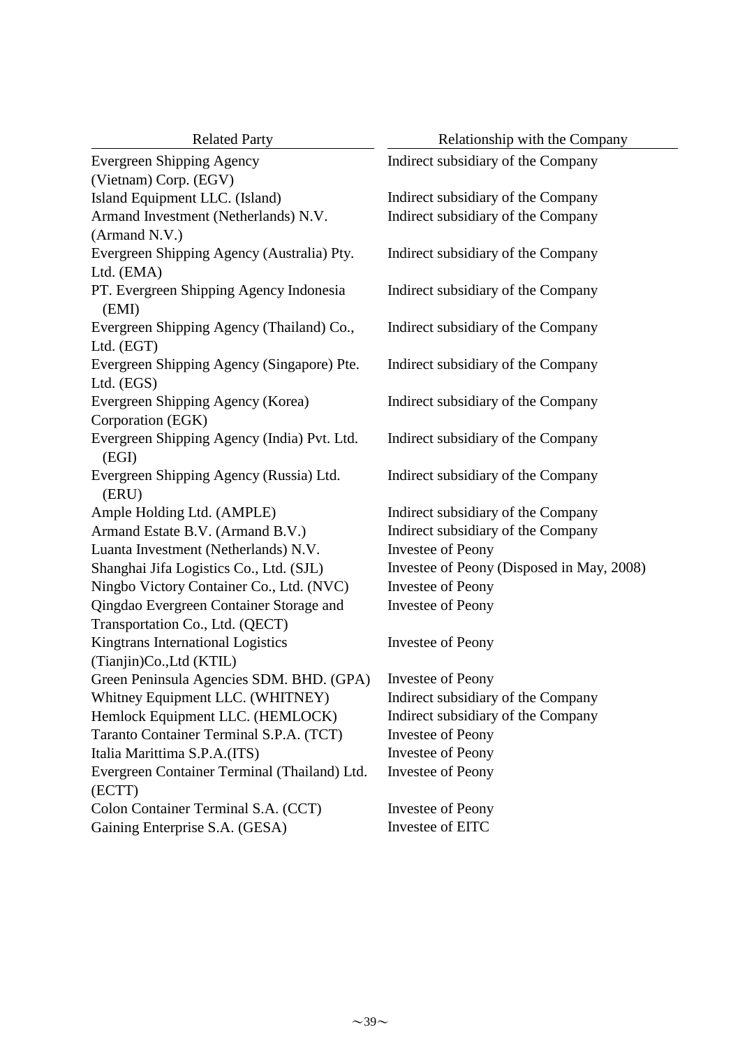| <b>Related Party</b>                         | Relationship with the Company             |  |  |  |
|----------------------------------------------|-------------------------------------------|--|--|--|
| <b>Evergreen Shipping Agency</b>             | Indirect subsidiary of the Company        |  |  |  |
| (Vietnam) Corp. (EGV)                        |                                           |  |  |  |
| Island Equipment LLC. (Island)               | Indirect subsidiary of the Company        |  |  |  |
| Armand Investment (Netherlands) N.V.         | Indirect subsidiary of the Company        |  |  |  |
| (Armand N.V.)                                |                                           |  |  |  |
| Evergreen Shipping Agency (Australia) Pty.   | Indirect subsidiary of the Company        |  |  |  |
| Ltd. (EMA)                                   |                                           |  |  |  |
| PT. Evergreen Shipping Agency Indonesia      | Indirect subsidiary of the Company        |  |  |  |
| (EMI)                                        |                                           |  |  |  |
| Evergreen Shipping Agency (Thailand) Co.,    | Indirect subsidiary of the Company        |  |  |  |
| Ltd. (EGT)                                   |                                           |  |  |  |
| Evergreen Shipping Agency (Singapore) Pte.   | Indirect subsidiary of the Company        |  |  |  |
| Ltd. (EGS)                                   |                                           |  |  |  |
| Evergreen Shipping Agency (Korea)            | Indirect subsidiary of the Company        |  |  |  |
| Corporation (EGK)                            |                                           |  |  |  |
| Evergreen Shipping Agency (India) Pvt. Ltd.  | Indirect subsidiary of the Company        |  |  |  |
| (EGI)                                        |                                           |  |  |  |
| Evergreen Shipping Agency (Russia) Ltd.      | Indirect subsidiary of the Company        |  |  |  |
| (ERU)                                        |                                           |  |  |  |
| Ample Holding Ltd. (AMPLE)                   | Indirect subsidiary of the Company        |  |  |  |
| Armand Estate B.V. (Armand B.V.)             | Indirect subsidiary of the Company        |  |  |  |
| Luanta Investment (Netherlands) N.V.         | <b>Investee of Peony</b>                  |  |  |  |
| Shanghai Jifa Logistics Co., Ltd. (SJL)      | Investee of Peony (Disposed in May, 2008) |  |  |  |
| Ningbo Victory Container Co., Ltd. (NVC)     | <b>Investee of Peony</b>                  |  |  |  |
| Qingdao Evergreen Container Storage and      | <b>Investee of Peony</b>                  |  |  |  |
| Transportation Co., Ltd. (QECT)              |                                           |  |  |  |
| Kingtrans International Logistics            | <b>Investee of Peony</b>                  |  |  |  |
| (Tianjin)Co., Ltd (KTIL)                     |                                           |  |  |  |
| Green Peninsula Agencies SDM. BHD. (GPA)     | <b>Investee of Peony</b>                  |  |  |  |
| Whitney Equipment LLC. (WHITNEY)             | Indirect subsidiary of the Company        |  |  |  |
| Hemlock Equipment LLC. (HEMLOCK)             | Indirect subsidiary of the Company        |  |  |  |
| Taranto Container Terminal S.P.A. (TCT)      | <b>Investee of Peony</b>                  |  |  |  |
| Italia Marittima S.P.A.(ITS)                 | <b>Investee of Peony</b>                  |  |  |  |
| Evergreen Container Terminal (Thailand) Ltd. | Investee of Peony                         |  |  |  |
| (ECTT)                                       |                                           |  |  |  |
| Colon Container Terminal S.A. (CCT)          | <b>Investee of Peony</b>                  |  |  |  |
| Gaining Enterprise S.A. (GESA)               | Investee of EITC                          |  |  |  |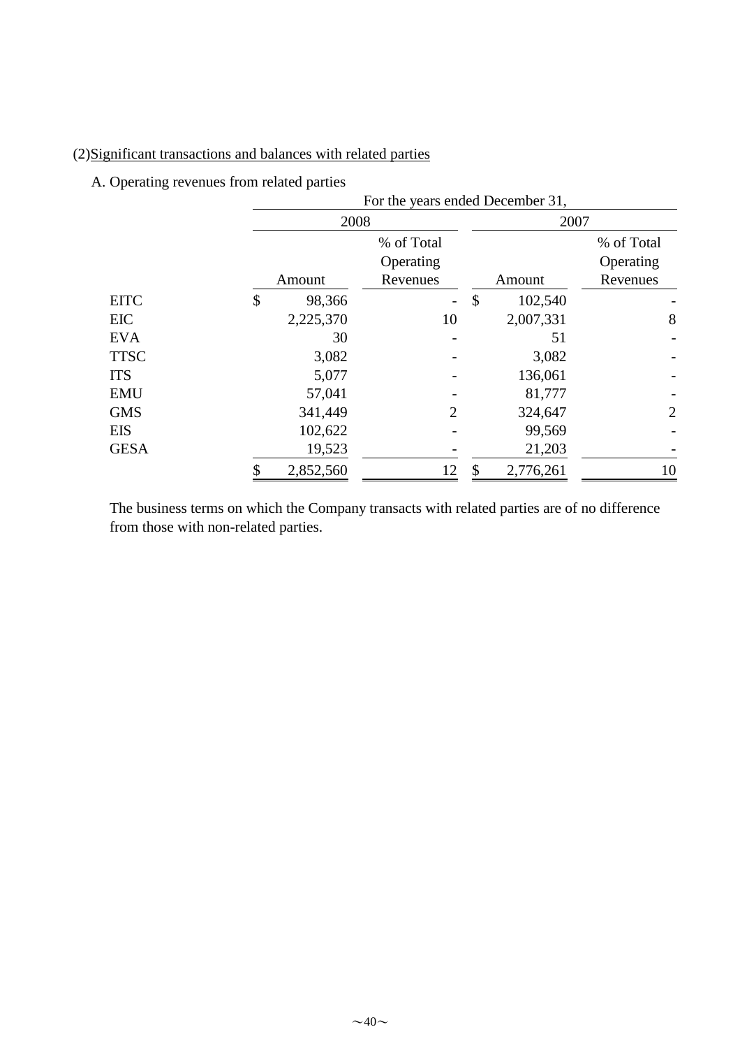# (2)Significant transactions and balances with related parties

A. Operating revenues from related parties

|             | For the years ended December 31, |                          |    |           |            |
|-------------|----------------------------------|--------------------------|----|-----------|------------|
|             | 2008                             |                          |    | 2007      |            |
|             |                                  | % of Total               |    |           | % of Total |
|             |                                  | Operating                |    |           | Operating  |
|             | Amount                           | Revenues                 |    | Amount    | Revenues   |
| <b>EITC</b> | \$<br>98,366                     | $\overline{\phantom{0}}$ | \$ | 102,540   |            |
| <b>EIC</b>  | 2,225,370                        | 10                       |    | 2,007,331 | 8          |
| <b>EVA</b>  | 30                               |                          |    | 51        |            |
| <b>TTSC</b> | 3,082                            |                          |    | 3,082     |            |
| <b>ITS</b>  | 5,077                            |                          |    | 136,061   |            |
| <b>EMU</b>  | 57,041                           |                          |    | 81,777    |            |
| <b>GMS</b>  | 341,449                          | 2                        |    | 324,647   | 2          |
| <b>EIS</b>  | 102,622                          |                          |    | 99,569    |            |
| <b>GESA</b> | 19,523                           |                          |    | 21,203    |            |
|             | 2,852,560                        | 12                       | \$ | 2,776,261 | 10         |

The business terms on which the Company transacts with related parties are of no difference from those with non-related parties.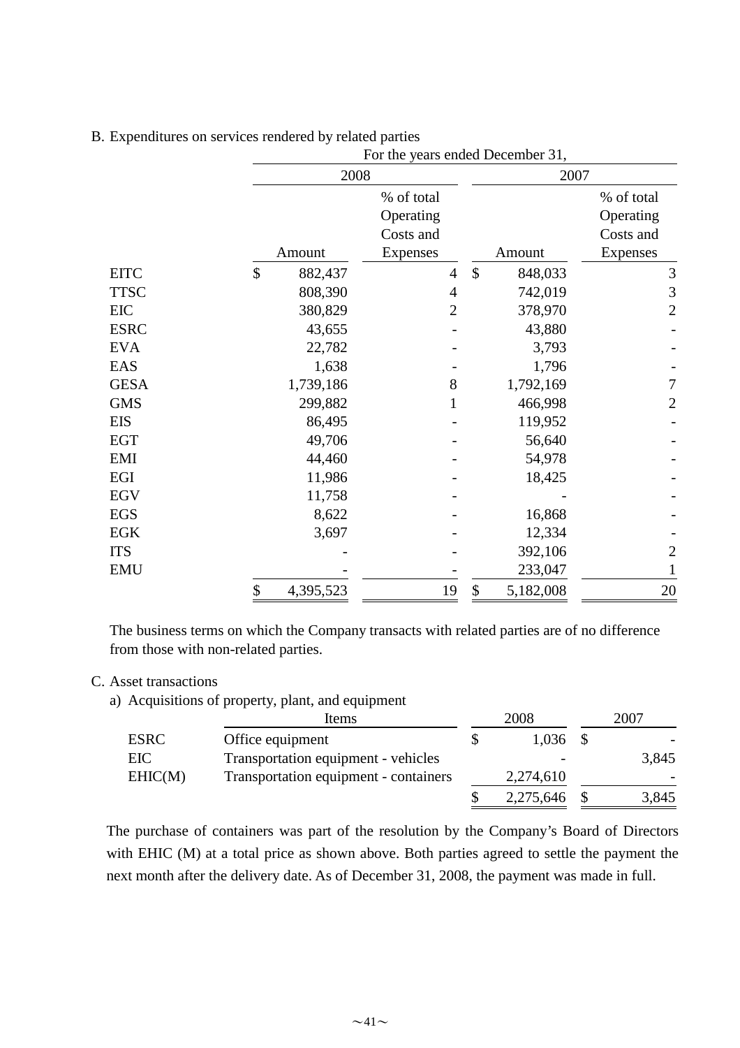|             |                 | 2008           |                          | 2007           |  |  |
|-------------|-----------------|----------------|--------------------------|----------------|--|--|
|             |                 | % of total     |                          | % of total     |  |  |
|             |                 | Operating      |                          | Operating      |  |  |
|             |                 | Costs and      |                          | Costs and      |  |  |
|             | Amount          | Expenses       | Amount                   | Expenses       |  |  |
| <b>EITC</b> | \$<br>882,437   | $\overline{4}$ | $\mathcal{S}$<br>848,033 | $\mathfrak{Z}$ |  |  |
| <b>TTSC</b> | 808,390         | $\overline{4}$ | 742,019                  | $\mathfrak{Z}$ |  |  |
| EIC         | 380,829         | $\overline{2}$ | 378,970                  | $\overline{2}$ |  |  |
| <b>ESRC</b> | 43,655          |                | 43,880                   |                |  |  |
| <b>EVA</b>  | 22,782          |                | 3,793                    |                |  |  |
| EAS         | 1,638           |                | 1,796                    |                |  |  |
| <b>GESA</b> | 1,739,186       | 8              | 1,792,169                | 7              |  |  |
| <b>GMS</b>  | 299,882         |                | 466,998                  | $\overline{2}$ |  |  |
| <b>EIS</b>  | 86,495          |                | 119,952                  |                |  |  |
| <b>EGT</b>  | 49,706          |                | 56,640                   |                |  |  |
| EMI         | 44,460          |                | 54,978                   |                |  |  |
| EGI         | 11,986          |                | 18,425                   |                |  |  |
| <b>EGV</b>  | 11,758          |                |                          |                |  |  |
| <b>EGS</b>  | 8,622           |                | 16,868                   |                |  |  |
| <b>EGK</b>  | 3,697           |                | 12,334                   |                |  |  |
| <b>ITS</b>  |                 |                | 392,106                  | $\overline{2}$ |  |  |
| <b>EMU</b>  |                 |                | 233,047                  | 1              |  |  |
|             | \$<br>4,395,523 | 19             | \$<br>5,182,008          | 20             |  |  |

B. Expenditures on services rendered by related parties

The business terms on which the Company transacts with related parties are of no difference from those with non-related parties.

### C. Asset transactions

a) Acquisitions of property, plant, and equipment

|             | Items                                 |  | 2008      | 2007 |       |
|-------------|---------------------------------------|--|-----------|------|-------|
| <b>ESRC</b> | Office equipment                      |  | 1,036     |      |       |
| EIC         | Transportation equipment - vehicles   |  |           |      | 3,845 |
| EHIC(M)     | Transportation equipment - containers |  | 2,274,610 |      |       |
|             |                                       |  | 2,275,646 |      | 3,845 |

The purchase of containers was part of the resolution by the Company's Board of Directors with EHIC (M) at a total price as shown above. Both parties agreed to settle the payment the next month after the delivery date. As of December 31, 2008, the payment was made in full.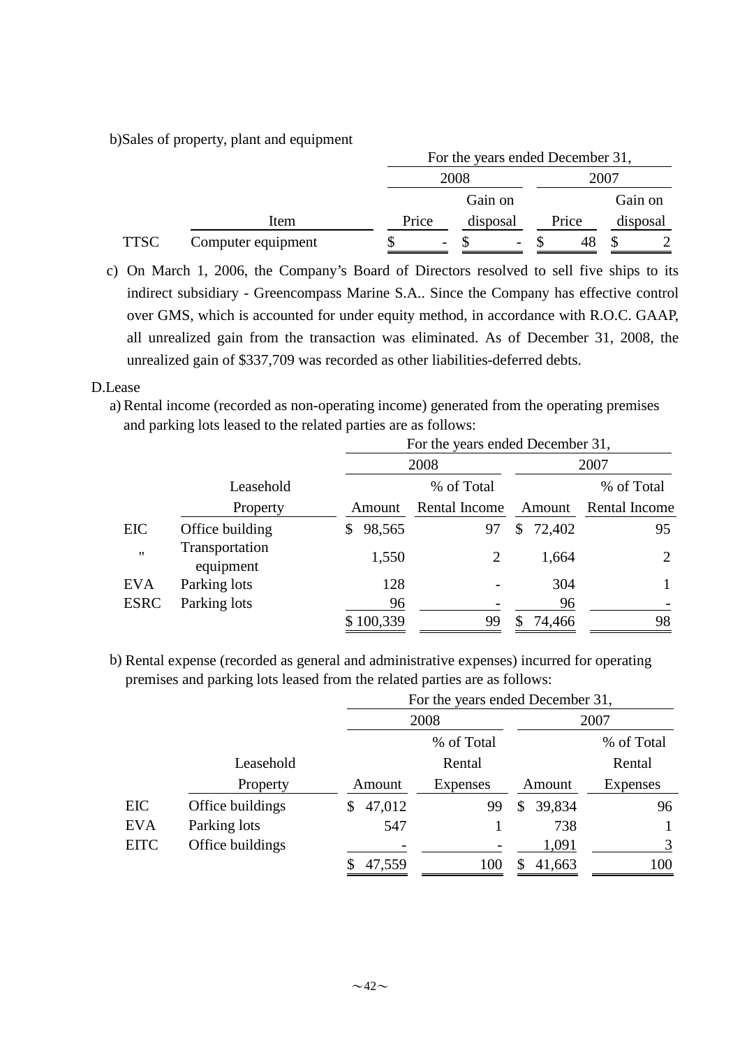b)Sales of property, plant and equipment

|             |                    |       | For the years ended December 31, |          |  |       |  |          |
|-------------|--------------------|-------|----------------------------------|----------|--|-------|--|----------|
|             |                    |       | 2008                             |          |  | 2007  |  |          |
|             |                    |       |                                  | Gain on  |  |       |  | Gain on  |
|             | Item               | Price |                                  | disposal |  | Price |  | disposal |
| <b>TTSC</b> | Computer equipment |       | $\overline{\phantom{a}}$         | -        |  |       |  |          |

c) On March 1, 2006, the Company's Board of Directors resolved to sell five ships to its indirect subsidiary - Greencompass Marine S.A.. Since the Company has effective control over GMS, which is accounted for under equity method, in accordance with R.O.C. GAAP, all unrealized gain from the transaction was eliminated. As of December 31, 2008, the unrealized gain of \$337,709 was recorded as other liabilities-deferred debts.

## D.Lease

a) Rental income (recorded as non-operating income) generated from the operating premises and parking lots leased to the related parties are as follows:

|             |                             | For the years ended December 31, |               |              |               |  |  |
|-------------|-----------------------------|----------------------------------|---------------|--------------|---------------|--|--|
|             |                             |                                  | 2008          |              | 2007          |  |  |
|             | Leasehold                   |                                  | % of Total    |              | % of Total    |  |  |
|             | Property                    | Amount                           | Rental Income | Amount       | Rental Income |  |  |
| EIC         | Office building             | 98,565                           | 97            | 72,402<br>\$ | 95            |  |  |
| $^{\prime}$ | Transportation<br>equipment | 1,550                            | 2             | 1,664        | 2             |  |  |
| <b>EVA</b>  | Parking lots                | 128                              |               | 304          |               |  |  |
| <b>ESRC</b> | Parking lots                | 96                               |               | 96           |               |  |  |
|             |                             | \$100,339                        | 99            | 74,466<br>S  | 98            |  |  |

b) Rental expense (recorded as general and administrative expenses) incurred for operating<br>negative expenses of a service letter have dependent and the service expenses) incurred for operating premises and parking lots leased from the related parties are as follows:

|             |                  |              | For the years ended December 31, |              |                 |  |  |
|-------------|------------------|--------------|----------------------------------|--------------|-----------------|--|--|
|             |                  |              | 2008                             |              | 2007            |  |  |
|             |                  |              | % of Total                       |              | % of Total      |  |  |
|             | Leasehold        |              | Rental                           |              | Rental          |  |  |
|             | Property         | Amount       | Expenses                         | Amount       | <b>Expenses</b> |  |  |
| <b>EIC</b>  | Office buildings | 47,012<br>S. | 99                               | 39,834<br>\$ | 96              |  |  |
| <b>EVA</b>  | Parking lots     | 547          |                                  | 738          |                 |  |  |
| <b>EITC</b> | Office buildings |              |                                  | 1,091        | 3               |  |  |
|             |                  | 47,559       | 100                              | 41,663       | 100             |  |  |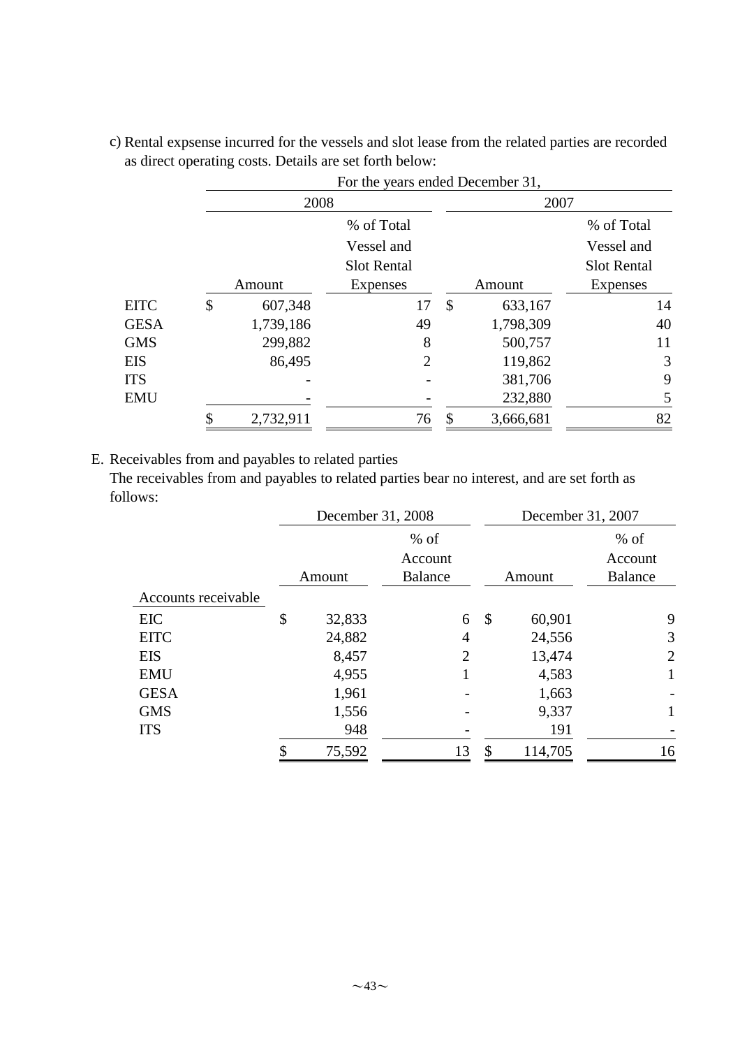|             |               |                    |               | For the years ended December 31, |                    |  |  |
|-------------|---------------|--------------------|---------------|----------------------------------|--------------------|--|--|
|             | 2008          |                    |               | 2007                             |                    |  |  |
|             |               | % of Total         |               |                                  | % of Total         |  |  |
|             |               | Vessel and         |               |                                  | Vessel and         |  |  |
|             |               | <b>Slot Rental</b> |               |                                  | <b>Slot Rental</b> |  |  |
|             | Amount        | Expenses           |               | Amount                           | Expenses           |  |  |
| <b>EITC</b> | \$<br>607,348 | 17                 | $\mathcal{S}$ | 633,167                          | 14                 |  |  |
| <b>GESA</b> | 1,739,186     | 49                 |               | 1,798,309                        | 40                 |  |  |
| <b>GMS</b>  | 299,882       | 8                  |               | 500,757                          | 11                 |  |  |
| EIS         | 86,495        | 2                  |               | 119,862                          | 3                  |  |  |
| ITS         |               |                    |               | 381,706                          | 9                  |  |  |
| EMU         |               |                    |               | 232,880                          | 5                  |  |  |
|             | 2,732,911     | 76                 | \$            | 3,666,681                        | 82                 |  |  |

c) Rental expsense incurred for the vessels and slot lease from the related parties are recorded as direct operating costs. Details are set forth below:

E. Receivables from and payables to related parties

The receivables from and payables to related parties bear no interest, and are set forth as follows:

|                     |    | December 31, 2008 |                |    | December 31, 2007 |                |  |
|---------------------|----|-------------------|----------------|----|-------------------|----------------|--|
|                     |    |                   | $%$ of         |    |                   | $%$ of         |  |
|                     |    |                   | Account        |    |                   | Account        |  |
|                     |    | Amount            | <b>Balance</b> |    | Amount            | <b>Balance</b> |  |
| Accounts receivable |    |                   |                |    |                   |                |  |
| <b>EIC</b>          | \$ | 32,833            | 6              | \$ | 60,901            | 9              |  |
| <b>EITC</b>         |    | 24,882            | $\overline{4}$ |    | 24,556            | 3              |  |
| <b>EIS</b>          |    | 8,457             | 2              |    | 13,474            | 2              |  |
| <b>EMU</b>          |    | 4,955             |                |    | 4,583             | $\mathbf{1}$   |  |
| <b>GESA</b>         |    | 1,961             |                |    | 1,663             |                |  |
| <b>GMS</b>          |    | 1,556             |                |    | 9,337             |                |  |
| <b>ITS</b>          |    | 948               |                |    | 191               |                |  |
|                     | Φ  | 75,592            | 13             | \$ | 114,705           | 16             |  |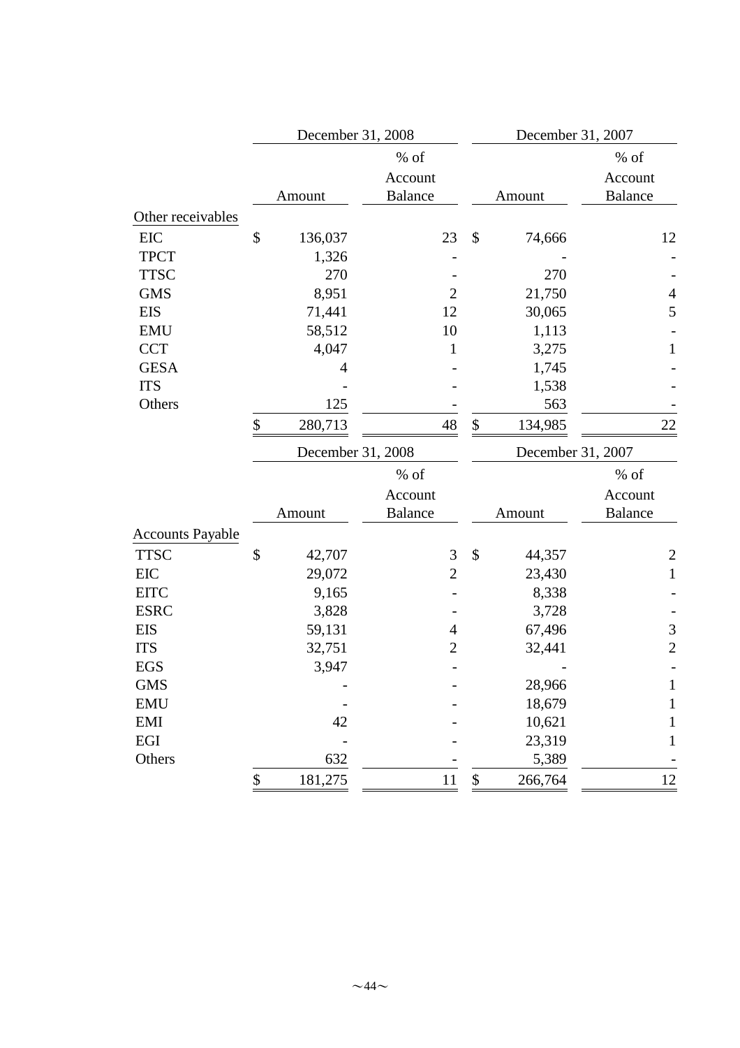|                         | December 31, 2008 |                   |                |                            | December 31, 2007 |                |  |
|-------------------------|-------------------|-------------------|----------------|----------------------------|-------------------|----------------|--|
|                         | % of              |                   |                |                            |                   | $%$ of         |  |
|                         |                   |                   | Account        |                            |                   | Account        |  |
|                         |                   | Amount            | <b>Balance</b> |                            | Amount            | <b>Balance</b> |  |
| Other receivables       |                   |                   |                |                            |                   |                |  |
| <b>EIC</b>              | \$                | 136,037           | 23             | \$                         | 74,666            | 12             |  |
| <b>TPCT</b>             |                   | 1,326             |                |                            |                   |                |  |
| <b>TTSC</b>             |                   | 270               |                |                            | 270               |                |  |
| <b>GMS</b>              |                   | 8,951             | $\mathbf{2}$   |                            | 21,750            | $\overline{4}$ |  |
| <b>EIS</b>              |                   | 71,441            | 12             |                            | 30,065            | 5              |  |
| <b>EMU</b>              |                   | 58,512            | 10             |                            | 1,113             |                |  |
| <b>CCT</b>              |                   | 4,047             | $\mathbf{1}$   |                            | 3,275             | $\mathbf{1}$   |  |
| <b>GESA</b>             |                   | $\overline{4}$    |                |                            | 1,745             |                |  |
| <b>ITS</b>              |                   |                   |                |                            | 1,538             |                |  |
| Others                  |                   | 125               |                |                            | 563               |                |  |
|                         | \$                | 280,713           | 48             | $\boldsymbol{\mathsf{\$}}$ | 134,985           | 22             |  |
|                         |                   | December 31, 2008 |                |                            | December 31, 2007 |                |  |
|                         |                   |                   | $%$ of         |                            |                   | $%$ of         |  |
|                         |                   |                   | Account        |                            |                   | Account        |  |
|                         |                   | Amount            | <b>Balance</b> |                            | Amount            | <b>Balance</b> |  |
| <b>Accounts Payable</b> |                   |                   |                |                            |                   |                |  |
| <b>TTSC</b>             | \$                | 42,707            | 3              | \$                         | 44,357            | $\overline{c}$ |  |
| <b>EIC</b>              |                   | 29,072            | $\overline{2}$ |                            | 23,430            | $\mathbf{1}$   |  |
| <b>EITC</b>             |                   | 9,165             |                |                            | 8,338             |                |  |
| <b>ESRC</b>             |                   | 3,828             |                |                            | 3,728             |                |  |
| <b>EIS</b>              |                   | 59,131            | 4              |                            | 67,496            | $\mathfrak{Z}$ |  |
| <b>ITS</b>              |                   | 32,751            | $\overline{c}$ |                            | 32,441            | $\overline{2}$ |  |
| <b>EGS</b>              |                   | 3,947             |                |                            |                   |                |  |
| <b>GMS</b>              |                   |                   |                |                            | 28,966            | $\mathbf{1}$   |  |
| <b>EMU</b>              |                   |                   |                |                            | 18,679            | $\mathbf{1}$   |  |
| <b>EMI</b>              |                   | 42                |                |                            | 10,621            | 1              |  |
| EGI                     |                   |                   |                |                            | 23,319            | 1              |  |
| Others                  |                   | 632               |                |                            | 5,389             |                |  |
|                         | \$                | 181,275           | 11             | \$                         | 266,764           | 12             |  |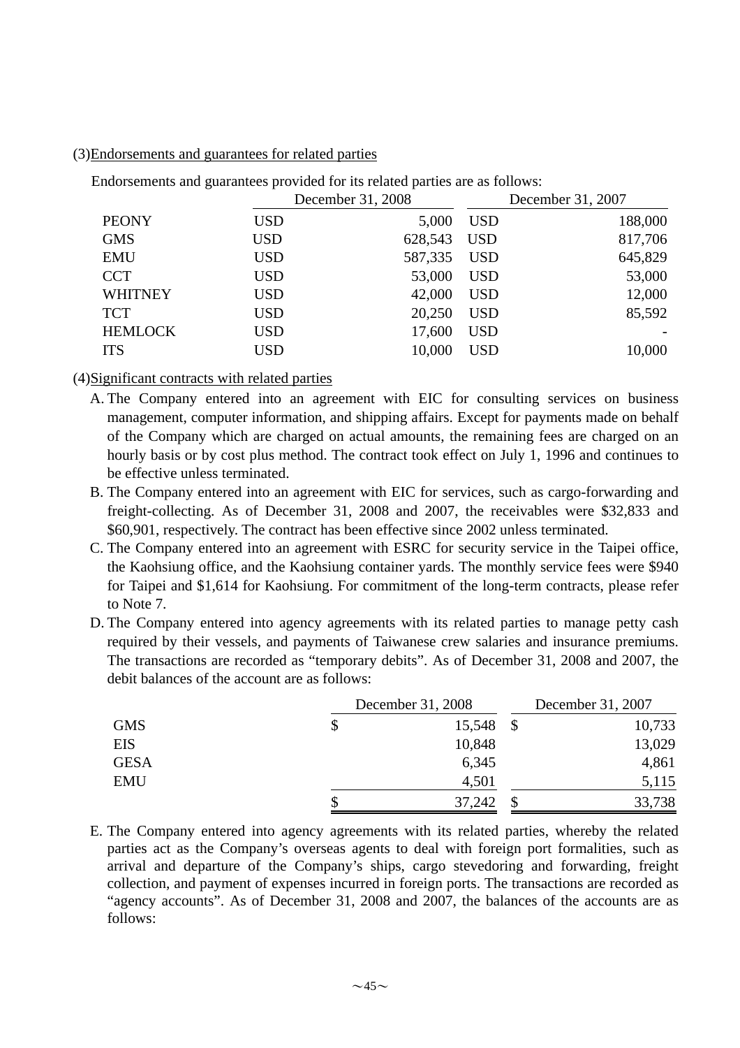### (3)Endorsements and guarantees for related parties

Endorsements and guarantees provided for its related parties are as follows:

|                |            | December 31, 2008 |            | December 31, 2007 |  |
|----------------|------------|-------------------|------------|-------------------|--|
| <b>PEONY</b>   | <b>USD</b> | 5,000             | <b>USD</b> | 188,000           |  |
| <b>GMS</b>     | <b>USD</b> | 628,543           | <b>USD</b> | 817,706           |  |
| <b>EMU</b>     | <b>USD</b> | 587,335           | <b>USD</b> | 645,829           |  |
| <b>CCT</b>     | <b>USD</b> | 53,000            | <b>USD</b> | 53,000            |  |
| <b>WHITNEY</b> | <b>USD</b> | 42,000            | <b>USD</b> | 12,000            |  |
| <b>TCT</b>     | <b>USD</b> | 20,250            | <b>USD</b> | 85,592            |  |
| <b>HEMLOCK</b> | <b>USD</b> | 17,600            | <b>USD</b> |                   |  |
| <b>ITS</b>     | USD        | 10,000            | <b>USD</b> | 10,000            |  |

(4)Significant contracts with related parties

- A. The Company entered into an agreement with EIC for consulting services on business management, computer information, and shipping affairs. Except for payments made on behalf of the Company which are charged on actual amounts, the remaining fees are charged on an hourly basis or by cost plus method. The contract took effect on July 1, 1996 and continues to be effective unless terminated.
- B. The Company entered into an agreement with EIC for services, such as cargo-forwarding and freight-collecting. As of December 31, 2008 and 2007, the receivables were \$32,833 and \$60,901, respectively. The contract has been effective since 2002 unless terminated.
- C. The Company entered into an agreement with ESRC for security service in the Taipei office, the Kaohsiung office, and the Kaohsiung container yards. The monthly service fees were \$940 for Taipei and \$1,614 for Kaohsiung. For commitment of the long-term contracts, please refer to Note 7.
- D. The Company entered into agency agreements with its related parties to manage petty cash required by their vessels, and payments of Taiwanese crew salaries and insurance premiums. The transactions are recorded as "temporary debits". As of December 31, 2008 and 2007, the debit balances of the account are as follows:

|             | December 31, 2008 | December 31, 2007 |        |
|-------------|-------------------|-------------------|--------|
| <b>GMS</b>  | \$<br>15,548      |                   | 10,733 |
| <b>EIS</b>  | 10,848            |                   | 13,029 |
| <b>GESA</b> | 6,345             |                   | 4,861  |
| <b>EMU</b>  | 4,501             |                   | 5,115  |
|             | 37,242            |                   | 33,738 |

E. The Company entered into agency agreements with its related parties, whereby the related parties act as the Company's overseas agents to deal with foreign port formalities, such as arrival and departure of the Company's ships, cargo stevedoring and forwarding, freight collection, and payment of expenses incurred in foreign ports. The transactions are recorded as "agency accounts". As of December 31, 2008 and 2007, the balances of the accounts are as follows: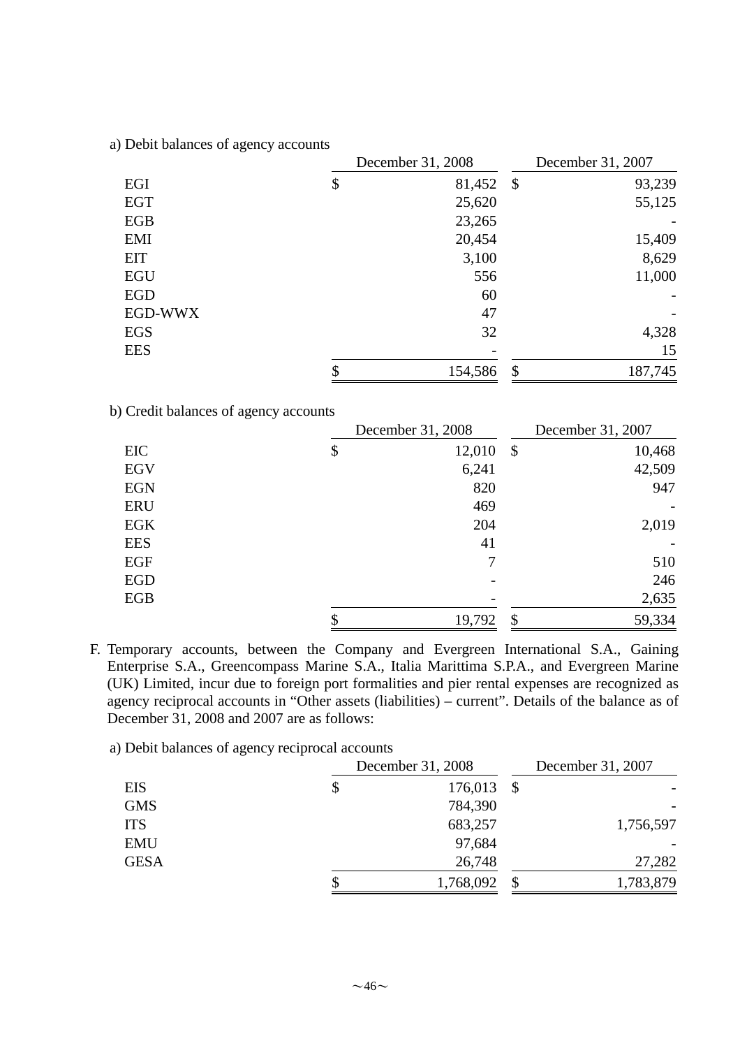|            | December 31, 2008 | December 31, 2007 |
|------------|-------------------|-------------------|
| EGI        | \$<br>81,452 \$   | 93,239            |
| <b>EGT</b> | 25,620            | 55,125            |
| <b>EGB</b> | 23,265            |                   |
| EMI        | 20,454            | 15,409            |
| <b>EIT</b> | 3,100             | 8,629             |
| <b>EGU</b> | 556               | 11,000            |
| <b>EGD</b> | 60                |                   |
| EGD-WWX    | 47                |                   |
| <b>EGS</b> | 32                | 4,328             |
| <b>EES</b> |                   | 15                |
|            | \$<br>154,586     | \$<br>187,745     |

a) Debit balances of agency accounts

b) Credit balances of agency accounts

|            | December 31, 2008 |                           | December 31, 2007 |
|------------|-------------------|---------------------------|-------------------|
| EIC        | \$<br>12,010      | $\boldsymbol{\mathsf{S}}$ | 10,468            |
| <b>EGV</b> | 6,241             |                           | 42,509            |
| <b>EGN</b> | 820               |                           | 947               |
| <b>ERU</b> | 469               |                           |                   |
| <b>EGK</b> | 204               |                           | 2,019             |
| <b>EES</b> | 41                |                           |                   |
| <b>EGF</b> | 7                 |                           | 510               |
| <b>EGD</b> |                   |                           | 246               |
| EGB        |                   |                           | 2,635             |
|            | \$<br>19,792      | $\boldsymbol{\mathsf{S}}$ | 59,334            |

F. Temporary accounts, between the Company and Evergreen International S.A., Gaining Enterprise S.A., Greencompass Marine S.A., Italia Marittima S.P.A., and Evergreen Marine (UK) Limited, incur due to foreign port formalities and pier rental expenses are recognized as agency reciprocal accounts in "Other assets (liabilities) – current". Details of the balance as of December 31, 2008 and 2007 are as follows:

a) Debit balances of agency reciprocal accounts

|             | December 31, 2008 | December 31, 2007 |  |
|-------------|-------------------|-------------------|--|
| <b>EIS</b>  | 176,013           | - \$              |  |
| <b>GMS</b>  | 784,390           |                   |  |
| <b>ITS</b>  | 683,257           | 1,756,597         |  |
| <b>EMU</b>  | 97,684            |                   |  |
| <b>GESA</b> | 26,748            | 27,282            |  |
|             | 1,768,092         | 1,783,879         |  |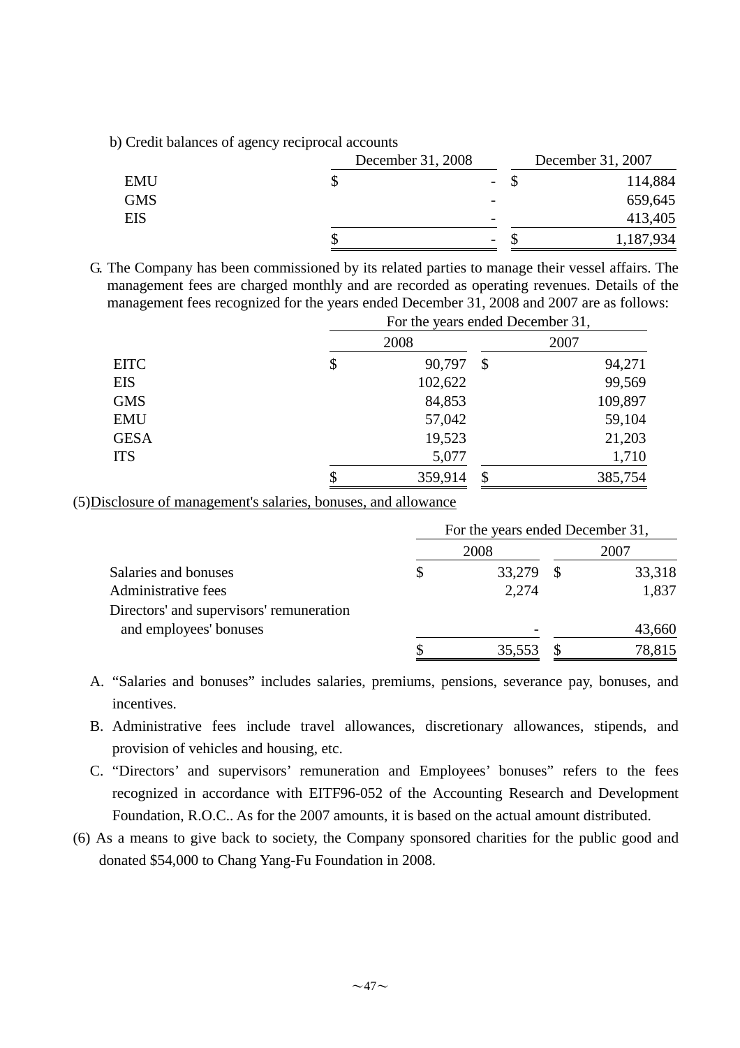b) Credit balances of agency reciprocal accounts

|            | December 31, 2008 |                          | December 31, 2007 |
|------------|-------------------|--------------------------|-------------------|
| <b>EMU</b> |                   | $\sim$                   | 114,884           |
| <b>GMS</b> |                   | $\overline{\phantom{a}}$ | 659,645           |
| <b>EIS</b> |                   | $\overline{\phantom{0}}$ | 413,405           |
|            |                   | $\overline{\phantom{0}}$ | 1,187,934         |

G. The Company has been commissioned by its related parties to manage their vessel affairs. The management fees are charged monthly and are recorded as operating revenues. Details of the management fees recognized for the years ended December 31, 2008 and 2007 are as follows:

|             | For the years ended December 31, |                           |         |  |
|-------------|----------------------------------|---------------------------|---------|--|
|             | 2008                             |                           | 2007    |  |
| <b>EITC</b> | \$<br>90,797                     | $\boldsymbol{\mathsf{S}}$ | 94,271  |  |
| <b>EIS</b>  | 102,622                          |                           | 99,569  |  |
| <b>GMS</b>  | 84,853                           |                           | 109,897 |  |
| <b>EMU</b>  | 57,042                           |                           | 59,104  |  |
| <b>GESA</b> | 19,523                           |                           | 21,203  |  |
| <b>ITS</b>  | 5,077                            |                           | 1,710   |  |
|             | \$<br>359,914                    | \$                        | 385,754 |  |

(5)Disclosure of management's salaries, bonuses, and allowance

|                                          | For the years ended December 31, |        |      |        |  |
|------------------------------------------|----------------------------------|--------|------|--------|--|
|                                          |                                  | 2008   | 2007 |        |  |
| Salaries and bonuses                     |                                  | 33,279 |      | 33,318 |  |
| Administrative fees                      |                                  | 2,274  |      | 1,837  |  |
| Directors' and supervisors' remuneration |                                  |        |      |        |  |
| and employees' bonuses                   |                                  |        |      | 43,660 |  |
|                                          |                                  | 35,553 |      | 78,815 |  |

- A. "Salaries and bonuses" includes salaries, premiums, pensions, severance pay, bonuses, and incentives.
- B. Administrative fees include travel allowances, discretionary allowances, stipends, and provision of vehicles and housing, etc.
- C. "Directors' and supervisors' remuneration and Employees' bonuses" refers to the fees recognized in accordance with EITF96-052 of the Accounting Research and Development Foundation, R.O.C.. As for the 2007 amounts, it is based on the actual amount distributed.
- (6) As a means to give back to society, the Company sponsored charities for the public good and donated \$54,000 to Chang Yang-Fu Foundation in 2008.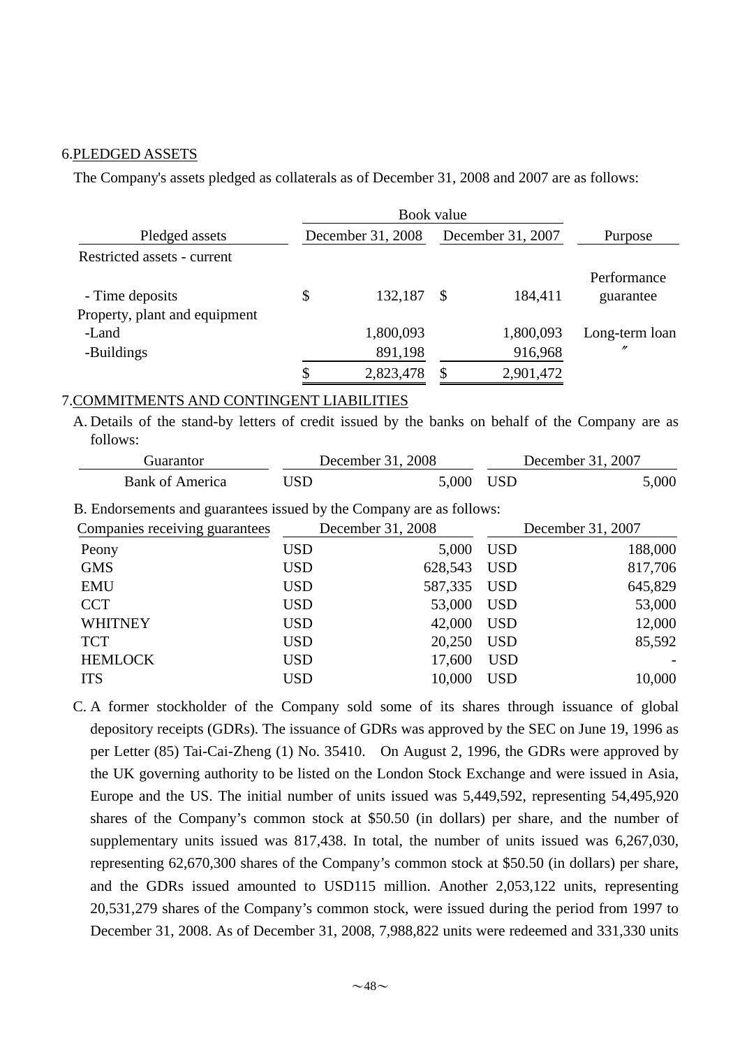#### 6.PLEDGED ASSETS

The Company's assets pledged as collaterals as of December 31, 2008 and 2007 are as follows:

| Pledged assets                | December 31, 2008 |           | December 31, 2007 |           | Purpose                  |  |
|-------------------------------|-------------------|-----------|-------------------|-----------|--------------------------|--|
| Restricted assets - current   |                   |           |                   |           |                          |  |
| - Time deposits               | \$                | 132,187   | <sup>\$</sup>     | 184,411   | Performance<br>guarantee |  |
| Property, plant and equipment |                   |           |                   |           |                          |  |
| -Land                         |                   | 1,800,093 |                   | 1,800,093 | Long-term loan           |  |
| -Buildings                    |                   | 891,198   |                   | 916,968   | "                        |  |
|                               | J                 | 2,823,478 |                   | 2,901,472 |                          |  |

## 7.COMMITMENTS AND CONTINGENT LIABILITIES

A. Details of the stand-by letters of credit issued by the banks on behalf of the Company are as follows:

| . Juarantor     |       | December 31, 2008 |     | December 31, 2007 |  |  |
|-----------------|-------|-------------------|-----|-------------------|--|--|
| Bank of America | 'ISD- | 5,000             | USD | 5,000             |  |  |

B. Endorsements and guarantees issued by the Company are as follows:

| Companies receiving guarantees |            | December 31, 2008 | December 31, 2007 |         |  |
|--------------------------------|------------|-------------------|-------------------|---------|--|
| Peony                          | <b>USD</b> | 5,000             | <b>USD</b>        | 188,000 |  |
| <b>GMS</b>                     | <b>USD</b> | 628,543           | <b>USD</b>        | 817,706 |  |
| <b>EMU</b>                     | <b>USD</b> | 587,335           | <b>USD</b>        | 645,829 |  |
| <b>CCT</b>                     | <b>USD</b> | 53,000            | <b>USD</b>        | 53,000  |  |
| <b>WHITNEY</b>                 | <b>USD</b> | 42,000            | <b>USD</b>        | 12,000  |  |
| <b>TCT</b>                     | <b>USD</b> | 20,250            | <b>USD</b>        | 85,592  |  |
| <b>HEMLOCK</b>                 | <b>USD</b> | 17,600            | <b>USD</b>        |         |  |
| <b>ITS</b>                     | <b>USD</b> | 10,000            | <b>USD</b>        | 10,000  |  |

C. A former stockholder of the Company sold some of its shares through issuance of global depository receipts (GDRs). The issuance of GDRs was approved by the SEC on June 19, 1996 as per Letter (85) Tai-Cai-Zheng (1) No. 35410. On August 2, 1996, the GDRs were approved by the UK governing authority to be listed on the London Stock Exchange and were issued in Asia, Europe and the US. The initial number of units issued was 5,449,592, representing 54,495,920 shares of the Company's common stock at \$50.50 (in dollars) per share, and the number of supplementary units issued was 817,438. In total, the number of units issued was 6,267,030, representing 62,670,300 shares of the Company's common stock at \$50.50 (in dollars) per share, and the GDRs issued amounted to USD115 million. Another 2,053,122 units, representing 20,531,279 shares of the Company's common stock, were issued during the period from 1997 to December 31, 2008. As of December 31, 2008, 7,988,822 units were redeemed and 331,330 units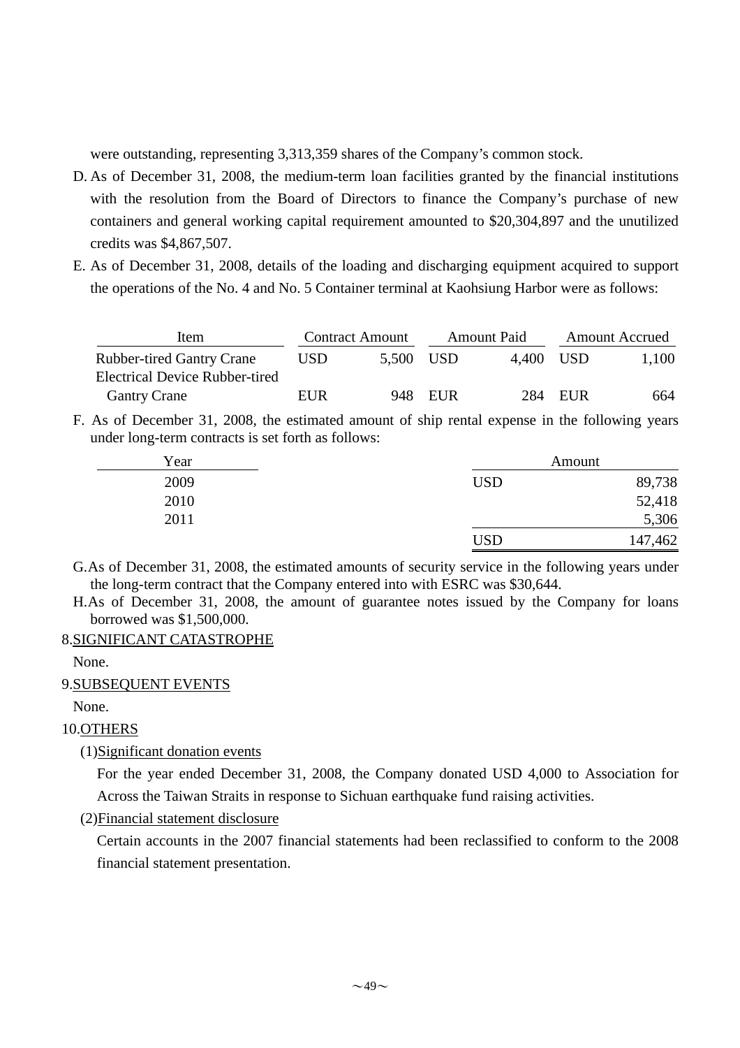were outstanding, representing 3,313,359 shares of the Company's common stock.

- D. As of December 31, 2008, the medium-term loan facilities granted by the financial institutions with the resolution from the Board of Directors to finance the Company's purchase of new containers and general working capital requirement amounted to \$20,304,897 and the unutilized credits was \$4,867,507.
- E. As of December 31, 2008, details of the loading and discharging equipment acquired to support the operations of the No. 4 and No. 5 Container terminal at Kaohsiung Harbor were as follows:

| Item                                  |      | <b>Contract Amount</b> |         | <b>Amount Paid</b> | <b>Amount Accrued</b> |       |
|---------------------------------------|------|------------------------|---------|--------------------|-----------------------|-------|
| <b>Rubber-tired Gantry Crane</b>      | USD. | 5,500 USD              |         | 4.400 USD          |                       | 1,100 |
| <b>Electrical Device Rubber-tired</b> |      |                        |         |                    |                       |       |
| <b>Gantry Crane</b>                   | EUR  |                        | 948 EUR |                    | 284 EUR               | 664   |

F. As of December 31, 2008, the estimated amount of ship rental expense in the following years under long-term contracts is set forth as follows:

| Year |            | Amount  |
|------|------------|---------|
| 2009 | <b>USD</b> | 89,738  |
| 2010 |            | 52,418  |
| 2011 |            | 5,306   |
|      | <b>USD</b> | 147,462 |

- G.As of December 31, 2008, the estimated amounts of security service in the following years under the long-term contract that the Company entered into with ESRC was \$30,644.
- H.As of December 31, 2008, the amount of guarantee notes issued by the Company for loans borrowed was \$1,500,000.

### 8.SIGNIFICANT CATASTROPHE

None.

### 9.SUBSEQUENT EVENTS

None.

# 10.OTHERS

(1)Significant donation events

For the year ended December 31, 2008, the Company donated USD 4,000 to Association for Across the Taiwan Straits in response to Sichuan earthquake fund raising activities.

(2)Financial statement disclosure

Certain accounts in the 2007 financial statements had been reclassified to conform to the 2008 financial statement presentation.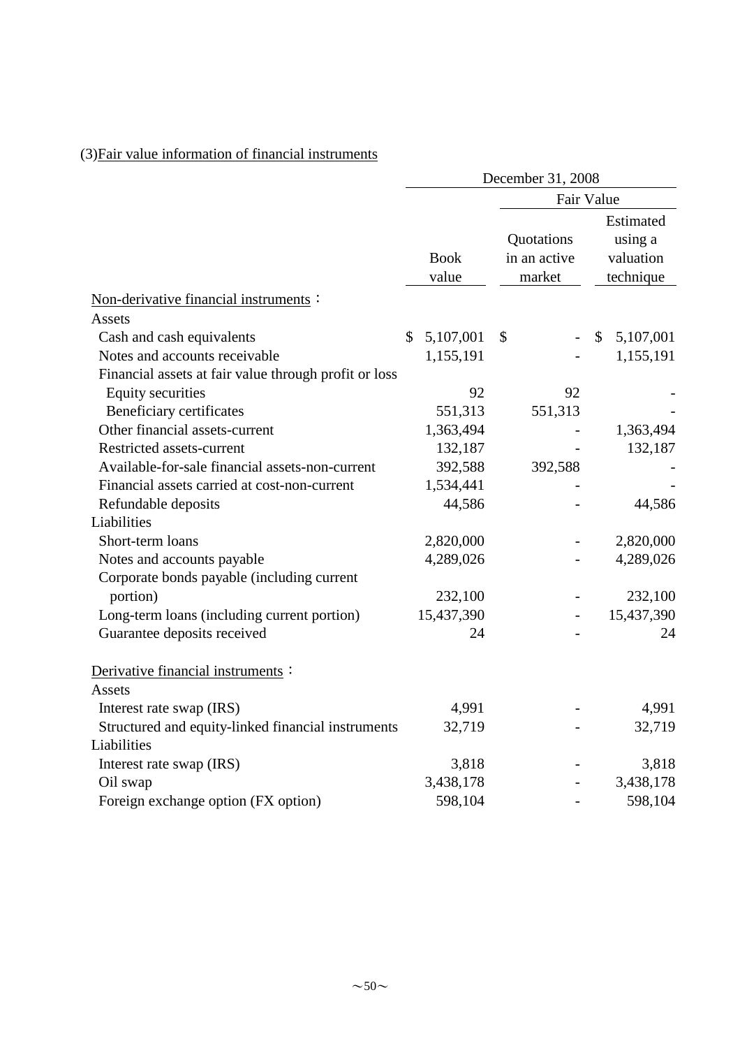# (3)Fair value information of financial instruments

|                                                       | December 31, 2008 |                      |                                      |    |                                                |  |  |
|-------------------------------------------------------|-------------------|----------------------|--------------------------------------|----|------------------------------------------------|--|--|
|                                                       |                   |                      | Fair Value                           |    |                                                |  |  |
|                                                       |                   | <b>Book</b><br>value | Quotations<br>in an active<br>market |    | Estimated<br>using a<br>valuation<br>technique |  |  |
| Non-derivative financial instruments:                 |                   |                      |                                      |    |                                                |  |  |
| <b>Assets</b>                                         |                   |                      |                                      |    |                                                |  |  |
| Cash and cash equivalents                             | \$                | 5,107,001            | \$                                   | \$ | 5,107,001                                      |  |  |
| Notes and accounts receivable                         |                   | 1,155,191            |                                      |    | 1,155,191                                      |  |  |
| Financial assets at fair value through profit or loss |                   |                      |                                      |    |                                                |  |  |
| <b>Equity securities</b>                              |                   | 92                   | 92                                   |    |                                                |  |  |
| Beneficiary certificates                              |                   | 551,313              | 551,313                              |    |                                                |  |  |
| Other financial assets-current                        |                   | 1,363,494            |                                      |    | 1,363,494                                      |  |  |
| <b>Restricted assets-current</b>                      |                   | 132,187              |                                      |    | 132,187                                        |  |  |
| Available-for-sale financial assets-non-current       |                   | 392,588              | 392,588                              |    |                                                |  |  |
| Financial assets carried at cost-non-current          |                   | 1,534,441            |                                      |    |                                                |  |  |
| Refundable deposits                                   |                   | 44,586               |                                      |    | 44,586                                         |  |  |
| Liabilities                                           |                   |                      |                                      |    |                                                |  |  |
| Short-term loans                                      |                   | 2,820,000            |                                      |    | 2,820,000                                      |  |  |
| Notes and accounts payable                            |                   | 4,289,026            |                                      |    | 4,289,026                                      |  |  |
| Corporate bonds payable (including current            |                   |                      |                                      |    |                                                |  |  |
| portion)                                              |                   | 232,100              |                                      |    | 232,100                                        |  |  |
| Long-term loans (including current portion)           |                   | 15,437,390           |                                      |    | 15,437,390                                     |  |  |
| Guarantee deposits received                           |                   | 24                   |                                      |    | 24                                             |  |  |
| Derivative financial instruments :                    |                   |                      |                                      |    |                                                |  |  |
| Assets                                                |                   |                      |                                      |    |                                                |  |  |
| Interest rate swap (IRS)                              |                   | 4,991                |                                      |    | 4,991                                          |  |  |
| Structured and equity-linked financial instruments    |                   | 32,719               |                                      |    | 32,719                                         |  |  |
| Liabilities                                           |                   |                      |                                      |    |                                                |  |  |
| Interest rate swap (IRS)                              |                   | 3,818                |                                      |    | 3,818                                          |  |  |
| Oil swap                                              |                   | 3,438,178            |                                      |    | 3,438,178                                      |  |  |
| Foreign exchange option (FX option)                   |                   | 598,104              |                                      |    | 598,104                                        |  |  |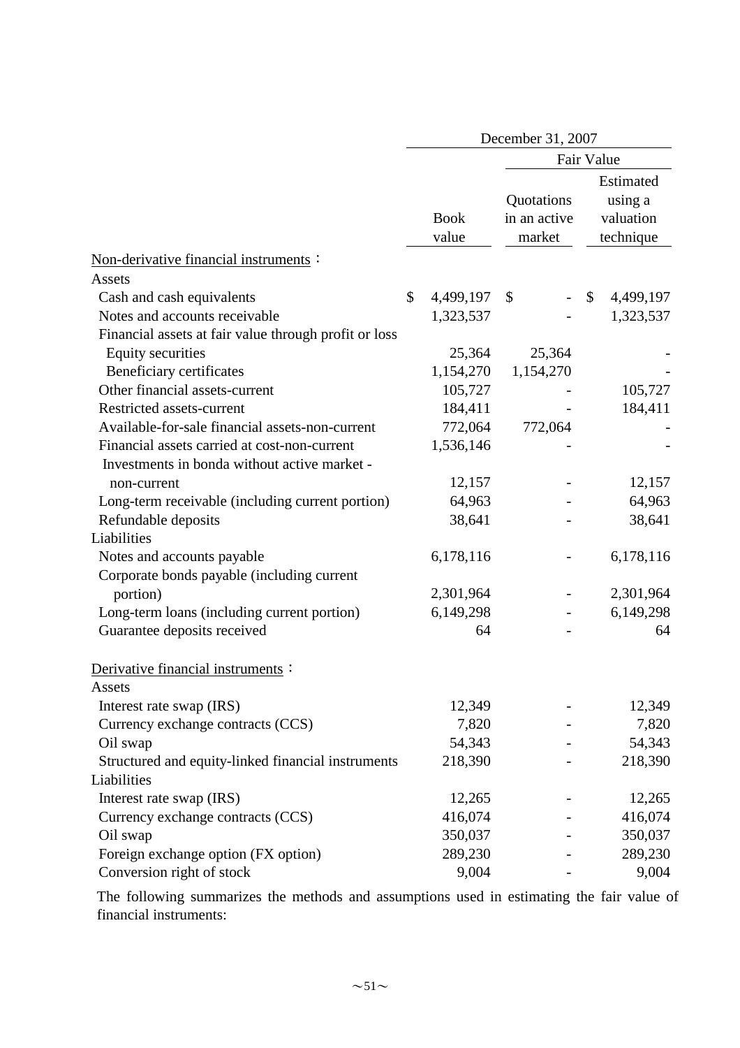|                                                       | December 31, 2007 |                      |                                      |                         |                                                |  |  |
|-------------------------------------------------------|-------------------|----------------------|--------------------------------------|-------------------------|------------------------------------------------|--|--|
|                                                       |                   |                      |                                      |                         | Fair Value                                     |  |  |
|                                                       |                   | <b>Book</b><br>value | Quotations<br>in an active<br>market |                         | Estimated<br>using a<br>valuation<br>technique |  |  |
| Non-derivative financial instruments:                 |                   |                      |                                      |                         |                                                |  |  |
| Assets                                                |                   |                      |                                      |                         |                                                |  |  |
| Cash and cash equivalents                             | \$                | 4,499,197            | \$                                   | $\sqrt[6]{\frac{1}{2}}$ | 4,499,197                                      |  |  |
| Notes and accounts receivable                         |                   | 1,323,537            |                                      |                         | 1,323,537                                      |  |  |
| Financial assets at fair value through profit or loss |                   |                      |                                      |                         |                                                |  |  |
| <b>Equity securities</b>                              |                   | 25,364               | 25,364                               |                         |                                                |  |  |
| Beneficiary certificates                              |                   | 1,154,270            | 1,154,270                            |                         |                                                |  |  |
| Other financial assets-current                        |                   | 105,727              |                                      |                         | 105,727                                        |  |  |
| Restricted assets-current                             |                   | 184,411              |                                      |                         | 184,411                                        |  |  |
| Available-for-sale financial assets-non-current       |                   | 772,064              | 772,064                              |                         |                                                |  |  |
| Financial assets carried at cost-non-current          |                   | 1,536,146            |                                      |                         |                                                |  |  |
| Investments in bonda without active market -          |                   |                      |                                      |                         |                                                |  |  |
| non-current                                           |                   | 12,157               |                                      |                         | 12,157                                         |  |  |
| Long-term receivable (including current portion)      |                   | 64,963               |                                      |                         | 64,963                                         |  |  |
| Refundable deposits                                   |                   | 38,641               |                                      |                         | 38,641                                         |  |  |
| Liabilities                                           |                   |                      |                                      |                         |                                                |  |  |
| Notes and accounts payable                            |                   | 6,178,116            |                                      |                         | 6,178,116                                      |  |  |
| Corporate bonds payable (including current            |                   |                      |                                      |                         |                                                |  |  |
| portion)                                              |                   | 2,301,964            |                                      |                         | 2,301,964                                      |  |  |
| Long-term loans (including current portion)           |                   | 6,149,298            |                                      |                         | 6,149,298                                      |  |  |
| Guarantee deposits received                           |                   | 64                   |                                      |                         | 64                                             |  |  |
| Derivative financial instruments:                     |                   |                      |                                      |                         |                                                |  |  |
| Assets                                                |                   |                      |                                      |                         |                                                |  |  |
| Interest rate swap (IRS)                              |                   | 12,349               |                                      |                         | 12,349                                         |  |  |
| Currency exchange contracts (CCS)                     |                   | 7,820                |                                      |                         | 7,820                                          |  |  |
| Oil swap                                              |                   | 54,343               |                                      |                         | 54,343                                         |  |  |
| Structured and equity-linked financial instruments    |                   | 218,390              |                                      |                         | 218,390                                        |  |  |
| Liabilities                                           |                   |                      |                                      |                         |                                                |  |  |
| Interest rate swap (IRS)                              |                   | 12,265               |                                      |                         | 12,265                                         |  |  |
| Currency exchange contracts (CCS)                     |                   | 416,074              |                                      |                         | 416,074                                        |  |  |
| Oil swap                                              |                   | 350,037              |                                      |                         | 350,037                                        |  |  |
| Foreign exchange option (FX option)                   |                   | 289,230              |                                      |                         | 289,230                                        |  |  |
| Conversion right of stock                             |                   | 9,004                |                                      |                         | 9,004                                          |  |  |

The following summarizes the methods and assumptions used in estimating the fair value of financial instruments: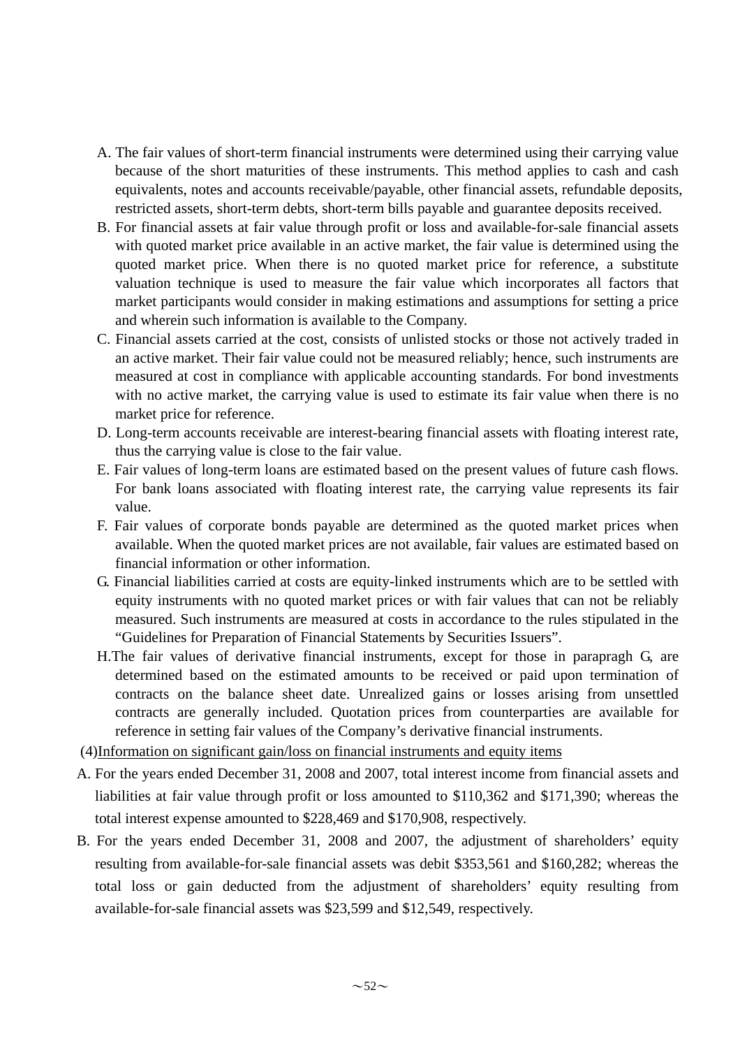- A. The fair values of short-term financial instruments were determined using their carrying value because of the short maturities of these instruments. This method applies to cash and cash equivalents, notes and accounts receivable/payable, other financial assets, refundable deposits, restricted assets, short-term debts, short-term bills payable and guarantee deposits received.
- B. For financial assets at fair value through profit or loss and available-for-sale financial assets with quoted market price available in an active market, the fair value is determined using the quoted market price. When there is no quoted market price for reference, a substitute valuation technique is used to measure the fair value which incorporates all factors that market participants would consider in making estimations and assumptions for setting a price and wherein such information is available to the Company.
- C. Financial assets carried at the cost, consists of unlisted stocks or those not actively traded in an active market. Their fair value could not be measured reliably; hence, such instruments are measured at cost in compliance with applicable accounting standards. For bond investments with no active market, the carrying value is used to estimate its fair value when there is no market price for reference.
- D. Long-term accounts receivable are interest-bearing financial assets with floating interest rate, thus the carrying value is close to the fair value.
- E. Fair values of long-term loans are estimated based on the present values of future cash flows. For bank loans associated with floating interest rate, the carrying value represents its fair value.
- F. Fair values of corporate bonds payable are determined as the quoted market prices when available. When the quoted market prices are not available, fair values are estimated based on financial information or other information.
- G. Financial liabilities carried at costs are equity-linked instruments which are to be settled with equity instruments with no quoted market prices or with fair values that can not be reliably measured. Such instruments are measured at costs in accordance to the rules stipulated in the "Guidelines for Preparation of Financial Statements by Securities Issuers".
- H.The fair values of derivative financial instruments, except for those in parapragh G, are determined based on the estimated amounts to be received or paid upon termination of contracts on the balance sheet date. Unrealized gains or losses arising from unsettled contracts are generally included. Quotation prices from counterparties are available for reference in setting fair values of the Company's derivative financial instruments.
- (4)Information on significant gain/loss on financial instruments and equity items
- A. For the years ended December 31, 2008 and 2007, total interest income from financial assets and liabilities at fair value through profit or loss amounted to \$110,362 and \$171,390; whereas the total interest expense amounted to \$228,469 and \$170,908, respectively.
- B. For the years ended December 31, 2008 and 2007, the adjustment of shareholders' equity resulting from available-for-sale financial assets was debit \$353,561 and \$160,282; whereas the total loss or gain deducted from the adjustment of shareholders' equity resulting from available-for-sale financial assets was \$23,599 and \$12,549, respectively.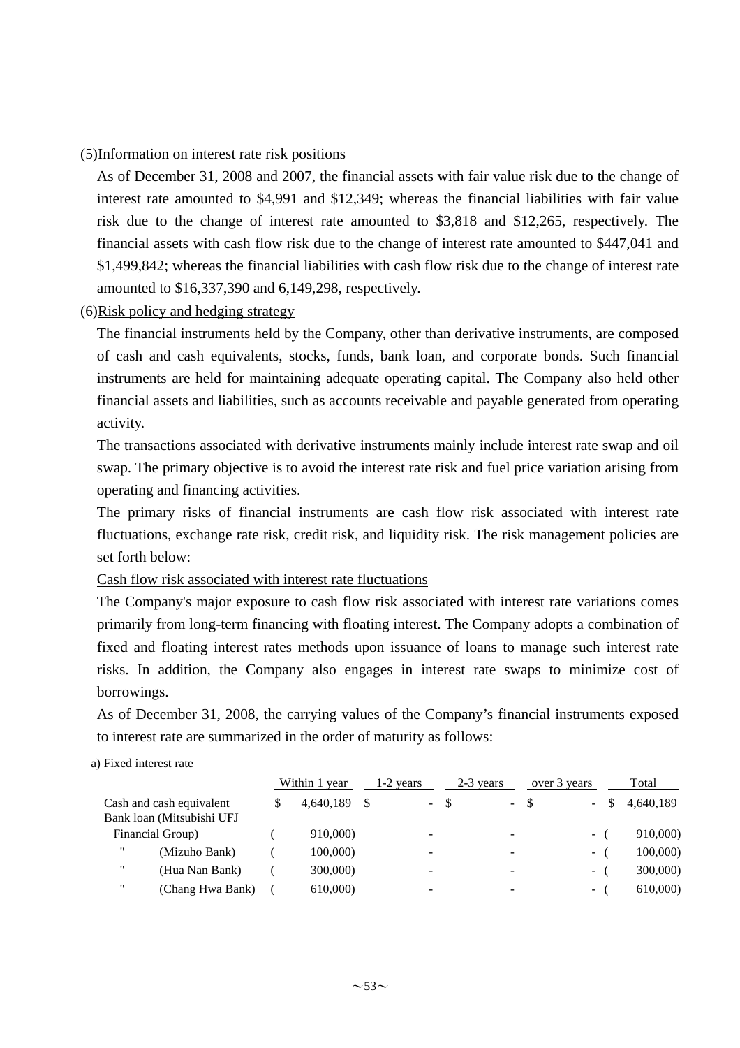### (5)Information on interest rate risk positions

As of December 31, 2008 and 2007, the financial assets with fair value risk due to the change of interest rate amounted to \$4,991 and \$12,349; whereas the financial liabilities with fair value risk due to the change of interest rate amounted to \$3,818 and \$12,265, respectively. The financial assets with cash flow risk due to the change of interest rate amounted to \$447,041 and \$1,499,842; whereas the financial liabilities with cash flow risk due to the change of interest rate amounted to \$16,337,390 and 6,149,298, respectively.

## (6)Risk policy and hedging strategy

The financial instruments held by the Company, other than derivative instruments, are composed of cash and cash equivalents, stocks, funds, bank loan, and corporate bonds. Such financial instruments are held for maintaining adequate operating capital. The Company also held other financial assets and liabilities, such as accounts receivable and payable generated from operating activity.

The transactions associated with derivative instruments mainly include interest rate swap and oil swap. The primary objective is to avoid the interest rate risk and fuel price variation arising from operating and financing activities.

The primary risks of financial instruments are cash flow risk associated with interest rate fluctuations, exchange rate risk, credit risk, and liquidity risk. The risk management policies are set forth below:

### Cash flow risk associated with interest rate fluctuations

The Company's major exposure to cash flow risk associated with interest rate variations comes primarily from long-term financing with floating interest. The Company adopts a combination of fixed and floating interest rates methods upon issuance of loans to manage such interest rate risks. In addition, the Company also engages in interest rate swaps to minimize cost of borrowings.

As of December 31, 2008, the carrying values of the Company's financial instruments exposed to interest rate are summarized in the order of maturity as follows:

#### a) Fixed interest rate

|                                       | Within 1 year |  | $1-2$ years              | 2-3 years |        | over 3 years             | Total     |
|---------------------------------------|---------------|--|--------------------------|-----------|--------|--------------------------|-----------|
| Cash and cash equivalent              | 4.640.189     |  | $\sim$                   | -8        | $-$ \$ | $\sim$                   | 4,640,189 |
| Bank loan (Mitsubishi UFJ             |               |  |                          |           |        |                          |           |
| Financial Group)                      | 910,000)      |  | $\overline{\phantom{0}}$ |           | ۰      | $\overline{\phantom{a}}$ | 910,000)  |
| $^{\prime\prime}$<br>(Mizuho Bank)    | 100,000)      |  | -                        |           | -      | $\overline{\phantom{a}}$ | 100,000   |
| $^{\prime\prime}$<br>(Hua Nan Bank)   | 300,000)      |  | -                        |           | ۰      | $\overline{\phantom{a}}$ | 300,000)  |
| $^{\prime\prime}$<br>(Chang Hwa Bank) | 610,000)      |  | -                        |           |        | $\overline{\phantom{a}}$ | 610,000)  |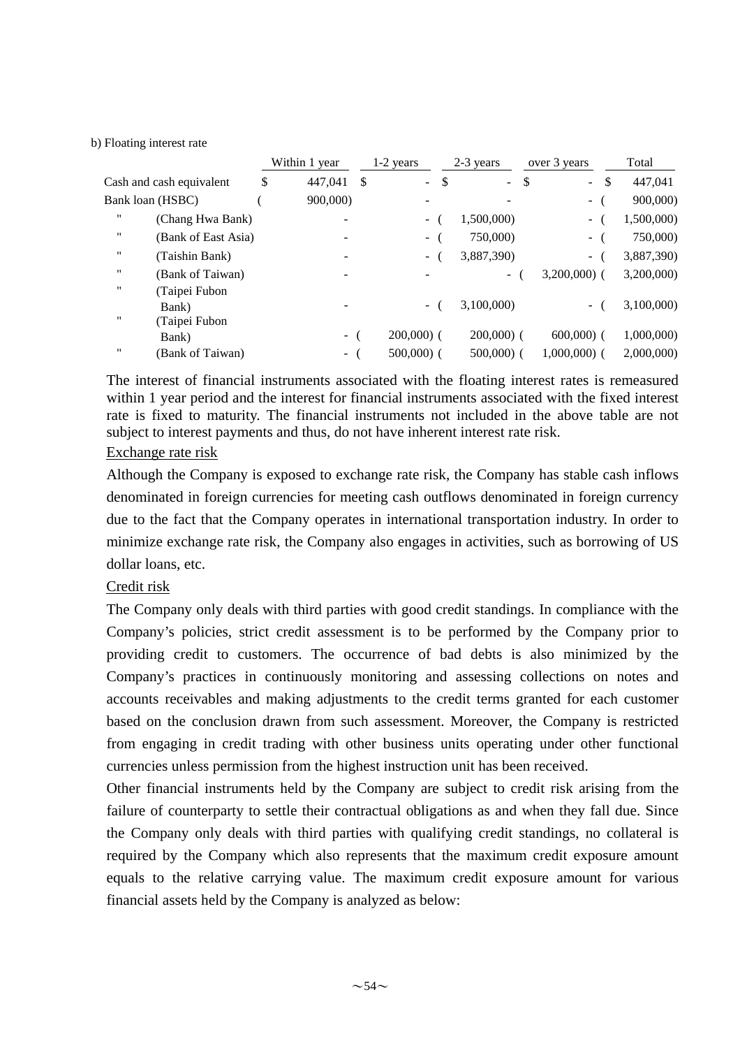#### b) Floating interest rate

|                         |                                         | Within 1 year |               | 1-2 years                 | 2-3 years      | over 3 years                  | Total      |
|-------------------------|-----------------------------------------|---------------|---------------|---------------------------|----------------|-------------------------------|------------|
|                         | Cash and cash equivalent                | \$<br>447.041 | <sup>\$</sup> | $\mathbf{L}^{\text{max}}$ | \$<br>$\equiv$ | \$<br>$\mathbf{\$}$<br>$\sim$ | 447,041    |
| Bank loan (HSBC)        |                                         | 900,000)      |               |                           |                | $\overline{\phantom{a}}$      | 900,000)   |
| 11                      | (Chang Hwa Bank)                        |               |               | $\sim$                    | 1,500,000)     | $\sim$                        | 1,500,000) |
|                         | (Bank of East Asia)                     |               |               | $\sim$                    | 750,000)       | $\blacksquare$                | 750,000)   |
|                         | (Taishin Bank)                          |               |               | $\sim$ $-$                | 3,887,390)     | $\sim$                        | 3,887,390) |
| $^{\prime\prime}$       | (Bank of Taiwan)                        |               |               |                           | $\sim$         | $3,200,000$ (                 | 3,200,000) |
| $^{\prime\prime}$<br>11 | (Taipei Fubon<br>Bank)<br>(Taipei Fubon |               |               | $\sim$                    | 3.100.000)     | $\sim$                        | 3,100,000) |
|                         | Bank)                                   | $\sim$        |               | $200,000$ (               | $200,000$ (    | $600,000$ (                   | 1,000,000) |
| $^{\prime\prime}$       | (Bank of Taiwan)                        | - (           |               | $500,000$ (               | $500,000$ (    | $1,000,000$ (                 | 2,000,000  |

The interest of financial instruments associated with the floating interest rates is remeasured within 1 year period and the interest for financial instruments associated with the fixed interest rate is fixed to maturity. The financial instruments not included in the above table are not subject to interest payments and thus, do not have inherent interest rate risk.

## Exchange rate risk

Although the Company is exposed to exchange rate risk, the Company has stable cash inflows denominated in foreign currencies for meeting cash outflows denominated in foreign currency due to the fact that the Company operates in international transportation industry. In order to minimize exchange rate risk, the Company also engages in activities, such as borrowing of US dollar loans, etc.

### Credit risk

The Company only deals with third parties with good credit standings. In compliance with the Company's policies, strict credit assessment is to be performed by the Company prior to providing credit to customers. The occurrence of bad debts is also minimized by the Company's practices in continuously monitoring and assessing collections on notes and accounts receivables and making adjustments to the credit terms granted for each customer based on the conclusion drawn from such assessment. Moreover, the Company is restricted from engaging in credit trading with other business units operating under other functional currencies unless permission from the highest instruction unit has been received.

Other financial instruments held by the Company are subject to credit risk arising from the failure of counterparty to settle their contractual obligations as and when they fall due. Since the Company only deals with third parties with qualifying credit standings, no collateral is required by the Company which also represents that the maximum credit exposure amount equals to the relative carrying value. The maximum credit exposure amount for various financial assets held by the Company is analyzed as below: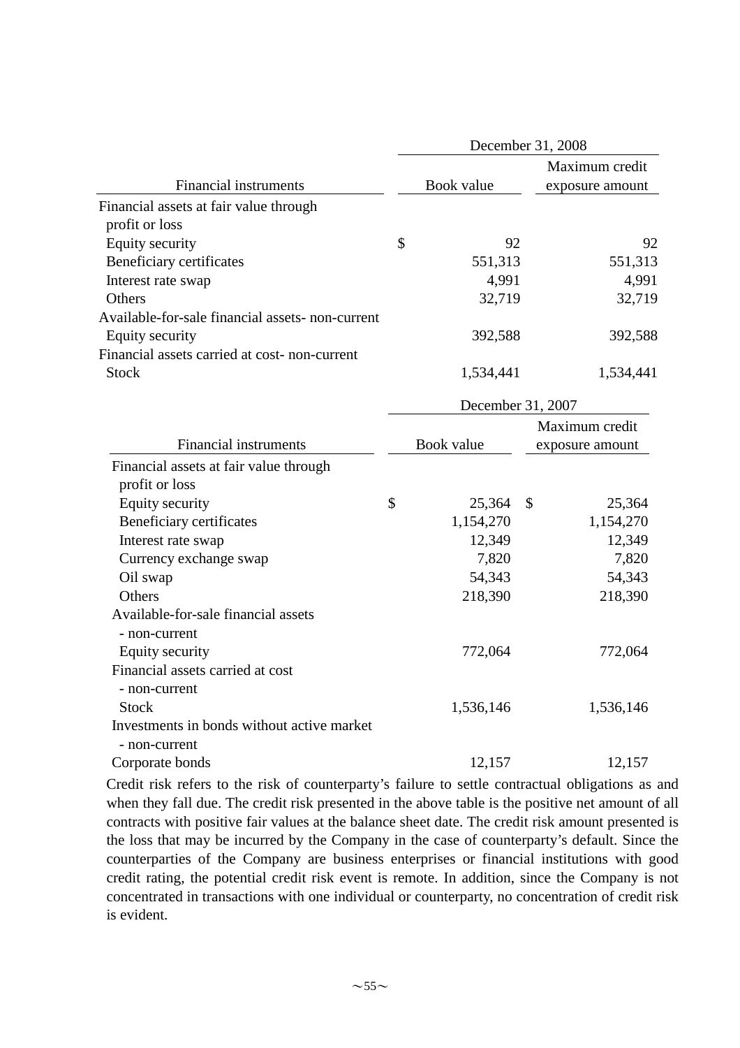|                                                  | December 31, 2008 |                   |              |                 |  |  |  |
|--------------------------------------------------|-------------------|-------------------|--------------|-----------------|--|--|--|
|                                                  |                   |                   |              | Maximum credit  |  |  |  |
| <b>Financial instruments</b>                     |                   | Book value        |              | exposure amount |  |  |  |
| Financial assets at fair value through           |                   |                   |              |                 |  |  |  |
| profit or loss                                   |                   |                   |              |                 |  |  |  |
| <b>Equity security</b>                           | $\mathcal{S}$     | 92                |              | 92              |  |  |  |
| Beneficiary certificates                         |                   | 551,313           |              | 551,313         |  |  |  |
| Interest rate swap                               |                   | 4,991             |              | 4,991           |  |  |  |
| Others                                           |                   | 32,719            |              | 32,719          |  |  |  |
| Available-for-sale financial assets- non-current |                   |                   |              |                 |  |  |  |
| <b>Equity security</b>                           |                   | 392,588           |              | 392,588         |  |  |  |
| Financial assets carried at cost- non-current    |                   |                   |              |                 |  |  |  |
| <b>Stock</b>                                     |                   | 1,534,441         |              | 1,534,441       |  |  |  |
|                                                  |                   | December 31, 2007 |              |                 |  |  |  |
|                                                  |                   |                   |              | Maximum credit  |  |  |  |
| <b>Financial instruments</b>                     |                   | Book value        |              | exposure amount |  |  |  |
| Financial assets at fair value through           |                   |                   |              |                 |  |  |  |
| profit or loss                                   |                   |                   |              |                 |  |  |  |
| <b>Equity security</b>                           | \$                | 25,364            | $\mathbb{S}$ | 25,364          |  |  |  |
| Beneficiary certificates                         |                   | 1,154,270         |              | 1,154,270       |  |  |  |
| Interest rate swap                               |                   | 12,349            |              | 12,349          |  |  |  |
| Currency exchange swap                           |                   | 7,820             |              | 7,820           |  |  |  |
| Oil swap                                         |                   | 54,343            |              | 54,343          |  |  |  |
| Others                                           |                   | 218,390           |              | 218,390         |  |  |  |
| Available-for-sale financial assets              |                   |                   |              |                 |  |  |  |
| - non-current                                    |                   |                   |              |                 |  |  |  |
| Equity security                                  |                   | 772,064           |              | 772,064         |  |  |  |
| Financial assets carried at cost                 |                   |                   |              |                 |  |  |  |
| - non-current                                    |                   |                   |              |                 |  |  |  |
| <b>Stock</b>                                     |                   | 1,536,146         |              | 1,536,146       |  |  |  |
| Investments in bonds without active market       |                   |                   |              |                 |  |  |  |
| - non-current                                    |                   |                   |              |                 |  |  |  |
| Corporate bonds                                  |                   | 12,157            |              | 12,157          |  |  |  |

Credit risk refers to the risk of counterparty's failure to settle contractual obligations as and when they fall due. The credit risk presented in the above table is the positive net amount of all contracts with positive fair values at the balance sheet date. The credit risk amount presented is the loss that may be incurred by the Company in the case of counterparty's default. Since the counterparties of the Company are business enterprises or financial institutions with good credit rating, the potential credit risk event is remote. In addition, since the Company is not concentrated in transactions with one individual or counterparty, no concentration of credit risk is evident.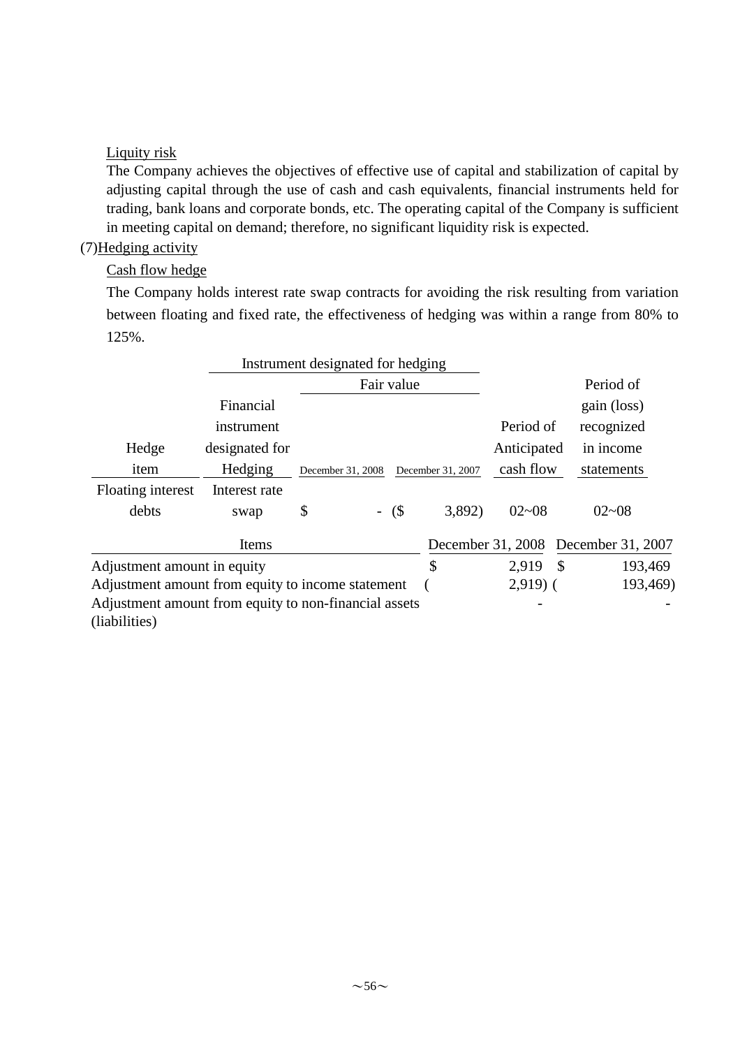# Liquity risk

The Company achieves the objectives of effective use of capital and stabilization of capital by adjusting capital through the use of cash and cash equivalents, financial instruments held for trading, bank loans and corporate bonds, etc. The operating capital of the Company is sufficient in meeting capital on demand; therefore, no significant liquidity risk is expected.

# (7)Hedging activity

# Cash flow hedge

The Company holds interest rate swap contracts for avoiding the risk resulting from variation between floating and fixed rate, the effectiveness of hedging was within a range from 80% to 125%.

|                                                       |                | Instrument designated for hedging      |            |           |                   |               |                   |
|-------------------------------------------------------|----------------|----------------------------------------|------------|-----------|-------------------|---------------|-------------------|
|                                                       |                |                                        | Fair value |           |                   |               | Period of         |
|                                                       | Financial      |                                        |            |           |                   |               | gain (loss)       |
|                                                       | instrument     |                                        |            |           | Period of         |               | recognized        |
| Hedge                                                 | designated for |                                        |            |           | Anticipated       |               | in income         |
| item                                                  | Hedging        | December 31, 2008<br>December 31, 2007 |            | cash flow |                   | statements    |                   |
| Floating interest                                     | Interest rate  |                                        |            |           |                   |               |                   |
| debts                                                 | swap           | \$                                     | $-$ (\$)   | 3,892)    | $02 - 08$         |               | $02 - 08$         |
|                                                       | Items          |                                        |            |           | December 31, 2008 |               | December 31, 2007 |
| Adjustment amount in equity                           |                |                                        |            | \$        | 2,919             | $\mathcal{S}$ | 193,469           |
| Adjustment amount from equity to income statement     |                |                                        |            |           | $2,919$ (         |               | 193,469)          |
| Adjustment amount from equity to non-financial assets |                |                                        |            |           |                   |               |                   |
| (liabilities)                                         |                |                                        |            |           |                   |               |                   |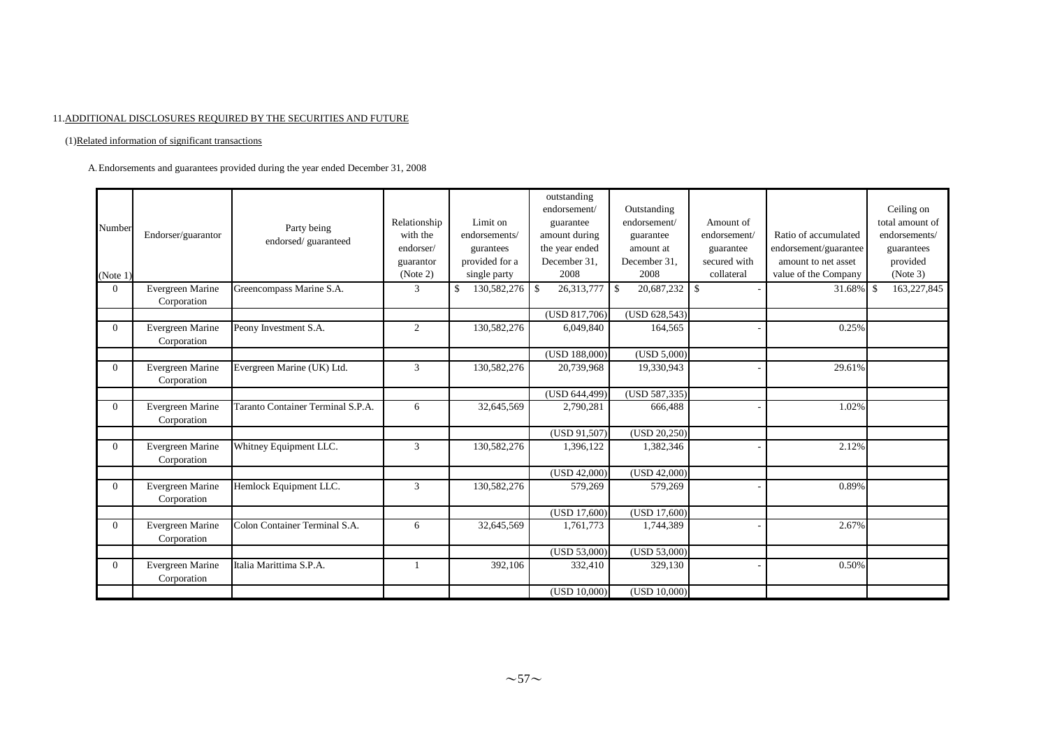#### 11.ADDITIONAL DISCLOSURES REQUIRED BY THE SECURITIES AND FUTURE

#### (1)Related information of significant transactions

A. Endorsements and guarantees provided during the year ended December 31, 2008

| Number<br>(Note 1) | Endorser/guarantor              | Party being<br>endorsed/guaranteed | Relationship<br>with the<br>endorser/<br>guarantor<br>(Note 2) | Limit on<br>endorsements/<br>gurantees<br>provided for a<br>single party | outstanding<br>endorsement/<br>guarantee<br>amount during<br>the year ended<br>December 31.<br>2008 | Outstanding<br>endorsement/<br>guarantee<br>amount at<br>December 31.<br>2008 | Amount of<br>endorsement/<br>guarantee<br>secured with<br>collateral | Ratio of accumulated<br>endorsement/guarantee<br>amount to net asset<br>value of the Company | Ceiling on<br>total amount of<br>endorsements/<br>guarantees<br>provided<br>(Note 3) |
|--------------------|---------------------------------|------------------------------------|----------------------------------------------------------------|--------------------------------------------------------------------------|-----------------------------------------------------------------------------------------------------|-------------------------------------------------------------------------------|----------------------------------------------------------------------|----------------------------------------------------------------------------------------------|--------------------------------------------------------------------------------------|
| $\Omega$           | Evergreen Marine<br>Corporation | Greencompass Marine S.A.           | 3                                                              | \$<br>$130,582,276$ \$                                                   | 26,313,777                                                                                          | $20,687,232$ \$<br>$\overline{\phantom{a}}$                                   |                                                                      | $31.68\%$ \$                                                                                 | 163,227,845                                                                          |
|                    |                                 |                                    |                                                                |                                                                          | $\overline{\text{(USD 817,706)}}$                                                                   | (USD 628,543)                                                                 |                                                                      |                                                                                              |                                                                                      |
| $\Omega$           | Evergreen Marine<br>Corporation | Peony Investment S.A.              | 2                                                              | 130,582,276                                                              | 6,049,840                                                                                           | 164,565                                                                       |                                                                      | 0.25%                                                                                        |                                                                                      |
|                    |                                 |                                    |                                                                |                                                                          | (USD 188,000)                                                                                       | (USD 5,000)                                                                   |                                                                      |                                                                                              |                                                                                      |
| $\overline{0}$     | Evergreen Marine<br>Corporation | Evergreen Marine (UK) Ltd.         | 3                                                              | 130,582,276                                                              | 20,739,968                                                                                          | 19,330,943                                                                    |                                                                      | 29.61%                                                                                       |                                                                                      |
|                    |                                 |                                    |                                                                |                                                                          | (USD 644,499)                                                                                       | (USD 587,335)                                                                 |                                                                      |                                                                                              |                                                                                      |
| $\theta$           | Evergreen Marine<br>Corporation | Taranto Container Terminal S.P.A.  | 6                                                              | 32,645,569                                                               | 2,790,281                                                                                           | 666,488                                                                       |                                                                      | 1.02%                                                                                        |                                                                                      |
|                    |                                 |                                    |                                                                |                                                                          | (USD 91,507)                                                                                        | (USD 20, 250)                                                                 |                                                                      |                                                                                              |                                                                                      |
| $\Omega$           | Evergreen Marine<br>Corporation | Whitney Equipment LLC.             | 3                                                              | 130,582,276                                                              | 1,396,122                                                                                           | 1,382,346                                                                     |                                                                      | 2.12%                                                                                        |                                                                                      |
|                    |                                 |                                    |                                                                |                                                                          | (USD 42,000)                                                                                        | (USD 42,000)                                                                  |                                                                      |                                                                                              |                                                                                      |
| $\Omega$           | Evergreen Marine<br>Corporation | Hemlock Equipment LLC.             | 3                                                              | 130,582,276                                                              | 579,269                                                                                             | 579,269                                                                       |                                                                      | 0.89%                                                                                        |                                                                                      |
|                    |                                 |                                    |                                                                |                                                                          | (USD 17,600)                                                                                        | (USD 17,600)                                                                  |                                                                      |                                                                                              |                                                                                      |
| $\theta$           | Evergreen Marine<br>Corporation | Colon Container Terminal S.A.      | 6                                                              | 32,645,569                                                               | 1,761,773                                                                                           | 1,744,389                                                                     |                                                                      | 2.67%                                                                                        |                                                                                      |
|                    |                                 |                                    |                                                                |                                                                          | (USD 53,000)                                                                                        | (USD 53,000)                                                                  |                                                                      |                                                                                              |                                                                                      |
| $\Omega$           | Evergreen Marine<br>Corporation | Italia Marittima S.P.A.            |                                                                | 392,106                                                                  | 332,410                                                                                             | 329,130                                                                       |                                                                      | 0.50%                                                                                        |                                                                                      |
|                    |                                 |                                    |                                                                |                                                                          | (USD 10,000)                                                                                        | (USD 10,000)                                                                  |                                                                      |                                                                                              |                                                                                      |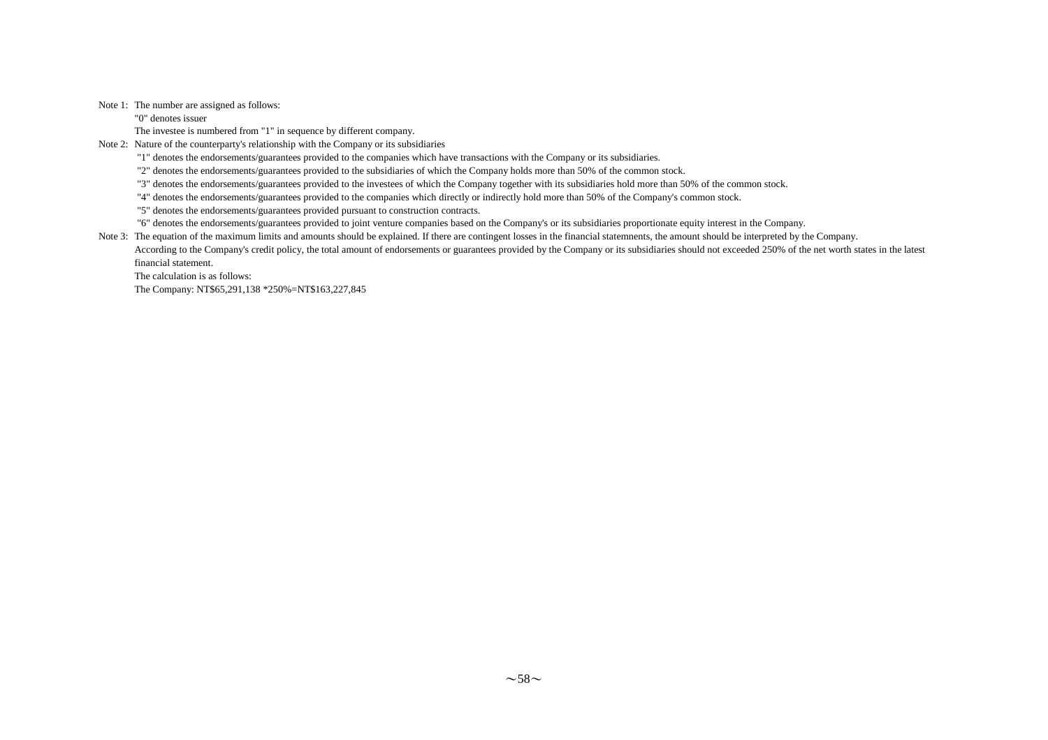#### Note 1: The number are assigned as follows:

"0" denotes issuer

The investee is numbered from "1" in sequence by different company.

Note 2: Nature of the counterparty's relationship with the Company or its subsidiaries

"1" denotes the endorsements/guarantees provided to the companies which have transactions with the Company or its subsidiaries.

"2" denotes the endorsements/guarantees provided to the subsidiaries of which the Company holds more than 50% of the common stock.

"3" denotes the endorsements/guarantees provided to the investees of which the Company together with its subsidiaries hold more than 50% of the common stock.

"4" denotes the endorsements/guarantees provided to the companies which directly or indirectly hold more than 50% of the Company's common stock.

"5" denotes the endorsements/guarantees provided pursuant to construction contracts.

"6" denotes the endorsements/guarantees provided to joint venture companies based on the Company's or its subsidiaries proportionate equity interest in the Company.

Note 3: The equation of the maximum limits and amounts should be explained. If there are contingent losses in the financial statemnents, the amount should be interpreted by the Company.

According to the Company's credit policy, the total amount of endorsements or guarantees provided by the Company or its subsidiaries should not exceeded 250% of the net worth states in the latest financial statement.

The calculation is as follows:

The Company: NT\$65,291,138 \*250%=NT\$163,227,845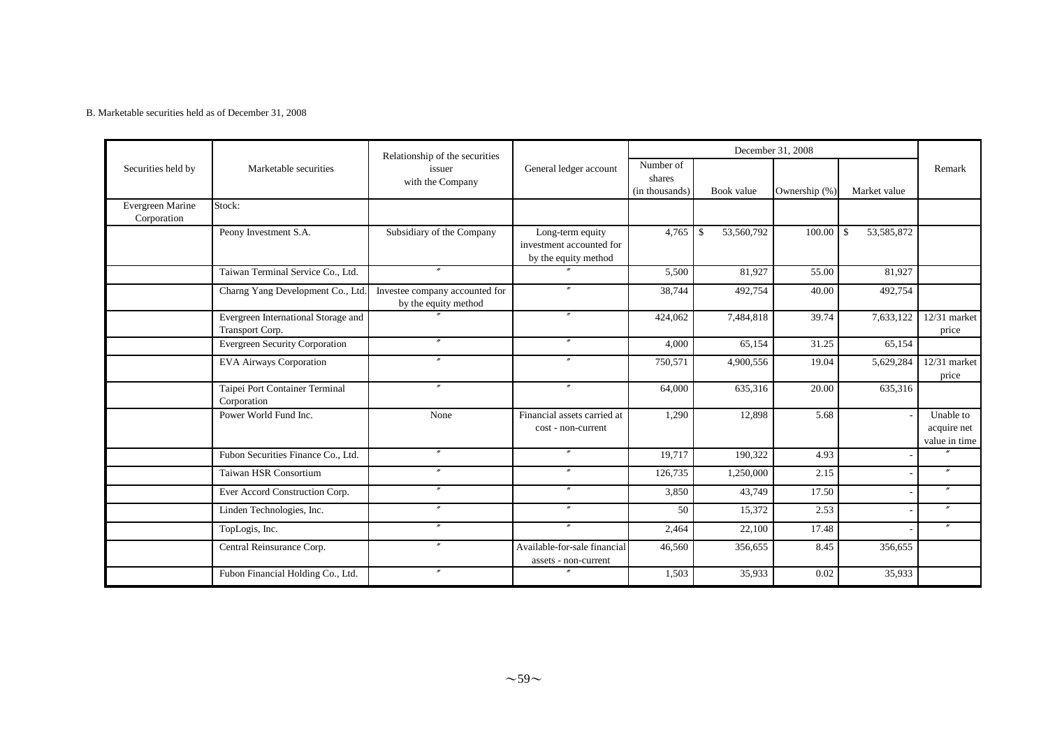#### B. Marketable securities held as of December 31, 2008

|                                 |                                                        | Relationship of the securities                         |                                                                      |                                       |                                  | December 31, 2008 |                     |                                           |
|---------------------------------|--------------------------------------------------------|--------------------------------------------------------|----------------------------------------------------------------------|---------------------------------------|----------------------------------|-------------------|---------------------|-------------------------------------------|
| Securities held by              | Marketable securities                                  | issuer<br>with the Company                             | General ledger account                                               | Number of<br>shares<br>(in thousands) | Book value                       | Ownership (%)     | Market value        | Remark                                    |
| Evergreen Marine<br>Corporation | Stock:                                                 |                                                        |                                                                      |                                       |                                  |                   |                     |                                           |
|                                 | Peony Investment S.A.                                  | Subsidiary of the Company                              | Long-term equity<br>investment accounted for<br>by the equity method | 4,765                                 | 53,560,792<br>$\mathbf{\hat{S}}$ | 100.00            | 53, 585, 872<br>-\$ |                                           |
|                                 | Taiwan Terminal Service Co., Ltd.                      | $^{\prime\prime}$                                      | $\boldsymbol{r}$                                                     | 5,500                                 | 81,927                           | 55.00             | 81,927              |                                           |
|                                 | Charng Yang Development Co., Ltd                       | Investee company accounted for<br>by the equity method |                                                                      | 38,744                                | 492,754                          | 40.00             | 492,754             |                                           |
|                                 | Evergreen International Storage and<br>Transport Corp. |                                                        | $\prime\prime$                                                       | 424,062                               | 7,484,818                        | 39.74             | 7,633,122           | 12/31 market<br>price                     |
|                                 | <b>Evergreen Security Corporation</b>                  | $^{\prime\prime}$                                      | $^{\prime\prime}$                                                    | 4,000                                 | 65,154                           | 31.25             | 65,154              |                                           |
|                                 | <b>EVA Airways Corporation</b>                         |                                                        |                                                                      | 750,571                               | 4,900,556                        | 19.04             | 5,629,284           | 12/31 market<br>price                     |
|                                 | Taipei Port Container Terminal<br>Corporation          | $^{\prime\prime}$                                      | $\prime\prime$                                                       | 64,000                                | 635,316                          | 20.00             | 635,316             |                                           |
|                                 | Power World Fund Inc.                                  | None                                                   | Financial assets carried at<br>cost - non-current                    | 1,290                                 | 12,898                           | 5.68              |                     | Unable to<br>acquire net<br>value in time |
|                                 | Fubon Securities Finance Co., Ltd.                     | $^{\prime\prime}$                                      | $^{\prime\prime}$                                                    | 19,717                                | 190,322                          | 4.93              |                     | $\overline{u}$                            |
|                                 | Taiwan HSR Consortium                                  | $^{\prime\prime}$                                      |                                                                      | 126,735                               | 1,250,000                        | 2.15              |                     | $^{\prime\prime}$                         |
|                                 | Ever Accord Construction Corp.                         | $^{\prime\prime}$                                      | $\prime\prime$                                                       | 3,850                                 | 43,749                           | 17.50             |                     | $^{\prime\prime}$                         |
|                                 | Linden Technologies, Inc.                              | $^{\prime\prime}$                                      | $\prime\prime$                                                       | 50                                    | 15,372                           | 2.53              |                     | $^{\prime\prime}$                         |
|                                 | TopLogis, Inc.                                         | $^{\prime\prime}$                                      | $\mathbf{r}$                                                         | 2,464                                 | 22,100                           | 17.48             |                     | $^{\prime\prime}$                         |
|                                 | Central Reinsurance Corp.                              | $\prime\prime$                                         | Available-for-sale financial<br>assets - non-current                 | 46,560                                | 356,655                          | 8.45              | 356,655             |                                           |
|                                 | Fubon Financial Holding Co., Ltd.                      | $^{\prime\prime}$                                      |                                                                      | 1,503                                 | 35,933                           | 0.02              | 35,933              |                                           |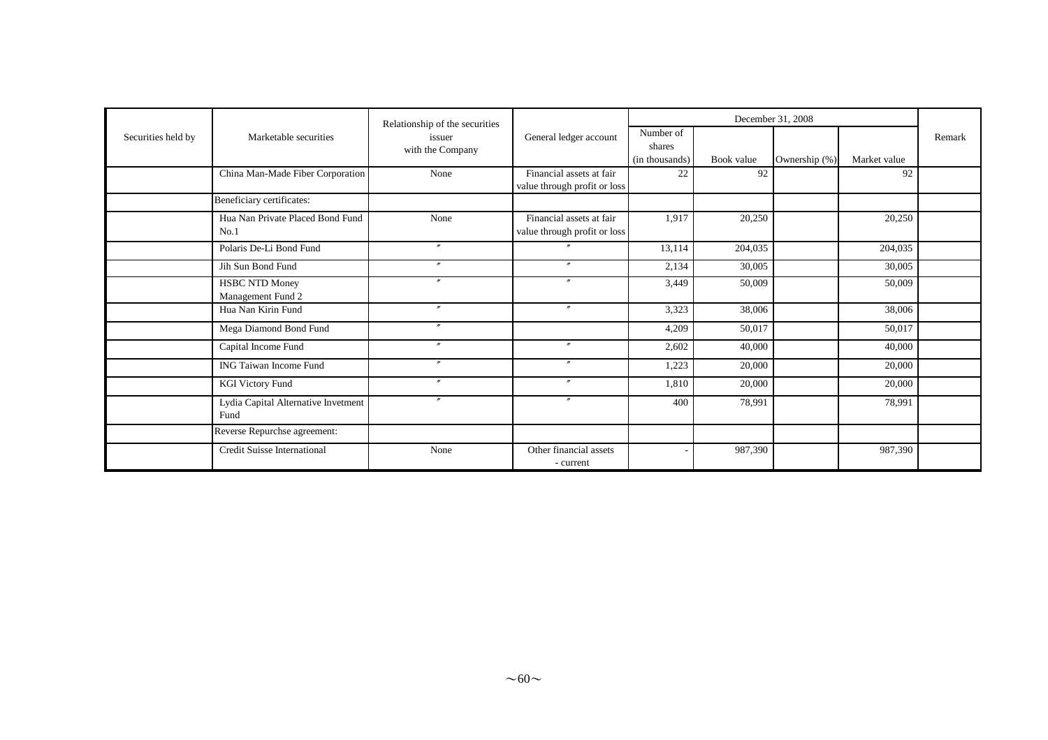|                    |                                             | Relationship of the securities |                                                          |                                       |            |               |              |        |
|--------------------|---------------------------------------------|--------------------------------|----------------------------------------------------------|---------------------------------------|------------|---------------|--------------|--------|
| Securities held by | Marketable securities                       | issuer<br>with the Company     | General ledger account                                   | Number of<br>shares<br>(in thousands) | Book value | Ownership (%) | Market value | Remark |
|                    | China Man-Made Fiber Corporation            | None                           | Financial assets at fair<br>value through profit or loss | 22                                    | 92         |               | 92           |        |
|                    | Beneficiary certificates:                   |                                |                                                          |                                       |            |               |              |        |
|                    | Hua Nan Private Placed Bond Fund<br>No.1    | None                           | Financial assets at fair<br>value through profit or loss | 1,917                                 | 20,250     |               | 20,250       |        |
|                    | Polaris De-Li Bond Fund                     | $\boldsymbol{r}$               |                                                          | 13,114                                | 204,035    |               | 204,035      |        |
|                    | Jih Sun Bond Fund                           | $\prime\prime$                 | $\overline{ }$                                           | 2,134                                 | 30,005     |               | 30,005       |        |
|                    | <b>HSBC NTD Money</b><br>Management Fund 2  | $\boldsymbol{r}$               | $\boldsymbol{r}$                                         | 3,449                                 | 50,009     |               | 50,009       |        |
|                    | Hua Nan Kirin Fund                          | $^{\prime\prime}$              | $^{\prime\prime}$                                        | 3,323                                 | 38,006     |               | 38,006       |        |
|                    | Mega Diamond Bond Fund                      | $\boldsymbol{r}$               |                                                          | 4,209                                 | 50,017     |               | 50,017       |        |
|                    | Capital Income Fund                         | $\boldsymbol{''}$              | $\boldsymbol{r}$                                         | 2,602                                 | 40,000     |               | 40,000       |        |
|                    | <b>ING Taiwan Income Fund</b>               | $^{\prime\prime}$              | $\mathbf{v}$                                             | 1,223                                 | 20,000     |               | 20,000       |        |
|                    | <b>KGI Victory Fund</b>                     | $^{\prime\prime}$              | $\mathbf{v}$                                             | 1,810                                 | 20,000     |               | 20,000       |        |
|                    | Lydia Capital Alternative Invetment<br>Fund | $^{\prime\prime}$              | $^{\prime\prime}$                                        | 400                                   | 78,991     |               | 78,991       |        |
|                    | Reverse Repurchse agreement:                |                                |                                                          |                                       |            |               |              |        |
|                    | <b>Credit Suisse International</b>          | None                           | Other financial assets<br>- current                      |                                       | 987,390    |               | 987,390      |        |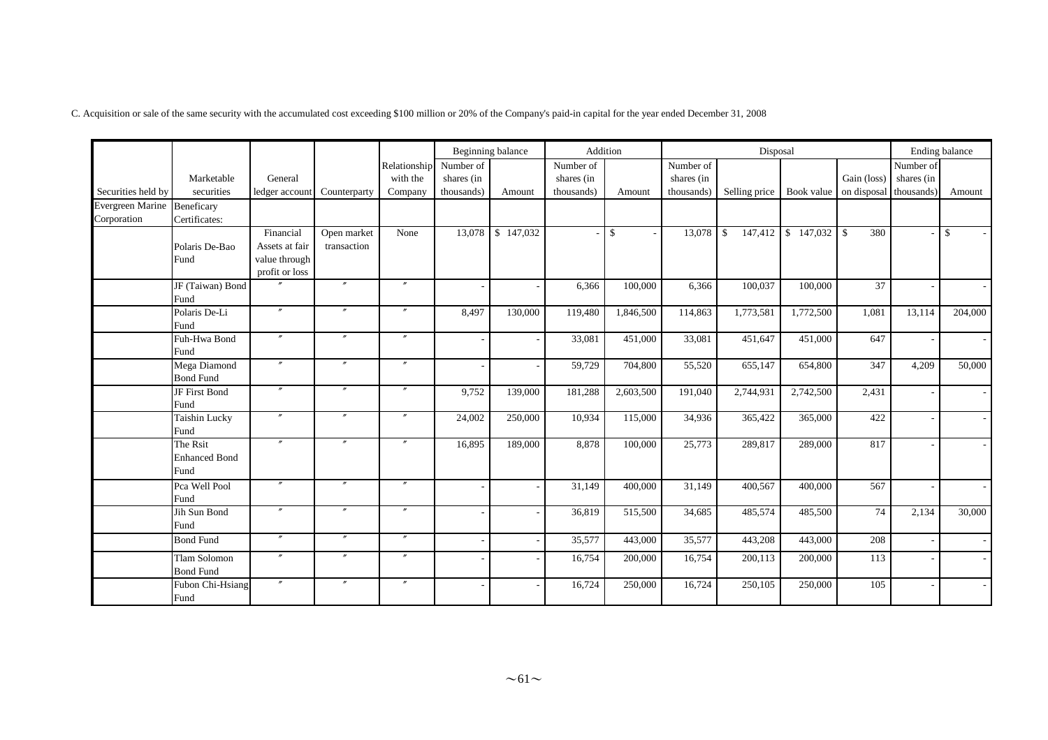C. Acquisition or sale of the same security with the accumulated cost exceeding \$100 million or 20% of the Company's paid-in capital for the year ended December 31, 2008

|                                            |                                          |                                                                |                            |                                     |                                       | Beginning balance |                                       | Addition     |                                       | Disposal                                            |                                      |             |                         | Ending balance |
|--------------------------------------------|------------------------------------------|----------------------------------------------------------------|----------------------------|-------------------------------------|---------------------------------------|-------------------|---------------------------------------|--------------|---------------------------------------|-----------------------------------------------------|--------------------------------------|-------------|-------------------------|----------------|
| Securities held by                         | Marketable<br>securities                 | General<br>ledger accoun                                       | Counterparty               | Relationship<br>with the<br>Company | Number of<br>shares (in<br>thousands) | Amount            | Number of<br>shares (in<br>thousands) | Amount       | Number of<br>shares (in<br>thousands) | Selling price   Book value   on disposal thousands) |                                      | Gain (loss) | Number of<br>shares (in | Amount         |
| Evergreen Marine Beneficary<br>Corporation | Certificates:                            |                                                                |                            |                                     |                                       |                   |                                       |              |                                       |                                                     |                                      |             |                         |                |
|                                            | Polaris De-Bao<br>Fund                   | Financial<br>Assets at fair<br>value through<br>profit or loss | Open market<br>transaction | None                                | 13,078                                | \$147,032         |                                       | $\mathbb{S}$ | 13,078                                | $\mathbf{\hat{S}}$                                  | $147,412$ \$ $\overline{147,032}$ \$ | 380         |                         | \$             |
|                                            | JF (Taiwan) Bond<br>Fund                 |                                                                | $^{\prime\prime}$          | $\prime\prime$                      |                                       |                   | 6,366                                 | 100,000      | 6,366                                 | 100,037                                             | 100,000                              | 37          |                         |                |
|                                            | Polaris De-Li<br>Fund                    | $^{\prime\prime}$                                              | $^{\prime\prime}$          | $^{\prime\prime}$                   | 8,497                                 | 130,000           | 119,480                               | 1,846,500    | 114,863                               | 1,773,581                                           | 1,772,500                            | 1,081       | 13,114                  | 204,000        |
|                                            | Fuh-Hwa Bond<br>Fund                     | $\prime\prime$                                                 | $\prime\prime$             | $^{\prime\prime}$                   |                                       |                   | 33,081                                | 451,000      | 33,081                                | 451,647                                             | 451,000                              | 647         |                         |                |
|                                            | Mega Diamond<br><b>Bond Fund</b>         |                                                                | $^{\prime\prime}$          | $^{\prime\prime}$                   |                                       |                   | 59,729                                | 704,800      | 55,520                                | 655,147                                             | 654,800                              | 347         | 4,209                   | 50,000         |
|                                            | JF First Bond<br>Fund                    |                                                                | $\prime\prime$             | $\prime$                            | 9,752                                 | 139,000           | 181,288                               | 2,603,500    | 191,040                               | 2,744,931                                           | 2,742,500                            | 2,431       |                         |                |
|                                            | <b>Taishin Lucky</b><br>Fund             | $^{\prime\prime}$                                              | $^{\prime\prime}$          | $^{\prime\prime}$                   | 24,002                                | 250,000           | 10,934                                | 115,000      | 34,936                                | 365,422                                             | 365,000                              | 422         |                         |                |
|                                            | The Rsit<br><b>Enhanced Bond</b><br>Fund | $^{\prime\prime}$                                              | $^{\prime\prime}$          | $\prime\prime$                      | 16,895                                | 189,000           | 8,878                                 | 100,000      | 25,773                                | 289,817                                             | 289,000                              | 817         |                         |                |
|                                            | Pca Well Pool<br>Fund                    |                                                                | $^{\prime\prime}$          | $^{\prime\prime}$                   |                                       |                   | 31,149                                | 400,000      | 31,149                                | 400,567                                             | 400,000                              | 567         |                         |                |
|                                            | Jih Sun Bond<br>Fund                     |                                                                | $^{\prime\prime}$          | $^{\prime\prime}$                   |                                       |                   | 36,819                                | 515,500      | 34,685                                | 485,574                                             | 485,500                              | 74          | 2,134                   | 30,000         |
|                                            | <b>Bond Fund</b>                         | $^{\prime\prime}$                                              | $\prime\prime$             | $^{\prime\prime}$                   |                                       |                   | 35,577                                | 443,000      | 35,577                                | 443,208                                             | 443,000                              | 208         |                         |                |
|                                            | Tlam Solomon<br><b>Bond Fund</b>         |                                                                | $^{\prime\prime}$          | $^{\prime\prime}$                   |                                       |                   | 16,754                                | 200,000      | 16,754                                | 200,113                                             | 200,000                              | 113         |                         |                |
|                                            | Fubon Chi-Hsiang<br>Fund                 |                                                                | $^{\prime\prime}$          | $^{\prime\prime}$                   |                                       |                   | 16,724                                | 250,000      | 16,724                                | 250,105                                             | 250,000                              | 105         |                         |                |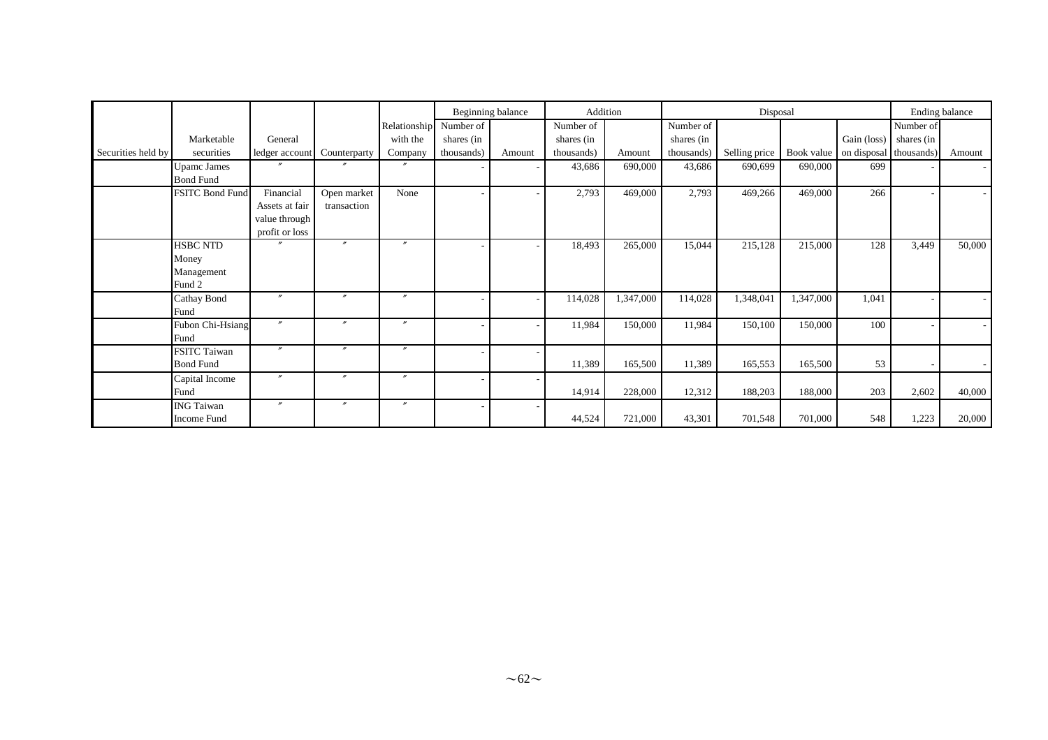|                    |                                         |                                                   |                   |                        |                          | Beginning balance | Addition   |           |            | Disposal      |           |                                   |            | Ending balance |
|--------------------|-----------------------------------------|---------------------------------------------------|-------------------|------------------------|--------------------------|-------------------|------------|-----------|------------|---------------|-----------|-----------------------------------|------------|----------------|
|                    |                                         |                                                   |                   | Relationship Number of |                          |                   | Number of  |           | Number of  |               |           |                                   | Number of  |                |
|                    | Marketable                              | General                                           |                   | with the               | shares (in               |                   | shares (in |           | shares (in |               |           | Gain (loss)                       | shares (in |                |
| Securities held by | securities                              | ledger account                                    | Counterparty      | Company                | thousands)               | Amount            | thousands) | Amount    | thousands) | Selling price |           | Book value on disposal thousands) |            | Amount         |
|                    | <b>Upamc James</b><br><b>Bond Fund</b>  |                                                   |                   |                        | $\overline{\phantom{a}}$ |                   | 43,686     | 690,000   | 43,686     | 690,699       | 690,000   | 699                               |            |                |
|                    | FSITC Bond Fund                         | Financial                                         | Open market       | None                   | ٠                        |                   | 2,793      | 469,000   | 2,793      | 469,266       | 469,000   | 266                               |            |                |
|                    |                                         | Assets at fair<br>value through<br>profit or loss | transaction       |                        |                          |                   |            |           |            |               |           |                                   |            |                |
|                    | <b>HSBC NTD</b>                         |                                                   | $^{\prime\prime}$ | $^{\prime\prime}$      | ٠                        |                   | 18,493     | 265,000   | 15,044     | 215,128       | 215,000   | 128                               | 3,449      | 50,000         |
|                    | Money                                   |                                                   |                   |                        |                          |                   |            |           |            |               |           |                                   |            |                |
|                    | Management                              |                                                   |                   |                        |                          |                   |            |           |            |               |           |                                   |            |                |
|                    | Fund 2                                  |                                                   |                   |                        |                          |                   |            |           |            |               |           |                                   |            |                |
|                    | Cathay Bond<br>Fund                     | $\prime\prime$                                    | $\boldsymbol{r}$  | $\prime\prime$         | $\overline{\phantom{a}}$ |                   | 114,028    | 1,347,000 | 114,028    | 1,348,041     | 1,347,000 | 1,041                             |            |                |
|                    | Fubon Chi-Hsiang<br>Fund                | $\mathbf{m}$                                      | $\prime\prime$    | $\prime\prime$         | $\overline{\phantom{a}}$ |                   | 11,984     | 150,000   | 11,984     | 150,100       | 150,000   | 100                               |            |                |
|                    | <b>FSITC Taiwan</b><br><b>Bond Fund</b> | $\prime\prime$                                    | $\prime\prime$    | $\prime\prime$         | ٠                        |                   | 11,389     | 165,500   | 11,389     | 165,553       | 165,500   | 53                                |            |                |
|                    | Capital Income                          | $\boldsymbol{''}$                                 | $^{\prime\prime}$ | $\prime\prime$         | ٠                        |                   |            |           |            |               |           |                                   |            |                |
|                    | Fund                                    |                                                   |                   |                        |                          |                   | 14,914     | 228,000   | 12,312     | 188,203       | 188,000   | 203                               | 2,602      | 40,000         |
|                    | <b>ING Taiwan</b>                       | $\prime\prime$                                    | $\boldsymbol{''}$ | $\prime\prime$         | ٠                        |                   |            |           |            |               |           |                                   |            |                |
|                    | Income Fund                             |                                                   |                   |                        |                          |                   | 44,524     | 721,000   | 43,301     | 701,548       | 701,000   | 548                               | 1,223      | 20,000         |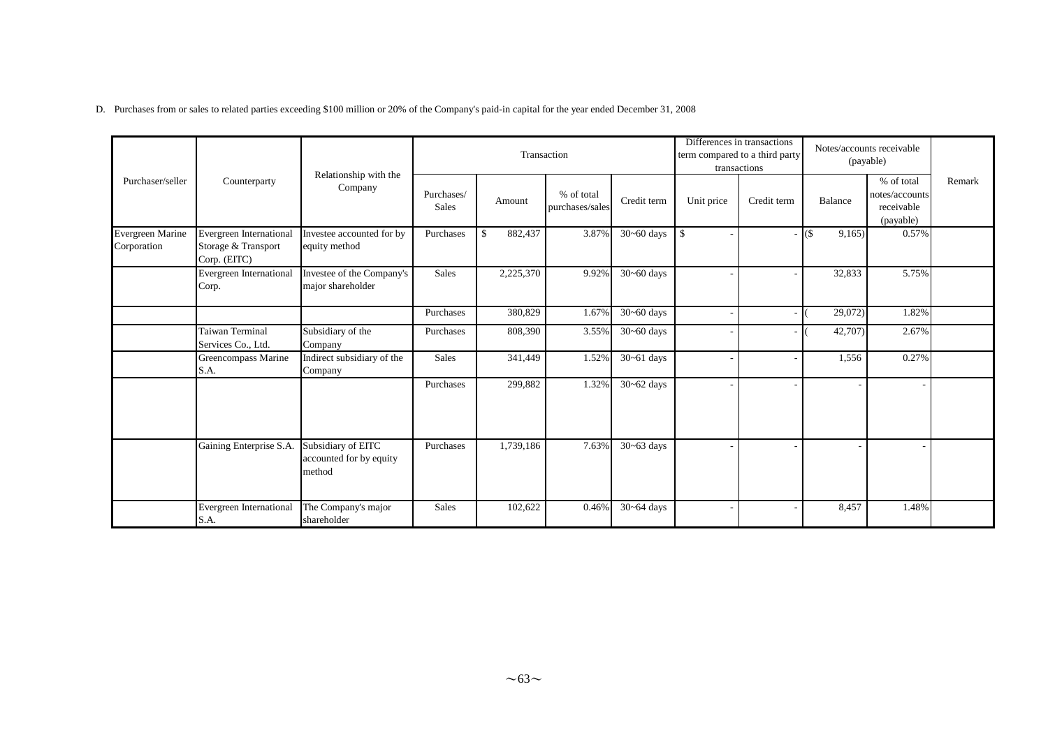D. Purchases from or sales to related parties exceeding \$100 million or 20% of the Company's paid-in capital for the year ended December 31, 2008

|                                 |                                                                |                                                         |                     |               | Transaction                   |                          |            | Differences in transactions<br>term compared to a third party<br>transactions |                  | Notes/accounts receivable<br>(payable)                  |        |
|---------------------------------|----------------------------------------------------------------|---------------------------------------------------------|---------------------|---------------|-------------------------------|--------------------------|------------|-------------------------------------------------------------------------------|------------------|---------------------------------------------------------|--------|
| Purchaser/seller                | Counterparty                                                   | Relationship with the<br>Company                        | Purchases/<br>Sales | Amount        | % of total<br>purchases/sales | Credit term              | Unit price | Credit term                                                                   | Balance          | % of total<br>notes/accounts<br>receivable<br>(payable) | Remark |
| Evergreen Marine<br>Corporation | Evergreen International<br>Storage & Transport<br>Corp. (EITC) | Investee accounted for by<br>equity method              | Purchases           | \$<br>882,437 | 3.87%                         | $\overline{30}$ ~60 days | $\sqrt{3}$ |                                                                               | $($ \$<br>9,165) | 0.57%                                                   |        |
|                                 | <b>Evergreen International</b><br>Corp.                        | Investee of the Company's<br>major shareholder          | Sales               | 2,225,370     | 9.92%                         | $30 - 60$ days           |            |                                                                               | 32,833           | 5.75%                                                   |        |
|                                 |                                                                |                                                         | Purchases           | 380,829       | 1.67%                         | $30 - 60$ days           |            |                                                                               | 29,072)          | 1.82%                                                   |        |
|                                 | <b>Taiwan Terminal</b><br>Services Co., Ltd.                   | Subsidiary of the<br>Company                            | Purchases           | 808,390       | 3.55%                         | $30 - 60$ days           |            |                                                                               | 42,707)          | 2.67%                                                   |        |
|                                 | Greencompass Marine<br>S.A.                                    | Indirect subsidiary of the<br>Company                   | Sales               | 341,449       | 1.52%                         | $30 - 61$ days           |            |                                                                               | 1,556            | 0.27%                                                   |        |
|                                 |                                                                |                                                         | Purchases           | 299,882       | 1.32%                         | $30 - 62$ days           |            |                                                                               |                  |                                                         |        |
|                                 | Gaining Enterprise S.A.                                        | Subsidiary of EITC<br>accounted for by equity<br>method | Purchases           | 1,739,186     | 7.63%                         | $30 - 63$ days           |            |                                                                               |                  |                                                         |        |
|                                 | <b>Evergreen International</b><br>S.A.                         | The Company's major<br>shareholder                      | Sales               | 102,622       | 0.46%                         | $30 - 64$ days           |            |                                                                               | 8,457            | 1.48%                                                   |        |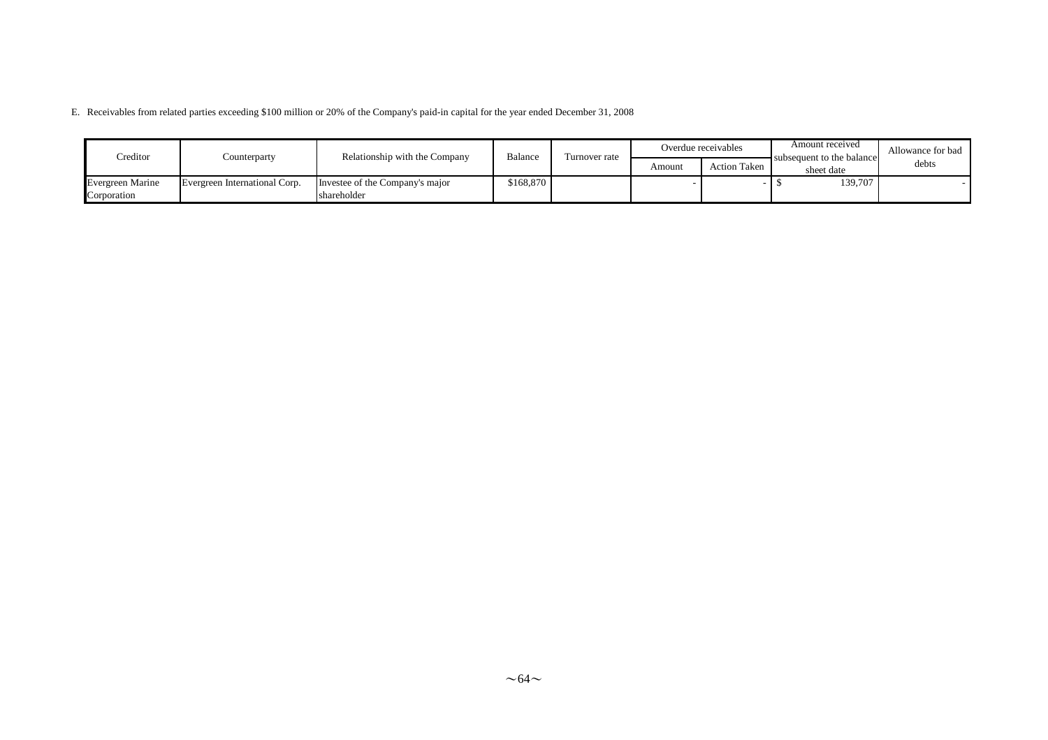E. Receivables from related parties exceeding \$100 million or 20% of the Company's paid-in capital for the year ended December 31, 2008

| Creditor                               | Counterparty                  | Relationship with the Company                  | Balance   | Turnover rate |        | Overdue receivables | Amount received<br>subsequent to the balance | Allowance for bad |
|----------------------------------------|-------------------------------|------------------------------------------------|-----------|---------------|--------|---------------------|----------------------------------------------|-------------------|
|                                        |                               |                                                |           |               | Amount | <b>Action Taken</b> | sheet date                                   | debts             |
| <b>Evergreen Marine</b><br>Corporation | Evergreen International Corp. | Investee of the Company's major<br>shareholder | \$168,870 |               |        |                     | 139,707                                      |                   |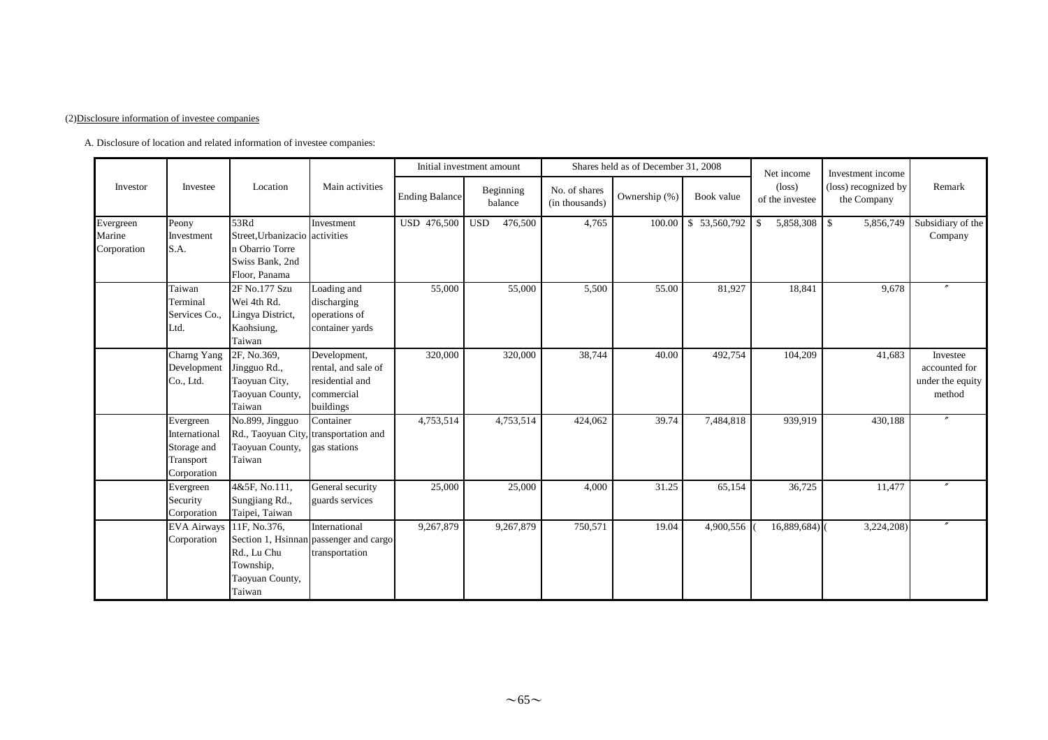#### (2)Disclosure information of investee companies

A. Disclosure of location and related information of investee companies:

|                                    |                                                                       |                                                                                               |                                                                                   | Initial investment amount |            |                      |                                 | Shares held as of December 31, 2008 |              | Net income                         | Investment income                   |                                                         |
|------------------------------------|-----------------------------------------------------------------------|-----------------------------------------------------------------------------------------------|-----------------------------------------------------------------------------------|---------------------------|------------|----------------------|---------------------------------|-------------------------------------|--------------|------------------------------------|-------------------------------------|---------------------------------------------------------|
| Investor                           | Investee                                                              | Location                                                                                      | Main activities                                                                   | <b>Ending Balance</b>     |            | Beginning<br>balance | No. of shares<br>(in thousands) | Ownership (%)                       | Book value   | $(\text{loss})$<br>of the investee | (loss) recognized by<br>the Company | Remark                                                  |
| Evergreen<br>Marine<br>Corporation | Peony<br>Investment<br>S.A.                                           | 53Rd<br>Street, Urbanizacio activities<br>n Obarrio Torre<br>Swiss Bank, 2nd<br>Floor, Panama | Investment                                                                        | USD 476,500               | <b>USD</b> | 476,500              | 4,765                           | 100.00                              | \$53,560,792 | 5,858,308<br>\$                    | $\mathbb{S}$<br>5,856,749           | Subsidiary of the<br>Company                            |
|                                    | Taiwan<br>Terminal<br>Services Co.,<br>Ltd.                           | 2F No.177 Szu<br>Wei 4th Rd.<br>Lingya District,<br>Kaohsiung,<br>Taiwan                      | Loading and<br>discharging<br>operations of<br>container yards                    | 55,000                    |            | 55,000               | 5,500                           | 55.00                               | 81,927       | 18,841                             | 9,678                               |                                                         |
|                                    | Charng Yang<br>Development<br>Co., Ltd.                               | 2F, No.369,<br>Jingguo Rd.,<br>Taoyuan City,<br>Taoyuan County,<br>Taiwan                     | Development,<br>rental, and sale of<br>residential and<br>commercial<br>buildings | 320,000                   |            | 320,000              | 38,744                          | 40.00                               | 492,754      | 104,209                            | 41,683                              | Investee<br>accounted for<br>under the equity<br>method |
|                                    | Evergreen<br>International<br>Storage and<br>Transport<br>Corporation | No.899, Jingguo<br>Taoyuan County,<br>Taiwan                                                  | Container<br>Rd., Taoyuan City, transportation and<br>gas stations                | 4,753,514                 |            | 4,753,514            | 424,062                         | 39.74                               | 7,484,818    | 939,919                            | 430,188                             | $^{\prime\prime}$                                       |
|                                    | Evergreen<br>Security<br>Corporation                                  | 4&5F, No.111,<br>Sungjiang Rd.,<br>Taipei, Taiwan                                             | General security<br>guards services                                               | 25,000                    |            | 25,000               | 4,000                           | 31.25                               | 65,154       | 36,725                             | 11,477                              |                                                         |
|                                    | <b>EVA Airways</b><br>Corporation                                     | 11F, No.376,<br>Rd., Lu Chu<br>Township,<br>Taoyuan County,<br>Taiwan                         | International<br>Section 1, Hsinnan passenger and cargo<br>transportation         | 9,267,879                 |            | 9,267,879            | 750,571                         | 19.04                               | 4,900,556    | 16,889,684)                        | 3,224,208)                          |                                                         |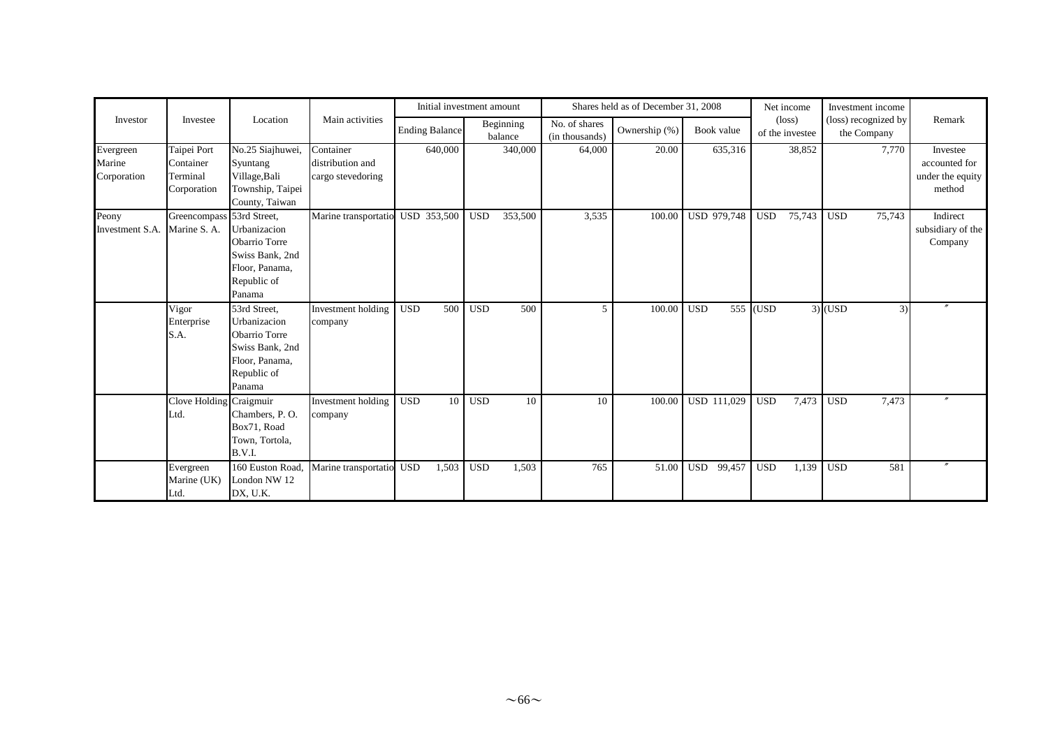|                                    |                                                     |                                                                                                             |                                                    | Initial investment amount |                  |                      |                                 | Shares held as of December 31, 2008 |                    | Net income                         | Investment income                   |                                                         |
|------------------------------------|-----------------------------------------------------|-------------------------------------------------------------------------------------------------------------|----------------------------------------------------|---------------------------|------------------|----------------------|---------------------------------|-------------------------------------|--------------------|------------------------------------|-------------------------------------|---------------------------------------------------------|
| Investor                           | Investee                                            | Location                                                                                                    | Main activities                                    | <b>Ending Balance</b>     |                  | Beginning<br>balance | No. of shares<br>(in thousands) | Ownership (%)                       | Book value         | $(\text{loss})$<br>of the investee | (loss) recognized by<br>the Company | Remark                                                  |
| Evergreen<br>Marine<br>Corporation | Taipei Port<br>Container<br>Terminal<br>Corporation | No.25 Siajhuwei,<br>Syuntang<br>Village, Bali<br>Township, Taipei<br>County, Taiwan                         | Container<br>distribution and<br>cargo stevedoring | 640,000                   |                  | 340,000              | 64,000                          | 20.00                               | 635,316            | 38,852                             | 7,770                               | Investee<br>accounted for<br>under the equity<br>method |
| Peony<br>Investment S.A.           | Greencompass 53rd Street,<br>Marine S. A.           | Urbanizacion<br>Obarrio Torre<br>Swiss Bank, 2nd<br>Floor, Panama,<br>Republic of<br>Panama                 | Marine transportatio                               | USD 353,500               | <b>USD</b>       | 353,500              | 3,535                           | 100.00                              | <b>USD 979,748</b> | 75,743<br><b>USD</b>               | <b>USD</b><br>75,743                | Indirect<br>subsidiary of the<br>Company                |
|                                    | Vigor<br>Enterprise<br>S.A.                         | 53rd Street,<br>Urbanizacion<br>Obarrio Torre<br>Swiss Bank, 2nd<br>Floor, Panama,<br>Republic of<br>Panama | Investment holding<br>company                      | <b>USD</b><br>500         | <b>USD</b>       | 500                  | 5                               | 100.00                              | <b>USD</b>         | 555 (USD                           | $3)$ (USD<br>3)                     |                                                         |
|                                    | Clove Holding<br>Ltd.                               | Craigmuir<br>Chambers, P.O.<br>Box71, Road<br>Town, Tortola,<br>B.V.I.                                      | Investment holding<br>company                      | <b>USD</b>                | 10<br><b>USD</b> | 10                   | 10                              | 100.00                              | USD 111,029        | 7,473<br><b>USD</b>                | <b>USD</b><br>7,473                 |                                                         |
|                                    | Evergreen<br>Marine (UK)<br>Ltd.                    | 160 Euston Road,<br>London NW 12<br>DX, U.K.                                                                | Marine transportatio                               | <b>USD</b><br>1,503       | <b>USD</b>       | 1,503                | 765                             | 51.00                               | USD 99,457         | <b>USD</b><br>1,139                | <b>USD</b><br>581                   | n                                                       |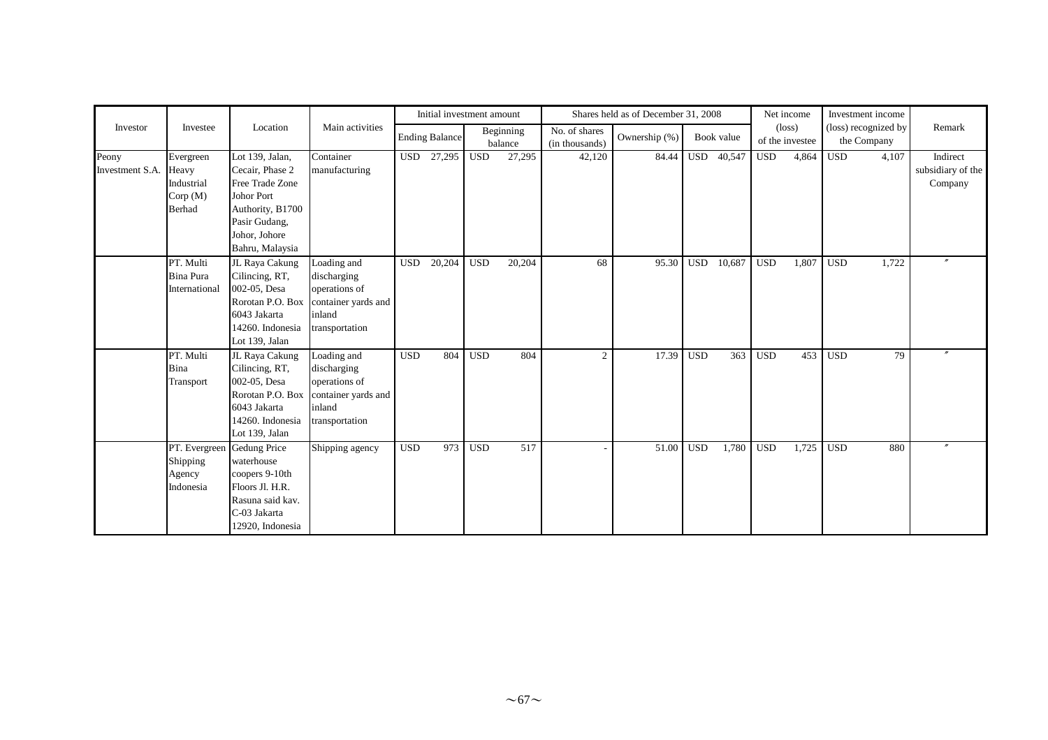|                          |                                                               |                                                                                                                                              |                                                                                                |            | Initial investment amount |            |                      |                                 | Shares held as of December 31, 2008 |            |            |            | Net income                         |            | Investment income                   |                                          |
|--------------------------|---------------------------------------------------------------|----------------------------------------------------------------------------------------------------------------------------------------------|------------------------------------------------------------------------------------------------|------------|---------------------------|------------|----------------------|---------------------------------|-------------------------------------|------------|------------|------------|------------------------------------|------------|-------------------------------------|------------------------------------------|
| Investor                 | Investee                                                      | Location                                                                                                                                     | Main activities                                                                                |            | <b>Ending Balance</b>     |            | Beginning<br>balance | No. of shares<br>(in thousands) | Ownership (%)                       |            | Book value |            | $(\text{loss})$<br>of the investee |            | (loss) recognized by<br>the Company | Remark                                   |
| Peony<br>Investment S.A. | Evergreen<br>Heavy<br>Industrial<br>Corp(M)<br>Berhad         | Lot 139, Jalan,<br>Cecair, Phase 2<br>Free Trade Zone<br>Johor Port<br>Authority, B1700<br>Pasir Gudang,<br>Johor, Johore<br>Bahru, Malaysia | Container<br>manufacturing                                                                     |            | USD 27,295                | <b>USD</b> | 27,295               | 42,120                          | 84.44                               | <b>USD</b> | 40,547     | <b>USD</b> | 4,864                              | <b>USD</b> | 4,107                               | Indirect<br>subsidiary of the<br>Company |
|                          | PT. Multi<br>Bina Pura<br>International                       | JL Raya Cakung<br>Cilincing, RT,<br>002-05, Desa<br>Rorotan P.O. Box<br>6043 Jakarta<br>14260. Indonesia<br>Lot 139, Jalan                   | Loading and<br>discharging<br>operations of<br>container yards and<br>inland<br>transportation | <b>USD</b> | 20,204                    | <b>USD</b> | 20,204               | 68                              | 95.30                               | <b>USD</b> | 10,687     | <b>USD</b> | 1,807                              | <b>USD</b> | 1,722                               |                                          |
|                          | PT. Multi<br>Bina<br>Transport                                | JL Raya Cakung<br>Cilincing, RT,<br>002-05, Desa<br>Rorotan P.O. Box<br>6043 Jakarta<br>14260. Indonesia<br>Lot 139, Jalan                   | Loading and<br>discharging<br>operations of<br>container yards and<br>inland<br>transportation | <b>USD</b> | 804                       | <b>USD</b> | 804                  | $\overline{2}$                  | 17.39                               | <b>USD</b> | 363        | <b>USD</b> | 453                                | <b>USD</b> | 79                                  |                                          |
|                          | PT. Evergreen Gedung Price<br>Shipping<br>Agency<br>Indonesia | waterhouse<br>coopers 9-10th<br>Floors Jl. H.R.<br>Rasuna said kav.<br>C-03 Jakarta<br>12920, Indonesia                                      | Shipping agency                                                                                | <b>USD</b> | 973                       | <b>USD</b> | 517                  |                                 | 51.00                               | <b>USD</b> | 1,780      | <b>USD</b> | 1,725                              | <b>USD</b> | 880                                 |                                          |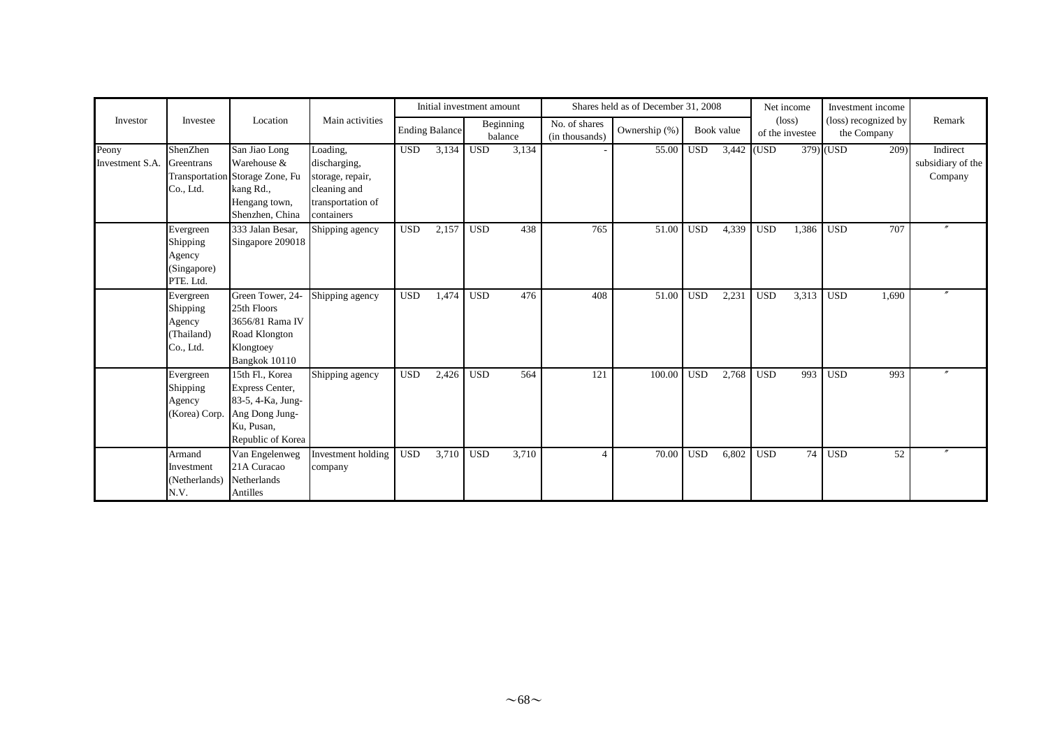|                          |                                                             |                                                                                                                     |                                                                                                 |            | Initial investment amount |            |                      |                                 | Shares held as of December 31, 2008 |            |            |            | Net income                         | Investment income                   |                                          |
|--------------------------|-------------------------------------------------------------|---------------------------------------------------------------------------------------------------------------------|-------------------------------------------------------------------------------------------------|------------|---------------------------|------------|----------------------|---------------------------------|-------------------------------------|------------|------------|------------|------------------------------------|-------------------------------------|------------------------------------------|
| Investor                 | Investee                                                    | Location                                                                                                            | Main activities                                                                                 |            | <b>Ending Balance</b>     |            | Beginning<br>balance | No. of shares<br>(in thousands) | Ownership (%)                       |            | Book value |            | $(\text{loss})$<br>of the investee | (loss) recognized by<br>the Company | Remark                                   |
| Peony<br>Investment S.A. | ShenZhen<br>Greentrans<br>Co., Ltd.                         | San Jiao Long<br>Warehouse &<br>Transportation Storage Zone, Fu<br>kang Rd.,<br>Hengang town,<br>Shenzhen, China    | Loading,<br>discharging,<br>storage, repair,<br>cleaning and<br>transportation of<br>containers | <b>USD</b> | 3,134                     | <b>USD</b> | 3,134                |                                 | 55.00                               | <b>USD</b> | 3,442 (USD |            |                                    | 379) (USD<br>209)                   | Indirect<br>subsidiary of the<br>Company |
|                          | Evergreen<br>Shipping<br>Agency<br>(Singapore)<br>PTE. Ltd. | 333 Jalan Besar,<br>Singapore 209018                                                                                | Shipping agency                                                                                 | <b>USD</b> | 2,157                     | <b>USD</b> | 438                  | 765                             | 51.00                               | <b>USD</b> | 4,339      | <b>USD</b> | 1,386                              | 707<br><b>USD</b>                   | $\prime$                                 |
|                          | Evergreen<br>Shipping<br>Agency<br>(Thailand)<br>Co., Ltd.  | Green Tower, 24-<br>25th Floors<br>3656/81 Rama IV<br>Road Klongton<br>Klongtoey<br>Bangkok 10110                   | Shipping agency                                                                                 | <b>USD</b> | 1,474                     | <b>USD</b> | 476                  | 408                             | 51.00                               | <b>USD</b> | 2,231      | <b>USD</b> | 3,313                              | <b>USD</b><br>1,690                 | $\prime\prime$                           |
|                          | Evergreen<br>Shipping<br>Agency<br>(Korea) Corp.            | 15th Fl., Korea<br><b>Express Center,</b><br>83-5, 4-Ka, Jung-<br>Ang Dong Jung-<br>Ku, Pusan,<br>Republic of Korea | Shipping agency                                                                                 | <b>USD</b> | 2,426                     | <b>USD</b> | 564                  | 121                             | 100.00                              | <b>USD</b> | 2,768      | <b>USD</b> | 993                                | <b>USD</b><br>993                   |                                          |
|                          | Armand<br>Investment<br>(Netherlands)<br>N.V.               | Van Engelenweg<br>21A Curacao<br>Netherlands<br>Antilles                                                            | Investment holding<br>company                                                                   | <b>USD</b> | 3,710                     | <b>USD</b> | 3,710                | $\Delta$                        | 70.00                               | <b>USD</b> | 6,802      | <b>USD</b> | 74                                 | 52<br><b>USD</b>                    |                                          |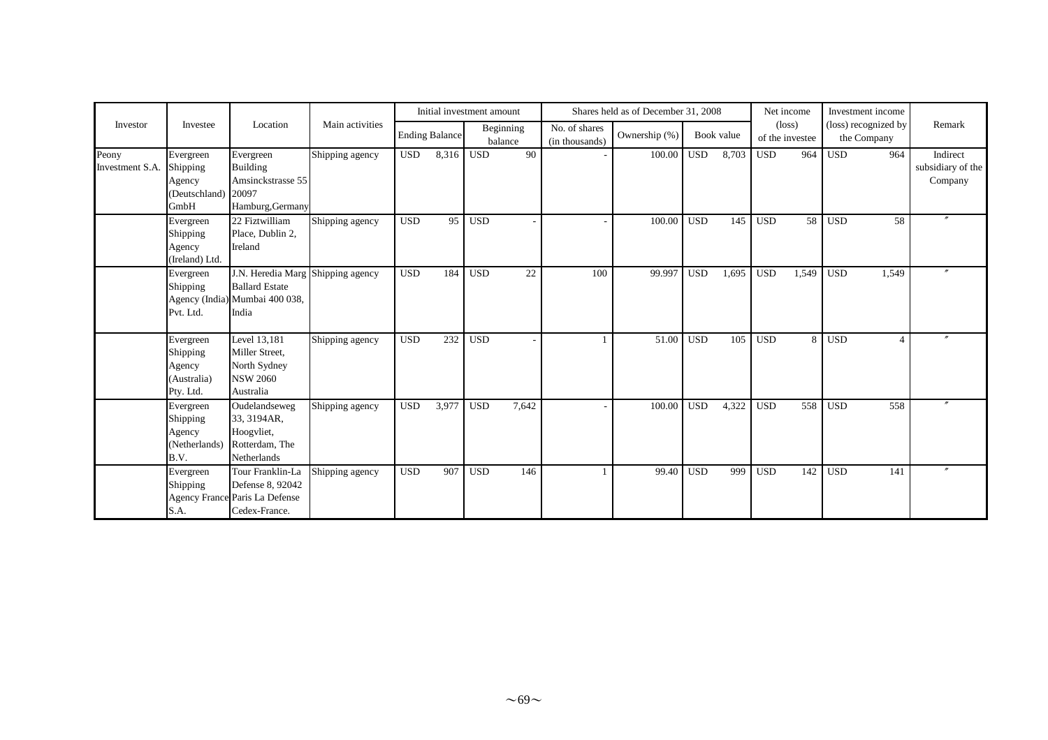|                          |                                                             |                                                                                                       |                 |            | Initial investment amount |            |                      |                                 | Shares held as of December 31, 2008 |              |            |            | Net income                         |                  | Investment income                   |                                          |
|--------------------------|-------------------------------------------------------------|-------------------------------------------------------------------------------------------------------|-----------------|------------|---------------------------|------------|----------------------|---------------------------------|-------------------------------------|--------------|------------|------------|------------------------------------|------------------|-------------------------------------|------------------------------------------|
| Investor                 | Investee                                                    | Location                                                                                              | Main activities |            | <b>Ending Balance</b>     |            | Beginning<br>balance | No. of shares<br>(in thousands) | Ownership (%)                       |              | Book value |            | $(\text{loss})$<br>of the investee |                  | (loss) recognized by<br>the Company | Remark                                   |
| Peony<br>Investment S.A. | Evergreen<br>Shipping<br>Agency<br>(Deutschland)<br>GmbH    | Evergreen<br>Building<br>Amsinckstrasse 55<br>20097<br>Hamburg, Germany                               | Shipping agency | <b>USD</b> | 8,316                     | <b>USD</b> | 90                   |                                 | 100.00                              | $_{\rm USD}$ | 8,703      | <b>USD</b> | 964                                | <b>USD</b>       | 964                                 | Indirect<br>subsidiary of the<br>Company |
|                          | Evergreen<br>Shipping<br>Agency<br>(Ireland) Ltd.           | 22 Fiztwilliam<br>Place, Dublin 2,<br>Ireland                                                         | Shipping agency | <b>USD</b> | 95                        | <b>USD</b> |                      |                                 | 100.00                              | <b>USD</b>   | 145        | <b>USD</b> | 58                                 | <b>USD</b>       | 58                                  |                                          |
|                          | Evergreen<br>Shipping<br>Pvt. Ltd.                          | J.N. Heredia Marg Shipping agency<br><b>Ballard Estate</b><br>Agency (India) Mumbai 400 038,<br>India |                 | <b>USD</b> | 184                       | <b>USD</b> | 22                   | 100                             | 99.997                              | <b>USD</b>   | 1.695      | <b>USD</b> | 1,549                              | <b>USD</b>       | 1,549                               |                                          |
|                          | Evergreen<br>Shipping<br>Agency<br>(Australia)<br>Pty. Ltd. | Level 13,181<br>Miller Street,<br>North Sydney<br><b>NSW 2060</b><br>Australia                        | Shipping agency | <b>USD</b> | 232                       | <b>USD</b> |                      |                                 | 51.00                               | <b>USD</b>   | 105        | <b>USD</b> | 8                                  | <b>USD</b>       | $\boldsymbol{\varDelta}$            |                                          |
|                          | Evergreen<br>Shipping<br>Agency<br>(Netherlands)<br>B.V.    | Oudelandseweg<br>33, 3194AR,<br>Hoogyliet,<br>Rotterdam, The<br>Netherlands                           | Shipping agency | <b>USD</b> | 3,977                     | <b>USD</b> | 7,642                |                                 | 100.00                              | <b>USD</b>   | 4,322      | <b>USD</b> | 558                                | $\overline{USD}$ | 558                                 |                                          |
|                          | Evergreen<br>Shipping<br>S.A.                               | Tour Franklin-La<br>Defense 8, 92042<br>Agency France Paris La Defense<br>Cedex-France.               | Shipping agency | <b>USD</b> | 907                       | <b>USD</b> | 146                  |                                 | 99.40                               | <b>USD</b>   | 999        | <b>USD</b> | 142                                | <b>USD</b>       | 141                                 |                                          |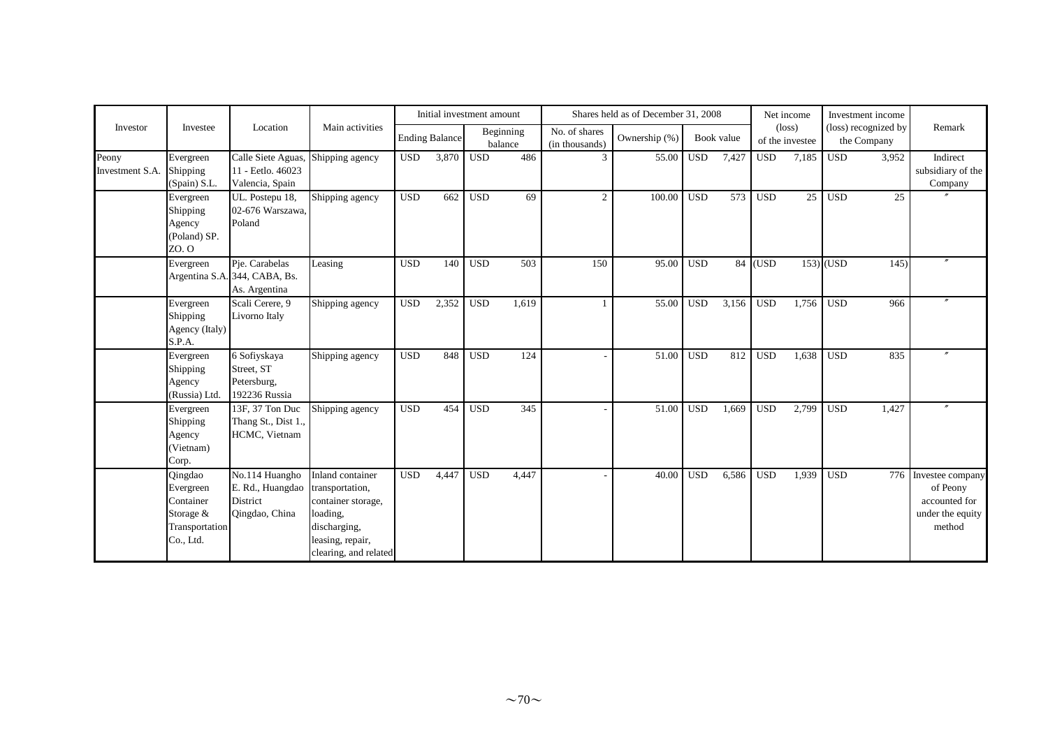|                          |                                                                               |                                                                  |                                                                                                                                    |            | Initial investment amount |            |                      |                                 | Shares held as of December 31, 2008 |            |            |            | Net income                         |             | Investment income                   |                                                                             |
|--------------------------|-------------------------------------------------------------------------------|------------------------------------------------------------------|------------------------------------------------------------------------------------------------------------------------------------|------------|---------------------------|------------|----------------------|---------------------------------|-------------------------------------|------------|------------|------------|------------------------------------|-------------|-------------------------------------|-----------------------------------------------------------------------------|
| Investor                 | Investee                                                                      | Location                                                         | Main activities                                                                                                                    |            | <b>Ending Balance</b>     |            | Beginning<br>balance | No. of shares<br>(in thousands) | Ownership (%)                       |            | Book value |            | $(\text{loss})$<br>of the investee |             | (loss) recognized by<br>the Company | Remark                                                                      |
| Peony<br>Investment S.A. | Evergreen<br>Shipping<br>(Spain) S.L.                                         | Calle Siete Aguas,<br>11 - Eetlo. 46023<br>Valencia, Spain       | Shipping agency                                                                                                                    | <b>USD</b> | 3,870                     | <b>USD</b> | 486                  | 3                               | 55.00                               | <b>USD</b> | 7,427      | <b>USD</b> | 7,185                              | <b>USD</b>  | 3,952                               | Indirect<br>subsidiary of the<br>Company                                    |
|                          | Evergreen<br>Shipping<br>Agency<br>(Poland) SP.<br>ZO. O                      | UL. Postepu 18,<br>02-676 Warszawa,<br>Poland                    | Shipping agency                                                                                                                    | <b>USD</b> | 662                       | <b>USD</b> | 69                   | $\overline{2}$                  | 100.00                              | <b>USD</b> | 573        | <b>USD</b> | 25                                 | <b>USD</b>  | 25                                  |                                                                             |
|                          | Evergreen                                                                     | Pje. Carabelas<br>Argentina S.A. 344, CABA, Bs.<br>As. Argentina | Leasing                                                                                                                            | <b>USD</b> | 140                       | <b>USD</b> | 503                  | 150                             | 95.00                               | <b>USD</b> |            | 84 (USD    |                                    | $153)$ (USD | 145)                                |                                                                             |
|                          | Evergreen<br>Shipping<br>Agency (Italy)<br>S.P.A.                             | Scali Cerere, 9<br>Livorno Italy                                 | Shipping agency                                                                                                                    | <b>USD</b> | 2,352                     | <b>USD</b> | 1.619                |                                 | 55.00                               | <b>USD</b> | 3,156      | <b>USD</b> | 1.756                              | <b>USD</b>  | 966                                 | $^{\prime\prime}$                                                           |
|                          | Evergreen<br>Shipping<br>Agency<br>(Russia) Ltd.                              | 6 Sofiyskaya<br>Street, ST<br>Petersburg,<br>192236 Russia       | Shipping agency                                                                                                                    | <b>USD</b> | 848                       | <b>USD</b> | 124                  |                                 | 51.00                               | <b>USD</b> | 812        | <b>USD</b> | 1,638                              | <b>USD</b>  | 835                                 |                                                                             |
|                          | Evergreen<br>Shipping<br>Agency<br>(Vietnam)<br>Corp.                         | 13F, 37 Ton Duc<br>Thang St., Dist 1.,<br>HCMC, Vietnam          | Shipping agency                                                                                                                    | <b>USD</b> | 454                       | <b>USD</b> | 345                  |                                 | 51.00                               | <b>USD</b> | 1,669      | <b>USD</b> | 2,799                              | <b>USD</b>  | 1,427                               |                                                                             |
|                          | Qingdao<br>Evergreen<br>Container<br>Storage &<br>Transportation<br>Co., Ltd. | No.114 Huangho<br>E. Rd., Huangdao<br>District<br>Qingdao, China | Inland container<br>transportation,<br>container storage,<br>loading,<br>discharging,<br>leasing, repair,<br>clearing, and related | <b>USD</b> | 4.447                     | <b>USD</b> | 4,447                |                                 | 40.00                               | <b>USD</b> | 6,586      | <b>USD</b> | 1.939                              | <b>USD</b>  | 776                                 | Investee company<br>of Peony<br>accounted for<br>under the equity<br>method |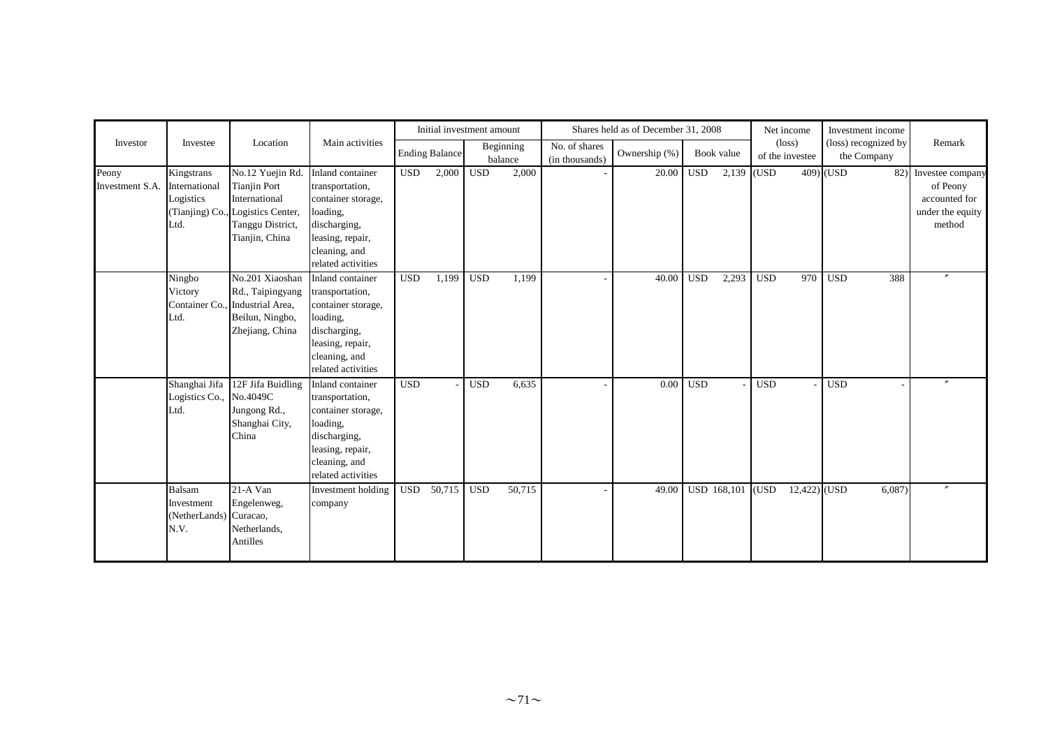|                          |                                                        |                                                                                                                                     |                                                                                                                                                  |            |                       | Initial investment amount |                      |                                                      | Shares held as of December 31, 2008 |              |             |            | Net income                         | Investment income                   |                                                                             |
|--------------------------|--------------------------------------------------------|-------------------------------------------------------------------------------------------------------------------------------------|--------------------------------------------------------------------------------------------------------------------------------------------------|------------|-----------------------|---------------------------|----------------------|------------------------------------------------------|-------------------------------------|--------------|-------------|------------|------------------------------------|-------------------------------------|-----------------------------------------------------------------------------|
| Investor                 | Investee                                               | Location                                                                                                                            | Main activities                                                                                                                                  |            | <b>Ending Balance</b> |                           | Beginning<br>balance | $\overline{\text{No}}$ . of shares<br>(in thousands) | Ownership (%)                       |              | Book value  |            | $(\text{loss})$<br>of the investee | (loss) recognized by<br>the Company | Remark                                                                      |
| Peony<br>Investment S.A. | Kingstrans<br>International<br>Logistics<br>Ltd.       | No.12 Yuejin Rd.<br><b>Tianjin Port</b><br>International<br>(Tianjing) Co., Logistics Center,<br>Tanggu District,<br>Tianjin, China | Inland container<br>transportation,<br>container storage,<br>loading,<br>discharging,<br>leasing, repair,<br>cleaning, and<br>related activities | <b>USD</b> | 2,000                 | <b>USD</b>                | 2,000                |                                                      | 20.00                               | $_{\rm USD}$ | 2,139 (USD  |            |                                    | 409) (USD<br>82)                    | Investee company<br>of Peony<br>accounted for<br>under the equity<br>method |
|                          | Ningbo<br>Victory<br>Ltd.                              | No.201 Xiaoshan<br>Rd., Taipingyang<br>Container Co., Industrial Area,<br>Beilun, Ningbo,<br>Zhejiang, China                        | Inland container<br>transportation,<br>container storage,<br>loading,<br>discharging,<br>leasing, repair,<br>cleaning, and<br>related activities | <b>USD</b> | 1,199                 | <b>USD</b>                | 1,199                |                                                      | 40.00                               | <b>USD</b>   | 2,293       | <b>USD</b> | 970                                | <b>USD</b><br>388                   | $\prime$                                                                    |
|                          | Shanghai Jifa<br>Logistics Co., No.4049C<br>Ltd.       | 12F Jifa Buidling<br>Jungong Rd.,<br>Shanghai City,<br>China                                                                        | Inland container<br>transportation,<br>container storage,<br>loading,<br>discharging,<br>leasing, repair,<br>cleaning, and<br>related activities | <b>USD</b> |                       | <b>USD</b>                | 6,635                |                                                      | 0.00                                | <b>USD</b>   |             | <b>USD</b> |                                    | <b>USD</b>                          |                                                                             |
|                          | Balsam<br>Investment<br>(NetherLands) Curacao,<br>N.V. | 21-A Van<br>Engelenweg,<br>Netherlands,<br>Antilles                                                                                 | Investment holding<br>company                                                                                                                    | <b>USD</b> | 50,715                | <b>USD</b>                | 50,715               |                                                      | 49.00                               |              | USD 168,101 | (USD)      | $12,422)$ (USD                     | 6,087                               |                                                                             |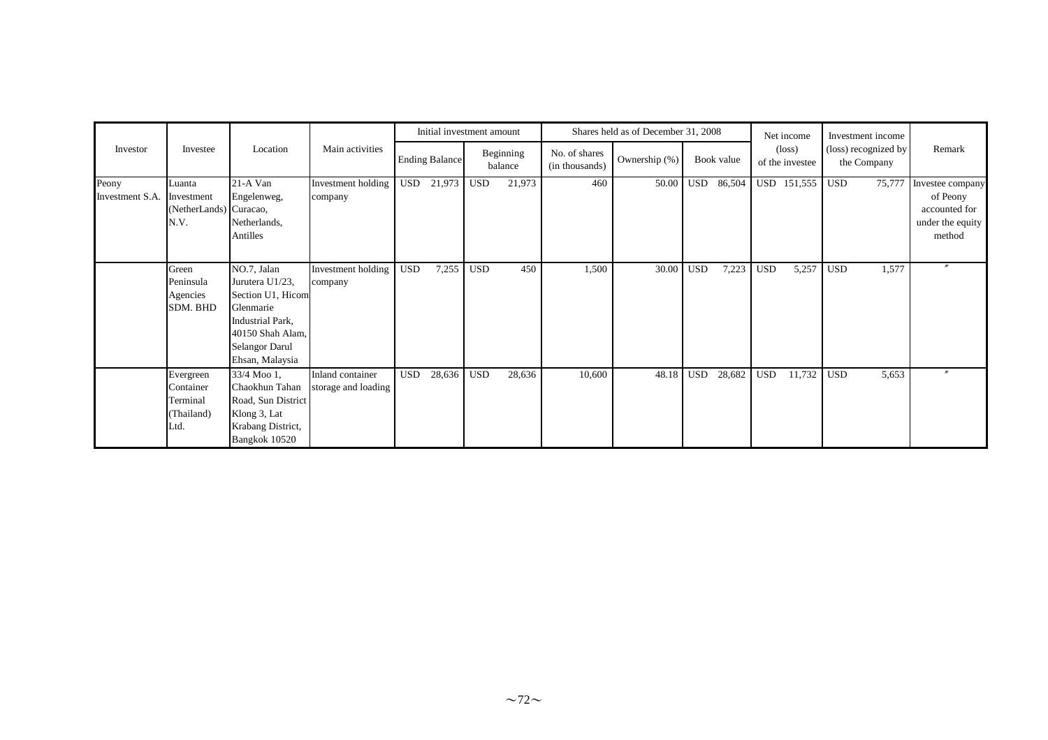|                          |                                                          |                                                                                                                                               |                                         |            | Initial investment amount |            |                      |                                 | Shares held as of December 31, 2008 |            |        |                                    | Net income  | Investment income                   |                                                                             |
|--------------------------|----------------------------------------------------------|-----------------------------------------------------------------------------------------------------------------------------------------------|-----------------------------------------|------------|---------------------------|------------|----------------------|---------------------------------|-------------------------------------|------------|--------|------------------------------------|-------------|-------------------------------------|-----------------------------------------------------------------------------|
| Investor                 | Investee                                                 | Location                                                                                                                                      | Main activities                         |            | <b>Ending Balance</b>     |            | Beginning<br>balance | No. of shares<br>(in thousands) | Ownership (%)                       | Book value |        | $(\text{loss})$<br>of the investee |             | (loss) recognized by<br>the Company | Remark                                                                      |
| Peony<br>Investment S.A. | Luanta<br>Investment<br>NetherLands) Curacao,<br>N.V.    | 21-A Van<br>Engelenweg,<br>Netherlands,<br>Antilles                                                                                           | Investment holding<br>company           | <b>USD</b> | 21,973                    | <b>USD</b> | 21,973               | 460                             | 50.00                               | <b>USD</b> | 86,504 |                                    | USD 151,555 | <b>USD</b><br>75,777                | Investee company<br>of Peony<br>accounted for<br>under the equity<br>method |
|                          | Green<br>Peninsula<br>Agencies<br>SDM. BHD               | NO.7, Jalan<br>Jurutera U1/23,<br>Section U1, Hicom<br>Glenmarie<br>Industrial Park,<br>40150 Shah Alam,<br>Selangor Darul<br>Ehsan, Malaysia | Investment holding<br>company           | <b>USD</b> | 7,255                     | <b>USD</b> | 450                  | 1,500                           | 30.00                               | <b>USD</b> | 7,223  | <b>USD</b>                         | 5,257       | <b>USD</b><br>1,577                 | $\prime\prime$                                                              |
|                          | Evergreen<br>Container<br>Terminal<br>(Thailand)<br>Ltd. | 33/4 Moo 1,<br>Chaokhun Tahan<br>Road, Sun District<br>Klong 3, Lat<br>Krabang District,<br>Bangkok 10520                                     | Inland container<br>storage and loading | <b>USD</b> | 28,636                    | <b>USD</b> | 28,636               | 10,600                          | 48.18                               | <b>USD</b> | 28,682 | <b>USD</b>                         | 11,732      | <b>USD</b><br>5,653                 |                                                                             |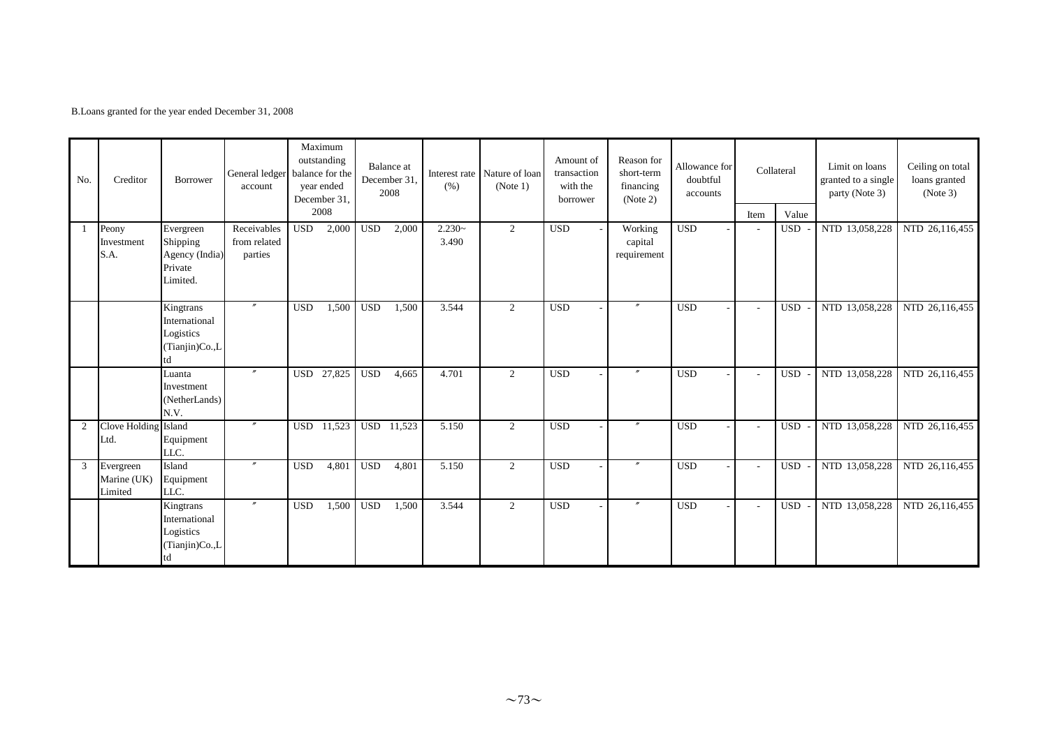B.Loans granted for the year ended December 31, 2008

| No. | Creditor                            | Borrower                                                        | General ledger<br>account              |            | Maximum<br>outstanding<br>balance for the<br>year ended<br>December 31, |            | <b>Balance</b> at<br>December 31,<br>2008 | (% )              | Interest rate Nature of loan<br>(Note 1) | Amount of<br>transaction<br>with the<br>borrower | Reason for<br>short-term<br>financing<br>(Note 2) | Allowance for<br>doubtful<br>accounts |                          | Collateral | Limit on loans<br>granted to a single<br>party (Note 3) | Ceiling on total<br>loans granted<br>(Note 3) |
|-----|-------------------------------------|-----------------------------------------------------------------|----------------------------------------|------------|-------------------------------------------------------------------------|------------|-------------------------------------------|-------------------|------------------------------------------|--------------------------------------------------|---------------------------------------------------|---------------------------------------|--------------------------|------------|---------------------------------------------------------|-----------------------------------------------|
|     |                                     |                                                                 |                                        |            | 2008                                                                    |            |                                           |                   |                                          |                                                  |                                                   |                                       | Item                     | Value      |                                                         |                                               |
| -1  | Peony<br>Investment<br>S.A.         | Evergreen<br>Shipping<br>Agency (India)<br>Private<br>Limited.  | Receivables<br>from related<br>parties | <b>USD</b> | 2,000                                                                   | <b>USD</b> | 2,000                                     | $2.230-$<br>3.490 | 2                                        | <b>USD</b>                                       | Working<br>capital<br>requirement                 | <b>USD</b>                            |                          | <b>USD</b> | NTD 13,058,228                                          | NTD 26,116,455                                |
|     |                                     | Kingtrans<br>International<br>Logistics<br>(Tianjin)Co.,L       | $^{\prime\prime}$                      | <b>USD</b> | 1,500                                                                   | <b>USD</b> | 1,500                                     | 3.544             | 2                                        | <b>USD</b>                                       | $^{\prime\prime}$                                 | <b>USD</b>                            |                          | <b>USD</b> | NTD 13,058,228                                          | NTD 26,116,455                                |
|     |                                     | Luanta<br>Investment<br>(NetherLands)<br>N.V.                   |                                        |            | USD 27,825                                                              | <b>USD</b> | 4,665                                     | 4.701             | 2                                        | <b>USD</b>                                       |                                                   | <b>USD</b>                            | $\overline{\phantom{a}}$ | <b>USD</b> | NTD 13,058,228                                          | NTD 26,116,455                                |
| 2   | Clove Holding Island<br>Ltd.        | Equipment<br>LLC.                                               | $^{\prime\prime}$                      | <b>USD</b> | 11,523                                                                  | <b>USD</b> | 11,523                                    | 5.150             | 2                                        | <b>USD</b>                                       | $^{\prime\prime}$                                 | <b>USD</b>                            | $\overline{\phantom{0}}$ | <b>USD</b> | NTD 13,058,228                                          | NTD 26,116,455                                |
| 3   | Evergreen<br>Marine (UK)<br>Limited | Island<br>Equipment<br>LLC.                                     |                                        | <b>USD</b> | 4,801                                                                   | <b>USD</b> | 4,801                                     | 5.150             | 2                                        | <b>USD</b>                                       |                                                   | <b>USD</b>                            | $\overline{\phantom{a}}$ | <b>USD</b> | NTD 13,058,228                                          | NTD 26,116,455                                |
|     |                                     | Kingtrans<br>International<br>Logistics<br>(Tianjin)Co.,L<br>td |                                        | <b>USD</b> | 1,500                                                                   | <b>USD</b> | 1,500                                     | 3.544             | 2                                        | <b>USD</b>                                       |                                                   | <b>USD</b>                            | $\overline{\phantom{a}}$ | <b>USD</b> | NTD 13,058,228                                          | NTD 26,116,455                                |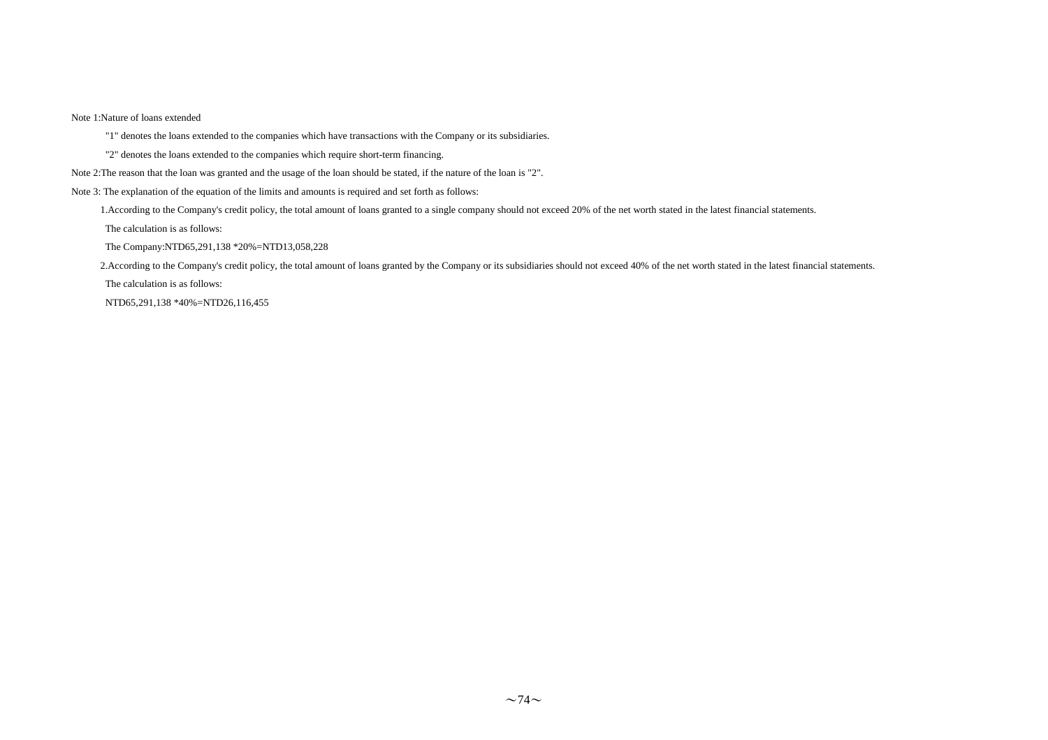#### Note 1:Nature of loans extended

"1" denotes the loans extended to the companies which have transactions with the Company or its subsidiaries.

- "2" denotes the loans extended to the companies which require short-term financing.
- Note 2:The reason that the loan was granted and the usage of the loan should be stated, if the nature of the loan is "2".

Note 3: The explanation of the equation of the limits and amounts is required and set forth as follows:

1.According to the Company's credit policy, the total amount of loans granted to a single company should not exceed 20% of the net worth stated in the latest financial statements.

The calculation is as follows:

The Company:NTD65,291,138 \*20%=NTD13,058,228

2.According to the Company's credit policy, the total amount of loans granted by the Company or its subsidiaries should not exceed 40% of the net worth stated in the latest financial statements.

The calculation is as follows:

NTD65,291,138 \*40%=NTD26,116,455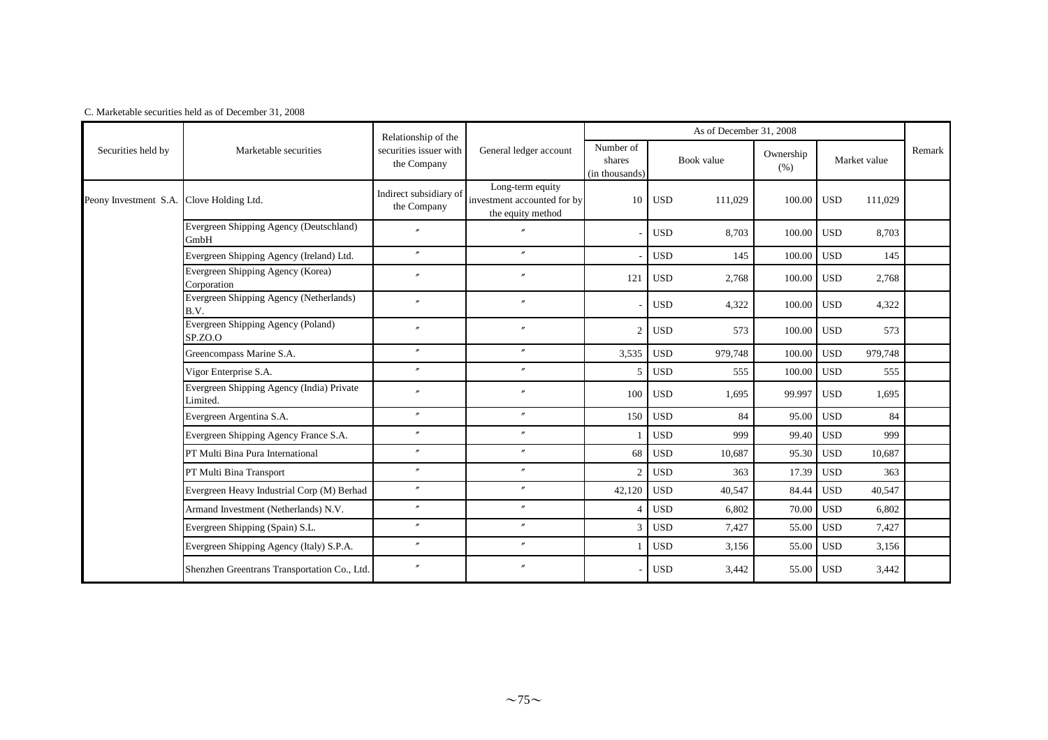|                       |                                                       | Relationship of the                   |                                                                      |                                       |            | As of December 31, 2008 |                   |            |              |        |
|-----------------------|-------------------------------------------------------|---------------------------------------|----------------------------------------------------------------------|---------------------------------------|------------|-------------------------|-------------------|------------|--------------|--------|
| Securities held by    | Marketable securities                                 | securities issuer with<br>the Company | General ledger account                                               | Number of<br>shares<br>(in thousands) |            | Book value              | Ownership<br>(% ) |            | Market value | Remark |
| Peony Investment S.A. | Clove Holding Ltd.                                    | Indirect subsidiary of<br>the Company | Long-term equity<br>investment accounted for by<br>the equity method | 10                                    | <b>USD</b> | 111,029                 | 100.00            | <b>USD</b> | 111,029      |        |
|                       | Evergreen Shipping Agency (Deutschland)<br>GmbH       | $\overline{v}$                        |                                                                      |                                       | <b>USD</b> | 8,703                   | 100.00            | <b>USD</b> | 8,703        |        |
|                       | Evergreen Shipping Agency (Ireland) Ltd.              | $^{\prime\prime}$                     | $\prime\prime$                                                       |                                       | <b>USD</b> | 145                     | 100.00            | <b>USD</b> | 145          |        |
|                       | Evergreen Shipping Agency (Korea)<br>Corporation      | $\boldsymbol{r}$                      |                                                                      | 121                                   | <b>USD</b> | 2,768                   | 100.00            | <b>USD</b> | 2,768        |        |
|                       | Evergreen Shipping Agency (Netherlands)<br>B.V.       |                                       |                                                                      |                                       | <b>USD</b> | 4,322                   | 100.00            | <b>USD</b> | 4,322        |        |
|                       | Evergreen Shipping Agency (Poland)<br>SP.ZO.O         | $\overline{''}$                       |                                                                      | 2                                     | <b>USD</b> | 573                     | 100.00 USD        |            | 573          |        |
|                       | Greencompass Marine S.A.                              | $\prime\prime$                        | $\theta$                                                             | 3,535                                 | <b>USD</b> | 979,748                 | 100.00            | <b>USD</b> | 979,748      |        |
|                       | Vigor Enterprise S.A.                                 | $\prime\prime$                        | $\theta$                                                             | 5                                     | <b>USD</b> | 555                     | 100.00            | <b>USD</b> | 555          |        |
|                       | Evergreen Shipping Agency (India) Private<br>Limited. | $^{\prime\prime}$                     | $\theta$                                                             | 100                                   | <b>USD</b> | 1,695                   | 99.997            | <b>USD</b> | 1,695        |        |
|                       | Evergreen Argentina S.A.                              | $\prime$                              | $\prime\prime$                                                       | 150                                   | <b>USD</b> | 84                      | 95.00             | <b>USD</b> | 84           |        |
|                       | Evergreen Shipping Agency France S.A.                 | $^{\prime\prime}$                     | $^{\prime\prime}$                                                    |                                       | <b>USD</b> | 999                     | 99.40             | <b>USD</b> | 999          |        |
|                       | PT Multi Bina Pura International                      | $\prime\prime$                        | $\prime\prime$                                                       | 68                                    | <b>USD</b> | 10,687                  | 95.30             | <b>USD</b> | 10,687       |        |
|                       | PT Multi Bina Transport                               | $^{\prime\prime}$                     | $^{\prime\prime}$                                                    | $\overline{c}$                        | <b>USD</b> | 363                     | 17.39             | <b>USD</b> | 363          |        |
|                       | Evergreen Heavy Industrial Corp (M) Berhad            | $\prime\prime$                        | $^{\prime\prime}$                                                    | 42,120                                | <b>USD</b> | 40,547                  | 84.44             | <b>USD</b> | 40,547       |        |
|                       | Armand Investment (Netherlands) N.V.                  | $\prime\prime$                        | $\prime\prime$                                                       |                                       | <b>USD</b> | 6,802                   | 70.00             | <b>USD</b> | 6,802        |        |
|                       | Evergreen Shipping (Spain) S.L.                       | $^{\prime\prime}$                     | $\prime\prime$                                                       | 3                                     | <b>USD</b> | 7,427                   | 55.00             | <b>USD</b> | 7,427        |        |
|                       | Evergreen Shipping Agency (Italy) S.P.A.              | $\prime\prime$                        | $^{\prime\prime}$                                                    |                                       | <b>USD</b> | 3,156                   | 55.00             | <b>USD</b> | 3,156        |        |
|                       | Shenzhen Greentrans Transportation Co., Ltd.          |                                       | $^{\prime\prime}$                                                    |                                       | <b>USD</b> | 3,442                   | 55.00             | <b>USD</b> | 3,442        |        |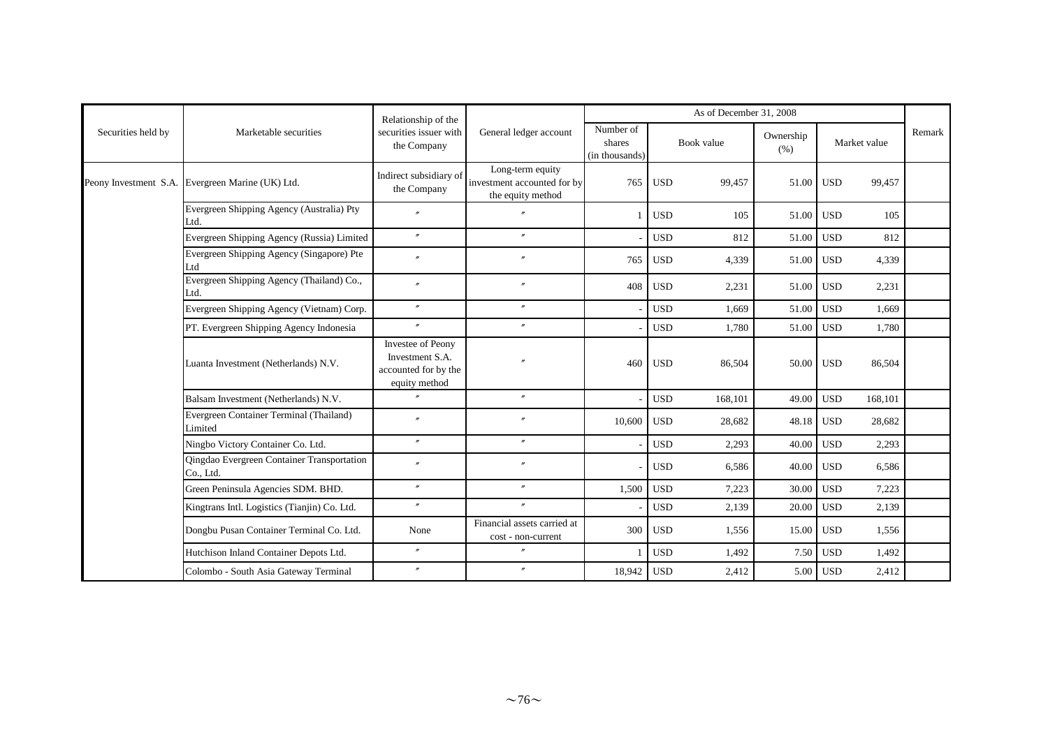| As of December 31, 2008<br>Relationship of the |                                                         |                                                                               |                                                                      |                                       |                       |                   |                       |        |  |  |
|------------------------------------------------|---------------------------------------------------------|-------------------------------------------------------------------------------|----------------------------------------------------------------------|---------------------------------------|-----------------------|-------------------|-----------------------|--------|--|--|
| Securities held by                             | Marketable securities                                   | securities issuer with<br>the Company                                         | General ledger account                                               | Number of<br>shares<br>(in thousands) | Book value            | Ownership<br>(% ) | Market value          | Remark |  |  |
|                                                | Peony Investment S.A. Evergreen Marine (UK) Ltd.        | Indirect subsidiary of<br>the Company                                         | Long-term equity<br>investment accounted for by<br>the equity method | 765                                   | <b>USD</b><br>99,457  | 51.00             | <b>USD</b><br>99,457  |        |  |  |
|                                                | Evergreen Shipping Agency (Australia) Pty<br>Ltd.       |                                                                               |                                                                      |                                       | <b>USD</b><br>105     | 51.00             | <b>USD</b><br>105     |        |  |  |
|                                                | Evergreen Shipping Agency (Russia) Limited              | $\mathbf{r}$                                                                  | $\theta$                                                             |                                       | <b>USD</b><br>812     | 51.00             | <b>USD</b><br>812     |        |  |  |
|                                                | Evergreen Shipping Agency (Singapore) Pte<br>Ltd        | $\boldsymbol{''}$                                                             | $\theta$                                                             | 765                                   | <b>USD</b><br>4,339   | 51.00             | <b>USD</b><br>4,339   |        |  |  |
|                                                | Evergreen Shipping Agency (Thailand) Co.,<br>Ltd.       | $\prime\prime$                                                                | $^{\prime\prime}$                                                    | 408                                   | <b>USD</b><br>2,231   | 51.00             | <b>USD</b><br>2,231   |        |  |  |
|                                                | Evergreen Shipping Agency (Vietnam) Corp.               | $\prime\prime$                                                                | $^{\prime\prime}$                                                    |                                       | <b>USD</b><br>1,669   | 51.00             | <b>USD</b><br>1,669   |        |  |  |
|                                                | PT. Evergreen Shipping Agency Indonesia                 | $\mathbf{r}$                                                                  | $\mathbf{r}$                                                         |                                       | <b>USD</b><br>1,780   | 51.00             | <b>USD</b><br>1,780   |        |  |  |
|                                                | Luanta Investment (Netherlands) N.V.                    | Investee of Peony<br>Investment S.A.<br>accounted for by the<br>equity method |                                                                      | 460                                   | <b>USD</b><br>86,504  | 50.00             | <b>USD</b><br>86,504  |        |  |  |
|                                                | Balsam Investment (Netherlands) N.V.                    | $\mathbf{r}$                                                                  | $\mathbf{r}$                                                         |                                       | <b>USD</b><br>168,101 | 49.00             | <b>USD</b><br>168,101 |        |  |  |
|                                                | Evergreen Container Terminal (Thailand)<br>Limited      | $\overline{v}$                                                                |                                                                      | 10,600                                | <b>USD</b><br>28,682  | 48.18             | <b>USD</b><br>28,682  |        |  |  |
|                                                | Ningbo Victory Container Co. Ltd.                       | $^{\prime\prime}$                                                             | $\mathbf{r}$                                                         |                                       | <b>USD</b><br>2,293   | 40.00             | <b>USD</b><br>2,293   |        |  |  |
|                                                | Qingdao Evergreen Container Transportation<br>Co., Ltd. | $\overline{''}$                                                               | $^{\prime\prime}$                                                    |                                       | <b>USD</b><br>6,586   | 40.00             | <b>USD</b><br>6,586   |        |  |  |
|                                                | Green Peninsula Agencies SDM. BHD.                      | $^{\prime\prime}$                                                             | $^{\prime\prime}$                                                    | 1,500                                 | <b>USD</b><br>7,223   | 30.00             | <b>USD</b><br>7,223   |        |  |  |
|                                                | Kingtrans Intl. Logistics (Tianjin) Co. Ltd.            | $\boldsymbol{r}$                                                              | $\theta$                                                             |                                       | <b>USD</b><br>2,139   | 20.00             | <b>USD</b><br>2,139   |        |  |  |
|                                                | Dongbu Pusan Container Terminal Co. Ltd.                | None                                                                          | Financial assets carried at<br>cost - non-current                    | 300                                   | <b>USD</b><br>1,556   | 15.00             | <b>USD</b><br>1,556   |        |  |  |
|                                                | Hutchison Inland Container Depots Ltd.                  | $\prime\prime$                                                                | $\mathbf{r}$                                                         |                                       | <b>USD</b><br>1,492   | 7.50              | <b>USD</b><br>1,492   |        |  |  |
|                                                | Colombo - South Asia Gateway Terminal                   | $\prime$                                                                      | $^{\prime\prime}$                                                    | 18,942                                | <b>USD</b><br>2,412   | 5.00              | <b>USD</b><br>2,412   |        |  |  |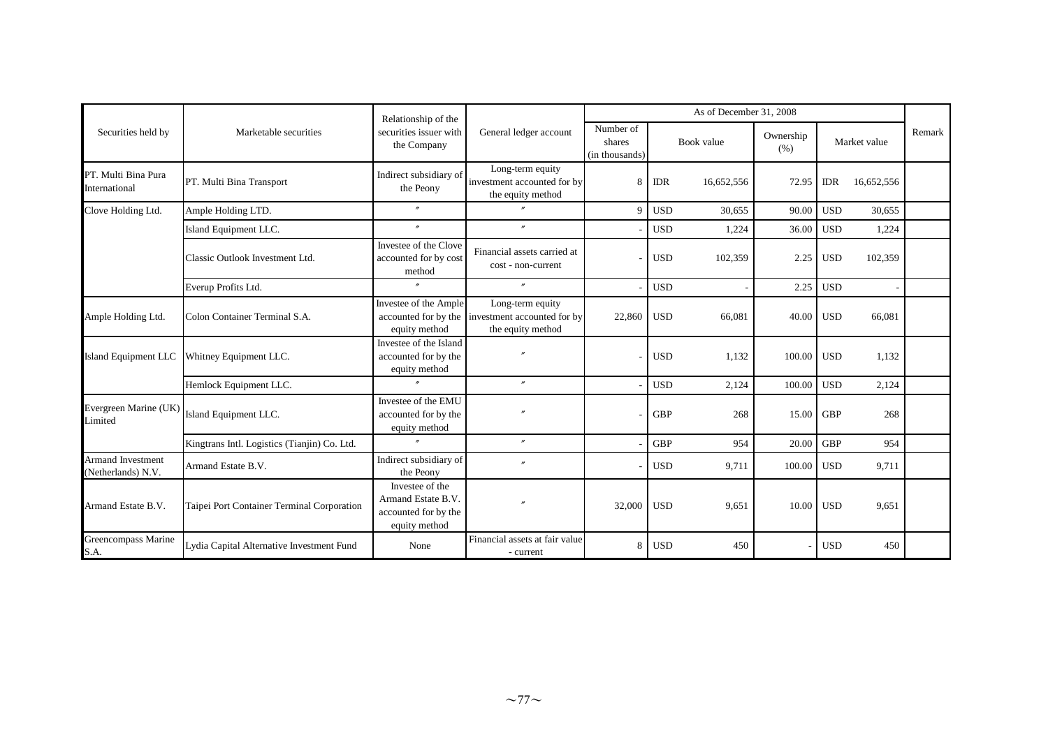|                                                |                                              | Relationship of the                                                            |                                                                                           |                                       |            | As of December 31, 2008 |                   |            |              |        |
|------------------------------------------------|----------------------------------------------|--------------------------------------------------------------------------------|-------------------------------------------------------------------------------------------|---------------------------------------|------------|-------------------------|-------------------|------------|--------------|--------|
| Securities held by                             | Marketable securities                        | securities issuer with<br>the Company                                          | General ledger account                                                                    | Number of<br>shares<br>(in thousands) |            | Book value              | Ownership<br>(% ) |            | Market value | Remark |
| PT. Multi Bina Pura<br>International           | PT. Multi Bina Transport                     | Indirect subsidiary of<br>the Peony                                            | Long-term equity<br>investment accounted for by<br>the equity method                      | 8                                     | <b>IDR</b> | 16,652,556              | 72.95             | <b>IDR</b> | 16,652,556   |        |
| Clove Holding Ltd.                             | Ample Holding LTD.                           | $\overline{''}$                                                                |                                                                                           | 9                                     | <b>USD</b> | 30,655                  | 90.00             | <b>USD</b> | 30,655       |        |
|                                                | Island Equipment LLC.                        | $^{\prime\prime}$                                                              | $^{\prime\prime}$                                                                         |                                       | <b>USD</b> | 1,224                   | 36.00             | <b>USD</b> | 1,224        |        |
|                                                | Classic Outlook Investment Ltd.              | Investee of the Clove<br>accounted for by cost<br>method                       | Financial assets carried at<br>cost - non-current                                         |                                       | <b>USD</b> | 102,359                 | 2.25              | <b>USD</b> | 102,359      |        |
|                                                | Everup Profits Ltd.                          | $\prime\prime$                                                                 | $^{\prime\prime}$                                                                         |                                       | <b>USD</b> |                         | 2.25              | <b>USD</b> |              |        |
| Ample Holding Ltd.                             | Colon Container Terminal S.A.                | Investee of the Ample<br>equity method                                         | Long-term equity<br>accounted for by the investment accounted for by<br>the equity method | 22,860                                | <b>USD</b> | 66,081                  | 40.00             | <b>USD</b> | 66,081       |        |
| Island Equipment LLC                           | Whitney Equipment LLC.                       | Investee of the Island<br>accounted for by the<br>equity method                |                                                                                           |                                       | <b>USD</b> | 1,132                   | 100.00            | <b>USD</b> | 1,132        |        |
|                                                | Hemlock Equipment LLC.                       | $\mathbf{r}$                                                                   | $\theta$                                                                                  |                                       | <b>USD</b> | 2,124                   | 100.00            | <b>USD</b> | 2,124        |        |
| Evergreen Marine (UK)<br>Limited               | Island Equipment LLC.                        | Investee of the EMU<br>accounted for by the<br>equity method                   |                                                                                           |                                       | <b>GBP</b> | 268                     | 15.00             | <b>GBP</b> | 268          |        |
|                                                | Kingtrans Intl. Logistics (Tianjin) Co. Ltd. |                                                                                | $\theta$                                                                                  |                                       | <b>GBP</b> | 954                     | 20.00             | <b>GBP</b> | 954          |        |
| <b>Armand Investment</b><br>(Netherlands) N.V. | Armand Estate B.V.                           | Indirect subsidiary of<br>the Peony                                            |                                                                                           |                                       | <b>USD</b> | 9,711                   | 100.00            | <b>USD</b> | 9,711        |        |
| Armand Estate B.V.                             | Taipei Port Container Terminal Corporation   | Investee of the<br>Armand Estate B.V.<br>accounted for by the<br>equity method |                                                                                           | 32,000                                | <b>USD</b> | 9,651                   | 10.00             | <b>USD</b> | 9,651        |        |
| Greencompass Marine<br>S.A.                    | Lydia Capital Alternative Investment Fund    | None                                                                           | Financial assets at fair value<br>- current                                               | 8                                     | <b>USD</b> | 450                     |                   | <b>USD</b> | 450          |        |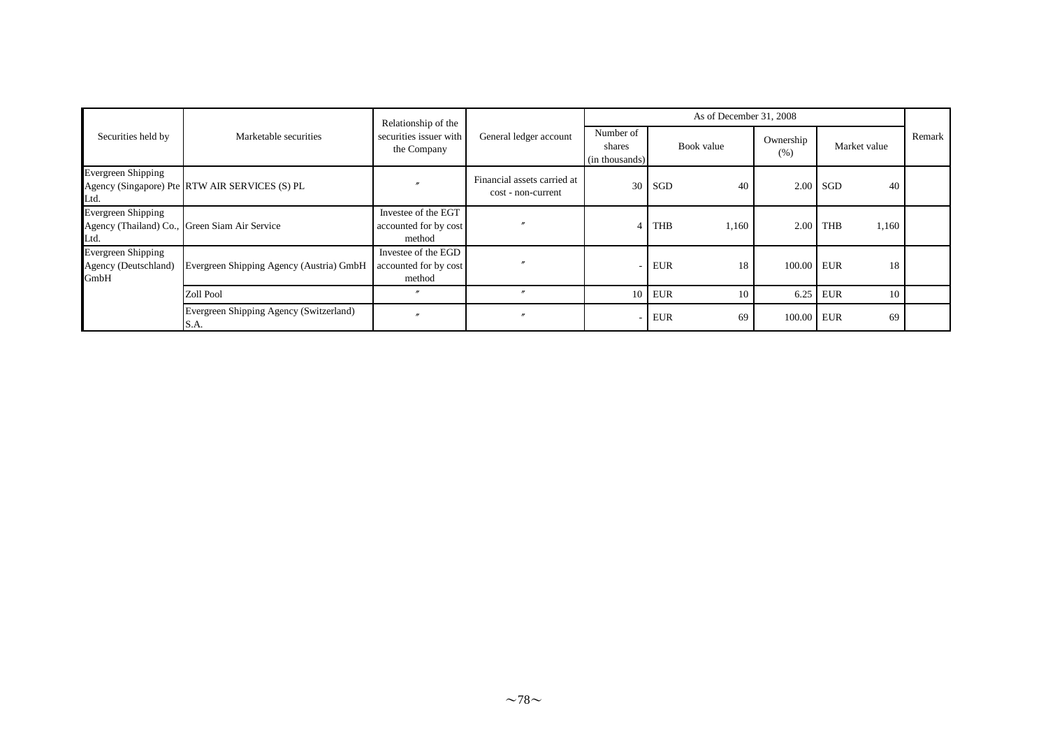|                                                    |                                                 | Relationship of the                                    |                                                   |                                       | As of December 31, 2008 |                   |                     |        |
|----------------------------------------------------|-------------------------------------------------|--------------------------------------------------------|---------------------------------------------------|---------------------------------------|-------------------------|-------------------|---------------------|--------|
| Securities held by                                 | Marketable securities                           | securities issuer with<br>the Company                  | General ledger account                            | Number of<br>shares<br>(in thousands) | Book value              | Ownership<br>(% ) | Market value        | Remark |
| <b>Evergreen Shipping</b><br>Ltd.                  | Agency (Singapore) Pte RTW AIR SERVICES (S) PL  |                                                        | Financial assets carried at<br>cost - non-current | 30                                    | SGD<br>40               |                   | $2.00$ SGD<br>40    |        |
| <b>Evergreen Shipping</b><br>Ltd.                  | Agency (Thailand) Co., Green Siam Air Service   | Investee of the EGT<br>accounted for by cost<br>method |                                                   | 4                                     | <b>THB</b><br>1,160     | 2.00              | <b>THB</b><br>1,160 |        |
| Evergreen Shipping<br>Agency (Deutschland)<br>GmbH | Evergreen Shipping Agency (Austria) GmbH        | Investee of the EGD<br>accounted for by cost<br>method |                                                   |                                       | <b>EUR</b><br>18        | 100.00 EUR        | 18                  |        |
|                                                    | Zoll Pool                                       |                                                        | $^{\prime\prime}$                                 |                                       | $10$ EUR<br>10          | 6.25              | <b>EUR</b><br>10    |        |
|                                                    | Evergreen Shipping Agency (Switzerland)<br>S.A. |                                                        |                                                   |                                       | <b>EUR</b><br>69        | 100.00 EUR        | 69                  |        |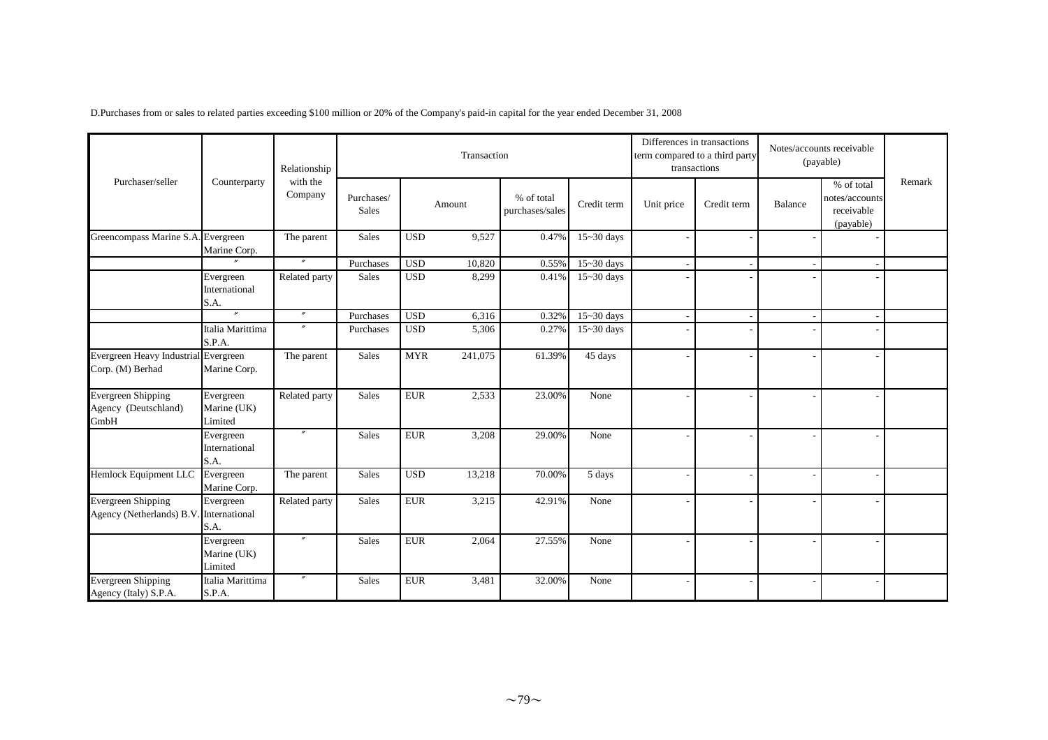|                                                           |                                     | Relationship<br>with the<br>Company |                            |            | Transaction |                               |                          |            | Differences in transactions<br>term compared to a third party<br>transactions |         | Notes/accounts receivable<br>(payable)                  |        |
|-----------------------------------------------------------|-------------------------------------|-------------------------------------|----------------------------|------------|-------------|-------------------------------|--------------------------|------------|-------------------------------------------------------------------------------|---------|---------------------------------------------------------|--------|
| Purchaser/seller                                          | Counterparty                        |                                     | Purchases/<br><b>Sales</b> |            | Amount      | % of total<br>purchases/sales | Credit term              | Unit price | Credit term                                                                   | Balance | % of total<br>notes/accounts<br>receivable<br>(payable) | Remark |
| Greencompass Marine S.A. Evergreen                        | Marine Corp.                        | The parent                          | <b>Sales</b>               | <b>USD</b> | 9,527       | 0.47%                         | $15 - 30$ days           |            |                                                                               |         |                                                         |        |
|                                                           |                                     | $^{\prime\prime}$                   | Purchases                  | <b>USD</b> | 10,820      | 0.55%                         | $15 - 30$ days           |            |                                                                               |         |                                                         |        |
|                                                           | Evergreen<br>International<br>S.A.  | Related party                       | <b>Sales</b>               | <b>USD</b> | 8,299       | 0.41%                         | $15 - 30$ days           |            |                                                                               |         |                                                         |        |
|                                                           | $^{\prime\prime}$                   | $^{\prime\prime}$                   | Purchases                  | <b>USD</b> | 6,316       | 0.32%                         | $15 - 30$ days           |            |                                                                               |         |                                                         |        |
|                                                           | Italia Marittima<br>S.P.A.          | $\prime$                            | Purchases                  | <b>USD</b> | 5,306       | 0.27%                         | $\overline{15}$ ~30 days |            |                                                                               |         |                                                         |        |
| Evergreen Heavy Industrial Evergreen<br>Corp. (M) Berhad  | Marine Corp.                        | The parent                          | <b>Sales</b>               | <b>MYR</b> | 241,075     | 61.39%                        | 45 days                  |            |                                                                               |         |                                                         |        |
| <b>Evergreen Shipping</b><br>Agency (Deutschland)<br>GmbH | Evergreen<br>Marine (UK)<br>Limited | Related party                       | <b>Sales</b>               | <b>EUR</b> | 2,533       | 23.00%                        | None                     |            |                                                                               |         |                                                         |        |
|                                                           | Evergreen<br>International<br>S.A.  |                                     | <b>Sales</b>               | <b>EUR</b> | 3,208       | 29.00%                        | None                     |            |                                                                               |         |                                                         |        |
| Hemlock Equipment LLC                                     | Evergreen<br>Marine Corp.           | The parent                          | <b>Sales</b>               | <b>USD</b> | 13,218      | 70.00%                        | 5 days                   |            |                                                                               |         |                                                         |        |
| <b>Evergreen Shipping</b><br>Agency (Netherlands) B.V     | Evergreen<br>International<br>S.A.  | Related party                       | <b>Sales</b>               | <b>EUR</b> | 3,215       | 42.91%                        | None                     |            |                                                                               |         |                                                         |        |
|                                                           | Evergreen<br>Marine (UK)<br>Limited | $^{\prime\prime}$                   | <b>Sales</b>               | <b>EUR</b> | 2,064       | 27.55%                        | None                     |            |                                                                               |         |                                                         |        |
| <b>Evergreen Shipping</b><br>Agency (Italy) S.P.A.        | Italia Marittima<br>S.P.A.          |                                     | <b>Sales</b>               | <b>EUR</b> | 3,481       | 32.00%                        | None                     |            |                                                                               |         |                                                         |        |

D.Purchases from or sales to related parties exceeding \$100 million or 20% of the Company's paid-in capital for the year ended December 31, 2008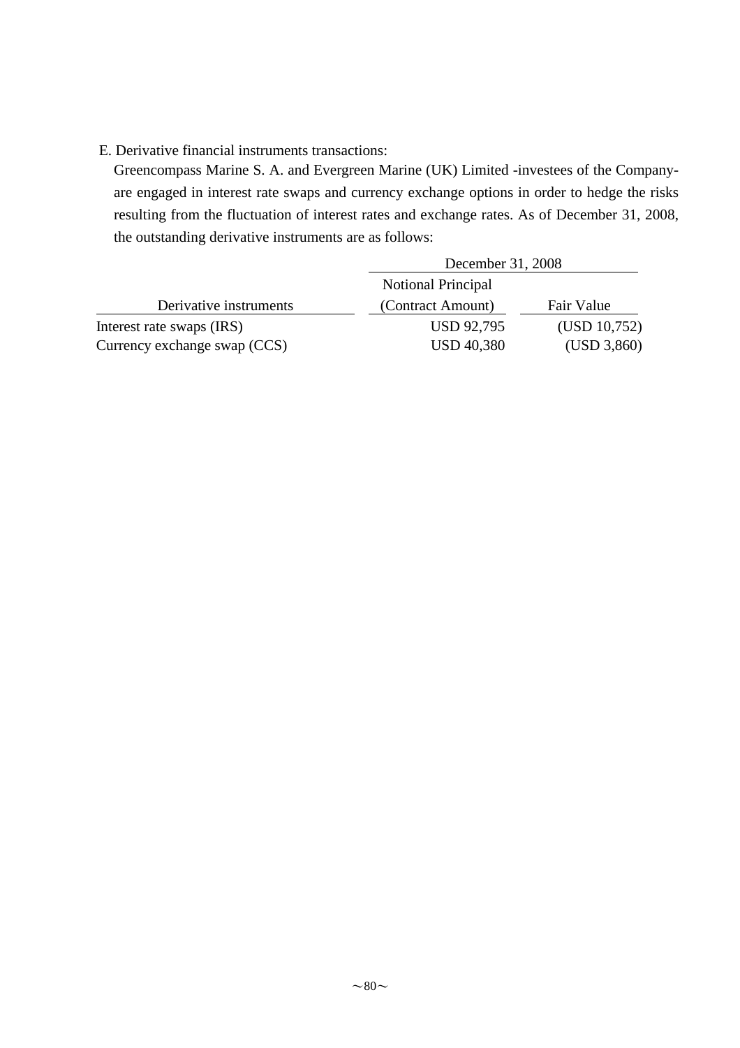## E. Derivative financial instruments transactions:

Greencompass Marine S. A. and Evergreen Marine (UK) Limited -investees of the Companyare engaged in interest rate swaps and currency exchange options in order to hedge the risks resulting from the fluctuation of interest rates and exchange rates. As of December 31, 2008, the outstanding derivative instruments are as follows:

|                              | December 31, 2008  |              |
|------------------------------|--------------------|--------------|
|                              | Notional Principal |              |
| Derivative instruments       | (Contract Amount)  | Fair Value   |
| Interest rate swaps (IRS)    | <b>USD 92,795</b>  | (USD 10,752) |
| Currency exchange swap (CCS) | <b>USD 40,380</b>  | (USD 3,860)  |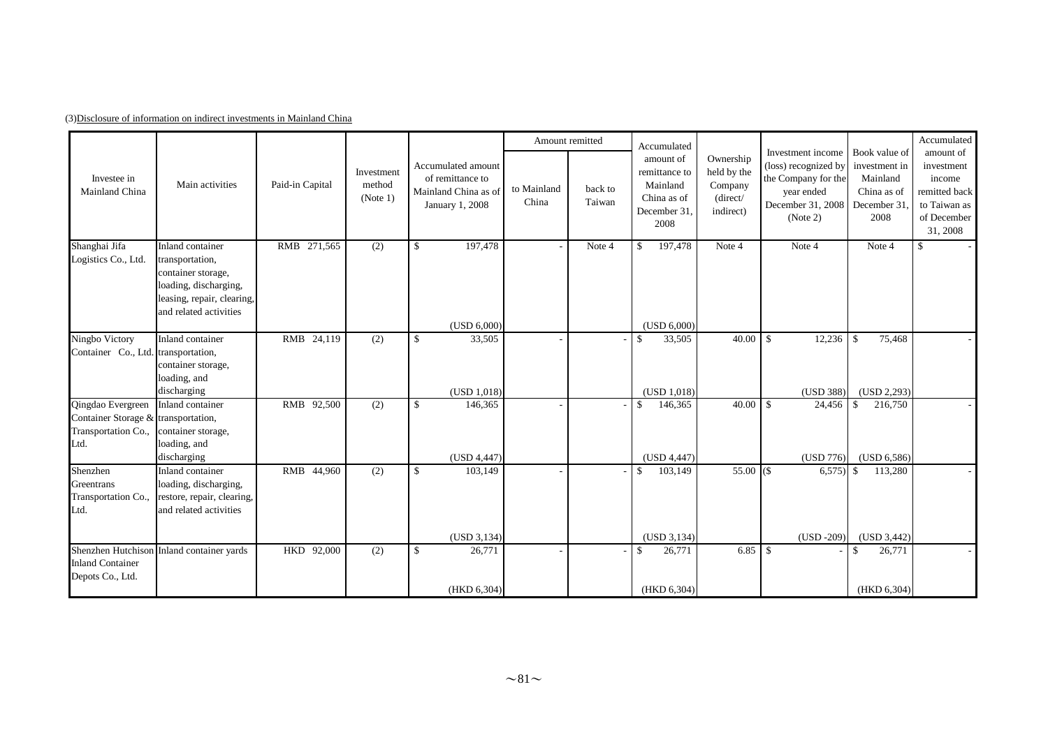|                                                                                         |                                                                                                                                            |                 |                                  |                                                                                   | Amount remitted      |                   | Accumulated                                                                  |                                                              |                                                                                                                 |                                                                                  | Accumulated                                                                                   |
|-----------------------------------------------------------------------------------------|--------------------------------------------------------------------------------------------------------------------------------------------|-----------------|----------------------------------|-----------------------------------------------------------------------------------|----------------------|-------------------|------------------------------------------------------------------------------|--------------------------------------------------------------|-----------------------------------------------------------------------------------------------------------------|----------------------------------------------------------------------------------|-----------------------------------------------------------------------------------------------|
| Investee in<br>Mainland China                                                           | Main activities                                                                                                                            | Paid-in Capital | Investment<br>method<br>(Note 1) | Accumulated amount<br>of remittance to<br>Mainland China as of<br>January 1, 2008 | to Mainland<br>China | back to<br>Taiwan | amount of<br>remittance to<br>Mainland<br>China as of<br>December 31<br>2008 | Ownership<br>held by the<br>Company<br>(direct/<br>indirect) | Investment income<br>(loss) recognized by<br>the Company for the<br>year ended<br>December 31, 2008<br>(Note 2) | Book value of<br>investment in<br>Mainland<br>China as of<br>December 31<br>2008 | amount of<br>investment<br>income<br>remitted back<br>to Taiwan as<br>of December<br>31, 2008 |
| Shanghai Jifa<br>Logistics Co., Ltd.                                                    | Inland container<br>transportation,<br>container storage,<br>loading, discharging,<br>leasing, repair, clearing,<br>and related activities | RMB 271,565     | (2)                              | $\mathcal{S}$<br>197,478<br>(USD 6,000)                                           |                      | Note 4            | 197,478<br>$\mathcal{S}$<br>(USD 6,000)                                      | Note 4                                                       | Note 4                                                                                                          | Note 4                                                                           | \$                                                                                            |
| Ningbo Victory                                                                          | Inland container                                                                                                                           | RMB 24,119      | (2)                              | $\mathcal{S}$<br>33,505                                                           |                      |                   | 33,505<br>$\mathbb{S}$                                                       | 40.00                                                        | $\mathbb{S}$<br>12,236                                                                                          | -\$<br>75,468                                                                    |                                                                                               |
| Container Co., Ltd. transportation,                                                     | container storage,<br>loading, and<br>discharging                                                                                          |                 |                                  | (USD 1,018)                                                                       |                      |                   | (USD 1,018)                                                                  |                                                              | (USD 388)                                                                                                       | (USD 2,293)                                                                      |                                                                                               |
| Qingdao Evergreen<br>Container Storage & transportation,<br>Transportation Co.,<br>Ltd. | Inland container<br>container storage,<br>loading, and<br>discharging                                                                      | RMB 92,500      | (2)                              | $\mathcal{S}$<br>146,365<br>(USD 4,447)                                           |                      |                   | 146,365<br>\$<br>(USD 4,447)                                                 | 40.00                                                        | $\mathbf{\hat{S}}$<br>24,456<br>(USD 776)                                                                       | 216,750<br>$\mathbf{\$}$<br>(USD 6, 586)                                         |                                                                                               |
| Shenzhen<br>Greentrans<br>Transportation Co.,<br>Ltd.                                   | Inland container<br>loading, discharging,<br>restore, repair, clearing,<br>and related activities                                          | RMB 44,960      | (2)                              | $\mathcal{S}$<br>103,149                                                          |                      |                   | \$<br>103,149                                                                | $55.00($ \$                                                  | $6,575$ \$                                                                                                      | 113,280                                                                          |                                                                                               |
|                                                                                         |                                                                                                                                            |                 |                                  | (USD 3, 134)                                                                      |                      |                   | (USD 3, 134)                                                                 |                                                              | $(USD -209)$                                                                                                    | (USD 3, 442)                                                                     |                                                                                               |
| <b>Inland Container</b><br>Depots Co., Ltd.                                             | Shenzhen Hutchison Inland container yards                                                                                                  | HKD 92,000      | (2)                              | 26,771<br>\$                                                                      |                      |                   | 26,771<br>\$                                                                 | $6.85$ \ \ \$                                                |                                                                                                                 | 26,771<br>\$                                                                     |                                                                                               |
|                                                                                         |                                                                                                                                            |                 |                                  | (HKD 6,304)                                                                       |                      |                   | (HKD 6,304)                                                                  |                                                              |                                                                                                                 | (HKD 6, 304)                                                                     |                                                                                               |

(3)Disclosure of information on indirect investments in Mainland China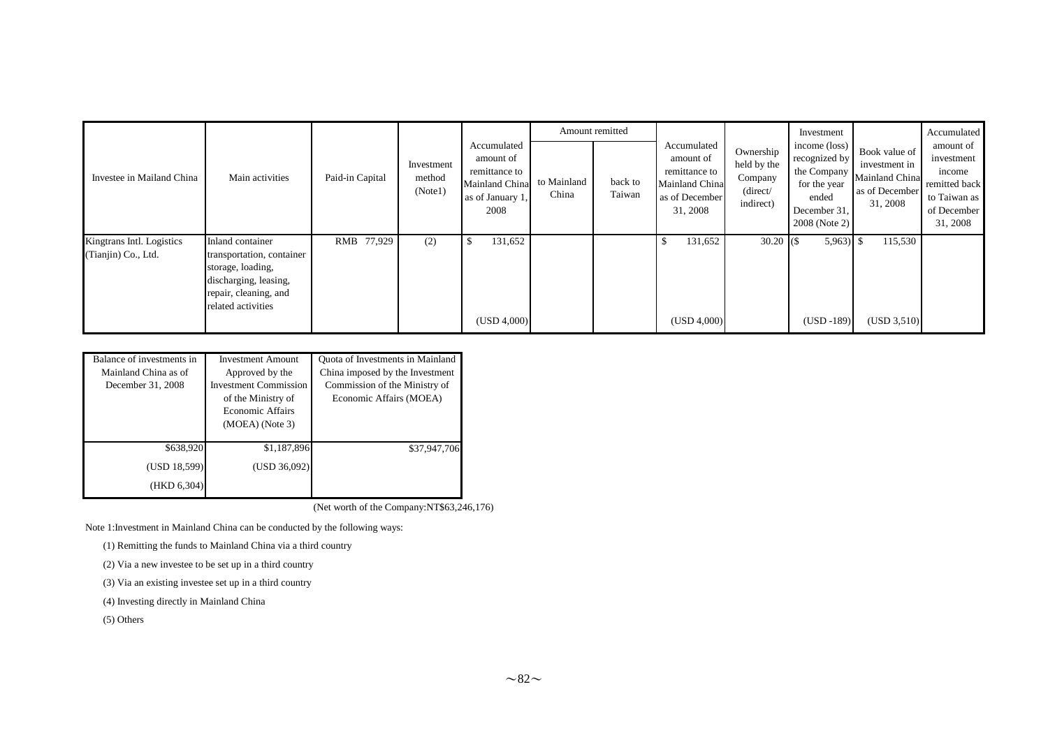|                                                  |                                                                                                                                            |                 |                                 |                                                                                         |                      | Amount remitted   |                                                                                           |                                                                       | Investment                                                                                              |                                                                                | Accumulated                                                                                   |
|--------------------------------------------------|--------------------------------------------------------------------------------------------------------------------------------------------|-----------------|---------------------------------|-----------------------------------------------------------------------------------------|----------------------|-------------------|-------------------------------------------------------------------------------------------|-----------------------------------------------------------------------|---------------------------------------------------------------------------------------------------------|--------------------------------------------------------------------------------|-----------------------------------------------------------------------------------------------|
| Investee in Mailand China                        | Main activities                                                                                                                            | Paid-in Capital | Investment<br>method<br>(Note1) | Accumulated<br>amount of<br>remittance to<br>Mainland China<br>as of January 1,<br>2008 | to Mainland<br>China | back to<br>Taiwan | Accumulated<br>amount of<br>remittance to<br>Mainland China<br>as of December<br>31, 2008 | Ownership<br>held by the<br>Company<br>$\langle$ direct/<br>indirect) | income (loss)<br>recognized by<br>the Company<br>for the year<br>ended<br>December 31,<br>2008 (Note 2) | Book value of<br>investment in<br>Mainland China<br>as of December<br>31, 2008 | amount of<br>investment<br>income<br>remitted back<br>to Taiwan as<br>of December<br>31, 2008 |
| Kingtrans Intl. Logistics<br>(Tianjin) Co., Ltd. | Inland container<br>transportation, container<br>storage, loading,<br>discharging, leasing,<br>repair, cleaning, and<br>related activities | RMB 77,929      | (2)                             | 131,652<br>ъ<br>(USD 4,000)                                                             |                      |                   | 131,652<br>\$<br>(USD 4,000)                                                              | $30.20$ (\$)                                                          | $5,963$ \$<br>$(USD -189)$                                                                              | 115,530<br>(USD 3,510)                                                         |                                                                                               |

| Balance of investments in<br>Mainland China as of<br>December 31, 2008 | <b>Investment Amount</b><br>Approved by the<br><b>Investment Commission</b><br>of the Ministry of<br>Economic Affairs<br>$(MOEA)$ (Note 3) | Quota of Investments in Mainland<br>China imposed by the Investment<br>Commission of the Ministry of<br>Economic Affairs (MOEA) |  |  |  |  |
|------------------------------------------------------------------------|--------------------------------------------------------------------------------------------------------------------------------------------|---------------------------------------------------------------------------------------------------------------------------------|--|--|--|--|
| \$638,920<br>(USD 18,599)<br>(HKD 6, 304)                              | \$1,187,896<br>(USD 36,092)                                                                                                                | \$37,947,706                                                                                                                    |  |  |  |  |

(Net worth of the Company:NT\$63,246,176)

Note 1:Investment in Mainland China can be conducted by the following ways:

(1) Remitting the funds to Mainland China via a third country

(2) Via a new investee to be set up in a third country

(3) Via an existing investee set up in a third country

(4) Investing directly in Mainland China

(5) Others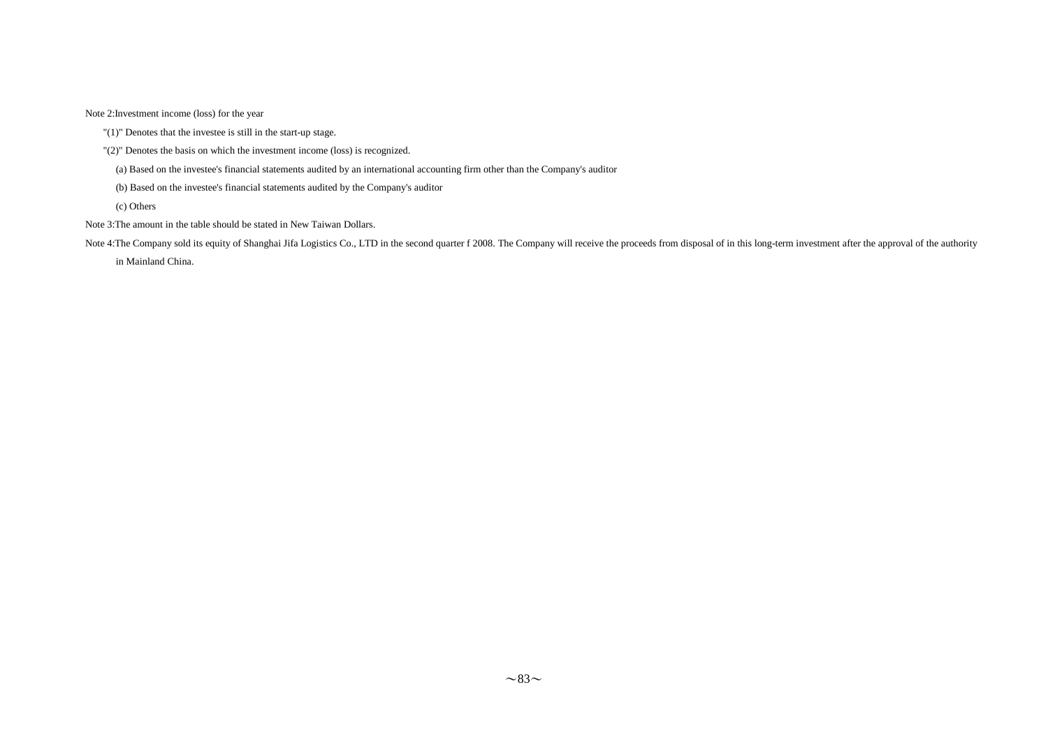Note 2:Investment income (loss) for the year

"(1)" Denotes that the investee is still in the start-up stage.

- "(2)" Denotes the basis on which the investment income (loss) is recognized.
	- (a) Based on the investee's financial statements audited by an international accounting firm other than the Company's auditor
	- (b) Based on the investee's financial statements audited by the Company's auditor

(c) Others

Note 3:The amount in the table should be stated in New Taiwan Dollars.

Note 4:The Company sold its equity of Shanghai Jifa Logistics Co., LTD in the second quarter f 2008. The Company will receive the proceeds from disposal of in this long-term investment after the approval of the authority in Mainland China.